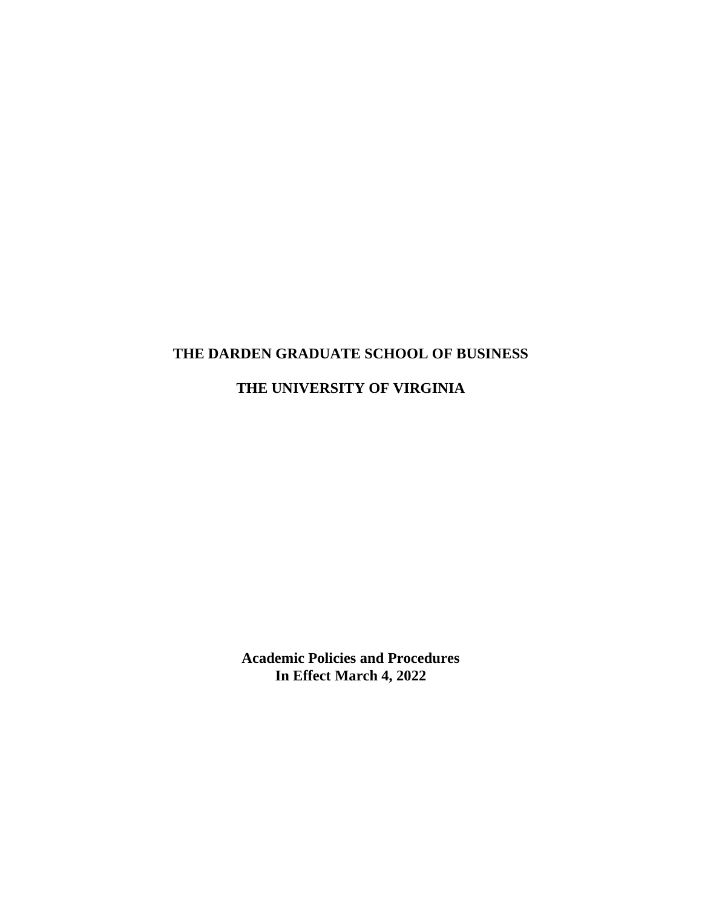# **THE DARDEN GRADUATE SCHOOL OF BUSINESS**

# **THE UNIVERSITY OF VIRGINIA**

**Academic Policies and Procedures In Effect March 4, 2022**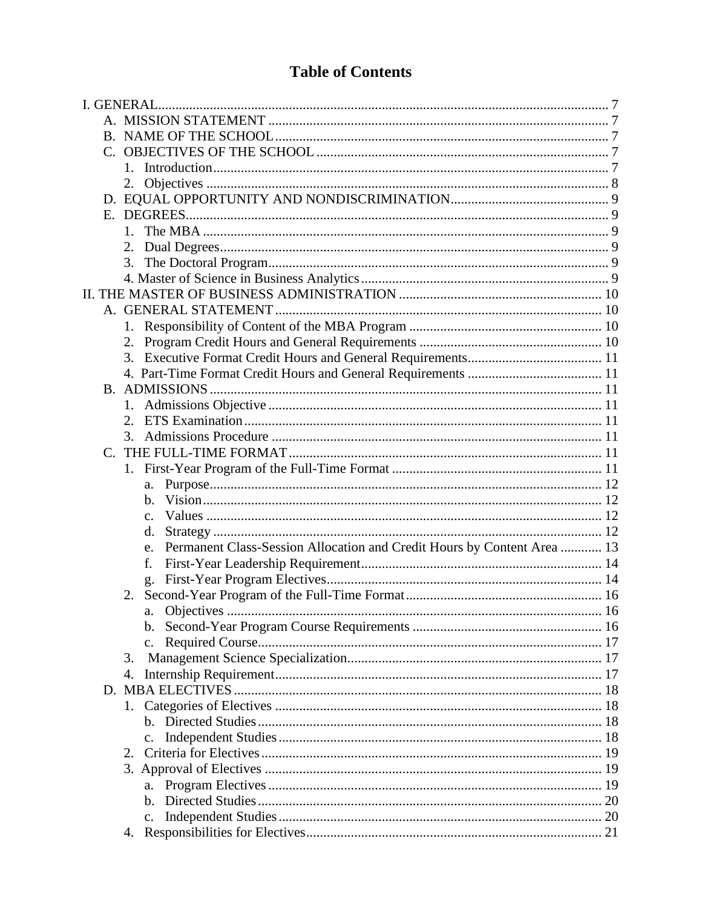# **Table of Contents**

| 2.                                                                            |  |
|-------------------------------------------------------------------------------|--|
|                                                                               |  |
|                                                                               |  |
|                                                                               |  |
| 2.                                                                            |  |
|                                                                               |  |
|                                                                               |  |
|                                                                               |  |
|                                                                               |  |
|                                                                               |  |
|                                                                               |  |
|                                                                               |  |
|                                                                               |  |
|                                                                               |  |
|                                                                               |  |
| 2.                                                                            |  |
| 3.                                                                            |  |
|                                                                               |  |
|                                                                               |  |
| a.                                                                            |  |
| h.                                                                            |  |
| $\mathbf{c}$ .                                                                |  |
| d.                                                                            |  |
| Permanent Class-Session Allocation and Credit Hours by Content Area  13<br>e. |  |
| f.                                                                            |  |
| g.                                                                            |  |
|                                                                               |  |
|                                                                               |  |
|                                                                               |  |
| c.                                                                            |  |
| 3.                                                                            |  |
| 4.                                                                            |  |
|                                                                               |  |
|                                                                               |  |
|                                                                               |  |
|                                                                               |  |
|                                                                               |  |
|                                                                               |  |
| a.                                                                            |  |
| $\mathbf{b}$ .                                                                |  |
| c.                                                                            |  |
|                                                                               |  |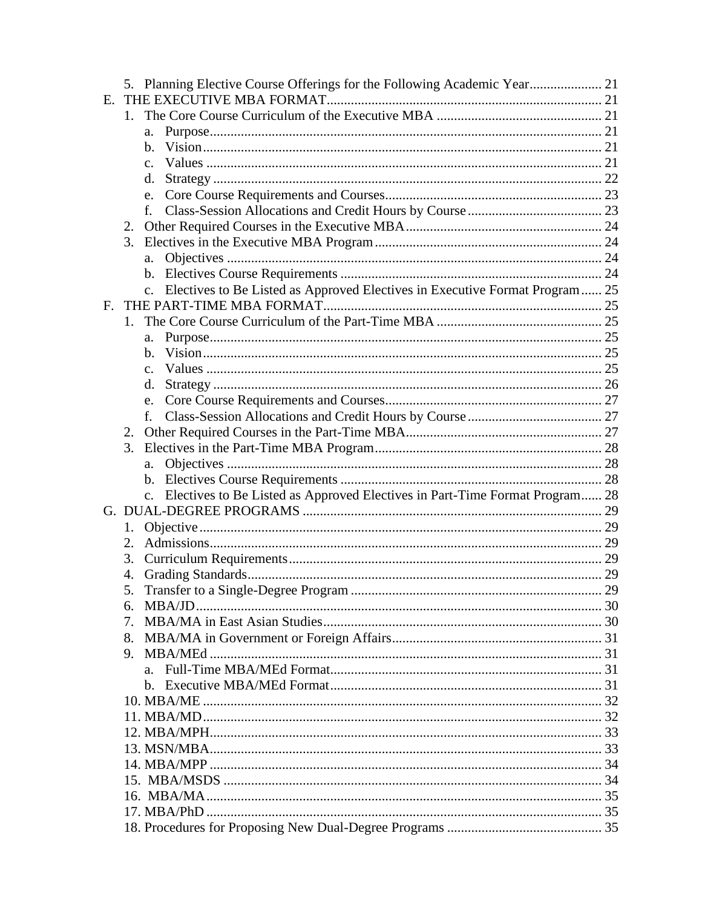|    | 5. Planning Elective Course Offerings for the Following Academic Year 21        |     |
|----|---------------------------------------------------------------------------------|-----|
| Е. |                                                                                 |     |
|    | $1_{-}$                                                                         |     |
|    | a.                                                                              |     |
|    | $h_{\cdot}$                                                                     |     |
|    | $\mathbf{c}$ .                                                                  |     |
|    | d.                                                                              |     |
|    | e.                                                                              |     |
|    | f.                                                                              |     |
|    | 2.                                                                              |     |
|    | 3.                                                                              |     |
|    | a.                                                                              |     |
|    |                                                                                 |     |
|    | c. Electives to Be Listed as Approved Electives in Executive Format Program  25 |     |
| F. |                                                                                 |     |
|    | 1.                                                                              |     |
|    | a.                                                                              |     |
|    | h.                                                                              |     |
|    | $\mathbf{c}$ .                                                                  |     |
|    | d.                                                                              |     |
|    | e.                                                                              |     |
|    | f.                                                                              |     |
|    |                                                                                 |     |
|    | 3.                                                                              |     |
|    | a.                                                                              |     |
|    |                                                                                 |     |
|    | c. Electives to Be Listed as Approved Electives in Part-Time Format Program 28  |     |
|    |                                                                                 |     |
|    | 1.                                                                              |     |
|    | 2.                                                                              |     |
|    | 3.                                                                              |     |
|    | 4.                                                                              |     |
|    |                                                                                 | .29 |
|    | 6.                                                                              |     |
|    | 7.                                                                              |     |
|    |                                                                                 |     |
|    |                                                                                 |     |
|    |                                                                                 |     |
|    |                                                                                 |     |
|    |                                                                                 |     |
|    |                                                                                 |     |
|    |                                                                                 |     |
|    |                                                                                 |     |
|    |                                                                                 |     |
|    |                                                                                 |     |
|    |                                                                                 |     |
|    |                                                                                 |     |
|    |                                                                                 |     |
|    |                                                                                 |     |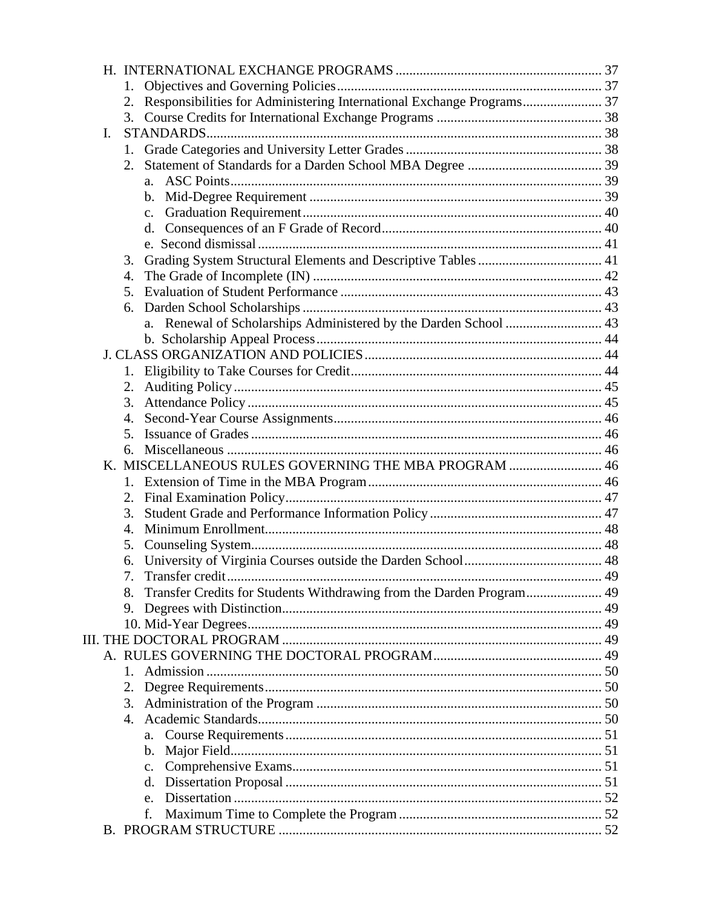|                | 1.      |                                                                       |  |
|----------------|---------|-----------------------------------------------------------------------|--|
|                | 2.      | Responsibilities for Administering International Exchange Programs 37 |  |
|                | 3.      |                                                                       |  |
| $\mathbf{I}$ . |         |                                                                       |  |
|                |         |                                                                       |  |
|                | 2.      |                                                                       |  |
|                |         |                                                                       |  |
|                |         |                                                                       |  |
|                |         | $\mathbf{c}$ .                                                        |  |
|                |         | d.                                                                    |  |
|                |         |                                                                       |  |
|                | 3.      |                                                                       |  |
|                | 4.      |                                                                       |  |
|                | 5.      |                                                                       |  |
|                | 6.      |                                                                       |  |
|                |         |                                                                       |  |
|                |         |                                                                       |  |
|                |         |                                                                       |  |
|                | 1.      |                                                                       |  |
|                | 2.      |                                                                       |  |
|                | 3.      |                                                                       |  |
|                | 4.      |                                                                       |  |
|                | 5.      |                                                                       |  |
|                | 6.      |                                                                       |  |
|                |         | K. MISCELLANEOUS RULES GOVERNING THE MBA PROGRAM  46                  |  |
|                |         |                                                                       |  |
|                | 2.      |                                                                       |  |
|                | 3.      |                                                                       |  |
|                | 4.      |                                                                       |  |
|                | 5.      |                                                                       |  |
|                |         |                                                                       |  |
|                |         |                                                                       |  |
|                | 8.      | Transfer Credits for Students Withdrawing from the Darden Program 49  |  |
|                | 9.      |                                                                       |  |
|                |         |                                                                       |  |
|                |         |                                                                       |  |
|                |         |                                                                       |  |
|                | $1_{-}$ |                                                                       |  |
|                | 2.      |                                                                       |  |
|                | 3.      |                                                                       |  |
|                |         |                                                                       |  |
|                |         | a.                                                                    |  |
|                |         | b.                                                                    |  |
|                |         | $C_{\bullet}$                                                         |  |
|                |         | d.                                                                    |  |
|                |         | e.                                                                    |  |
|                |         | f.                                                                    |  |
|                |         |                                                                       |  |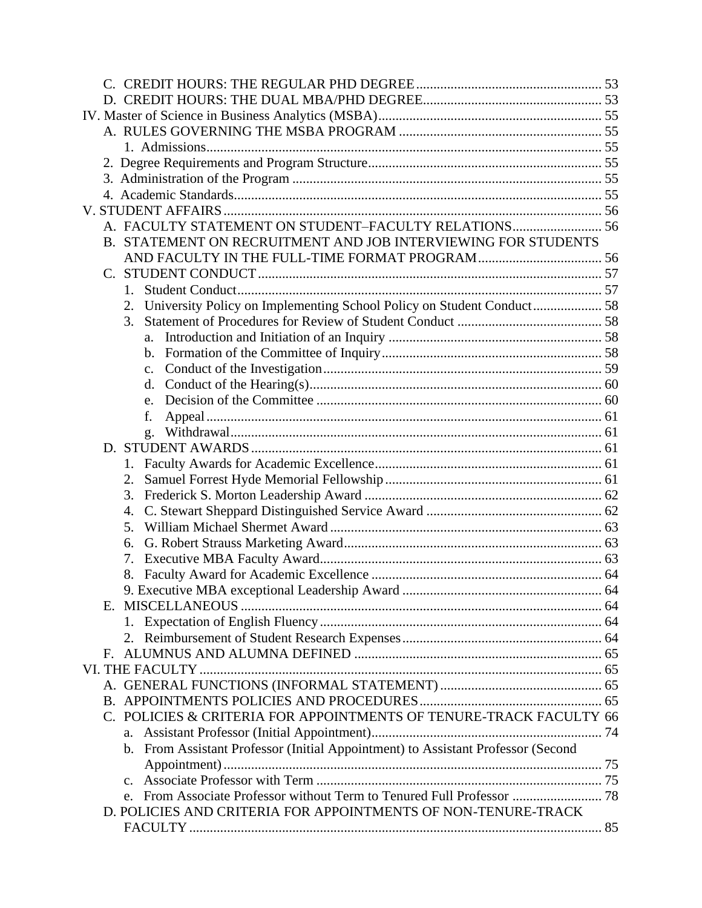|                | A. FACULTY STATEMENT ON STUDENT-FACULTY RELATIONS 56                             |  |
|----------------|----------------------------------------------------------------------------------|--|
|                | B. STATEMENT ON RECRUITMENT AND JOB INTERVIEWING FOR STUDENTS                    |  |
|                |                                                                                  |  |
|                |                                                                                  |  |
|                |                                                                                  |  |
| 2.             | University Policy on Implementing School Policy on Student Conduct 58            |  |
| 3.             |                                                                                  |  |
| a.             |                                                                                  |  |
|                |                                                                                  |  |
| $\mathbf{c}$ . |                                                                                  |  |
| d.             |                                                                                  |  |
|                |                                                                                  |  |
| f.             |                                                                                  |  |
| g.             |                                                                                  |  |
|                |                                                                                  |  |
|                |                                                                                  |  |
| 2.             |                                                                                  |  |
| 3.             |                                                                                  |  |
| 4.             |                                                                                  |  |
| 5.             |                                                                                  |  |
| 6.             |                                                                                  |  |
| 7.             |                                                                                  |  |
|                |                                                                                  |  |
|                |                                                                                  |  |
| Е.             |                                                                                  |  |
|                |                                                                                  |  |
|                |                                                                                  |  |
| F.             |                                                                                  |  |
|                |                                                                                  |  |
|                |                                                                                  |  |
|                |                                                                                  |  |
|                | C. POLICIES & CRITERIA FOR APPOINTMENTS OF TENURE-TRACK FACULTY 66               |  |
| a.             |                                                                                  |  |
|                | b. From Assistant Professor (Initial Appointment) to Assistant Professor (Second |  |
|                |                                                                                  |  |
|                |                                                                                  |  |
|                |                                                                                  |  |
|                | D. POLICIES AND CRITERIA FOR APPOINTMENTS OF NON-TENURE-TRACK                    |  |
|                |                                                                                  |  |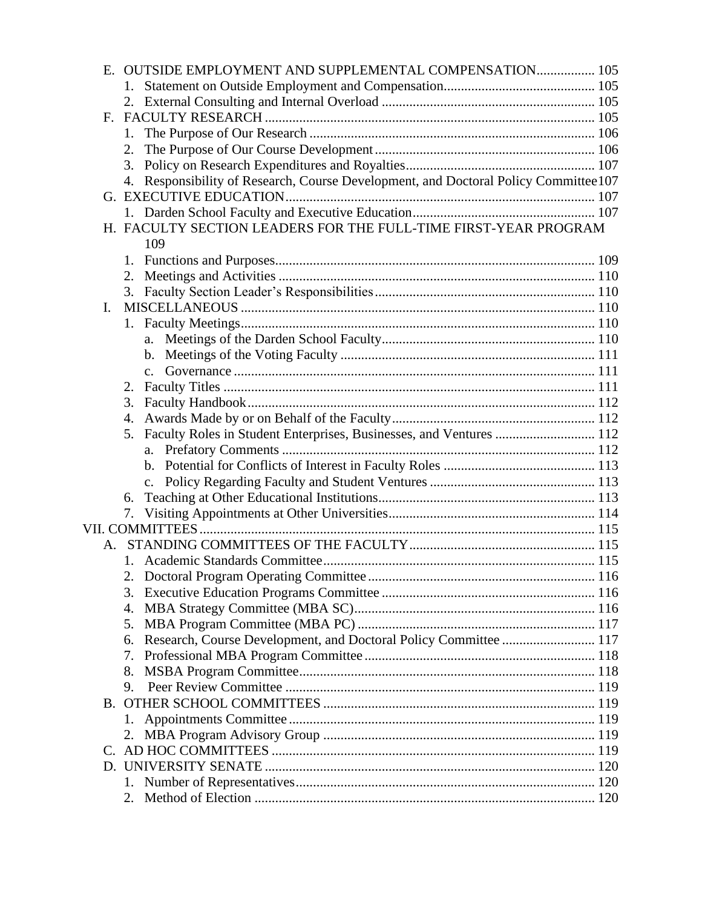|              | E. OUTSIDE EMPLOYMENT AND SUPPLEMENTAL COMPENSATION 105                             |  |
|--------------|-------------------------------------------------------------------------------------|--|
|              |                                                                                     |  |
|              |                                                                                     |  |
| $\mathbf{F}$ |                                                                                     |  |
|              | 1.                                                                                  |  |
|              | 2.                                                                                  |  |
|              | 3.                                                                                  |  |
|              | 4. Responsibility of Research, Course Development, and Doctoral Policy Committee107 |  |
|              |                                                                                     |  |
|              |                                                                                     |  |
|              | H. FACULTY SECTION LEADERS FOR THE FULL-TIME FIRST-YEAR PROGRAM                     |  |
|              | 109                                                                                 |  |
|              |                                                                                     |  |
|              | 2.                                                                                  |  |
|              | 3.                                                                                  |  |
| L.           |                                                                                     |  |
|              |                                                                                     |  |
|              |                                                                                     |  |
|              |                                                                                     |  |
|              |                                                                                     |  |
|              | 2.                                                                                  |  |
|              | 3.                                                                                  |  |
|              |                                                                                     |  |
|              | Faculty Roles in Student Enterprises, Businesses, and Ventures  112<br>5.           |  |
|              |                                                                                     |  |
|              |                                                                                     |  |
|              |                                                                                     |  |
|              | 6.                                                                                  |  |
|              | 7.                                                                                  |  |
|              |                                                                                     |  |
|              |                                                                                     |  |
|              |                                                                                     |  |
|              |                                                                                     |  |
|              | 3.                                                                                  |  |
|              | 4.                                                                                  |  |
|              | 5.                                                                                  |  |
|              | Research, Course Development, and Doctoral Policy Committee  117<br>6.              |  |
|              | 7.                                                                                  |  |
|              | 8.                                                                                  |  |
|              | 9.                                                                                  |  |
|              |                                                                                     |  |
|              | 1.                                                                                  |  |
|              |                                                                                     |  |
|              |                                                                                     |  |
|              |                                                                                     |  |
|              |                                                                                     |  |
|              | 2.                                                                                  |  |
|              |                                                                                     |  |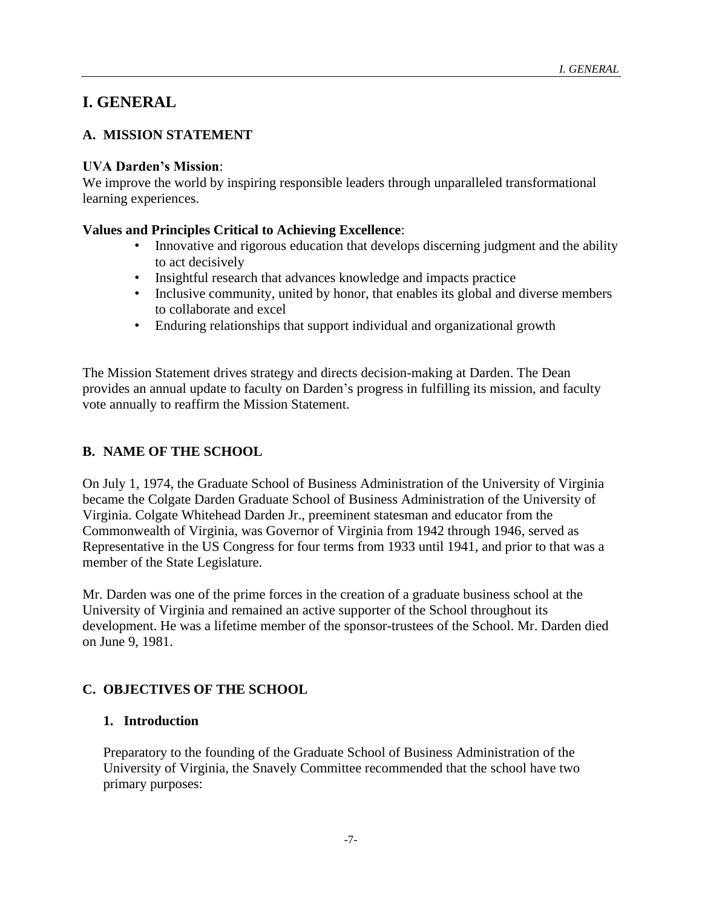# <span id="page-6-0"></span>**I. GENERAL**

# <span id="page-6-1"></span>**A. MISSION STATEMENT**

### **UVA Darden's Mission**:

We improve the world by inspiring responsible leaders through unparalleled transformational learning experiences.

# **Values and Principles Critical to Achieving Excellence**:

- Innovative and rigorous education that develops discerning judgment and the ability to act decisively
- Insightful research that advances knowledge and impacts practice
- Inclusive community, united by honor, that enables its global and diverse members to collaborate and excel
- Enduring relationships that support individual and organizational growth

The Mission Statement drives strategy and directs decision-making at Darden. The Dean provides an annual update to faculty on Darden's progress in fulfilling its mission, and faculty vote annually to reaffirm the Mission Statement.

# <span id="page-6-2"></span>**B. NAME OF THE SCHOOL**

On July 1, 1974, the Graduate School of Business Administration of the University of Virginia became the Colgate Darden Graduate School of Business Administration of the University of Virginia. Colgate Whitehead Darden Jr., preeminent statesman and educator from the Commonwealth of Virginia, was Governor of Virginia from 1942 through 1946, served as Representative in the US Congress for four terms from 1933 until 1941, and prior to that was a member of the State Legislature.

Mr. Darden was one of the prime forces in the creation of a graduate business school at the University of Virginia and remained an active supporter of the School throughout its development. He was a lifetime member of the sponsor-trustees of the School. Mr. Darden died on June 9, 1981.

# <span id="page-6-3"></span>**C. OBJECTIVES OF THE SCHOOL**

# <span id="page-6-4"></span>**1. Introduction**

Preparatory to the founding of the Graduate School of Business Administration of the University of Virginia, the Snavely Committee recommended that the school have two primary purposes: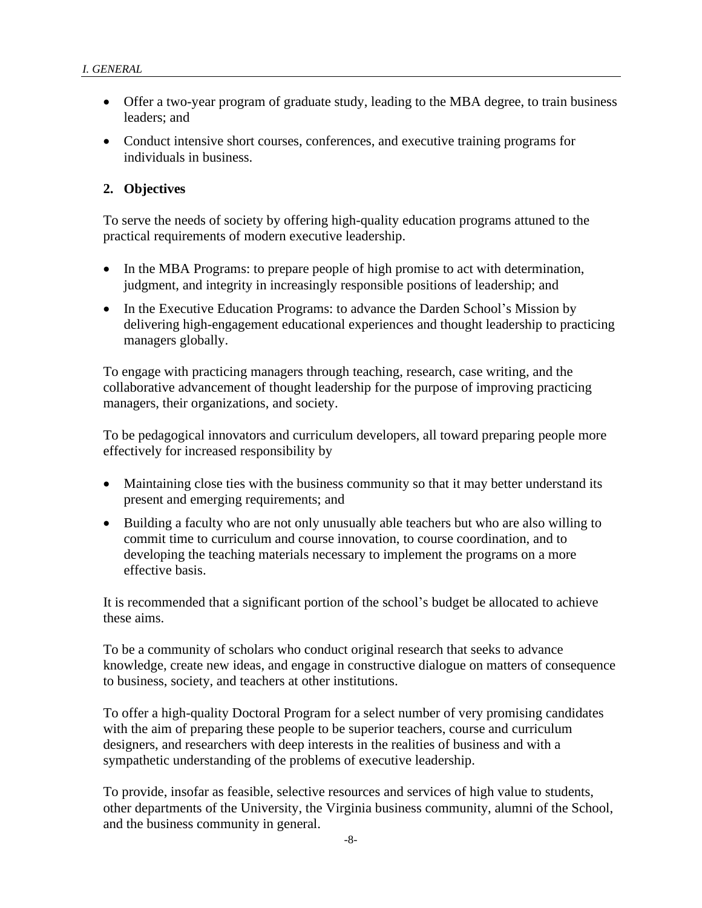- Offer a two-year program of graduate study, leading to the MBA degree, to train business leaders; and
- Conduct intensive short courses, conferences, and executive training programs for individuals in business.

# <span id="page-7-0"></span>**2. Objectives**

To serve the needs of society by offering high-quality education programs attuned to the practical requirements of modern executive leadership.

- In the MBA Programs: to prepare people of high promise to act with determination, judgment, and integrity in increasingly responsible positions of leadership; and
- In the Executive Education Programs: to advance the Darden School's Mission by delivering high-engagement educational experiences and thought leadership to practicing managers globally.

To engage with practicing managers through teaching, research, case writing, and the collaborative advancement of thought leadership for the purpose of improving practicing managers, their organizations, and society.

To be pedagogical innovators and curriculum developers, all toward preparing people more effectively for increased responsibility by

- Maintaining close ties with the business community so that it may better understand its present and emerging requirements; and
- Building a faculty who are not only unusually able teachers but who are also willing to commit time to curriculum and course innovation, to course coordination, and to developing the teaching materials necessary to implement the programs on a more effective basis.

It is recommended that a significant portion of the school's budget be allocated to achieve these aims.

To be a community of scholars who conduct original research that seeks to advance knowledge, create new ideas, and engage in constructive dialogue on matters of consequence to business, society, and teachers at other institutions.

To offer a high-quality Doctoral Program for a select number of very promising candidates with the aim of preparing these people to be superior teachers, course and curriculum designers, and researchers with deep interests in the realities of business and with a sympathetic understanding of the problems of executive leadership.

To provide, insofar as feasible, selective resources and services of high value to students, other departments of the University, the Virginia business community, alumni of the School, and the business community in general.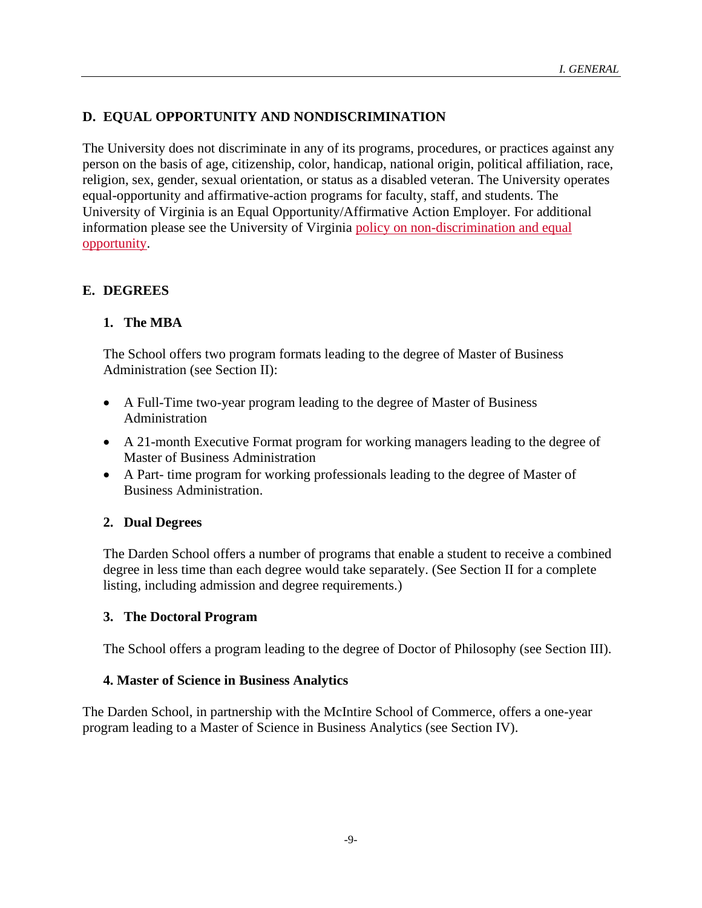# <span id="page-8-0"></span>**D. EQUAL OPPORTUNITY AND NONDISCRIMINATION**

The University does not discriminate in any of its programs, procedures, or practices against any person on the basis of age, citizenship, color, handicap, national origin, political affiliation, race, religion, sex, gender, sexual orientation, or status as a disabled veteran. The University operates equal-opportunity and affirmative-action programs for faculty, staff, and students. The University of Virginia is an Equal Opportunity/Affirmative Action Employer. For additional information please see the University of Virginia [policy on non-discrimination and equal](http://eocr.virginia.edu/notice-non-discrimination-and-equal-opportunity)  [opportunity.](http://eocr.virginia.edu/notice-non-discrimination-and-equal-opportunity)

### <span id="page-8-1"></span>**E. DEGREES**

### <span id="page-8-2"></span>**1. The MBA**

The School offers two program formats leading to the degree of Master of Business Administration (see Section II):

- A Full-Time two-year program leading to the degree of Master of Business Administration
- A 21-month Executive Format program for working managers leading to the degree of Master of Business Administration
- A Part- time program for working professionals leading to the degree of Master of Business Administration.

### <span id="page-8-3"></span>**2. Dual Degrees**

The Darden School offers a number of programs that enable a student to receive a combined degree in less time than each degree would take separately. (See Section II for a complete listing, including admission and degree requirements.)

### <span id="page-8-4"></span>**3. The Doctoral Program**

The School offers a program leading to the degree of Doctor of Philosophy (see Section III).

### <span id="page-8-5"></span>**4. Master of Science in Business Analytics**

The Darden School, in partnership with the McIntire School of Commerce, offers a one-year program leading to a Master of Science in Business Analytics (see Section IV).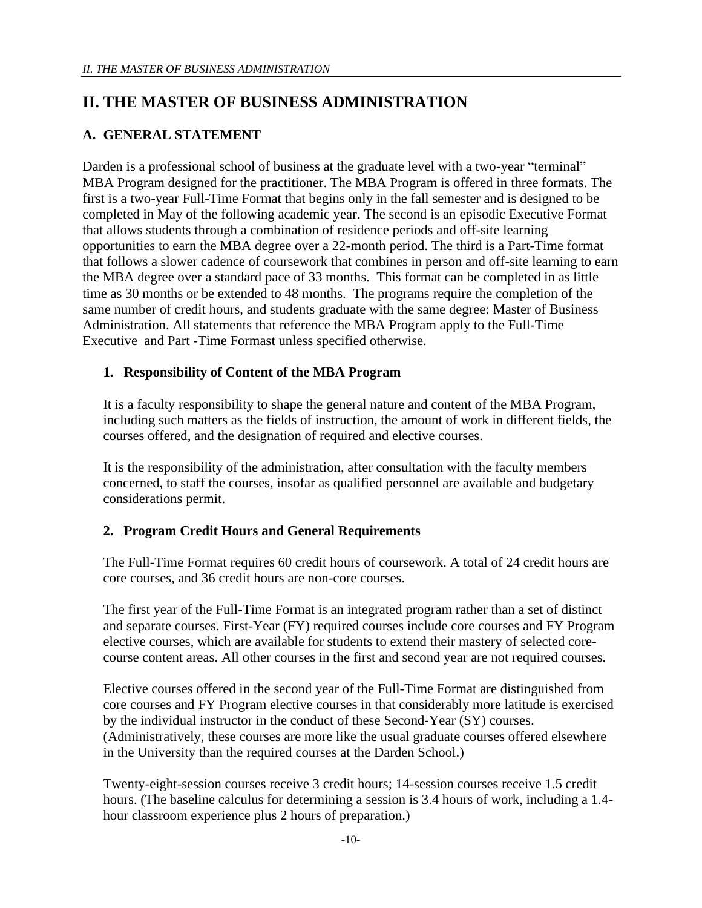# <span id="page-9-0"></span>**II. THE MASTER OF BUSINESS ADMINISTRATION**

# <span id="page-9-1"></span>**A. GENERAL STATEMENT**

Darden is a professional school of business at the graduate level with a two-year "terminal" MBA Program designed for the practitioner. The MBA Program is offered in three formats. The first is a two-year Full-Time Format that begins only in the fall semester and is designed to be completed in May of the following academic year. The second is an episodic Executive Format that allows students through a combination of residence periods and off-site learning opportunities to earn the MBA degree over a 22-month period. The third is a Part-Time format that follows a slower cadence of coursework that combines in person and off-site learning to earn the MBA degree over a standard pace of 33 months. This format can be completed in as little time as 30 months or be extended to 48 months. The programs require the completion of the same number of credit hours, and students graduate with the same degree: Master of Business Administration. All statements that reference the MBA Program apply to the Full-Time Executive and Part -Time Formast unless specified otherwise.

# <span id="page-9-2"></span>**1. Responsibility of Content of the MBA Program**

It is a faculty responsibility to shape the general nature and content of the MBA Program, including such matters as the fields of instruction, the amount of work in different fields, the courses offered, and the designation of required and elective courses.

It is the responsibility of the administration, after consultation with the faculty members concerned, to staff the courses, insofar as qualified personnel are available and budgetary considerations permit.

# <span id="page-9-3"></span>**2. Program Credit Hours and General Requirements**

The Full-Time Format requires 60 credit hours of coursework. A total of 24 credit hours are core courses, and 36 credit hours are non-core courses.

The first year of the Full-Time Format is an integrated program rather than a set of distinct and separate courses. First-Year (FY) required courses include core courses and FY Program elective courses, which are available for students to extend their mastery of selected corecourse content areas. All other courses in the first and second year are not required courses.

Elective courses offered in the second year of the Full-Time Format are distinguished from core courses and FY Program elective courses in that considerably more latitude is exercised by the individual instructor in the conduct of these Second-Year (SY) courses. (Administratively, these courses are more like the usual graduate courses offered elsewhere in the University than the required courses at the Darden School.)

Twenty-eight-session courses receive 3 credit hours; 14-session courses receive 1.5 credit hours. (The baseline calculus for determining a session is 3.4 hours of work, including a 1.4 hour classroom experience plus 2 hours of preparation.)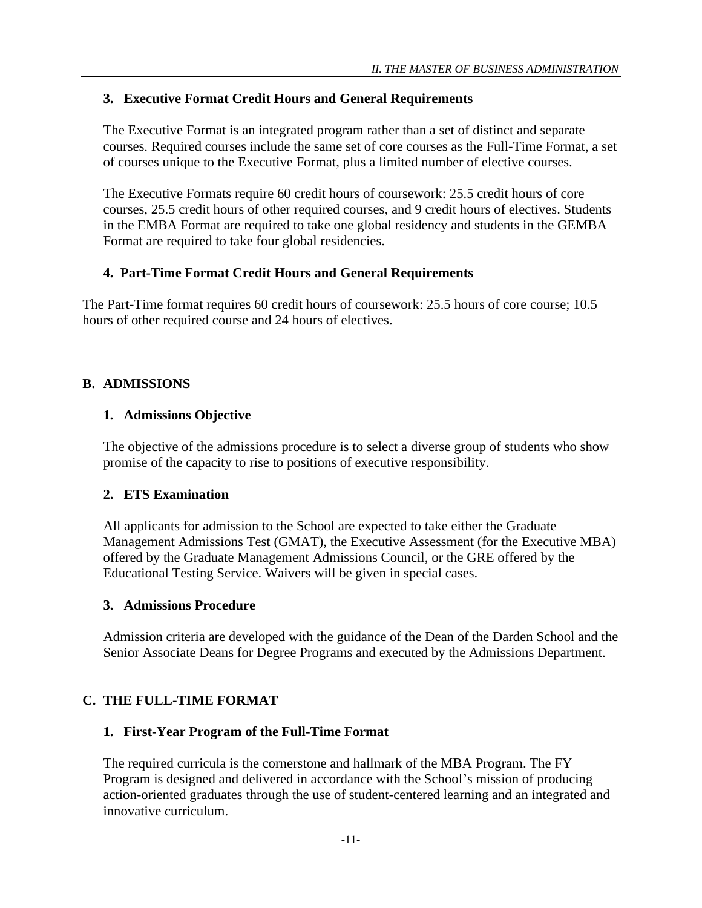# <span id="page-10-0"></span>**3. Executive Format Credit Hours and General Requirements**

The Executive Format is an integrated program rather than a set of distinct and separate courses. Required courses include the same set of core courses as the Full-Time Format, a set of courses unique to the Executive Format, plus a limited number of elective courses.

The Executive Formats require 60 credit hours of coursework: 25.5 credit hours of core courses, 25.5 credit hours of other required courses, and 9 credit hours of electives. Students in the EMBA Format are required to take one global residency and students in the GEMBA Format are required to take four global residencies.

### <span id="page-10-1"></span>**4. Part-Time Format Credit Hours and General Requirements**

The Part-Time format requires 60 credit hours of coursework: 25.5 hours of core course; 10.5 hours of other required course and 24 hours of electives.

# <span id="page-10-2"></span>**B. ADMISSIONS**

# <span id="page-10-3"></span>**1. Admissions Objective**

The objective of the admissions procedure is to select a diverse group of students who show promise of the capacity to rise to positions of executive responsibility.

### <span id="page-10-4"></span>**2. ETS Examination**

All applicants for admission to the School are expected to take either the Graduate Management Admissions Test (GMAT), the Executive Assessment (for the Executive MBA) offered by the Graduate Management Admissions Council, or the GRE offered by the Educational Testing Service. Waivers will be given in special cases.

### <span id="page-10-5"></span>**3. Admissions Procedure**

Admission criteria are developed with the guidance of the Dean of the Darden School and the Senior Associate Deans for Degree Programs and executed by the Admissions Department.

# <span id="page-10-6"></span>**C. THE FULL-TIME FORMAT**

# <span id="page-10-7"></span>**1. First-Year Program of the Full-Time Format**

The required curricula is the cornerstone and hallmark of the MBA Program. The FY Program is designed and delivered in accordance with the School's mission of producing action-oriented graduates through the use of student-centered learning and an integrated and innovative curriculum.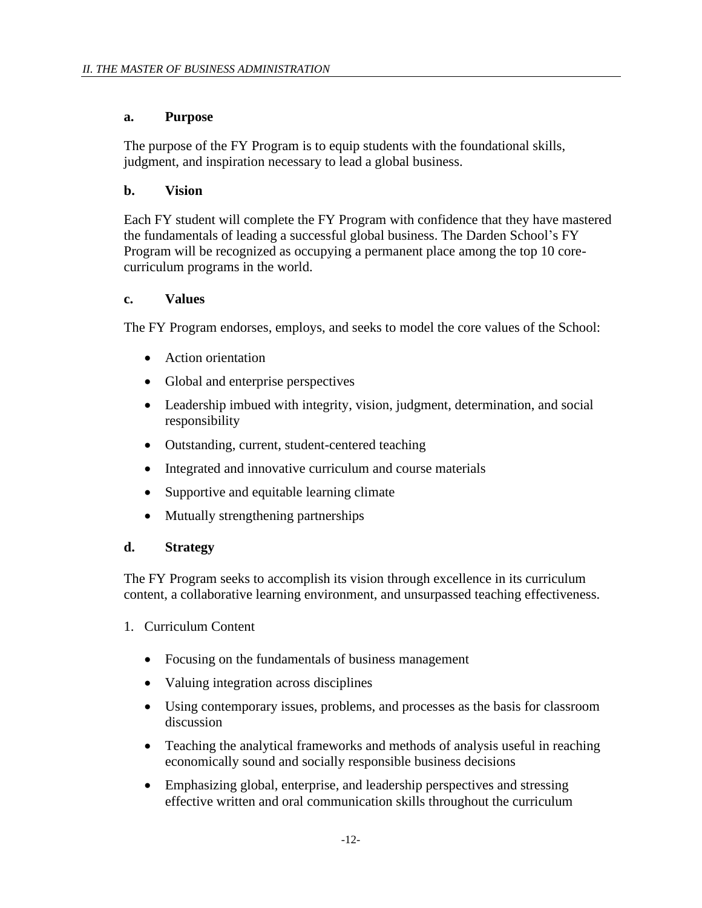### <span id="page-11-0"></span>**a. Purpose**

The purpose of the FY Program is to equip students with the foundational skills, judgment, and inspiration necessary to lead a global business.

### <span id="page-11-1"></span>**b. Vision**

Each FY student will complete the FY Program with confidence that they have mastered the fundamentals of leading a successful global business. The Darden School's FY Program will be recognized as occupying a permanent place among the top 10 corecurriculum programs in the world.

### <span id="page-11-2"></span>**c. Values**

The FY Program endorses, employs, and seeks to model the core values of the School:

- Action orientation
- Global and enterprise perspectives
- Leadership imbued with integrity, vision, judgment, determination, and social responsibility
- Outstanding, current, student-centered teaching
- Integrated and innovative curriculum and course materials
- Supportive and equitable learning climate
- Mutually strengthening partnerships

# <span id="page-11-3"></span>**d. Strategy**

The FY Program seeks to accomplish its vision through excellence in its curriculum content, a collaborative learning environment, and unsurpassed teaching effectiveness.

- 1. Curriculum Content
	- Focusing on the fundamentals of business management
	- Valuing integration across disciplines
	- Using contemporary issues, problems, and processes as the basis for classroom discussion
	- Teaching the analytical frameworks and methods of analysis useful in reaching economically sound and socially responsible business decisions
	- Emphasizing global, enterprise, and leadership perspectives and stressing effective written and oral communication skills throughout the curriculum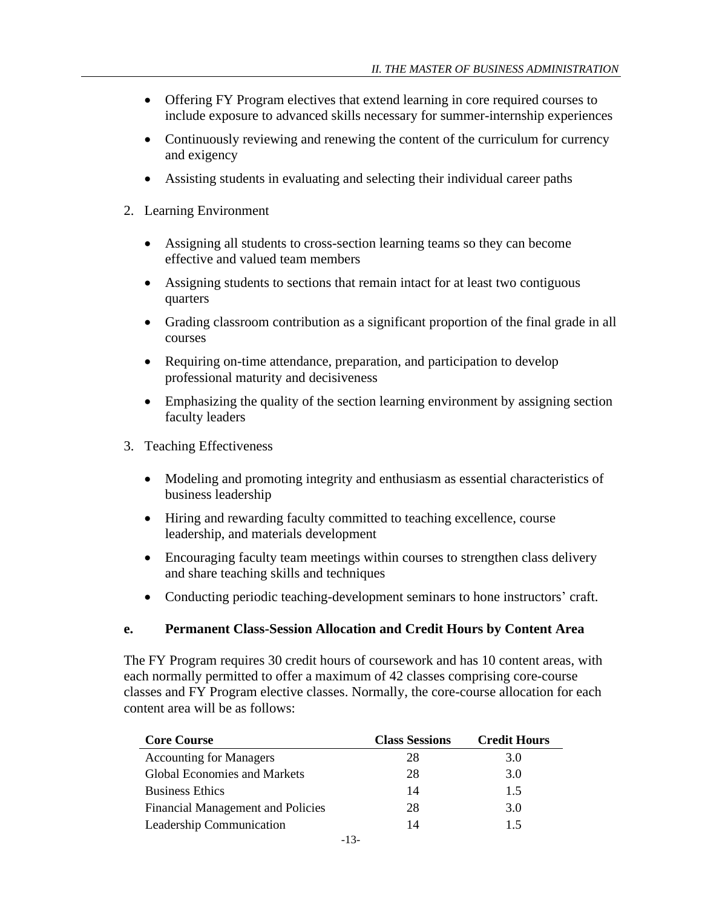- Offering FY Program electives that extend learning in core required courses to include exposure to advanced skills necessary for summer-internship experiences
- Continuously reviewing and renewing the content of the curriculum for currency and exigency
- Assisting students in evaluating and selecting their individual career paths
- 2. Learning Environment
	- Assigning all students to cross-section learning teams so they can become effective and valued team members
	- Assigning students to sections that remain intact for at least two contiguous quarters
	- Grading classroom contribution as a significant proportion of the final grade in all courses
	- Requiring on-time attendance, preparation, and participation to develop professional maturity and decisiveness
	- Emphasizing the quality of the section learning environment by assigning section faculty leaders
- 3. Teaching Effectiveness
	- Modeling and promoting integrity and enthusiasm as essential characteristics of business leadership
	- Hiring and rewarding faculty committed to teaching excellence, course leadership, and materials development
	- Encouraging faculty team meetings within courses to strengthen class delivery and share teaching skills and techniques
	- Conducting periodic teaching-development seminars to hone instructors' craft.

# <span id="page-12-0"></span>**e. Permanent Class-Session Allocation and Credit Hours by Content Area**

The FY Program requires 30 credit hours of coursework and has 10 content areas, with each normally permitted to offer a maximum of 42 classes comprising core-course classes and FY Program elective classes. Normally, the core-course allocation for each content area will be as follows:

| <b>Core Course</b>                       | <b>Class Sessions</b> | <b>Credit Hours</b> |
|------------------------------------------|-----------------------|---------------------|
| <b>Accounting for Managers</b>           | 28                    | 3.0                 |
| <b>Global Economies and Markets</b>      | 28                    | 3.0                 |
| <b>Business Ethics</b>                   | 14                    | 1.5                 |
| <b>Financial Management and Policies</b> | 28                    | 3.0                 |
| Leadership Communication                 | 14                    | 15                  |
|                                          |                       |                     |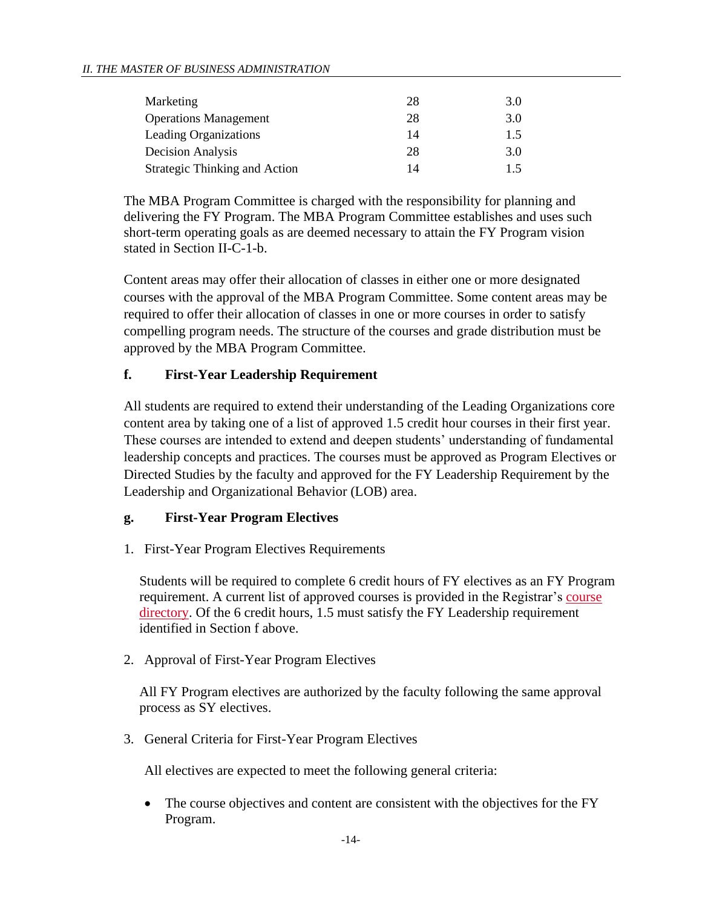#### *II. THE MASTER OF BUSINESS ADMINISTRATION*

| Marketing                            | 28 | 3.0 |
|--------------------------------------|----|-----|
| <b>Operations Management</b>         | 28 | 3.0 |
| <b>Leading Organizations</b>         | 14 | 1.5 |
| <b>Decision Analysis</b>             | 28 | 3.0 |
| <b>Strategic Thinking and Action</b> | 14 | 15  |
|                                      |    |     |

The MBA Program Committee is charged with the responsibility for planning and delivering the FY Program. The MBA Program Committee establishes and uses such short-term operating goals as are deemed necessary to attain the FY Program vision stated in Section II-C-1-b.

Content areas may offer their allocation of classes in either one or more designated courses with the approval of the MBA Program Committee. Some content areas may be required to offer their allocation of classes in one or more courses in order to satisfy compelling program needs. The structure of the courses and grade distribution must be approved by the MBA Program Committee.

### <span id="page-13-0"></span>**f. First-Year Leadership Requirement**

All students are required to extend their understanding of the Leading Organizations core content area by taking one of a list of approved 1.5 credit hour courses in their first year. These courses are intended to extend and deepen students' understanding of fundamental leadership concepts and practices. The courses must be approved as Program Electives or Directed Studies by the faculty and approved for the FY Leadership Requirement by the Leadership and Organizational Behavior (LOB) area.

# <span id="page-13-1"></span>**g. First-Year Program Electives**

1. First-Year Program Electives Requirements

Students will be required to complete 6 credit hours of FY electives as an FY Program requirement. A current list of approved courses is provided in the Registrar's [course](http://registrar.darden.virginia.edu/registrar-student/catalog/SearchCatalog.tap)  [directory.](http://registrar.darden.virginia.edu/registrar-student/catalog/SearchCatalog.tap) Of the 6 credit hours, 1.5 must satisfy the FY Leadership requirement identified in Section f above.

2. Approval of First-Year Program Electives

All FY Program electives are authorized by the faculty following the same approval process as SY electives.

3. General Criteria for First-Year Program Electives

All electives are expected to meet the following general criteria:

• The course objectives and content are consistent with the objectives for the FY Program.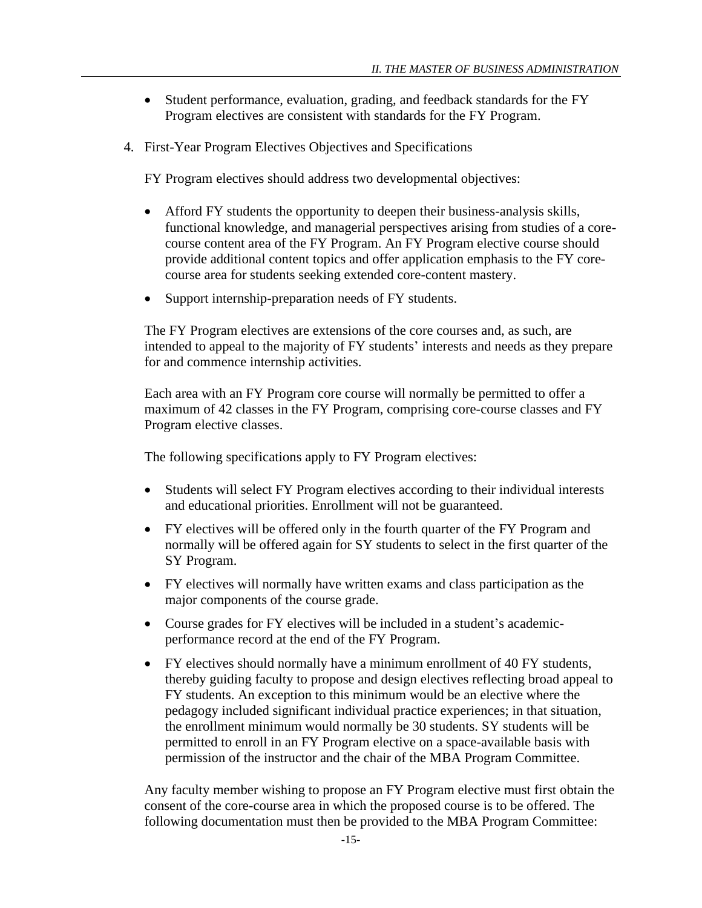- Student performance, evaluation, grading, and feedback standards for the FY Program electives are consistent with standards for the FY Program.
- 4. First-Year Program Electives Objectives and Specifications

FY Program electives should address two developmental objectives:

- Afford FY students the opportunity to deepen their business-analysis skills, functional knowledge, and managerial perspectives arising from studies of a corecourse content area of the FY Program. An FY Program elective course should provide additional content topics and offer application emphasis to the FY corecourse area for students seeking extended core-content mastery.
- Support internship-preparation needs of FY students.

The FY Program electives are extensions of the core courses and, as such, are intended to appeal to the majority of FY students' interests and needs as they prepare for and commence internship activities.

Each area with an FY Program core course will normally be permitted to offer a maximum of 42 classes in the FY Program, comprising core-course classes and FY Program elective classes.

The following specifications apply to FY Program electives:

- Students will select FY Program electives according to their individual interests and educational priorities. Enrollment will not be guaranteed.
- FY electives will be offered only in the fourth quarter of the FY Program and normally will be offered again for SY students to select in the first quarter of the SY Program.
- FY electives will normally have written exams and class participation as the major components of the course grade.
- Course grades for FY electives will be included in a student's academicperformance record at the end of the FY Program.
- FY electives should normally have a minimum enrollment of 40 FY students, thereby guiding faculty to propose and design electives reflecting broad appeal to FY students. An exception to this minimum would be an elective where the pedagogy included significant individual practice experiences; in that situation, the enrollment minimum would normally be 30 students. SY students will be permitted to enroll in an FY Program elective on a space-available basis with permission of the instructor and the chair of the MBA Program Committee.

Any faculty member wishing to propose an FY Program elective must first obtain the consent of the core-course area in which the proposed course is to be offered. The following documentation must then be provided to the MBA Program Committee: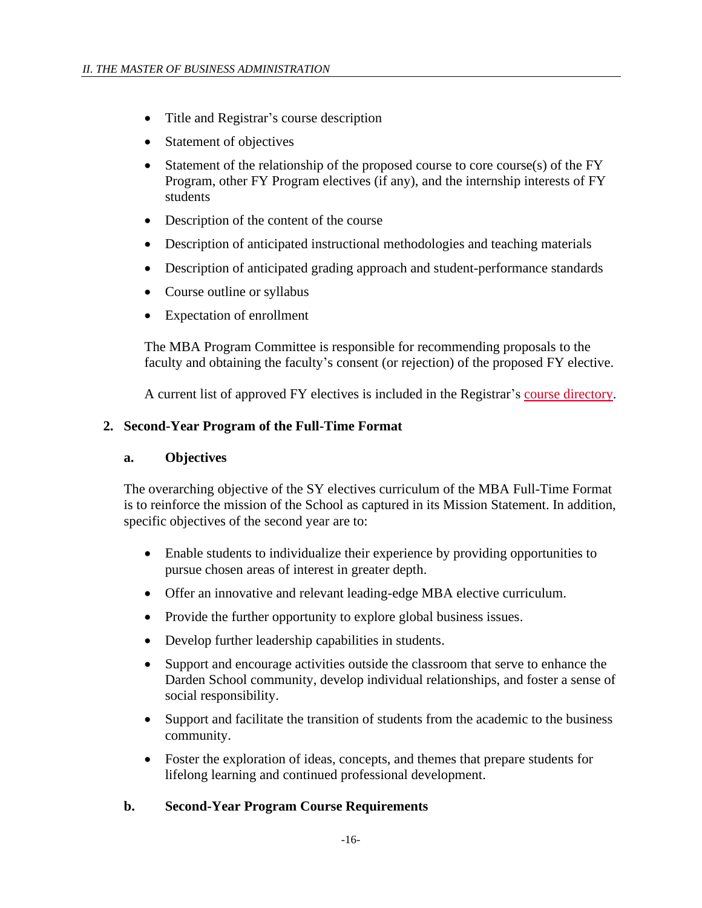- Title and Registrar's course description
- Statement of objectives
- Statement of the relationship of the proposed course to core course(s) of the FY Program, other FY Program electives (if any), and the internship interests of FY students
- Description of the content of the course
- Description of anticipated instructional methodologies and teaching materials
- Description of anticipated grading approach and student-performance standards
- Course outline or syllabus
- Expectation of enrollment

The MBA Program Committee is responsible for recommending proposals to the faculty and obtaining the faculty's consent (or rejection) of the proposed FY elective.

A current list of approved FY electives is included in the Registrar's [course directory.](http://registrar.darden.virginia.edu/registrar-student/catalog/SearchCatalog.tap)

### <span id="page-15-1"></span><span id="page-15-0"></span>**2. Second-Year Program of the Full-Time Format**

### **a. Objectives**

The overarching objective of the SY electives curriculum of the MBA Full-Time Format is to reinforce the mission of the School as captured in its Mission Statement. In addition, specific objectives of the second year are to:

- Enable students to individualize their experience by providing opportunities to pursue chosen areas of interest in greater depth.
- Offer an innovative and relevant leading-edge MBA elective curriculum.
- Provide the further opportunity to explore global business issues.
- Develop further leadership capabilities in students.
- Support and encourage activities outside the classroom that serve to enhance the Darden School community, develop individual relationships, and foster a sense of social responsibility.
- Support and facilitate the transition of students from the academic to the business community.
- Foster the exploration of ideas, concepts, and themes that prepare students for lifelong learning and continued professional development.

### <span id="page-15-2"></span>**b. Second-Year Program Course Requirements**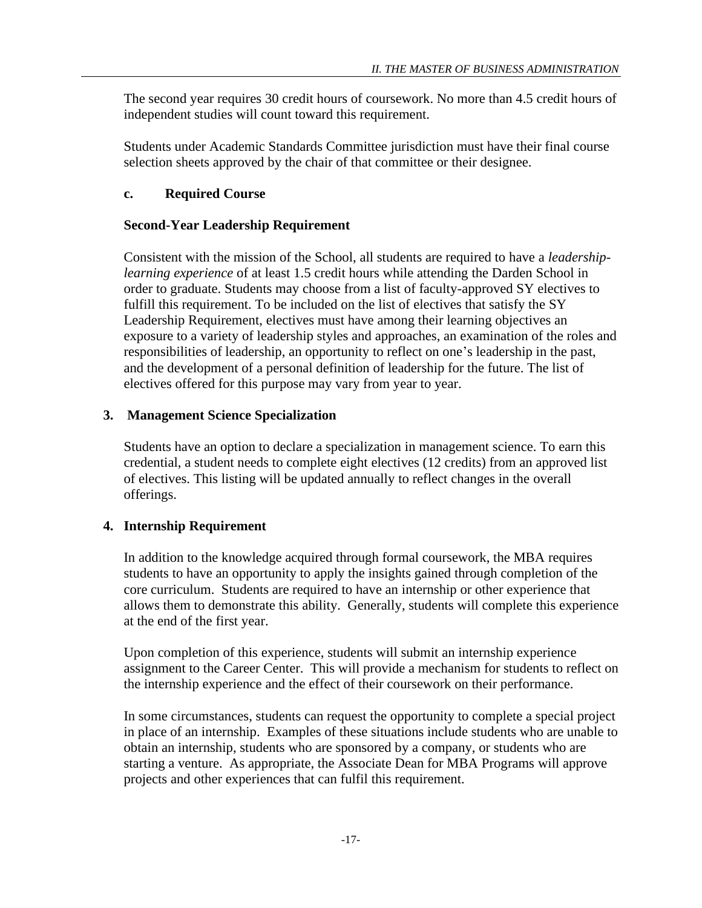The second year requires 30 credit hours of coursework. No more than 4.5 credit hours of independent studies will count toward this requirement.

Students under Academic Standards Committee jurisdiction must have their final course selection sheets approved by the chair of that committee or their designee.

# <span id="page-16-0"></span>**c. Required Course**

# **Second-Year Leadership Requirement**

Consistent with the mission of the School, all students are required to have a *leadershiplearning experience* of at least 1.5 credit hours while attending the Darden School in order to graduate. Students may choose from a list of faculty-approved SY electives to fulfill this requirement. To be included on the list of electives that satisfy the SY Leadership Requirement, electives must have among their learning objectives an exposure to a variety of leadership styles and approaches, an examination of the roles and responsibilities of leadership, an opportunity to reflect on one's leadership in the past, and the development of a personal definition of leadership for the future. The list of electives offered for this purpose may vary from year to year.

# <span id="page-16-1"></span>**3. Management Science Specialization**

Students have an option to declare a specialization in management science. To earn this credential, a student needs to complete eight electives (12 credits) from an approved list of electives. This listing will be updated annually to reflect changes in the overall offerings.

# <span id="page-16-2"></span>**4. Internship Requirement**

In addition to the knowledge acquired through formal coursework, the MBA requires students to have an opportunity to apply the insights gained through completion of the core curriculum. Students are required to have an internship or other experience that allows them to demonstrate this ability. Generally, students will complete this experience at the end of the first year.

Upon completion of this experience, students will submit an internship experience assignment to the Career Center. This will provide a mechanism for students to reflect on the internship experience and the effect of their coursework on their performance.

In some circumstances, students can request the opportunity to complete a special project in place of an internship. Examples of these situations include students who are unable to obtain an internship, students who are sponsored by a company, or students who are starting a venture. As appropriate, the Associate Dean for MBA Programs will approve projects and other experiences that can fulfil this requirement.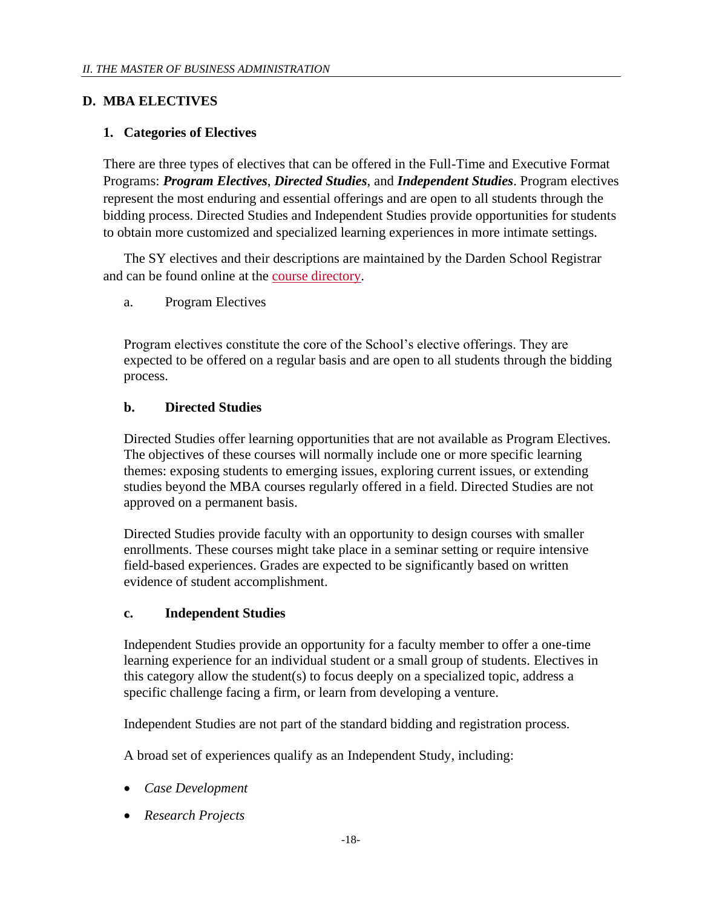# <span id="page-17-0"></span>**D. MBA ELECTIVES**

# <span id="page-17-1"></span>**1. Categories of Electives**

There are three types of electives that can be offered in the Full-Time and Executive Format Programs: *Program Electives*, *Directed Studies*, and *Independent Studies*. Program electives represent the most enduring and essential offerings and are open to all students through the bidding process. Directed Studies and Independent Studies provide opportunities for students to obtain more customized and specialized learning experiences in more intimate settings.

The SY electives and their descriptions are maintained by the Darden School Registrar and can be found online at the [course directory.](http://registrar.darden.virginia.edu/registrar-student/catalog/SearchCatalog.tap)

a. Program Electives

Program electives constitute the core of the School's elective offerings. They are expected to be offered on a regular basis and are open to all students through the bidding process.

# <span id="page-17-2"></span>**b. Directed Studies**

Directed Studies offer learning opportunities that are not available as Program Electives. The objectives of these courses will normally include one or more specific learning themes: exposing students to emerging issues, exploring current issues, or extending studies beyond the MBA courses regularly offered in a field. Directed Studies are not approved on a permanent basis.

Directed Studies provide faculty with an opportunity to design courses with smaller enrollments. These courses might take place in a seminar setting or require intensive field-based experiences. Grades are expected to be significantly based on written evidence of student accomplishment.

### <span id="page-17-3"></span>**c. Independent Studies**

Independent Studies provide an opportunity for a faculty member to offer a one-time learning experience for an individual student or a small group of students. Electives in this category allow the student(s) to focus deeply on a specialized topic, address a specific challenge facing a firm, or learn from developing a venture.

Independent Studies are not part of the standard bidding and registration process.

A broad set of experiences qualify as an Independent Study, including:

- *Case Development*
- *Research Projects*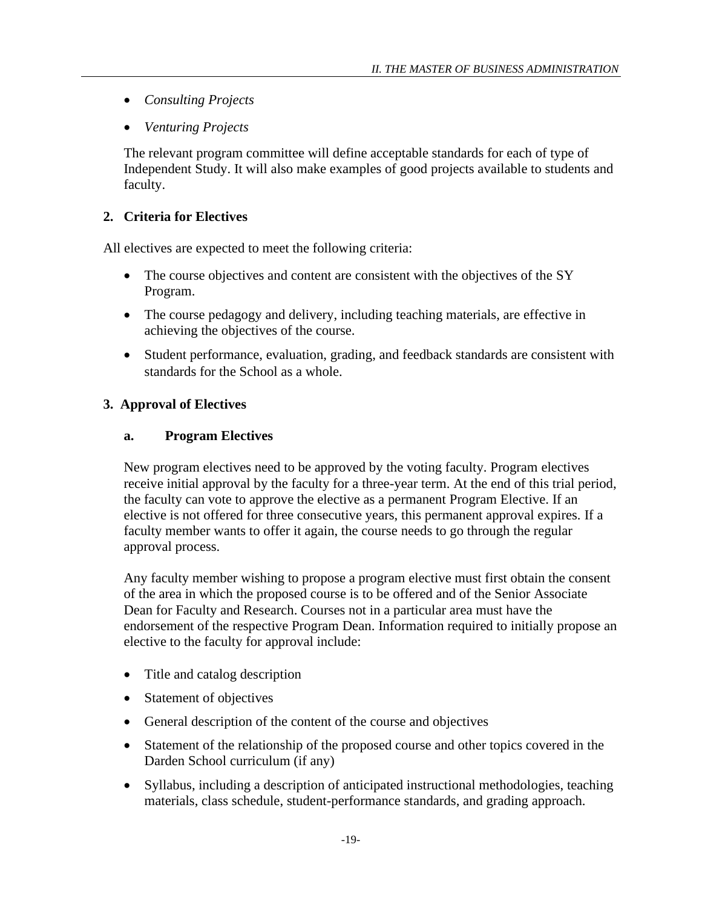- *Consulting Projects*
- *Venturing Projects*

The relevant program committee will define acceptable standards for each of type of Independent Study. It will also make examples of good projects available to students and faculty.

# <span id="page-18-0"></span>**2. Criteria for Electives**

All electives are expected to meet the following criteria:

- The course objectives and content are consistent with the objectives of the SY Program.
- The course pedagogy and delivery, including teaching materials, are effective in achieving the objectives of the course.
- Student performance, evaluation, grading, and feedback standards are consistent with standards for the School as a whole.

# <span id="page-18-2"></span><span id="page-18-1"></span>**3. Approval of Electives**

### **a. Program Electives**

New program electives need to be approved by the voting faculty. Program electives receive initial approval by the faculty for a three-year term. At the end of this trial period, the faculty can vote to approve the elective as a permanent Program Elective. If an elective is not offered for three consecutive years, this permanent approval expires. If a faculty member wants to offer it again, the course needs to go through the regular approval process.

Any faculty member wishing to propose a program elective must first obtain the consent of the area in which the proposed course is to be offered and of the Senior Associate Dean for Faculty and Research. Courses not in a particular area must have the endorsement of the respective Program Dean. Information required to initially propose an elective to the faculty for approval include:

- Title and catalog description
- Statement of objectives
- General description of the content of the course and objectives
- Statement of the relationship of the proposed course and other topics covered in the Darden School curriculum (if any)
- Syllabus, including a description of anticipated instructional methodologies, teaching materials, class schedule, student-performance standards, and grading approach.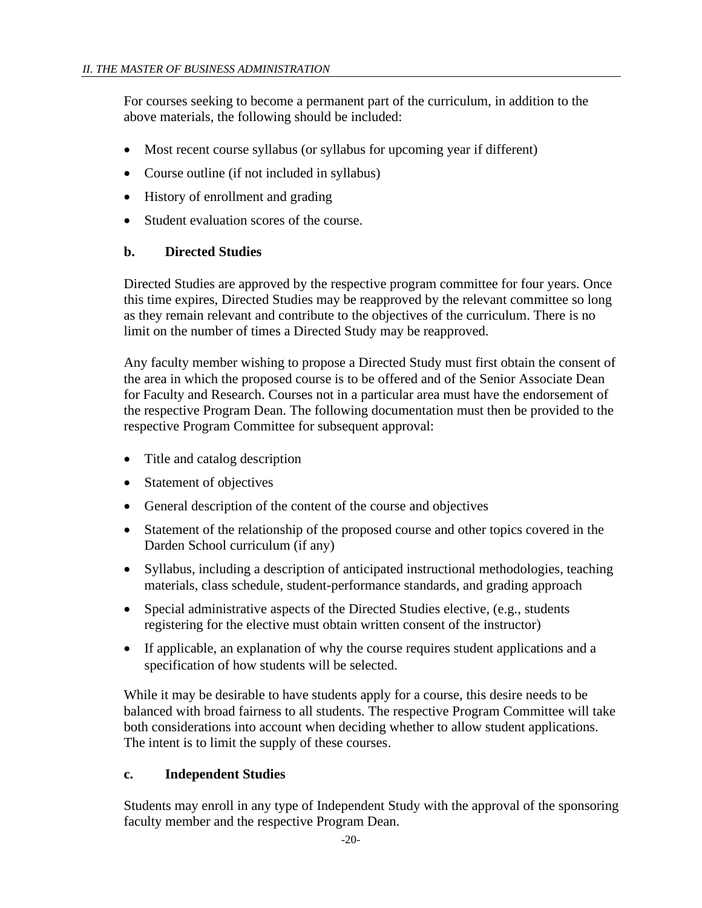For courses seeking to become a permanent part of the curriculum, in addition to the above materials, the following should be included:

- Most recent course syllabus (or syllabus for upcoming year if different)
- Course outline (if not included in syllabus)
- History of enrollment and grading
- Student evaluation scores of the course.

### <span id="page-19-0"></span>**b. Directed Studies**

Directed Studies are approved by the respective program committee for four years. Once this time expires, Directed Studies may be reapproved by the relevant committee so long as they remain relevant and contribute to the objectives of the curriculum. There is no limit on the number of times a Directed Study may be reapproved.

Any faculty member wishing to propose a Directed Study must first obtain the consent of the area in which the proposed course is to be offered and of the Senior Associate Dean for Faculty and Research. Courses not in a particular area must have the endorsement of the respective Program Dean. The following documentation must then be provided to the respective Program Committee for subsequent approval:

- Title and catalog description
- Statement of objectives
- General description of the content of the course and objectives
- Statement of the relationship of the proposed course and other topics covered in the Darden School curriculum (if any)
- Syllabus, including a description of anticipated instructional methodologies, teaching materials, class schedule, student-performance standards, and grading approach
- Special administrative aspects of the Directed Studies elective, (e.g., students registering for the elective must obtain written consent of the instructor)
- If applicable, an explanation of why the course requires student applications and a specification of how students will be selected.

While it may be desirable to have students apply for a course, this desire needs to be balanced with broad fairness to all students. The respective Program Committee will take both considerations into account when deciding whether to allow student applications. The intent is to limit the supply of these courses.

### <span id="page-19-1"></span>**c. Independent Studies**

Students may enroll in any type of Independent Study with the approval of the sponsoring faculty member and the respective Program Dean.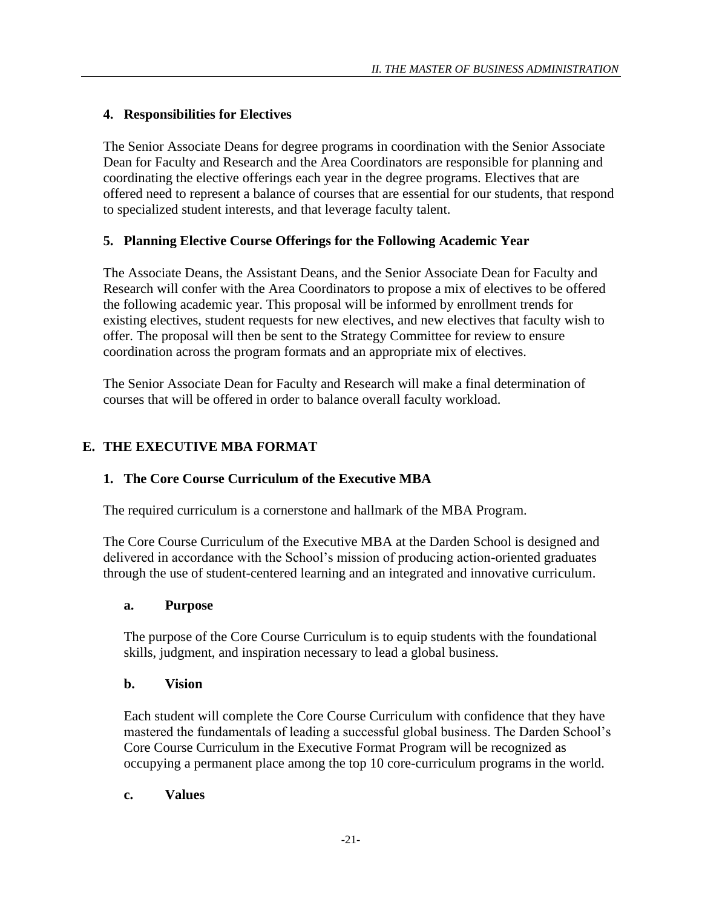# <span id="page-20-0"></span>**4. Responsibilities for Electives**

The Senior Associate Deans for degree programs in coordination with the Senior Associate Dean for Faculty and Research and the Area Coordinators are responsible for planning and coordinating the elective offerings each year in the degree programs. Electives that are offered need to represent a balance of courses that are essential for our students, that respond to specialized student interests, and that leverage faculty talent.

# <span id="page-20-1"></span>**5. Planning Elective Course Offerings for the Following Academic Year**

The Associate Deans, the Assistant Deans, and the Senior Associate Dean for Faculty and Research will confer with the Area Coordinators to propose a mix of electives to be offered the following academic year. This proposal will be informed by enrollment trends for existing electives, student requests for new electives, and new electives that faculty wish to offer. The proposal will then be sent to the Strategy Committee for review to ensure coordination across the program formats and an appropriate mix of electives.

The Senior Associate Dean for Faculty and Research will make a final determination of courses that will be offered in order to balance overall faculty workload.

# <span id="page-20-2"></span>**E. THE EXECUTIVE MBA FORMAT**

# <span id="page-20-3"></span>**1. The Core Course Curriculum of the Executive MBA**

The required curriculum is a cornerstone and hallmark of the MBA Program.

The Core Course Curriculum of the Executive MBA at the Darden School is designed and delivered in accordance with the School's mission of producing action-oriented graduates through the use of student-centered learning and an integrated and innovative curriculum.

### <span id="page-20-4"></span>**a. Purpose**

The purpose of the Core Course Curriculum is to equip students with the foundational skills, judgment, and inspiration necessary to lead a global business.

### <span id="page-20-5"></span>**b. Vision**

Each student will complete the Core Course Curriculum with confidence that they have mastered the fundamentals of leading a successful global business. The Darden School's Core Course Curriculum in the Executive Format Program will be recognized as occupying a permanent place among the top 10 core-curriculum programs in the world.

### <span id="page-20-6"></span>**c. Values**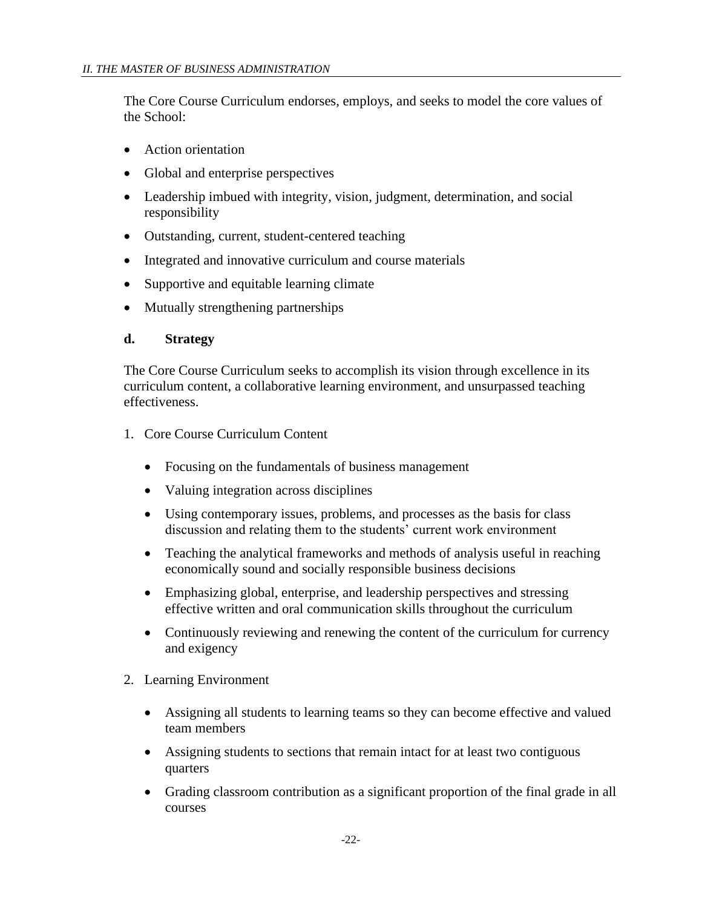The Core Course Curriculum endorses, employs, and seeks to model the core values of the School:

- Action orientation
- Global and enterprise perspectives
- Leadership imbued with integrity, vision, judgment, determination, and social responsibility
- Outstanding, current, student-centered teaching
- Integrated and innovative curriculum and course materials
- Supportive and equitable learning climate
- Mutually strengthening partnerships

#### <span id="page-21-0"></span>**d. Strategy**

The Core Course Curriculum seeks to accomplish its vision through excellence in its curriculum content, a collaborative learning environment, and unsurpassed teaching effectiveness.

- 1. Core Course Curriculum Content
	- Focusing on the fundamentals of business management
	- Valuing integration across disciplines
	- Using contemporary issues, problems, and processes as the basis for class discussion and relating them to the students' current work environment
	- Teaching the analytical frameworks and methods of analysis useful in reaching economically sound and socially responsible business decisions
	- Emphasizing global, enterprise, and leadership perspectives and stressing effective written and oral communication skills throughout the curriculum
	- Continuously reviewing and renewing the content of the curriculum for currency and exigency
- 2. Learning Environment
	- Assigning all students to learning teams so they can become effective and valued team members
	- Assigning students to sections that remain intact for at least two contiguous quarters
	- Grading classroom contribution as a significant proportion of the final grade in all courses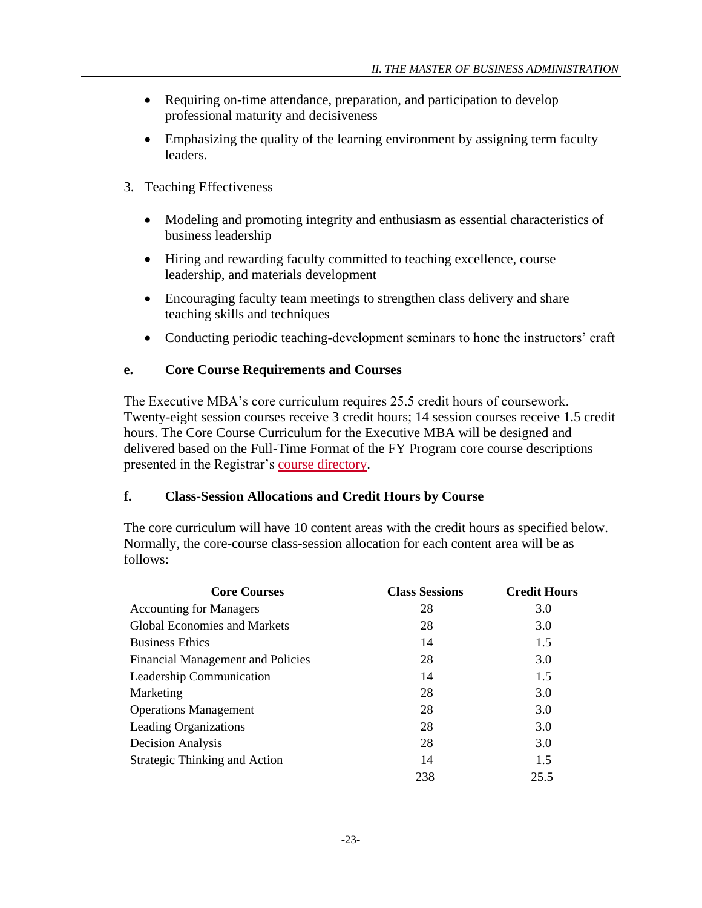- Requiring on-time attendance, preparation, and participation to develop professional maturity and decisiveness
- Emphasizing the quality of the learning environment by assigning term faculty leaders.
- 3. Teaching Effectiveness
	- Modeling and promoting integrity and enthusiasm as essential characteristics of business leadership
	- Hiring and rewarding faculty committed to teaching excellence, course leadership, and materials development
	- Encouraging faculty team meetings to strengthen class delivery and share teaching skills and techniques
	- Conducting periodic teaching-development seminars to hone the instructors' craft

### <span id="page-22-0"></span>**e. Core Course Requirements and Courses**

The Executive MBA's core curriculum requires 25.5 credit hours of coursework. Twenty-eight session courses receive 3 credit hours; 14 session courses receive 1.5 credit hours. The Core Course Curriculum for the Executive MBA will be designed and delivered based on the Full-Time Format of the FY Program core course descriptions presented in the Registrar's [course directory.](http://registrar.darden.virginia.edu/registrar-student/catalog/SearchCatalog.tap)

### <span id="page-22-1"></span>**f. Class-Session Allocations and Credit Hours by Course**

The core curriculum will have 10 content areas with the credit hours as specified below. Normally, the core-course class-session allocation for each content area will be as follows:

| <b>Core Courses</b>                      | <b>Class Sessions</b> | <b>Credit Hours</b> |
|------------------------------------------|-----------------------|---------------------|
| <b>Accounting for Managers</b>           | 28                    | 3.0                 |
| <b>Global Economies and Markets</b>      | 28                    | 3.0                 |
| <b>Business Ethics</b>                   | 14                    | 1.5                 |
| <b>Financial Management and Policies</b> | 28                    | 3.0                 |
| Leadership Communication                 | 14                    | 1.5                 |
| Marketing                                | 28                    | 3.0                 |
| <b>Operations Management</b>             | 28                    | 3.0                 |
| <b>Leading Organizations</b>             | 28                    | 3.0                 |
| <b>Decision Analysis</b>                 | 28                    | 3.0                 |
| <b>Strategic Thinking and Action</b>     | 14                    | 1.5                 |
|                                          | 238                   | 25.5                |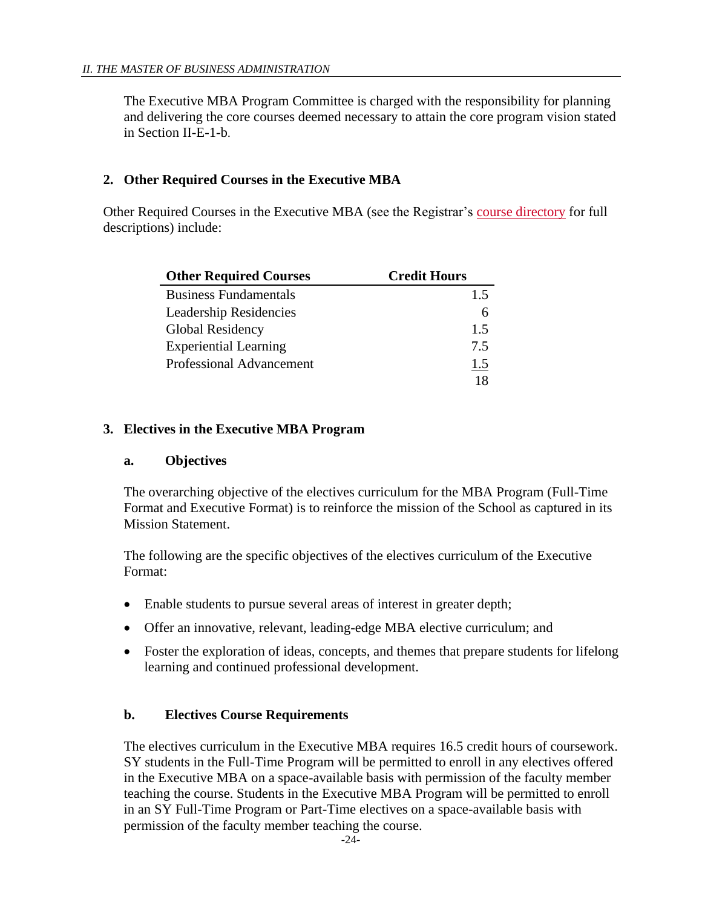The Executive MBA Program Committee is charged with the responsibility for planning and delivering the core courses deemed necessary to attain the core program vision stated in Section II-E-1-b.

# <span id="page-23-0"></span>**2. Other Required Courses in the Executive MBA**

Other Required Courses in the Executive MBA (see the Registrar's [course directory](http://registrar.darden.virginia.edu/registrar-student/catalog/SearchCatalog.tap) for full descriptions) include:

| <b>Other Required Courses</b>   | <b>Credit Hours</b> |
|---------------------------------|---------------------|
| <b>Business Fundamentals</b>    | 1.5                 |
| <b>Leadership Residencies</b>   |                     |
| Global Residency                | 1.5                 |
| <b>Experiential Learning</b>    | 7.5                 |
| <b>Professional Advancement</b> | 1.5                 |
|                                 |                     |

# <span id="page-23-2"></span><span id="page-23-1"></span>**3. Electives in the Executive MBA Program**

### **a. Objectives**

The overarching objective of the electives curriculum for the MBA Program (Full-Time Format and Executive Format) is to reinforce the mission of the School as captured in its Mission Statement.

The following are the specific objectives of the electives curriculum of the Executive Format:

- Enable students to pursue several areas of interest in greater depth;
- Offer an innovative, relevant, leading-edge MBA elective curriculum; and
- Foster the exploration of ideas, concepts, and themes that prepare students for lifelong learning and continued professional development.

### <span id="page-23-3"></span>**b. Electives Course Requirements**

The electives curriculum in the Executive MBA requires 16.5 credit hours of coursework. SY students in the Full-Time Program will be permitted to enroll in any electives offered in the Executive MBA on a space-available basis with permission of the faculty member teaching the course. Students in the Executive MBA Program will be permitted to enroll in an SY Full-Time Program or Part-Time electives on a space-available basis with permission of the faculty member teaching the course.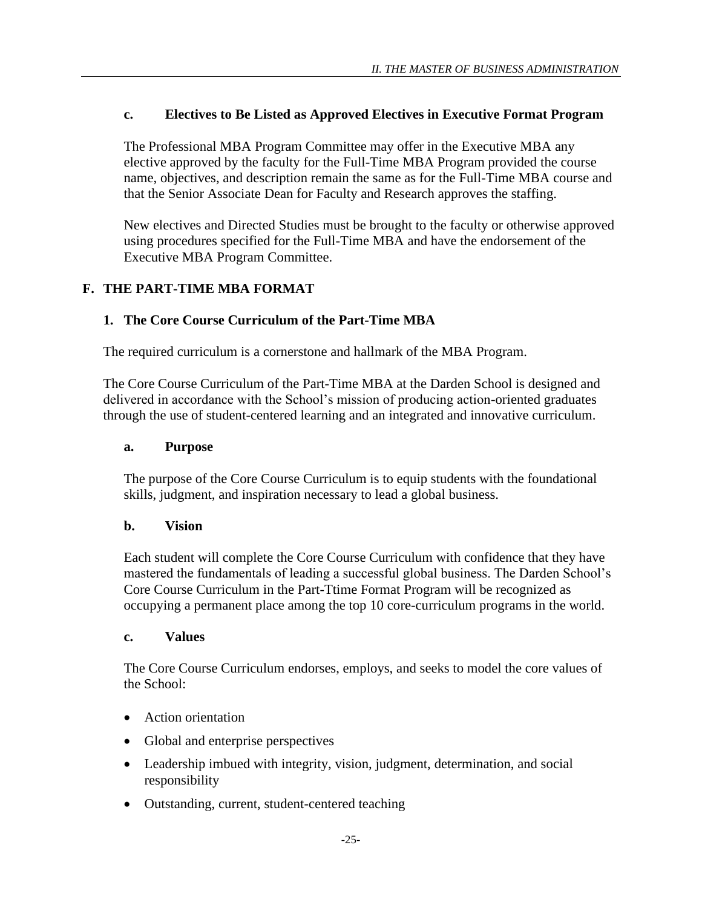### <span id="page-24-0"></span>**c. Electives to Be Listed as Approved Electives in Executive Format Program**

The Professional MBA Program Committee may offer in the Executive MBA any elective approved by the faculty for the Full-Time MBA Program provided the course name, objectives, and description remain the same as for the Full-Time MBA course and that the Senior Associate Dean for Faculty and Research approves the staffing.

New electives and Directed Studies must be brought to the faculty or otherwise approved using procedures specified for the Full-Time MBA and have the endorsement of the Executive MBA Program Committee.

# <span id="page-24-1"></span>**F. THE PART-TIME MBA FORMAT**

### <span id="page-24-2"></span>**1. The Core Course Curriculum of the Part-Time MBA**

The required curriculum is a cornerstone and hallmark of the MBA Program.

The Core Course Curriculum of the Part-Time MBA at the Darden School is designed and delivered in accordance with the School's mission of producing action-oriented graduates through the use of student-centered learning and an integrated and innovative curriculum.

#### <span id="page-24-3"></span>**a. Purpose**

The purpose of the Core Course Curriculum is to equip students with the foundational skills, judgment, and inspiration necessary to lead a global business.

#### <span id="page-24-4"></span>**b. Vision**

Each student will complete the Core Course Curriculum with confidence that they have mastered the fundamentals of leading a successful global business. The Darden School's Core Course Curriculum in the Part-Ttime Format Program will be recognized as occupying a permanent place among the top 10 core-curriculum programs in the world.

#### <span id="page-24-5"></span>**c. Values**

The Core Course Curriculum endorses, employs, and seeks to model the core values of the School:

- Action orientation
- Global and enterprise perspectives
- Leadership imbued with integrity, vision, judgment, determination, and social responsibility
- Outstanding, current, student-centered teaching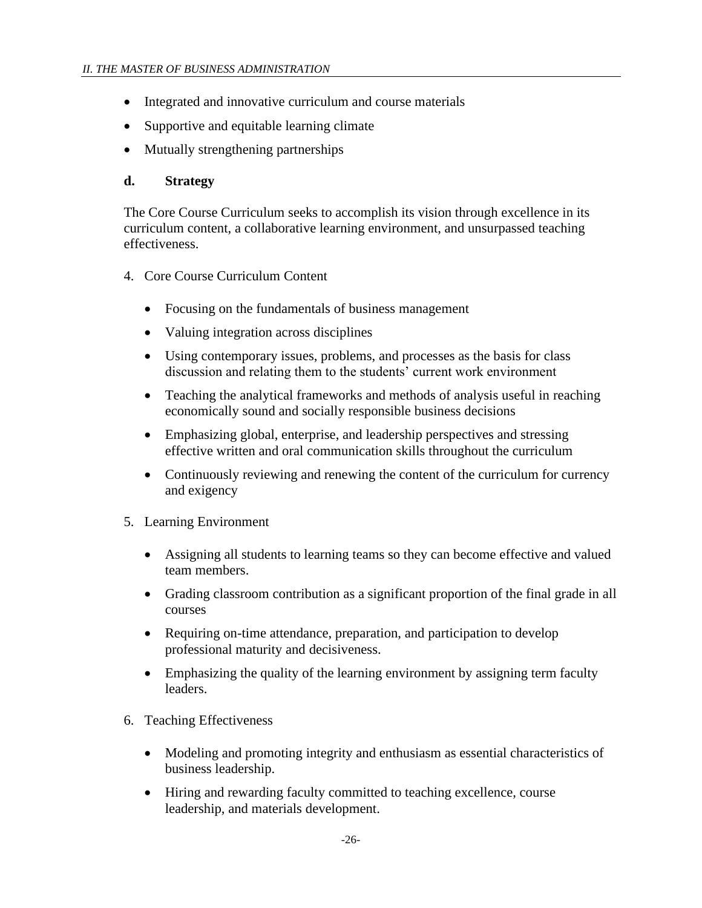- Integrated and innovative curriculum and course materials
- Supportive and equitable learning climate
- Mutually strengthening partnerships

### <span id="page-25-0"></span>**d. Strategy**

The Core Course Curriculum seeks to accomplish its vision through excellence in its curriculum content, a collaborative learning environment, and unsurpassed teaching effectiveness.

- 4. Core Course Curriculum Content
	- Focusing on the fundamentals of business management
	- Valuing integration across disciplines
	- Using contemporary issues, problems, and processes as the basis for class discussion and relating them to the students' current work environment
	- Teaching the analytical frameworks and methods of analysis useful in reaching economically sound and socially responsible business decisions
	- Emphasizing global, enterprise, and leadership perspectives and stressing effective written and oral communication skills throughout the curriculum
	- Continuously reviewing and renewing the content of the curriculum for currency and exigency
- 5. Learning Environment
	- Assigning all students to learning teams so they can become effective and valued team members.
	- Grading classroom contribution as a significant proportion of the final grade in all courses
	- Requiring on-time attendance, preparation, and participation to develop professional maturity and decisiveness.
	- Emphasizing the quality of the learning environment by assigning term faculty leaders.
- 6. Teaching Effectiveness
	- Modeling and promoting integrity and enthusiasm as essential characteristics of business leadership.
	- Hiring and rewarding faculty committed to teaching excellence, course leadership, and materials development.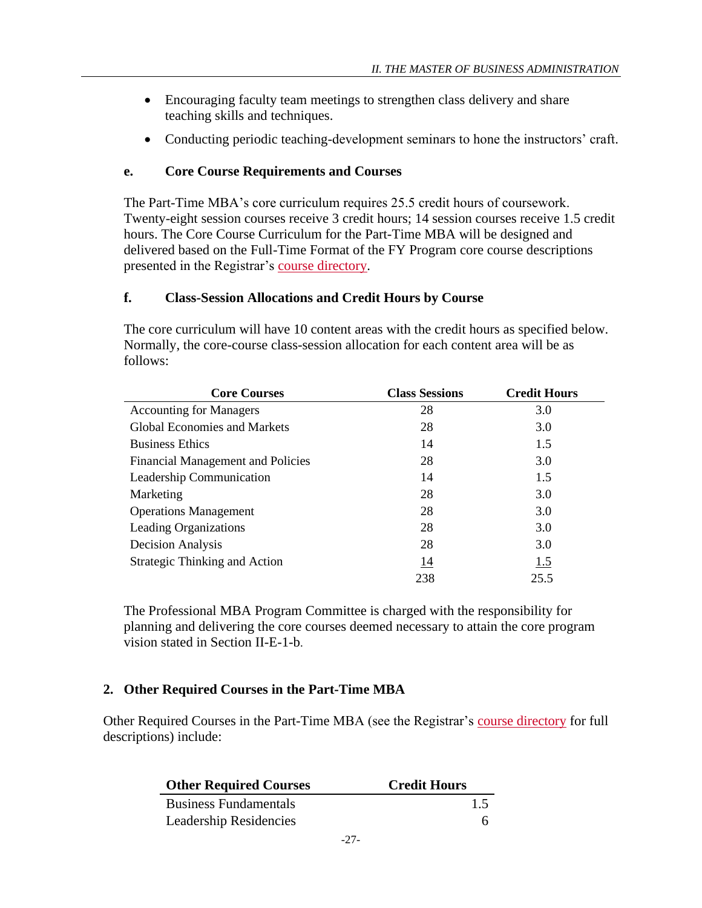- Encouraging faculty team meetings to strengthen class delivery and share teaching skills and techniques.
- Conducting periodic teaching-development seminars to hone the instructors' craft.

# <span id="page-26-0"></span>**e. Core Course Requirements and Courses**

The Part-Time MBA's core curriculum requires 25.5 credit hours of coursework. Twenty-eight session courses receive 3 credit hours; 14 session courses receive 1.5 credit hours. The Core Course Curriculum for the Part-Time MBA will be designed and delivered based on the Full-Time Format of the FY Program core course descriptions presented in the Registrar's [course directory.](http://registrar.darden.virginia.edu/registrar-student/catalog/SearchCatalog.tap)

# <span id="page-26-1"></span>**f. Class-Session Allocations and Credit Hours by Course**

The core curriculum will have 10 content areas with the credit hours as specified below. Normally, the core-course class-session allocation for each content area will be as follows:

| <b>Core Courses</b>                      | <b>Class Sessions</b> | <b>Credit Hours</b> |
|------------------------------------------|-----------------------|---------------------|
| <b>Accounting for Managers</b>           | 28                    | 3.0                 |
| <b>Global Economies and Markets</b>      | 28                    | 3.0                 |
| <b>Business Ethics</b>                   | 14                    | 1.5                 |
| <b>Financial Management and Policies</b> | 28                    | 3.0                 |
| Leadership Communication                 | 14                    | 1.5                 |
| Marketing                                | 28                    | 3.0                 |
| <b>Operations Management</b>             | 28                    | 3.0                 |
| <b>Leading Organizations</b>             | 28                    | 3.0                 |
| Decision Analysis                        | 28                    | 3.0                 |
| <b>Strategic Thinking and Action</b>     | 14                    | 1.5                 |
|                                          | 238                   | 25.5                |

The Professional MBA Program Committee is charged with the responsibility for planning and delivering the core courses deemed necessary to attain the core program vision stated in Section II-E-1-b.

# <span id="page-26-2"></span>**2. Other Required Courses in the Part-Time MBA**

Other Required Courses in the Part-Time MBA (see the Registrar's [course directory](http://registrar.darden.virginia.edu/registrar-student/catalog/SearchCatalog.tap) for full descriptions) include:

| <b>Other Required Courses</b> | <b>Credit Hours</b> |
|-------------------------------|---------------------|
| <b>Business Fundamentals</b>  | 1.5                 |
| Leadership Residencies        |                     |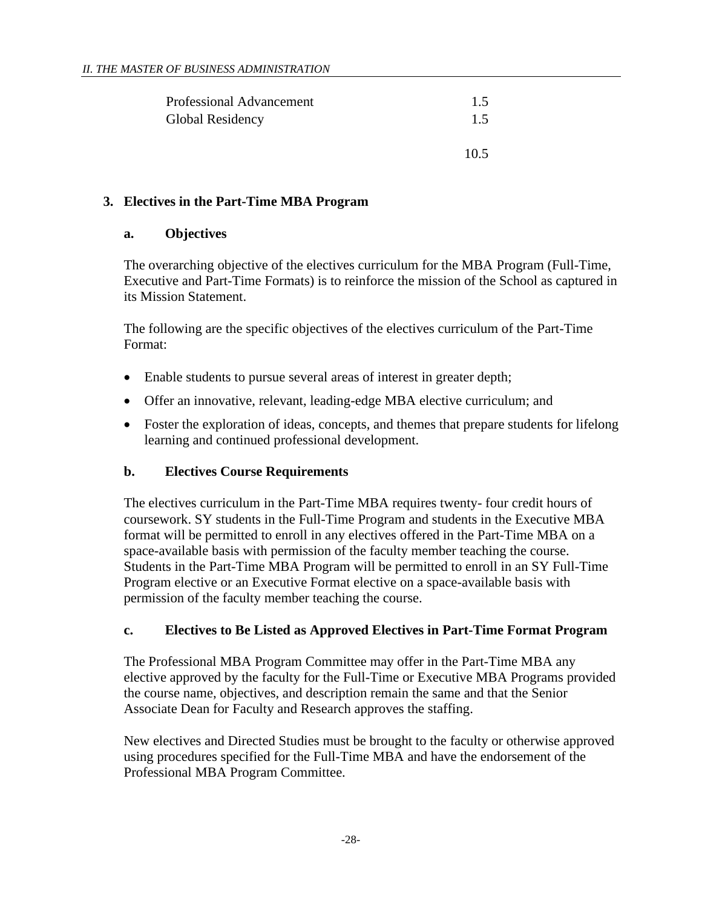| <b>Professional Advancement</b> | 1.5 |
|---------------------------------|-----|
| Global Residency                | 1.5 |
|                                 |     |

### <span id="page-27-1"></span><span id="page-27-0"></span>**3. Electives in the Part-Time MBA Program**

### **a. Objectives**

The overarching objective of the electives curriculum for the MBA Program (Full-Time, Executive and Part-Time Formats) is to reinforce the mission of the School as captured in its Mission Statement.

10.5

The following are the specific objectives of the electives curriculum of the Part-Time Format:

- Enable students to pursue several areas of interest in greater depth;
- Offer an innovative, relevant, leading-edge MBA elective curriculum; and
- Foster the exploration of ideas, concepts, and themes that prepare students for lifelong learning and continued professional development.

### <span id="page-27-2"></span>**b. Electives Course Requirements**

The electives curriculum in the Part-Time MBA requires twenty- four credit hours of coursework. SY students in the Full-Time Program and students in the Executive MBA format will be permitted to enroll in any electives offered in the Part-Time MBA on a space-available basis with permission of the faculty member teaching the course. Students in the Part-Time MBA Program will be permitted to enroll in an SY Full-Time Program elective or an Executive Format elective on a space-available basis with permission of the faculty member teaching the course.

# <span id="page-27-3"></span>**c. Electives to Be Listed as Approved Electives in Part-Time Format Program**

The Professional MBA Program Committee may offer in the Part-Time MBA any elective approved by the faculty for the Full-Time or Executive MBA Programs provided the course name, objectives, and description remain the same and that the Senior Associate Dean for Faculty and Research approves the staffing.

New electives and Directed Studies must be brought to the faculty or otherwise approved using procedures specified for the Full-Time MBA and have the endorsement of the Professional MBA Program Committee.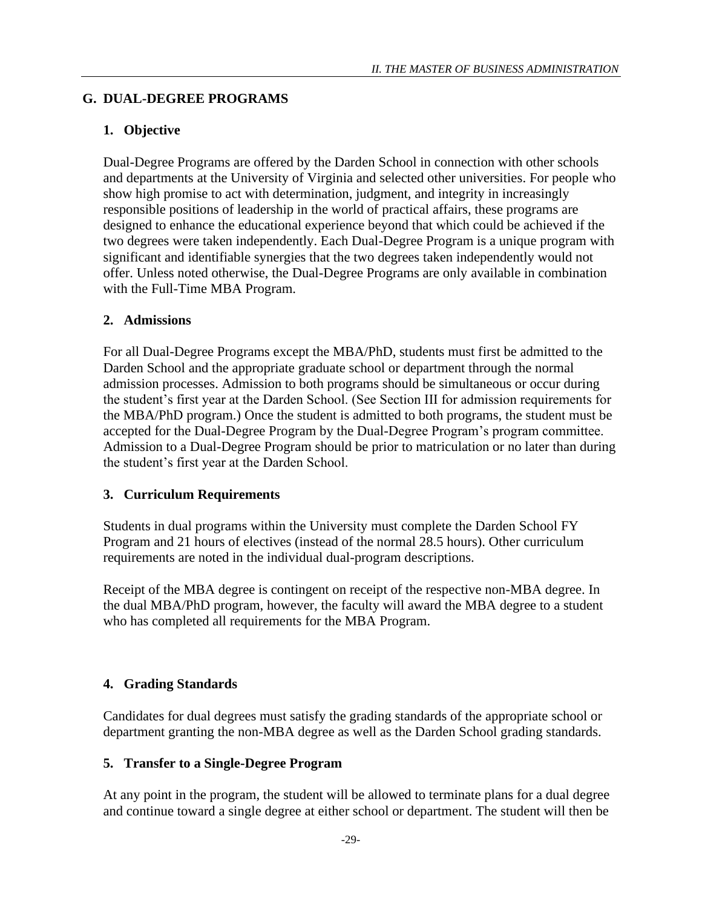# <span id="page-28-0"></span>**G. DUAL-DEGREE PROGRAMS**

# <span id="page-28-1"></span>**1. Objective**

Dual-Degree Programs are offered by the Darden School in connection with other schools and departments at the University of Virginia and selected other universities. For people who show high promise to act with determination, judgment, and integrity in increasingly responsible positions of leadership in the world of practical affairs, these programs are designed to enhance the educational experience beyond that which could be achieved if the two degrees were taken independently. Each Dual-Degree Program is a unique program with significant and identifiable synergies that the two degrees taken independently would not offer. Unless noted otherwise, the Dual-Degree Programs are only available in combination with the Full-Time MBA Program.

# <span id="page-28-2"></span>**2. Admissions**

For all Dual-Degree Programs except the MBA/PhD, students must first be admitted to the Darden School and the appropriate graduate school or department through the normal admission processes. Admission to both programs should be simultaneous or occur during the student's first year at the Darden School. (See Section III for admission requirements for the MBA/PhD program.) Once the student is admitted to both programs, the student must be accepted for the Dual-Degree Program by the Dual-Degree Program's program committee. Admission to a Dual-Degree Program should be prior to matriculation or no later than during the student's first year at the Darden School.

# <span id="page-28-3"></span>**3. Curriculum Requirements**

Students in dual programs within the University must complete the Darden School FY Program and 21 hours of electives (instead of the normal 28.5 hours). Other curriculum requirements are noted in the individual dual-program descriptions.

Receipt of the MBA degree is contingent on receipt of the respective non-MBA degree. In the dual MBA/PhD program, however, the faculty will award the MBA degree to a student who has completed all requirements for the MBA Program.

# <span id="page-28-4"></span>**4. Grading Standards**

Candidates for dual degrees must satisfy the grading standards of the appropriate school or department granting the non-MBA degree as well as the Darden School grading standards.

# <span id="page-28-5"></span>**5. Transfer to a Single-Degree Program**

At any point in the program, the student will be allowed to terminate plans for a dual degree and continue toward a single degree at either school or department. The student will then be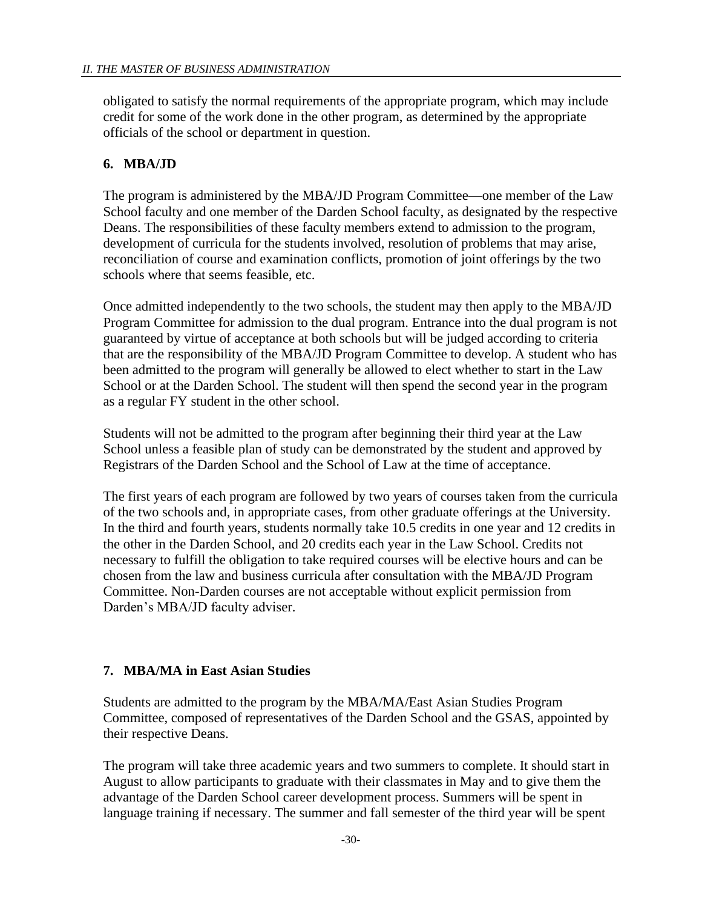obligated to satisfy the normal requirements of the appropriate program, which may include credit for some of the work done in the other program, as determined by the appropriate officials of the school or department in question.

# <span id="page-29-0"></span>**6. MBA/JD**

The program is administered by the MBA/JD Program Committee—one member of the Law School faculty and one member of the Darden School faculty, as designated by the respective Deans. The responsibilities of these faculty members extend to admission to the program, development of curricula for the students involved, resolution of problems that may arise, reconciliation of course and examination conflicts, promotion of joint offerings by the two schools where that seems feasible, etc.

Once admitted independently to the two schools, the student may then apply to the MBA/JD Program Committee for admission to the dual program. Entrance into the dual program is not guaranteed by virtue of acceptance at both schools but will be judged according to criteria that are the responsibility of the MBA/JD Program Committee to develop. A student who has been admitted to the program will generally be allowed to elect whether to start in the Law School or at the Darden School. The student will then spend the second year in the program as a regular FY student in the other school.

Students will not be admitted to the program after beginning their third year at the Law School unless a feasible plan of study can be demonstrated by the student and approved by Registrars of the Darden School and the School of Law at the time of acceptance.

The first years of each program are followed by two years of courses taken from the curricula of the two schools and, in appropriate cases, from other graduate offerings at the University. In the third and fourth years, students normally take 10.5 credits in one year and 12 credits in the other in the Darden School, and 20 credits each year in the Law School. Credits not necessary to fulfill the obligation to take required courses will be elective hours and can be chosen from the law and business curricula after consultation with the MBA/JD Program Committee. Non-Darden courses are not acceptable without explicit permission from Darden's MBA/JD faculty adviser.

# <span id="page-29-1"></span>**7. MBA/MA in East Asian Studies**

Students are admitted to the program by the MBA/MA/East Asian Studies Program Committee, composed of representatives of the Darden School and the GSAS, appointed by their respective Deans.

The program will take three academic years and two summers to complete. It should start in August to allow participants to graduate with their classmates in May and to give them the advantage of the Darden School career development process. Summers will be spent in language training if necessary. The summer and fall semester of the third year will be spent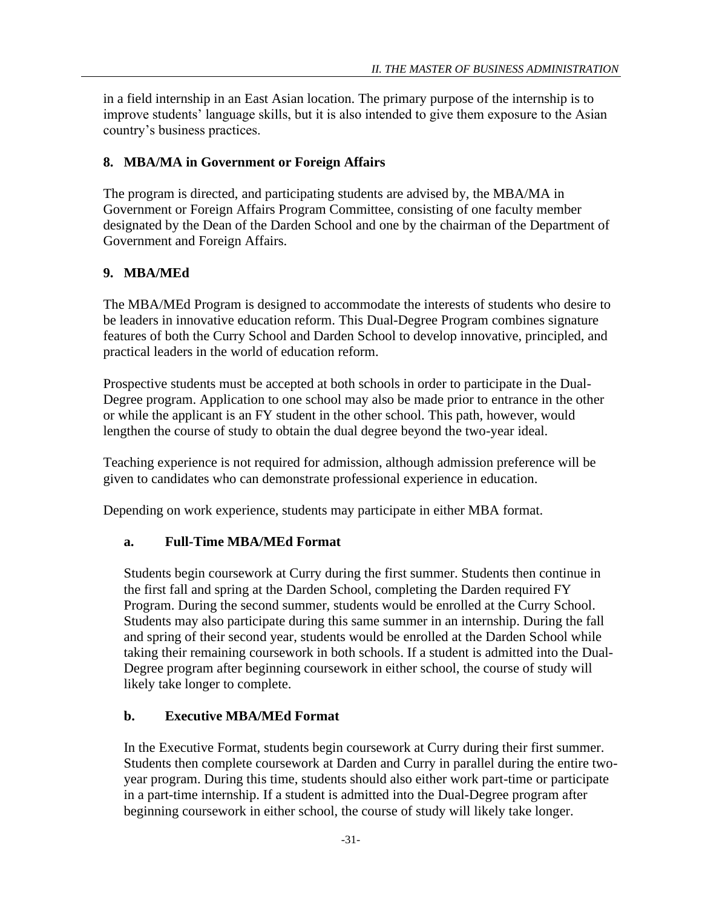in a field internship in an East Asian location. The primary purpose of the internship is to improve students' language skills, but it is also intended to give them exposure to the Asian country's business practices.

### <span id="page-30-0"></span>**8. MBA/MA in Government or Foreign Affairs**

The program is directed, and participating students are advised by, the MBA/MA in Government or Foreign Affairs Program Committee, consisting of one faculty member designated by the Dean of the Darden School and one by the chairman of the Department of Government and Foreign Affairs.

### <span id="page-30-1"></span>**9. MBA/MEd**

The MBA/MEd Program is designed to accommodate the interests of students who desire to be leaders in innovative education reform. This Dual-Degree Program combines signature features of both the Curry School and Darden School to develop innovative, principled, and practical leaders in the world of education reform.

Prospective students must be accepted at both schools in order to participate in the Dual-Degree program. Application to one school may also be made prior to entrance in the other or while the applicant is an FY student in the other school. This path, however, would lengthen the course of study to obtain the dual degree beyond the two-year ideal.

Teaching experience is not required for admission, although admission preference will be given to candidates who can demonstrate professional experience in education.

<span id="page-30-2"></span>Depending on work experience, students may participate in either MBA format.

### **a. Full-Time MBA/MEd Format**

Students begin coursework at Curry during the first summer. Students then continue in the first fall and spring at the Darden School, completing the Darden required FY Program. During the second summer, students would be enrolled at the Curry School. Students may also participate during this same summer in an internship. During the fall and spring of their second year, students would be enrolled at the Darden School while taking their remaining coursework in both schools. If a student is admitted into the Dual-Degree program after beginning coursework in either school, the course of study will likely take longer to complete.

### <span id="page-30-3"></span>**b. Executive MBA/MEd Format**

In the Executive Format, students begin coursework at Curry during their first summer. Students then complete coursework at Darden and Curry in parallel during the entire twoyear program. During this time, students should also either work part-time or participate in a part-time internship. If a student is admitted into the Dual-Degree program after beginning coursework in either school, the course of study will likely take longer.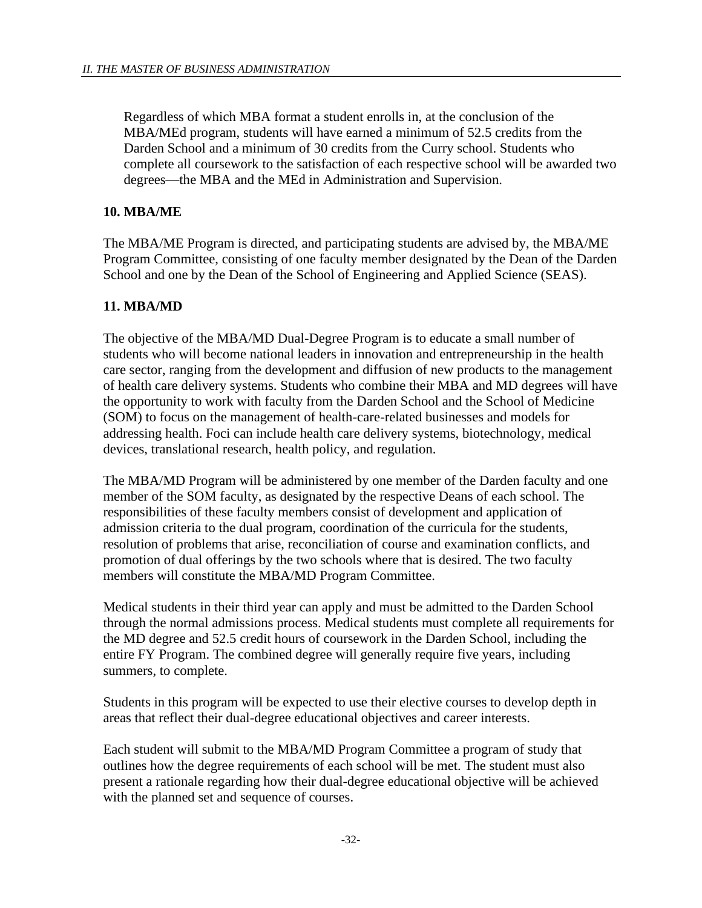Regardless of which MBA format a student enrolls in, at the conclusion of the MBA/MEd program, students will have earned a minimum of 52.5 credits from the Darden School and a minimum of 30 credits from the Curry school. Students who complete all coursework to the satisfaction of each respective school will be awarded two degrees—the MBA and the MEd in Administration and Supervision.

# <span id="page-31-0"></span>**10. MBA/ME**

The MBA/ME Program is directed, and participating students are advised by, the MBA/ME Program Committee, consisting of one faculty member designated by the Dean of the Darden School and one by the Dean of the School of Engineering and Applied Science (SEAS).

# <span id="page-31-1"></span>**11. MBA/MD**

The objective of the MBA/MD Dual-Degree Program is to educate a small number of students who will become national leaders in innovation and entrepreneurship in the health care sector, ranging from the development and diffusion of new products to the management of health care delivery systems. Students who combine their MBA and MD degrees will have the opportunity to work with faculty from the Darden School and the School of Medicine (SOM) to focus on the management of health-care-related businesses and models for addressing health. Foci can include health care delivery systems, biotechnology, medical devices, translational research, health policy, and regulation.

The MBA/MD Program will be administered by one member of the Darden faculty and one member of the SOM faculty, as designated by the respective Deans of each school. The responsibilities of these faculty members consist of development and application of admission criteria to the dual program, coordination of the curricula for the students, resolution of problems that arise, reconciliation of course and examination conflicts, and promotion of dual offerings by the two schools where that is desired. The two faculty members will constitute the MBA/MD Program Committee.

Medical students in their third year can apply and must be admitted to the Darden School through the normal admissions process. Medical students must complete all requirements for the MD degree and 52.5 credit hours of coursework in the Darden School, including the entire FY Program. The combined degree will generally require five years, including summers, to complete.

Students in this program will be expected to use their elective courses to develop depth in areas that reflect their dual-degree educational objectives and career interests.

Each student will submit to the MBA/MD Program Committee a program of study that outlines how the degree requirements of each school will be met. The student must also present a rationale regarding how their dual-degree educational objective will be achieved with the planned set and sequence of courses.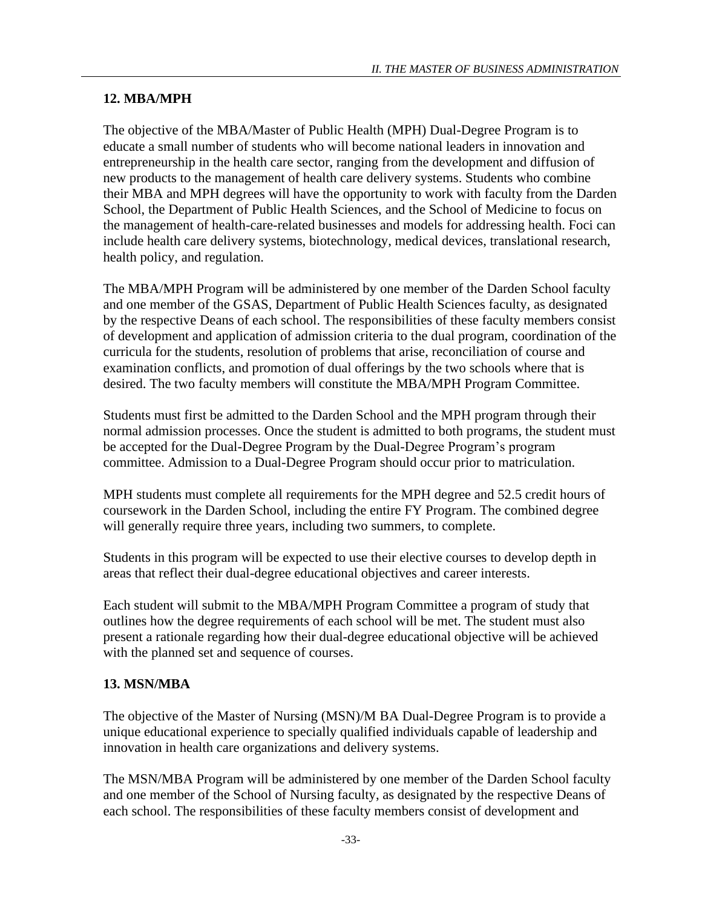# <span id="page-32-0"></span>**12. MBA/MPH**

The objective of the MBA/Master of Public Health (MPH) Dual-Degree Program is to educate a small number of students who will become national leaders in innovation and entrepreneurship in the health care sector, ranging from the development and diffusion of new products to the management of health care delivery systems. Students who combine their MBA and MPH degrees will have the opportunity to work with faculty from the Darden School, the Department of Public Health Sciences, and the School of Medicine to focus on the management of health-care-related businesses and models for addressing health. Foci can include health care delivery systems, biotechnology, medical devices, translational research, health policy, and regulation.

The MBA/MPH Program will be administered by one member of the Darden School faculty and one member of the GSAS, Department of Public Health Sciences faculty, as designated by the respective Deans of each school. The responsibilities of these faculty members consist of development and application of admission criteria to the dual program, coordination of the curricula for the students, resolution of problems that arise, reconciliation of course and examination conflicts, and promotion of dual offerings by the two schools where that is desired. The two faculty members will constitute the MBA/MPH Program Committee.

Students must first be admitted to the Darden School and the MPH program through their normal admission processes. Once the student is admitted to both programs, the student must be accepted for the Dual-Degree Program by the Dual-Degree Program's program committee. Admission to a Dual-Degree Program should occur prior to matriculation.

MPH students must complete all requirements for the MPH degree and 52.5 credit hours of coursework in the Darden School, including the entire FY Program. The combined degree will generally require three years, including two summers, to complete.

Students in this program will be expected to use their elective courses to develop depth in areas that reflect their dual-degree educational objectives and career interests.

Each student will submit to the MBA/MPH Program Committee a program of study that outlines how the degree requirements of each school will be met. The student must also present a rationale regarding how their dual-degree educational objective will be achieved with the planned set and sequence of courses.

# <span id="page-32-1"></span>**13. MSN/MBA**

The objective of the Master of Nursing (MSN)/M BA Dual-Degree Program is to provide a unique educational experience to specially qualified individuals capable of leadership and innovation in health care organizations and delivery systems.

The MSN/MBA Program will be administered by one member of the Darden School faculty and one member of the School of Nursing faculty, as designated by the respective Deans of each school. The responsibilities of these faculty members consist of development and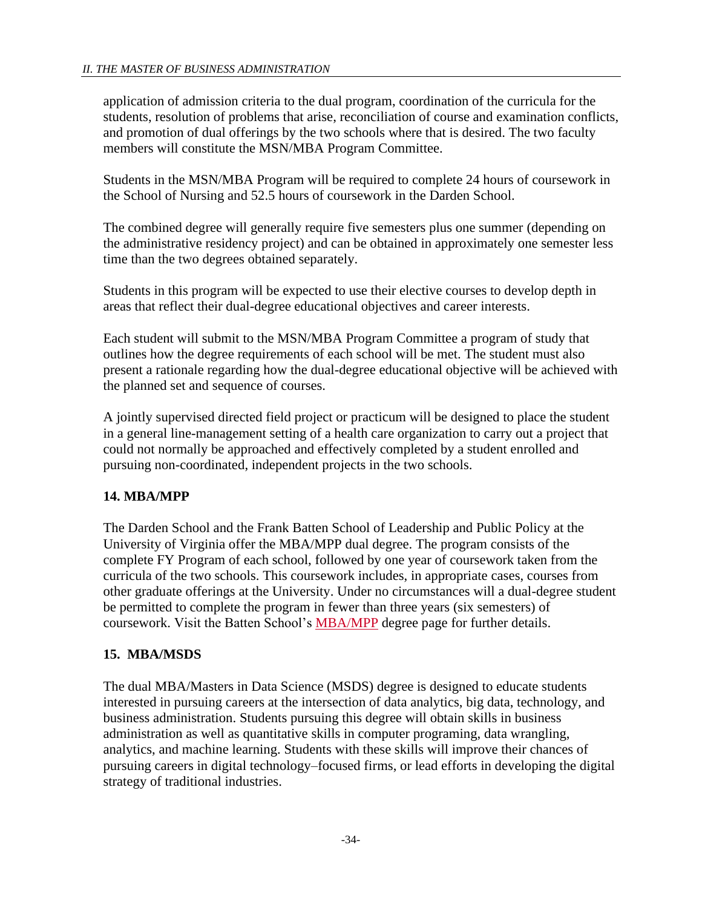application of admission criteria to the dual program, coordination of the curricula for the students, resolution of problems that arise, reconciliation of course and examination conflicts, and promotion of dual offerings by the two schools where that is desired. The two faculty members will constitute the MSN/MBA Program Committee.

Students in the MSN/MBA Program will be required to complete 24 hours of coursework in the School of Nursing and 52.5 hours of coursework in the Darden School.

The combined degree will generally require five semesters plus one summer (depending on the administrative residency project) and can be obtained in approximately one semester less time than the two degrees obtained separately.

Students in this program will be expected to use their elective courses to develop depth in areas that reflect their dual-degree educational objectives and career interests.

Each student will submit to the MSN/MBA Program Committee a program of study that outlines how the degree requirements of each school will be met. The student must also present a rationale regarding how the dual-degree educational objective will be achieved with the planned set and sequence of courses.

A jointly supervised directed field project or practicum will be designed to place the student in a general line-management setting of a health care organization to carry out a project that could not normally be approached and effectively completed by a student enrolled and pursuing non-coordinated, independent projects in the two schools.

# <span id="page-33-0"></span>**14. MBA/MPP**

The Darden School and the [Frank Batten School of Leadership and Public Policy](http://batten.virginia.edu/) at the University of Virginia offer the MBA/MPP dual degree. The program consists of the complete FY Program of each school, followed by one year of coursework taken from the curricula of the two schools. This coursework includes, in appropriate cases, courses from other graduate offerings at the University. Under no circumstances will a dual-degree student be permitted to complete the program in fewer than three years (six semesters) of coursework. Visit the Batten School's **MBA/MPP** degree page for further details.

# <span id="page-33-1"></span>**15. MBA/MSDS**

The dual MBA/Masters in Data Science (MSDS) degree is designed to educate students interested in pursuing careers at the intersection of data analytics, big data, technology, and business administration. Students pursuing this degree will obtain skills in business administration as well as quantitative skills in computer programing, data wrangling, analytics, and machine learning. Students with these skills will improve their chances of pursuing careers in digital technology–focused firms, or lead efforts in developing the digital strategy of traditional industries.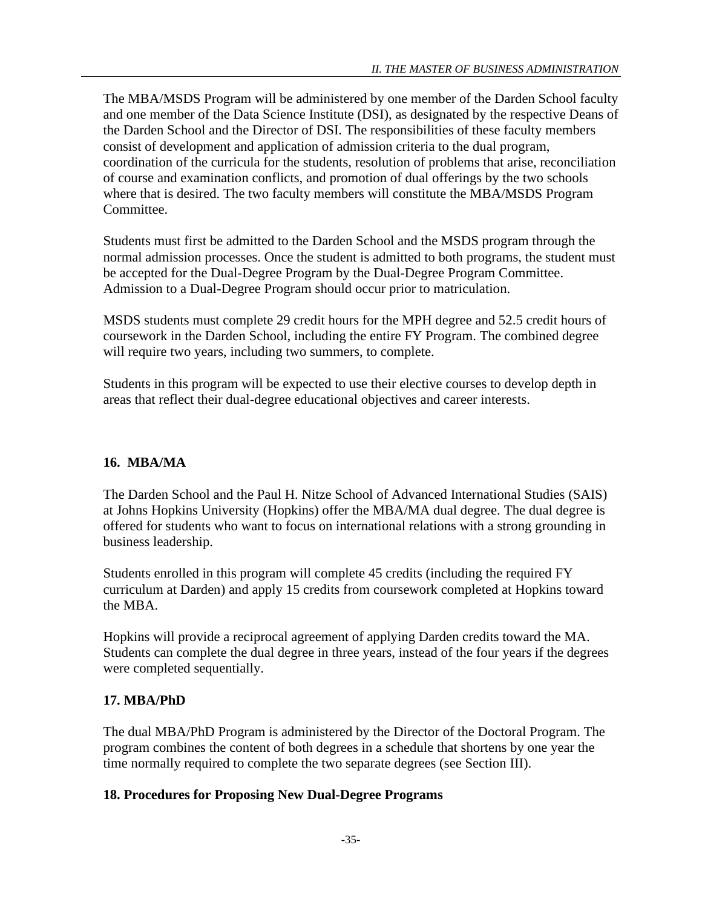The MBA/MSDS Program will be administered by one member of the Darden School faculty and one member of the Data Science Institute (DSI), as designated by the respective Deans of the Darden School and the Director of DSI. The responsibilities of these faculty members consist of development and application of admission criteria to the dual program, coordination of the curricula for the students, resolution of problems that arise, reconciliation of course and examination conflicts, and promotion of dual offerings by the two schools where that is desired. The two faculty members will constitute the MBA/MSDS Program Committee.

Students must first be admitted to the Darden School and the MSDS program through the normal admission processes. Once the student is admitted to both programs, the student must be accepted for the Dual-Degree Program by the Dual-Degree Program Committee. Admission to a Dual-Degree Program should occur prior to matriculation.

MSDS students must complete 29 credit hours for the MPH degree and 52.5 credit hours of coursework in the Darden School, including the entire FY Program. The combined degree will require two years, including two summers, to complete.

Students in this program will be expected to use their elective courses to develop depth in areas that reflect their dual-degree educational objectives and career interests.

# <span id="page-34-0"></span>**16. MBA/MA**

The Darden School and the Paul H. Nitze School of Advanced International Studies (SAIS) at Johns Hopkins University (Hopkins) offer the MBA/MA dual degree. The dual degree is offered for students who want to focus on international relations with a strong grounding in business leadership.

Students enrolled in this program will complete 45 credits (including the required FY curriculum at Darden) and apply 15 credits from coursework completed at Hopkins toward the MBA.

Hopkins will provide a reciprocal agreement of applying Darden credits toward the MA. Students can complete the dual degree in three years, instead of the four years if the degrees were completed sequentially.

# <span id="page-34-1"></span>**17. MBA/PhD**

The dual MBA/PhD Program is administered by the Director of the Doctoral Program. The program combines the content of both degrees in a schedule that shortens by one year the time normally required to complete the two separate degrees (see Section III).

# <span id="page-34-2"></span>**18. Procedures for Proposing New Dual-Degree Programs**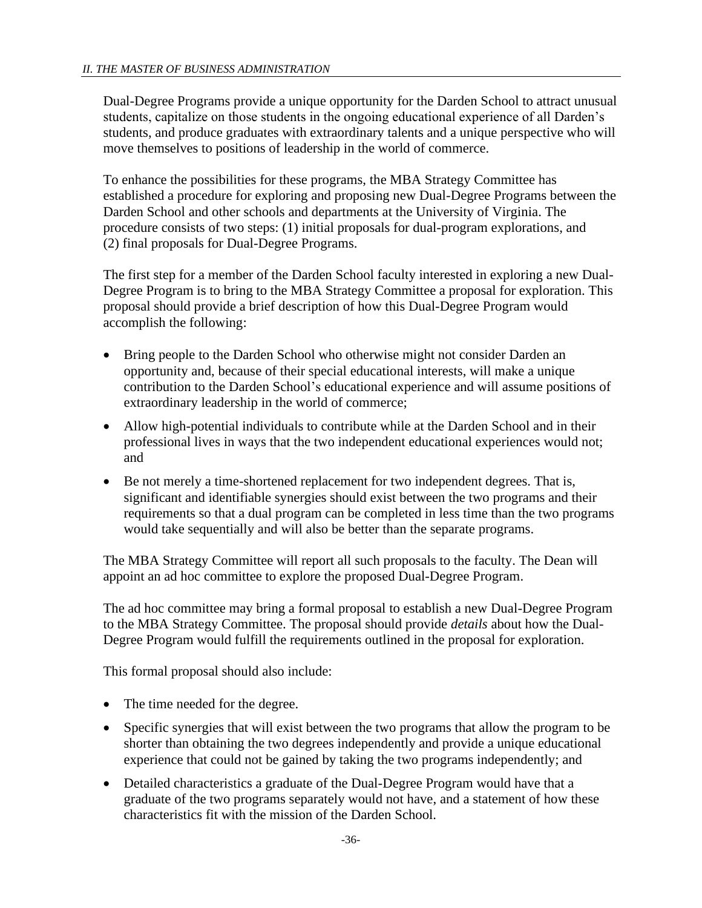Dual-Degree Programs provide a unique opportunity for the Darden School to attract unusual students, capitalize on those students in the ongoing educational experience of all Darden's students, and produce graduates with extraordinary talents and a unique perspective who will move themselves to positions of leadership in the world of commerce.

To enhance the possibilities for these programs, the MBA Strategy Committee has established a procedure for exploring and proposing new Dual-Degree Programs between the Darden School and other schools and departments at the University of Virginia. The procedure consists of two steps: (1) initial proposals for dual-program explorations, and (2) final proposals for Dual-Degree Programs.

The first step for a member of the Darden School faculty interested in exploring a new Dual-Degree Program is to bring to the MBA Strategy Committee a proposal for exploration. This proposal should provide a brief description of how this Dual-Degree Program would accomplish the following:

- Bring people to the Darden School who otherwise might not consider Darden an opportunity and, because of their special educational interests, will make a unique contribution to the Darden School's educational experience and will assume positions of extraordinary leadership in the world of commerce;
- Allow high-potential individuals to contribute while at the Darden School and in their professional lives in ways that the two independent educational experiences would not; and
- Be not merely a time-shortened replacement for two independent degrees. That is, significant and identifiable synergies should exist between the two programs and their requirements so that a dual program can be completed in less time than the two programs would take sequentially and will also be better than the separate programs.

The MBA Strategy Committee will report all such proposals to the faculty. The Dean will appoint an ad hoc committee to explore the proposed Dual-Degree Program.

The ad hoc committee may bring a formal proposal to establish a new Dual-Degree Program to the MBA Strategy Committee. The proposal should provide *details* about how the Dual-Degree Program would fulfill the requirements outlined in the proposal for exploration.

This formal proposal should also include:

- The time needed for the degree.
- Specific synergies that will exist between the two programs that allow the program to be shorter than obtaining the two degrees independently and provide a unique educational experience that could not be gained by taking the two programs independently; and
- Detailed characteristics a graduate of the Dual-Degree Program would have that a graduate of the two programs separately would not have, and a statement of how these characteristics fit with the mission of the Darden School.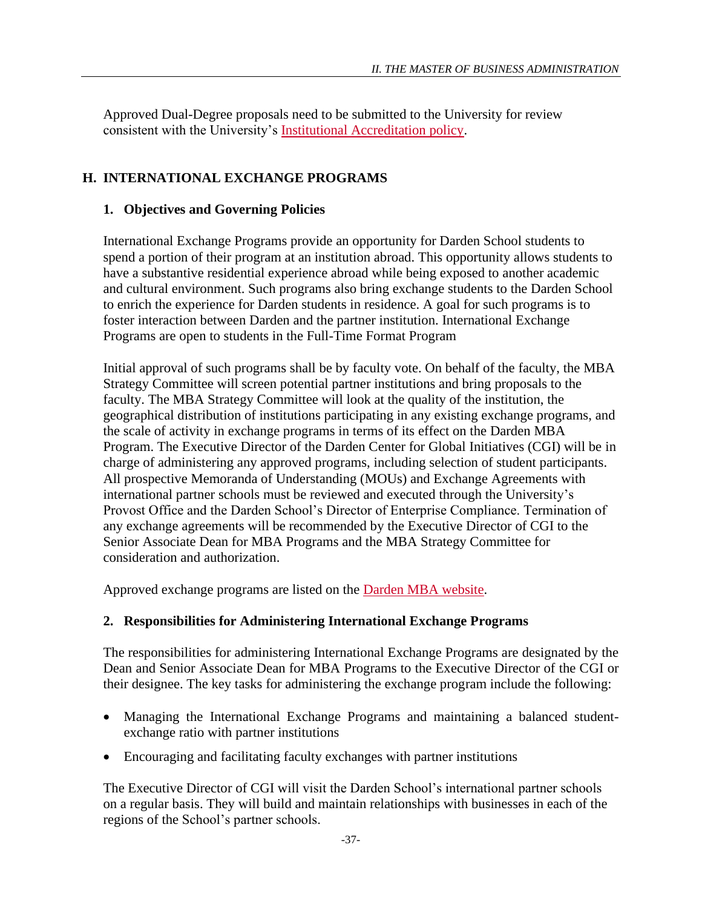Approved Dual-Degree proposals need to be submitted to the University for review consistent with the University's **Institutional Accreditation policy**.

# **H. INTERNATIONAL EXCHANGE PROGRAMS**

# **1. Objectives and Governing Policies**

International Exchange Programs provide an opportunity for Darden School students to spend a portion of their program at an institution abroad. This opportunity allows students to have a substantive residential experience abroad while being exposed to another academic and cultural environment. Such programs also bring exchange students to the Darden School to enrich the experience for Darden students in residence. A goal for such programs is to foster interaction between Darden and the partner institution. International Exchange Programs are open to students in the Full-Time Format Program

Initial approval of such programs shall be by faculty vote. On behalf of the faculty, the MBA Strategy Committee will screen potential partner institutions and bring proposals to the faculty. The MBA Strategy Committee will look at the quality of the institution, the geographical distribution of institutions participating in any existing exchange programs, and the scale of activity in exchange programs in terms of its effect on the Darden MBA Program. The Executive Director of the Darden Center for Global Initiatives (CGI) will be in charge of administering any approved programs, including selection of student participants. All prospective Memoranda of Understanding (MOUs) and Exchange Agreements with international partner schools must be reviewed and executed through the University's Provost Office and the Darden School's Director of Enterprise Compliance. Termination of any exchange agreements will be recommended by the Executive Director of CGI to the Senior Associate Dean for MBA Programs and the MBA Strategy Committee for consideration and authorization.

Approved exchange programs are listed on the [Darden MBA website.](http://www.darden.virginia.edu/mba/darden-worldwide/immersion/exchange-programs/)

# **2. Responsibilities for Administering International Exchange Programs**

The responsibilities for administering International Exchange Programs are designated by the Dean and Senior Associate Dean for MBA Programs to the Executive Director of the CGI or their designee. The key tasks for administering the exchange program include the following:

- Managing the International Exchange Programs and maintaining a balanced studentexchange ratio with partner institutions
- Encouraging and facilitating faculty exchanges with partner institutions

The Executive Director of CGI will visit the Darden School's international partner schools on a regular basis. They will build and maintain relationships with businesses in each of the regions of the School's partner schools.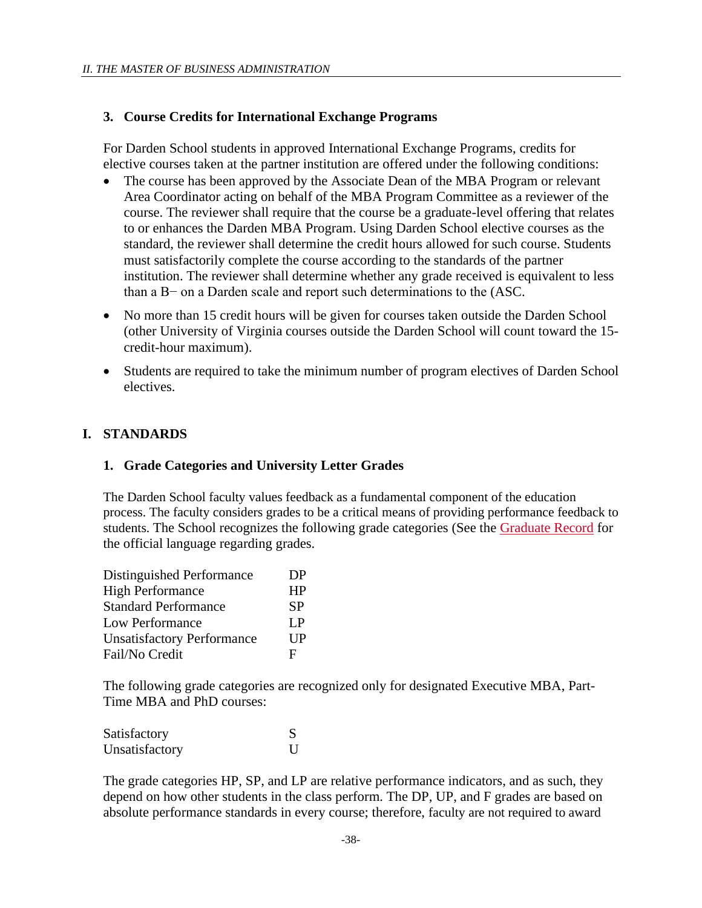### **3. Course Credits for International Exchange Programs**

For Darden School students in approved International Exchange Programs, credits for elective courses taken at the partner institution are offered under the following conditions:

- The course has been approved by the Associate Dean of the MBA Program or relevant Area Coordinator acting on behalf of the MBA Program Committee as a reviewer of the course. The reviewer shall require that the course be a graduate-level offering that relates to or enhances the Darden MBA Program. Using Darden School elective courses as the standard, the reviewer shall determine the credit hours allowed for such course. Students must satisfactorily complete the course according to the standards of the partner institution. The reviewer shall determine whether any grade received is equivalent to less than a B− on a Darden scale and report such determinations to the (ASC.
- No more than 15 credit hours will be given for courses taken outside the Darden School (other University of Virginia courses outside the Darden School will count toward the 15 credit-hour maximum).
- Students are required to take the minimum number of program electives of Darden School electives.

### **I. STANDARDS**

### **1. Grade Categories and University Letter Grades**

The Darden School faculty values feedback as a fundamental component of the education process. The faculty considers grades to be a critical means of providing performance feedback to students. The School recognizes the following grade categories (See the [Graduate Record](http://records.ureg.virginia.edu/content.php?catoid=41&navoid=2600) for the official language regarding grades.

| Distinguished Performance         | DP              |
|-----------------------------------|-----------------|
| <b>High Performance</b>           | <b>HP</b>       |
| <b>Standard Performance</b>       | SP              |
| Low Performance                   | $L_{\rm P}$     |
| <b>Unsatisfactory Performance</b> | $_{\rm I\, IP}$ |
| Fail/No Credit                    | Е               |

The following grade categories are recognized only for designated Executive MBA, Part-Time MBA and PhD courses:

| Satisfactory   |  |
|----------------|--|
| Unsatisfactory |  |

The grade categories HP, SP, and LP are relative performance indicators, and as such, they depend on how other students in the class perform. The DP, UP, and F grades are based on absolute performance standards in every course; therefore, faculty are not required to award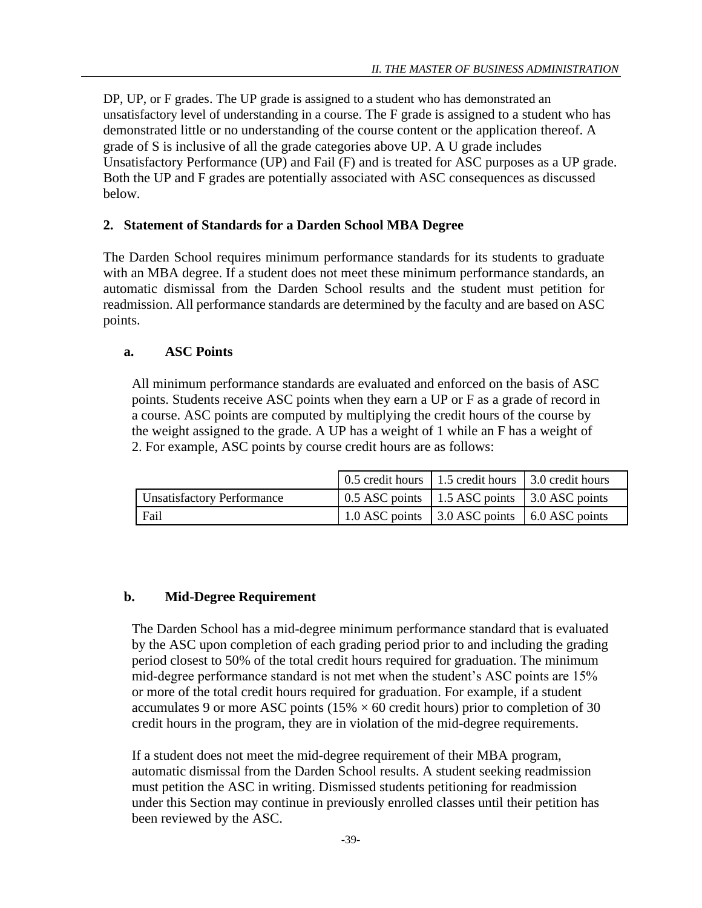DP, UP, or F grades. The UP grade is assigned to a student who has demonstrated an unsatisfactory level of understanding in a course. The F grade is assigned to a student who has demonstrated little or no understanding of the course content or the application thereof. A grade of S is inclusive of all the grade categories above UP. A U grade includes Unsatisfactory Performance (UP) and Fail (F) and is treated for ASC purposes as a UP grade. Both the UP and F grades are potentially associated with ASC consequences as discussed below.

### **2. Statement of Standards for a Darden School MBA Degree**

The Darden School requires minimum performance standards for its students to graduate with an MBA degree. If a student does not meet these minimum performance standards, an automatic dismissal from the Darden School results and the student must petition for readmission. All performance standards are determined by the faculty and are based on ASC points.

### **a. ASC Points**

All minimum performance standards are evaluated and enforced on the basis of ASC points. Students receive ASC points when they earn a UP or F as a grade of record in a course. ASC points are computed by multiplying the credit hours of the course by the weight assigned to the grade. A UP has a weight of 1 while an F has a weight of 2. For example, ASC points by course credit hours are as follows:

|                                   | 0.5 credit hours 1.5 credit hours 1.5 credit hours                   |  |
|-----------------------------------|----------------------------------------------------------------------|--|
| <b>Unsatisfactory Performance</b> | $\vert$ 0.5 ASC points $\vert$ 1.5 ASC points $\vert$ 3.0 ASC points |  |
| Fail                              | 1.0 ASC points 3.0 ASC points 6.0 ASC points                         |  |

### **b. Mid-Degree Requirement**

The Darden School has a mid-degree minimum performance standard that is evaluated by the ASC upon completion of each grading period prior to and including the grading period closest to 50% of the total credit hours required for graduation. The minimum mid-degree performance standard is not met when the student's ASC points are 15% or more of the total credit hours required for graduation. For example, if a student accumulates 9 or more ASC points ( $15\% \times 60$  credit hours) prior to completion of 30 credit hours in the program, they are in violation of the mid-degree requirements.

If a student does not meet the mid-degree requirement of their MBA program, automatic dismissal from the Darden School results. A student seeking readmission must petition the ASC in writing. Dismissed students petitioning for readmission under this Section may continue in previously enrolled classes until their petition has been reviewed by the ASC.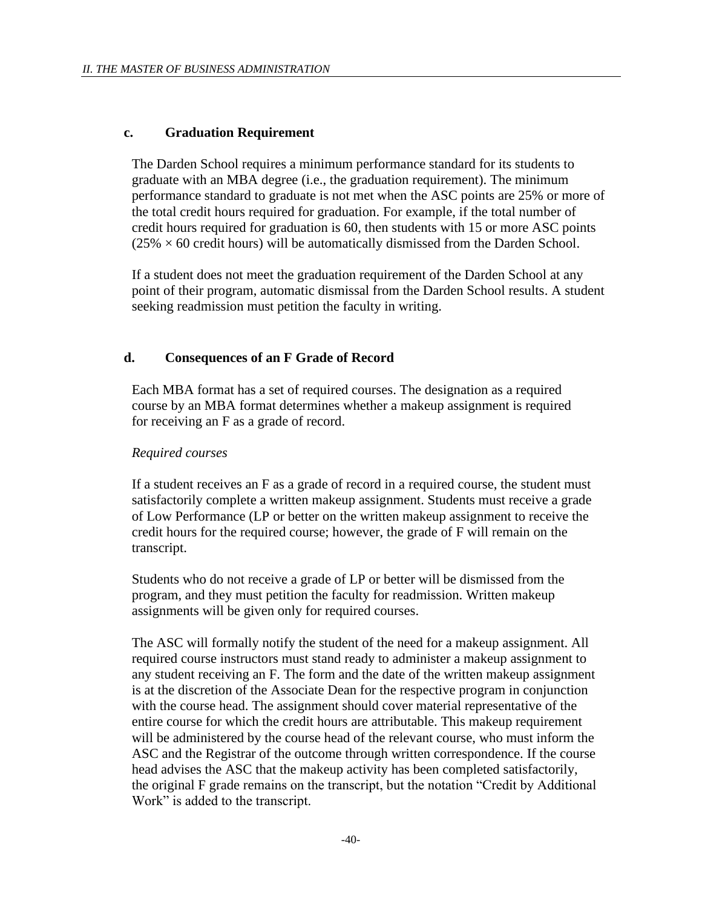### **c. Graduation Requirement**

The Darden School requires a minimum performance standard for its students to graduate with an MBA degree (i.e., the graduation requirement). The minimum performance standard to graduate is not met when the ASC points are 25% or more of the total credit hours required for graduation. For example, if the total number of credit hours required for graduation is 60, then students with 15 or more ASC points  $(25\% \times 60$  credit hours) will be automatically dismissed from the Darden School.

If a student does not meet the graduation requirement of the Darden School at any point of their program, automatic dismissal from the Darden School results. A student seeking readmission must petition the faculty in writing.

### **d. Consequences of an F Grade of Record**

Each MBA format has a set of required courses. The designation as a required course by an MBA format determines whether a makeup assignment is required for receiving an F as a grade of record.

### *Required courses*

If a student receives an F as a grade of record in a required course, the student must satisfactorily complete a written makeup assignment. Students must receive a grade of Low Performance (LP or better on the written makeup assignment to receive the credit hours for the required course; however, the grade of F will remain on the transcript.

Students who do not receive a grade of LP or better will be dismissed from the program, and they must petition the faculty for readmission. Written makeup assignments will be given only for required courses.

The ASC will formally notify the student of the need for a makeup assignment. All required course instructors must stand ready to administer a makeup assignment to any student receiving an F. The form and the date of the written makeup assignment is at the discretion of the Associate Dean for the respective program in conjunction with the course head. The assignment should cover material representative of the entire course for which the credit hours are attributable. This makeup requirement will be administered by the course head of the relevant course, who must inform the ASC and the Registrar of the outcome through written correspondence. If the course head advises the ASC that the makeup activity has been completed satisfactorily, the original F grade remains on the transcript, but the notation "Credit by Additional Work" is added to the transcript.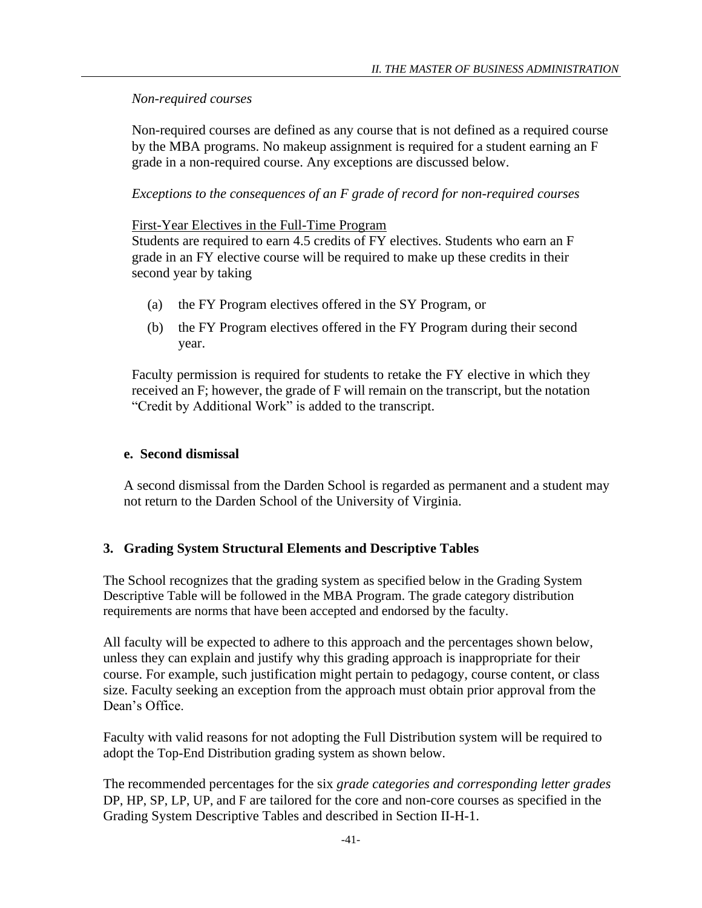### *Non-required courses*

Non-required courses are defined as any course that is not defined as a required course by the MBA programs. No makeup assignment is required for a student earning an F grade in a non-required course. Any exceptions are discussed below.

### *Exceptions to the consequences of an F grade of record for non-required courses*

### First-Year Electives in the Full-Time Program

Students are required to earn 4.5 credits of FY electives. Students who earn an F grade in an FY elective course will be required to make up these credits in their second year by taking

- (a) the FY Program electives offered in the SY Program, or
- (b) the FY Program electives offered in the FY Program during their second year.

Faculty permission is required for students to retake the FY elective in which they received an F; however, the grade of F will remain on the transcript, but the notation "Credit by Additional Work" is added to the transcript.

### **e. Second dismissal**

A second dismissal from the Darden School is regarded as permanent and a student may not return to the Darden School of the University of Virginia.

# **3. Grading System Structural Elements and Descriptive Tables**

The School recognizes that the grading system as specified below in the Grading System Descriptive Table will be followed in the MBA Program. The grade category distribution requirements are norms that have been accepted and endorsed by the faculty.

All faculty will be expected to adhere to this approach and the percentages shown below, unless they can explain and justify why this grading approach is inappropriate for their course. For example, such justification might pertain to pedagogy, course content, or class size. Faculty seeking an exception from the approach must obtain prior approval from the Dean's Office.

Faculty with valid reasons for not adopting the Full Distribution system will be required to adopt the Top-End Distribution grading system as shown below.

The recommended percentages for the six *grade categories and corresponding letter grades*  DP, HP, SP, LP, UP, and F are tailored for the core and non-core courses as specified in the Grading System Descriptive Tables and described in Section II-H-1.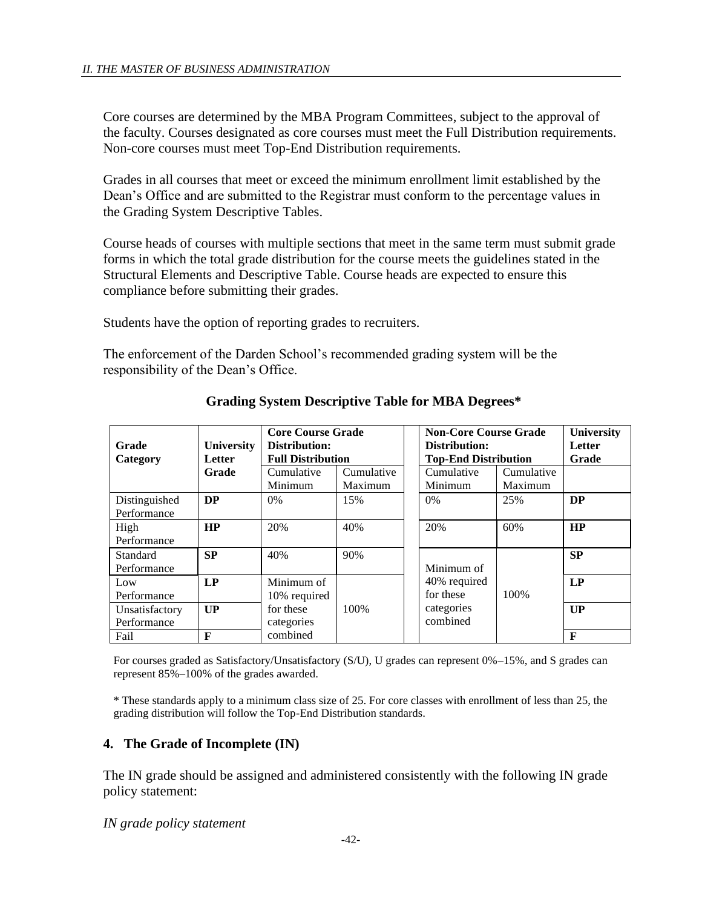Core courses are determined by the MBA Program Committees, subject to the approval of the faculty. Courses designated as core courses must meet the Full Distribution requirements. Non-core courses must meet Top-End Distribution requirements.

Grades in all courses that meet or exceed the minimum enrollment limit established by the Dean's Office and are submitted to the Registrar must conform to the percentage values in the Grading System Descriptive Tables.

Course heads of courses with multiple sections that meet in the same term must submit grade forms in which the total grade distribution for the course meets the guidelines stated in the Structural Elements and Descriptive Table. Course heads are expected to ensure this compliance before submitting their grades.

Students have the option of reporting grades to recruiters.

The enforcement of the Darden School's recommended grading system will be the responsibility of the Dean's Office.

| Grade<br>Category             | <b>University</b><br><b>Letter</b> | <b>Core Course Grade</b><br>Distribution:<br><b>Full Distribution</b> |                       | <b>Non-Core Course Grade</b><br>Distribution:<br><b>Top-End Distribution</b> | <b>University</b><br><b>Letter</b><br>Grade |           |
|-------------------------------|------------------------------------|-----------------------------------------------------------------------|-----------------------|------------------------------------------------------------------------------|---------------------------------------------|-----------|
|                               | Grade                              | Cumulative<br>Minimum                                                 | Cumulative<br>Maximum | Cumulative<br>Minimum                                                        | Cumulative<br>Maximum                       |           |
| Distinguished<br>Performance  | <b>DP</b>                          | $0\%$                                                                 | 15%                   | $0\%$                                                                        | 25%                                         | <b>DP</b> |
| High<br>Performance           | <b>HP</b>                          | 20%                                                                   | 40%                   | 20%                                                                          | 60%                                         | <b>HP</b> |
| Standard<br>Performance       | <b>SP</b>                          | 40%                                                                   | 90%                   | Minimum of                                                                   |                                             | <b>SP</b> |
| Low<br>Performance            | LP                                 | Minimum of<br>10% required                                            |                       | 40% required<br>for these                                                    | 100\%                                       | LP        |
| Unsatisfactory<br>Performance | UP                                 | for these<br>categories                                               | 100\%                 | categories<br>combined                                                       |                                             | UP        |
| Fail                          | F                                  | combined                                                              |                       |                                                                              |                                             | F         |

**Grading System Descriptive Table for MBA Degrees\***

For courses graded as Satisfactory/Unsatisfactory (S/U), U grades can represent 0%–15%, and S grades can represent 85%–100% of the grades awarded.

\* These standards apply to a minimum class size of 25. For core classes with enrollment of less than 25, the grading distribution will follow the Top-End Distribution standards.

# **4. The Grade of Incomplete (IN)**

The IN grade should be assigned and administered consistently with the following IN grade policy statement:

*IN grade policy statement*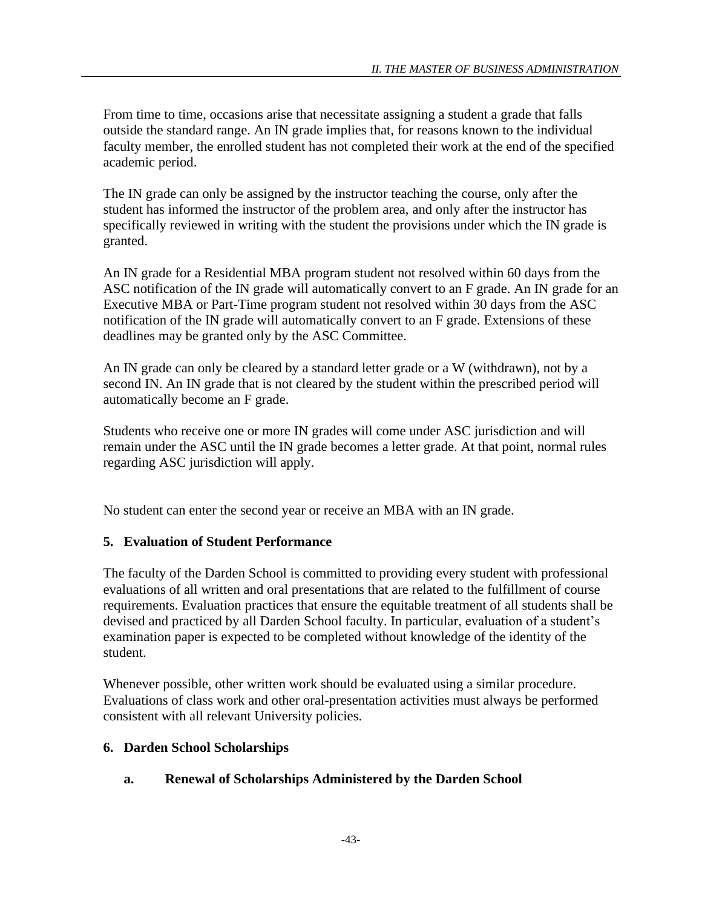From time to time, occasions arise that necessitate assigning a student a grade that falls outside the standard range. An IN grade implies that, for reasons known to the individual faculty member, the enrolled student has not completed their work at the end of the specified academic period.

The IN grade can only be assigned by the instructor teaching the course, only after the student has informed the instructor of the problem area, and only after the instructor has specifically reviewed in writing with the student the provisions under which the IN grade is granted.

An IN grade for a Residential MBA program student not resolved within 60 days from the ASC notification of the IN grade will automatically convert to an F grade. An IN grade for an Executive MBA or Part-Time program student not resolved within 30 days from the ASC notification of the IN grade will automatically convert to an F grade. Extensions of these deadlines may be granted only by the ASC Committee.

An IN grade can only be cleared by a standard letter grade or a W (withdrawn), not by a second IN. An IN grade that is not cleared by the student within the prescribed period will automatically become an F grade.

Students who receive one or more IN grades will come under ASC jurisdiction and will remain under the ASC until the IN grade becomes a letter grade. At that point, normal rules regarding ASC jurisdiction will apply.

No student can enter the second year or receive an MBA with an IN grade.

# **5. Evaluation of Student Performance**

The faculty of the Darden School is committed to providing every student with professional evaluations of all written and oral presentations that are related to the fulfillment of course requirements. Evaluation practices that ensure the equitable treatment of all students shall be devised and practiced by all Darden School faculty. In particular, evaluation of a student's examination paper is expected to be completed without knowledge of the identity of the student.

Whenever possible, other written work should be evaluated using a similar procedure. Evaluations of class work and other oral-presentation activities must always be performed consistent with all relevant University policies.

# **6. Darden School Scholarships**

# **a. Renewal of Scholarships Administered by the Darden School**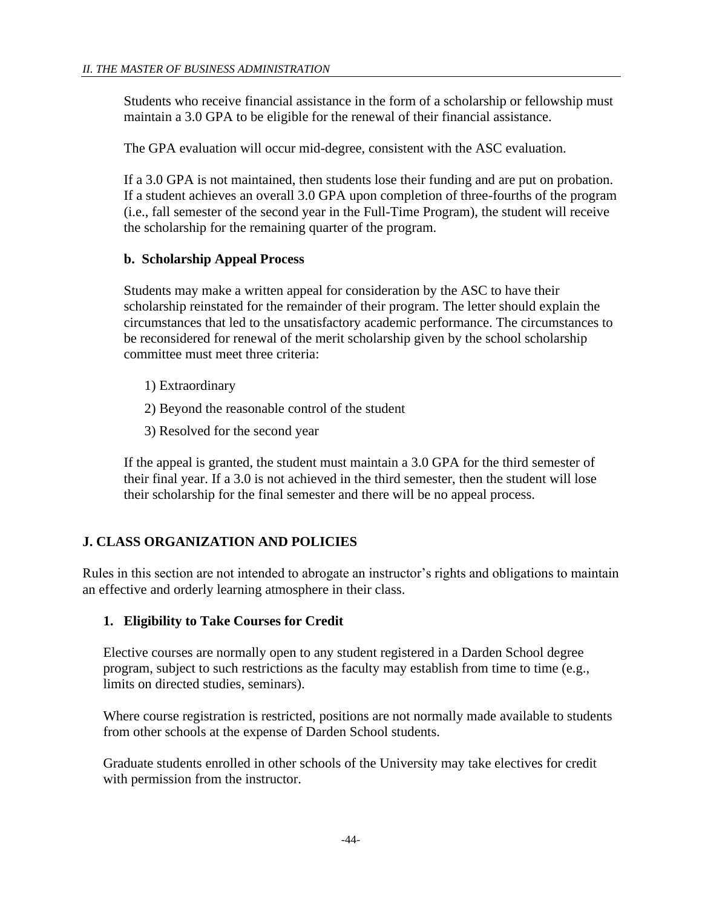Students who receive financial assistance in the form of a scholarship or fellowship must maintain a 3.0 GPA to be eligible for the renewal of their financial assistance.

The GPA evaluation will occur mid-degree, consistent with the ASC evaluation.

If a 3.0 GPA is not maintained, then students lose their funding and are put on probation. If a student achieves an overall 3.0 GPA upon completion of three-fourths of the program (i.e., fall semester of the second year in the Full-Time Program), the student will receive the scholarship for the remaining quarter of the program.

# **b. Scholarship Appeal Process**

Students may make a written appeal for consideration by the ASC to have their scholarship reinstated for the remainder of their program. The letter should explain the circumstances that led to the unsatisfactory academic performance. The circumstances to be reconsidered for renewal of the merit scholarship given by the school scholarship committee must meet three criteria:

- 1) Extraordinary
- 2) Beyond the reasonable control of the student
- 3) Resolved for the second year

If the appeal is granted, the student must maintain a 3.0 GPA for the third semester of their final year. If a 3.0 is not achieved in the third semester, then the student will lose their scholarship for the final semester and there will be no appeal process.

# **J. CLASS ORGANIZATION AND POLICIES**

Rules in this section are not intended to abrogate an instructor's rights and obligations to maintain an effective and orderly learning atmosphere in their class.

### **1. Eligibility to Take Courses for Credit**

Elective courses are normally open to any student registered in a Darden School degree program, subject to such restrictions as the faculty may establish from time to time (e.g., limits on directed studies, seminars).

Where course registration is restricted, positions are not normally made available to students from other schools at the expense of Darden School students.

Graduate students enrolled in other schools of the University may take electives for credit with permission from the instructor.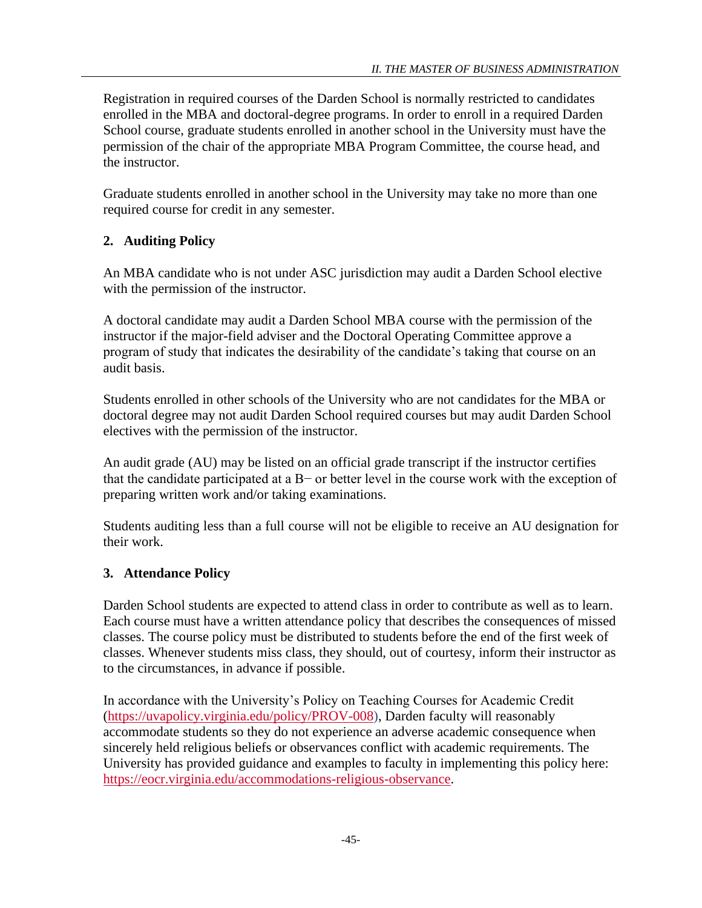Registration in required courses of the Darden School is normally restricted to candidates enrolled in the MBA and doctoral-degree programs. In order to enroll in a required Darden School course, graduate students enrolled in another school in the University must have the permission of the chair of the appropriate MBA Program Committee, the course head, and the instructor.

Graduate students enrolled in another school in the University may take no more than one required course for credit in any semester.

# **2. Auditing Policy**

An MBA candidate who is not under ASC jurisdiction may audit a Darden School elective with the permission of the instructor.

A doctoral candidate may audit a Darden School MBA course with the permission of the instructor if the major-field adviser and the Doctoral Operating Committee approve a program of study that indicates the desirability of the candidate's taking that course on an audit basis.

Students enrolled in other schools of the University who are not candidates for the MBA or doctoral degree may not audit Darden School required courses but may audit Darden School electives with the permission of the instructor.

An audit grade (AU) may be listed on an official grade transcript if the instructor certifies that the candidate participated at a B− or better level in the course work with the exception of preparing written work and/or taking examinations.

Students auditing less than a full course will not be eligible to receive an AU designation for their work.

# **3. Attendance Policy**

Darden School students are expected to attend class in order to contribute as well as to learn. Each course must have a written attendance policy that describes the consequences of missed classes. The course policy must be distributed to students before the end of the first week of classes. Whenever students miss class, they should, out of courtesy, inform their instructor as to the circumstances, in advance if possible.

In accordance with the University's Policy on Teaching Courses for Academic Credit [\(https://uvapolicy.virginia.edu/policy/PROV-008\)](https://uvapolicy.virginia.edu/policy/PROV-008), Darden faculty will reasonably accommodate students so they do not experience an adverse academic consequence when sincerely held religious beliefs or observances conflict with academic requirements. The University has provided guidance and examples to faculty in implementing this policy here: [https://eocr.virginia.edu/accommodations-religious-observance.](https://eocr.virginia.edu/accommodations-religious-observance)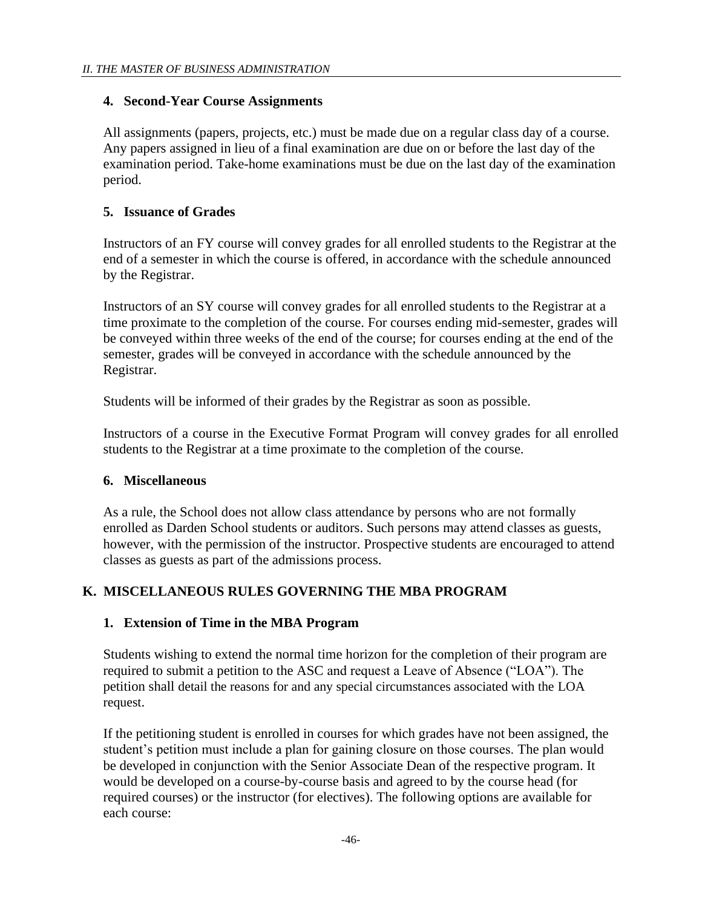### **4. Second-Year Course Assignments**

All assignments (papers, projects, etc.) must be made due on a regular class day of a course. Any papers assigned in lieu of a final examination are due on or before the last day of the examination period. Take-home examinations must be due on the last day of the examination period.

### **5. Issuance of Grades**

Instructors of an FY course will convey grades for all enrolled students to the Registrar at the end of a semester in which the course is offered, in accordance with the schedule announced by the Registrar.

Instructors of an SY course will convey grades for all enrolled students to the Registrar at a time proximate to the completion of the course. For courses ending mid-semester, grades will be conveyed within three weeks of the end of the course; for courses ending at the end of the semester, grades will be conveyed in accordance with the schedule announced by the Registrar.

Students will be informed of their grades by the Registrar as soon as possible.

Instructors of a course in the Executive Format Program will convey grades for all enrolled students to the Registrar at a time proximate to the completion of the course.

### **6. Miscellaneous**

As a rule, the School does not allow class attendance by persons who are not formally enrolled as Darden School students or auditors. Such persons may attend classes as guests, however, with the permission of the instructor. Prospective students are encouraged to attend classes as guests as part of the admissions process.

# **K. MISCELLANEOUS RULES GOVERNING THE MBA PROGRAM**

# **1. Extension of Time in the MBA Program**

Students wishing to extend the normal time horizon for the completion of their program are required to submit a petition to the ASC and request a Leave of Absence ("LOA"). The petition shall detail the reasons for and any special circumstances associated with the LOA request.

If the petitioning student is enrolled in courses for which grades have not been assigned, the student's petition must include a plan for gaining closure on those courses. The plan would be developed in conjunction with the Senior Associate Dean of the respective program. It would be developed on a course-by-course basis and agreed to by the course head (for required courses) or the instructor (for electives). The following options are available for each course: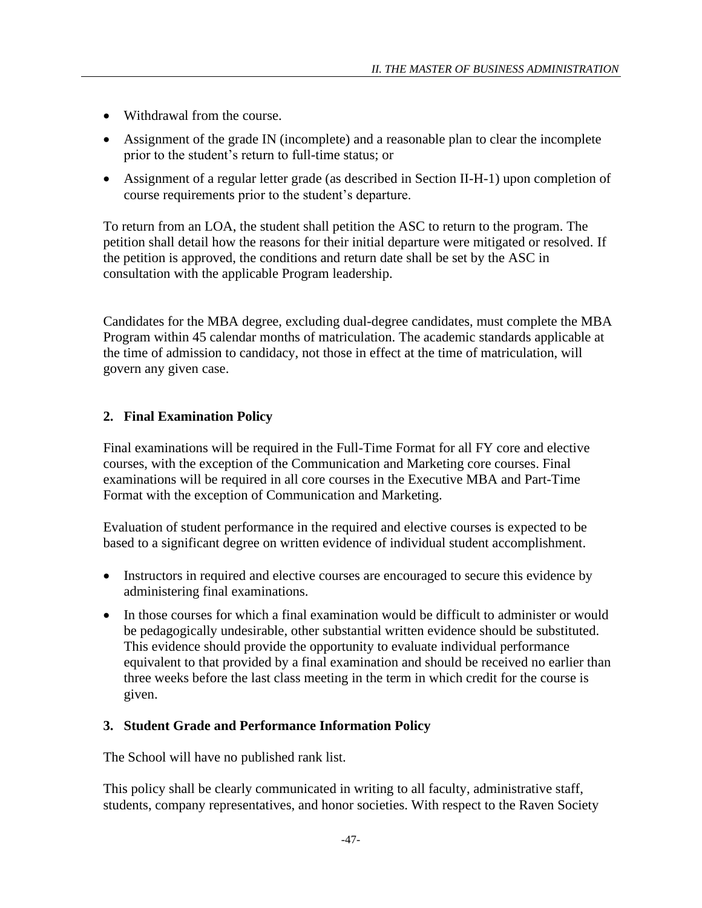- Withdrawal from the course.
- Assignment of the grade IN (incomplete) and a reasonable plan to clear the incomplete prior to the student's return to full-time status; or
- Assignment of a regular letter grade (as described in Section II-H-1) upon completion of course requirements prior to the student's departure.

To return from an LOA, the student shall petition the ASC to return to the program. The petition shall detail how the reasons for their initial departure were mitigated or resolved. If the petition is approved, the conditions and return date shall be set by the ASC in consultation with the applicable Program leadership.

Candidates for the MBA degree, excluding dual-degree candidates, must complete the MBA Program within 45 calendar months of matriculation. The academic standards applicable at the time of admission to candidacy, not those in effect at the time of matriculation, will govern any given case.

# **2. Final Examination Policy**

Final examinations will be required in the Full-Time Format for all FY core and elective courses, with the exception of the Communication and Marketing core courses. Final examinations will be required in all core courses in the Executive MBA and Part-Time Format with the exception of Communication and Marketing.

Evaluation of student performance in the required and elective courses is expected to be based to a significant degree on written evidence of individual student accomplishment.

- Instructors in required and elective courses are encouraged to secure this evidence by administering final examinations.
- In those courses for which a final examination would be difficult to administer or would be pedagogically undesirable, other substantial written evidence should be substituted. This evidence should provide the opportunity to evaluate individual performance equivalent to that provided by a final examination and should be received no earlier than three weeks before the last class meeting in the term in which credit for the course is given.

# **3. Student Grade and Performance Information Policy**

The School will have no published rank list.

This policy shall be clearly communicated in writing to all faculty, administrative staff, students, company representatives, and honor societies. With respect to the Raven Society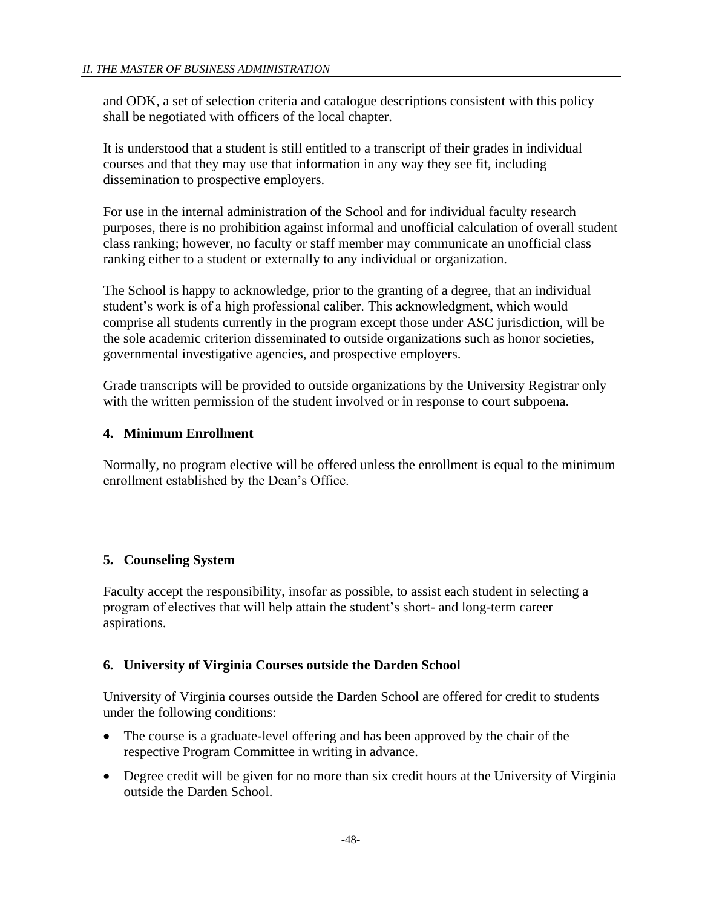and ODK, a set of selection criteria and catalogue descriptions consistent with this policy shall be negotiated with officers of the local chapter.

It is understood that a student is still entitled to a transcript of their grades in individual courses and that they may use that information in any way they see fit, including dissemination to prospective employers.

For use in the internal administration of the School and for individual faculty research purposes, there is no prohibition against informal and unofficial calculation of overall student class ranking; however, no faculty or staff member may communicate an unofficial class ranking either to a student or externally to any individual or organization.

The School is happy to acknowledge, prior to the granting of a degree, that an individual student's work is of a high professional caliber. This acknowledgment, which would comprise all students currently in the program except those under ASC jurisdiction, will be the sole academic criterion disseminated to outside organizations such as honor societies, governmental investigative agencies, and prospective employers.

Grade transcripts will be provided to outside organizations by the University Registrar only with the written permission of the student involved or in response to court subpoena.

# **4. Minimum Enrollment**

Normally, no program elective will be offered unless the enrollment is equal to the minimum enrollment established by the Dean's Office.

# **5. Counseling System**

Faculty accept the responsibility, insofar as possible, to assist each student in selecting a program of electives that will help attain the student's short- and long-term career aspirations.

# **6. University of Virginia Courses outside the Darden School**

University of Virginia courses outside the Darden School are offered for credit to students under the following conditions:

- The course is a graduate-level offering and has been approved by the chair of the respective Program Committee in writing in advance.
- Degree credit will be given for no more than six credit hours at the University of Virginia outside the Darden School.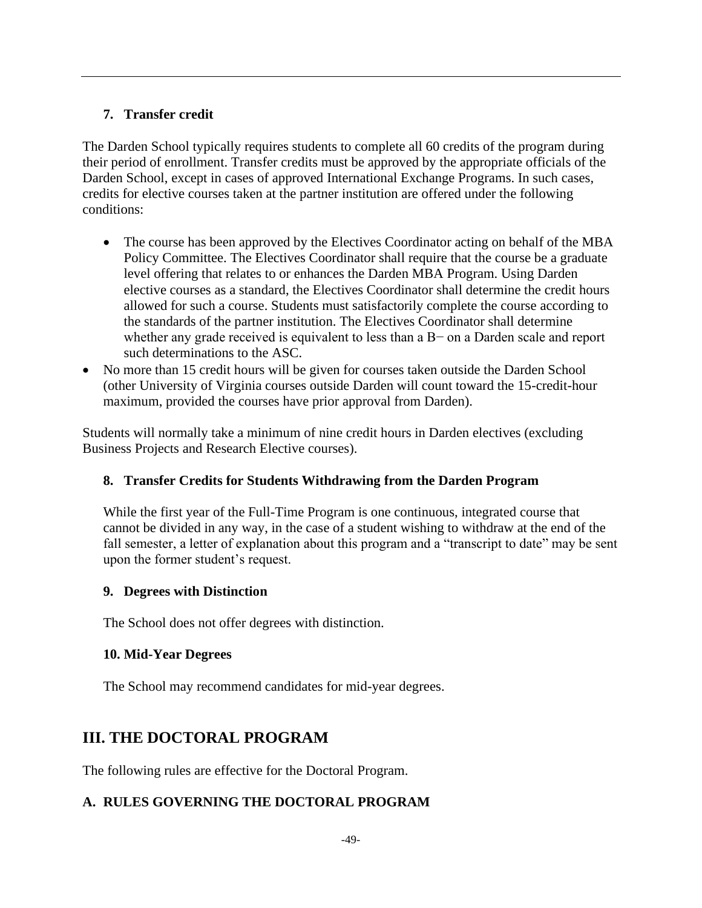# **7. Transfer credit**

The Darden School typically requires students to complete all 60 credits of the program during their period of enrollment. Transfer credits must be approved by the appropriate officials of the Darden School, except in cases of approved International Exchange Programs. In such cases, credits for elective courses taken at the partner institution are offered under the following conditions:

- The course has been approved by the Electives Coordinator acting on behalf of the MBA Policy Committee. The Electives Coordinator shall require that the course be a graduate level offering that relates to or enhances the Darden MBA Program. Using Darden elective courses as a standard, the Electives Coordinator shall determine the credit hours allowed for such a course. Students must satisfactorily complete the course according to the standards of the partner institution. The Electives Coordinator shall determine whether any grade received is equivalent to less than a B− on a Darden scale and report such determinations to the ASC.
- No more than 15 credit hours will be given for courses taken outside the Darden School (other University of Virginia courses outside Darden will count toward the 15-credit-hour maximum, provided the courses have prior approval from Darden).

Students will normally take a minimum of nine credit hours in Darden electives (excluding Business Projects and Research Elective courses).

# **8. Transfer Credits for Students Withdrawing from the Darden Program**

While the first year of the Full-Time Program is one continuous, integrated course that cannot be divided in any way, in the case of a student wishing to withdraw at the end of the fall semester, a letter of explanation about this program and a "transcript to date" may be sent upon the former student's request.

# **9. Degrees with Distinction**

The School does not offer degrees with distinction.

# **10. Mid-Year Degrees**

The School may recommend candidates for mid-year degrees.

# **III. THE DOCTORAL PROGRAM**

The following rules are effective for the Doctoral Program.

# **A. RULES GOVERNING THE DOCTORAL PROGRAM**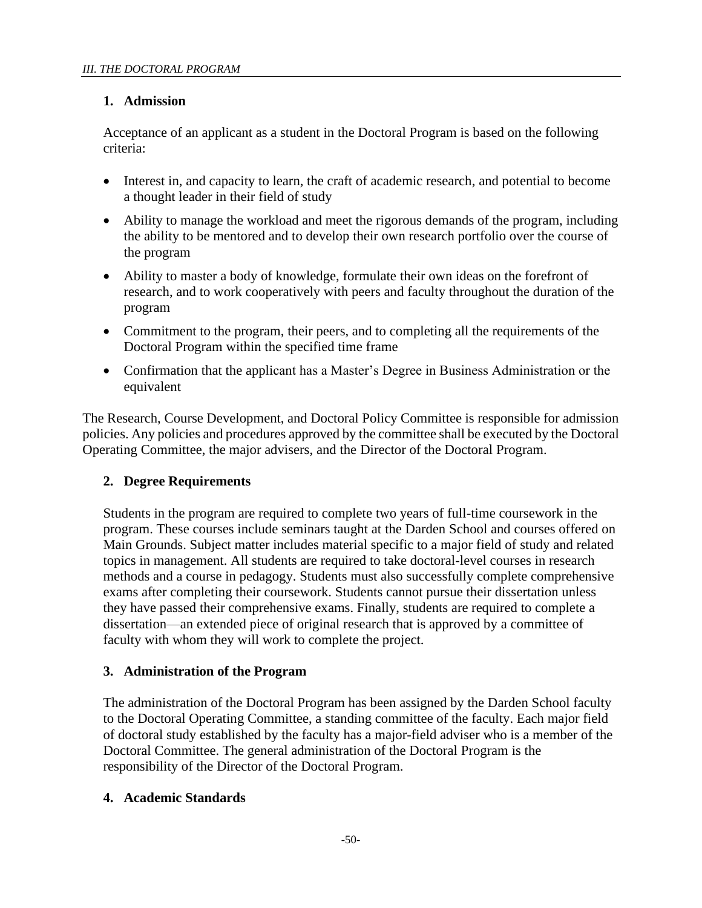# **1. Admission**

Acceptance of an applicant as a student in the Doctoral Program is based on the following criteria:

- Interest in, and capacity to learn, the craft of academic research, and potential to become a thought leader in their field of study
- Ability to manage the workload and meet the rigorous demands of the program, including the ability to be mentored and to develop their own research portfolio over the course of the program
- Ability to master a body of knowledge, formulate their own ideas on the forefront of research, and to work cooperatively with peers and faculty throughout the duration of the program
- Commitment to the program, their peers, and to completing all the requirements of the Doctoral Program within the specified time frame
- Confirmation that the applicant has a Master's Degree in Business Administration or the equivalent

The Research, Course Development, and Doctoral Policy Committee is responsible for admission policies. Any policies and procedures approved by the committee shall be executed by the Doctoral Operating Committee, the major advisers, and the Director of the Doctoral Program.

# **2. Degree Requirements**

Students in the program are required to complete two years of full-time coursework in the program. These courses include seminars taught at the Darden School and courses offered on Main Grounds. Subject matter includes material specific to a major field of study and related topics in management. All students are required to take doctoral-level courses in research methods and a course in pedagogy. Students must also successfully complete comprehensive exams after completing their coursework. Students cannot pursue their dissertation unless they have passed their comprehensive exams. Finally, students are required to complete a dissertation—an extended piece of original research that is approved by a committee of faculty with whom they will work to complete the project.

# **3. Administration of the Program**

The administration of the Doctoral Program has been assigned by the Darden School faculty to the Doctoral Operating Committee, a standing committee of the faculty. Each major field of doctoral study established by the faculty has a major-field adviser who is a member of the Doctoral Committee. The general administration of the Doctoral Program is the responsibility of the Director of the Doctoral Program.

### **4. Academic Standards**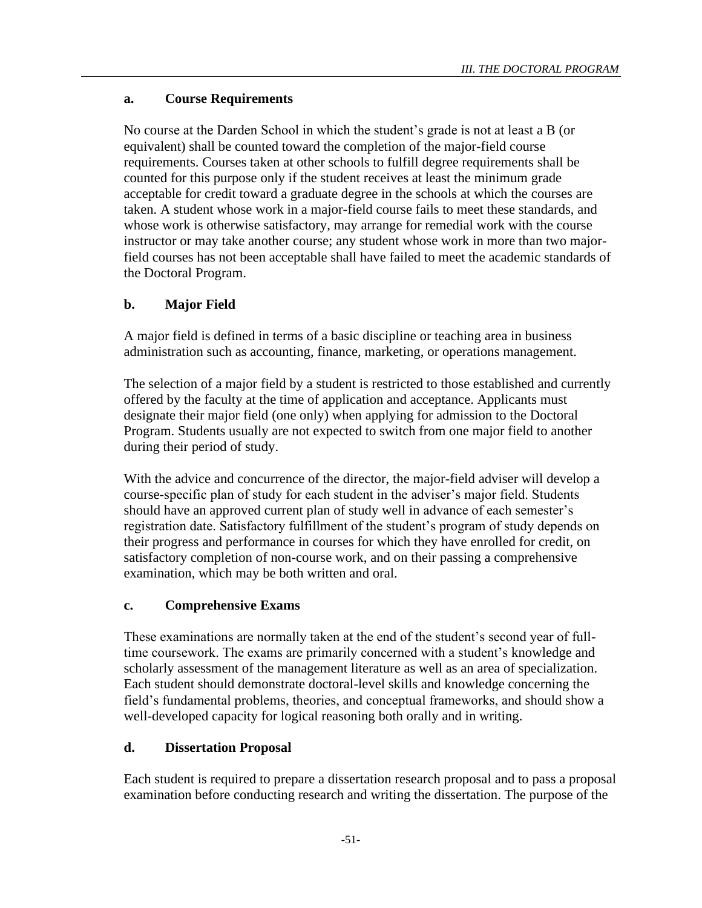# **a. Course Requirements**

No course at the Darden School in which the student's grade is not at least a B (or equivalent) shall be counted toward the completion of the major-field course requirements. Courses taken at other schools to fulfill degree requirements shall be counted for this purpose only if the student receives at least the minimum grade acceptable for credit toward a graduate degree in the schools at which the courses are taken. A student whose work in a major-field course fails to meet these standards, and whose work is otherwise satisfactory, may arrange for remedial work with the course instructor or may take another course; any student whose work in more than two majorfield courses has not been acceptable shall have failed to meet the academic standards of the Doctoral Program.

# **b. Major Field**

A major field is defined in terms of a basic discipline or teaching area in business administration such as accounting, finance, marketing, or operations management.

The selection of a major field by a student is restricted to those established and currently offered by the faculty at the time of application and acceptance. Applicants must designate their major field (one only) when applying for admission to the Doctoral Program. Students usually are not expected to switch from one major field to another during their period of study.

With the advice and concurrence of the director, the major-field adviser will develop a course-specific plan of study for each student in the adviser's major field. Students should have an approved current plan of study well in advance of each semester's registration date. Satisfactory fulfillment of the student's program of study depends on their progress and performance in courses for which they have enrolled for credit, on satisfactory completion of non-course work, and on their passing a comprehensive examination, which may be both written and oral.

# **c. Comprehensive Exams**

These examinations are normally taken at the end of the student's second year of fulltime coursework. The exams are primarily concerned with a student's knowledge and scholarly assessment of the management literature as well as an area of specialization. Each student should demonstrate doctoral-level skills and knowledge concerning the field's fundamental problems, theories, and conceptual frameworks, and should show a well-developed capacity for logical reasoning both orally and in writing.

# **d. Dissertation Proposal**

Each student is required to prepare a dissertation research proposal and to pass a proposal examination before conducting research and writing the dissertation. The purpose of the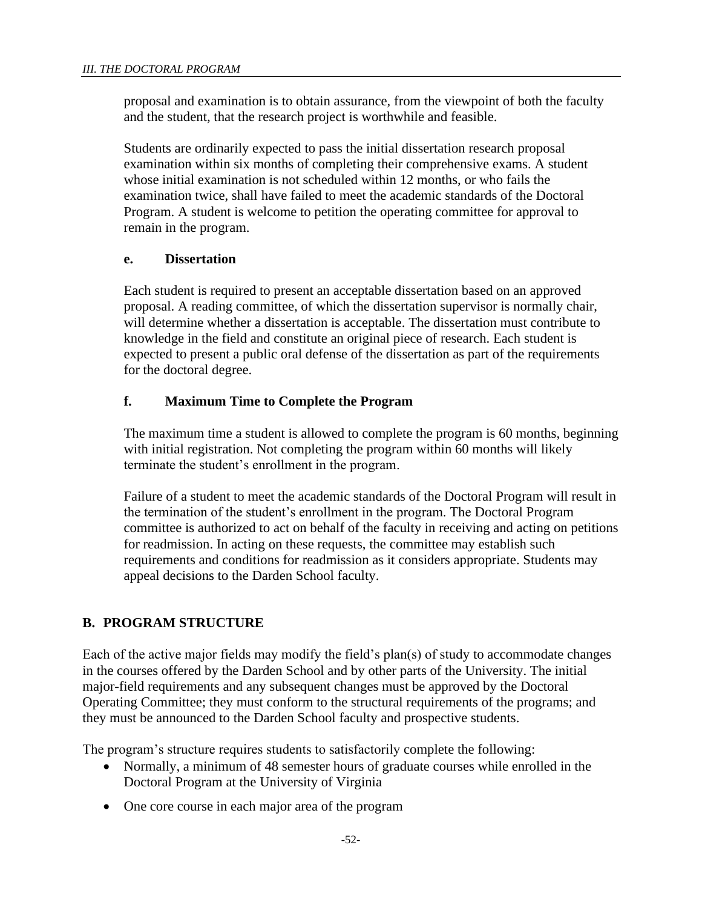proposal and examination is to obtain assurance, from the viewpoint of both the faculty and the student, that the research project is worthwhile and feasible.

Students are ordinarily expected to pass the initial dissertation research proposal examination within six months of completing their comprehensive exams. A student whose initial examination is not scheduled within 12 months, or who fails the examination twice, shall have failed to meet the academic standards of the Doctoral Program. A student is welcome to petition the operating committee for approval to remain in the program.

### **e. Dissertation**

Each student is required to present an acceptable dissertation based on an approved proposal. A reading committee, of which the dissertation supervisor is normally chair, will determine whether a dissertation is acceptable. The dissertation must contribute to knowledge in the field and constitute an original piece of research. Each student is expected to present a public oral defense of the dissertation as part of the requirements for the doctoral degree.

### **f. Maximum Time to Complete the Program**

The maximum time a student is allowed to complete the program is 60 months, beginning with initial registration. Not completing the program within 60 months will likely terminate the student's enrollment in the program.

Failure of a student to meet the academic standards of the Doctoral Program will result in the termination of the student's enrollment in the program. The Doctoral Program committee is authorized to act on behalf of the faculty in receiving and acting on petitions for readmission. In acting on these requests, the committee may establish such requirements and conditions for readmission as it considers appropriate. Students may appeal decisions to the Darden School faculty.

# **B. PROGRAM STRUCTURE**

Each of the active major fields may modify the field's plan(s) of study to accommodate changes in the courses offered by the Darden School and by other parts of the University. The initial major-field requirements and any subsequent changes must be approved by the Doctoral Operating Committee; they must conform to the structural requirements of the programs; and they must be announced to the Darden School faculty and prospective students.

The program's structure requires students to satisfactorily complete the following:

- Normally, a minimum of 48 semester hours of graduate courses while enrolled in the Doctoral Program at the University of Virginia
- One core course in each major area of the program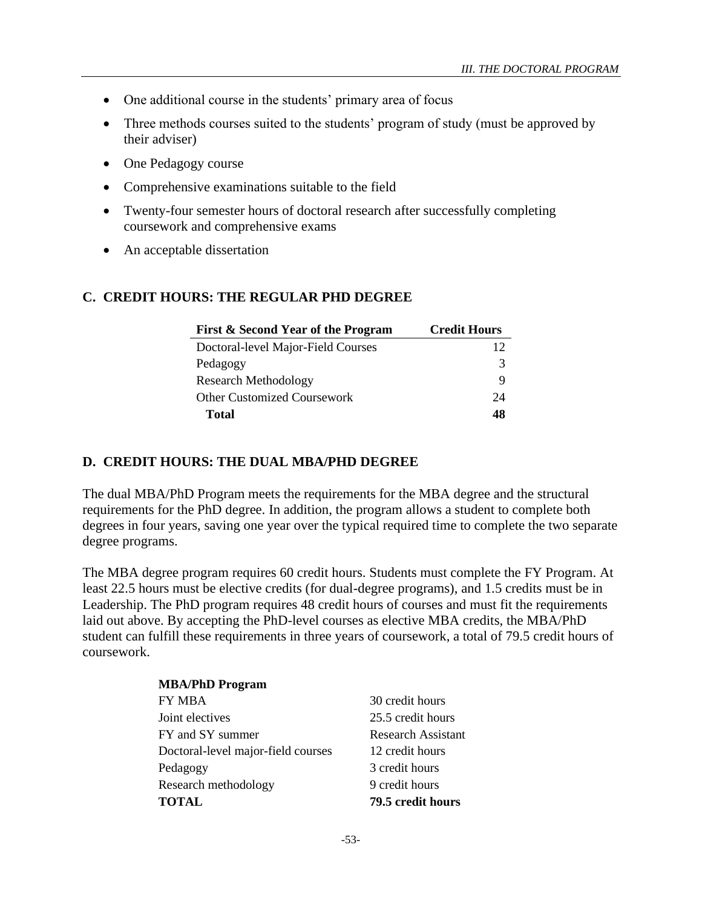- One additional course in the students' primary area of focus
- Three methods courses suited to the students' program of study (must be approved by their adviser)
- One Pedagogy course
- Comprehensive examinations suitable to the field
- Twenty-four semester hours of doctoral research after successfully completing coursework and comprehensive exams
- An acceptable dissertation

### **C. CREDIT HOURS: THE REGULAR PHD DEGREE**

| First & Second Year of the Program | <b>Credit Hours</b> |
|------------------------------------|---------------------|
| Doctoral-level Major-Field Courses | 12                  |
| Pedagogy                           |                     |
| <b>Research Methodology</b>        | Q                   |
| <b>Other Customized Coursework</b> | 24                  |
| Total                              | 48                  |

#### **D. CREDIT HOURS: THE DUAL MBA/PHD DEGREE**

The dual MBA/PhD Program meets the requirements for the MBA degree and the structural requirements for the PhD degree. In addition, the program allows a student to complete both degrees in four years, saving one year over the typical required time to complete the two separate degree programs.

The MBA degree program requires 60 credit hours. Students must complete the FY Program. At least 22.5 hours must be elective credits (for dual-degree programs), and 1.5 credits must be in Leadership. The PhD program requires 48 credit hours of courses and must fit the requirements laid out above. By accepting the PhD-level courses as elective MBA credits, the MBA/PhD student can fulfill these requirements in three years of coursework, a total of 79.5 credit hours of coursework.

> **MBA/PhD Program** FY MBA 30 credit hours Joint electives 25.5 credit hours FY and SY summer Research Assistant Doctoral-level major-field courses 12 credit hours Pedagogy 3 credit hours Research methodology 9 credit hours **TOTAL 79.5 credit hours**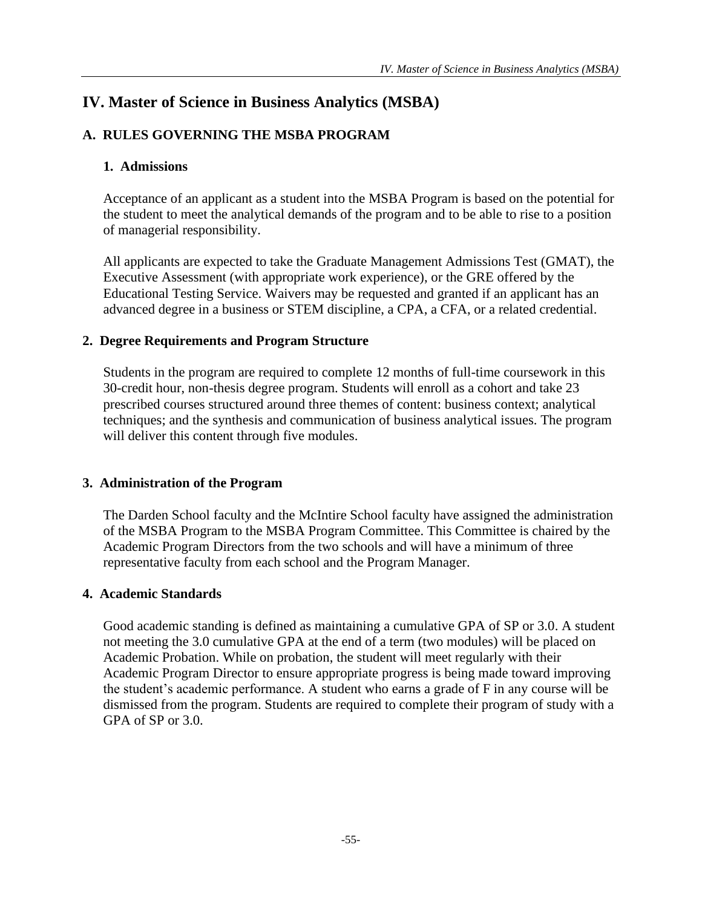# **IV. Master of Science in Business Analytics (MSBA)**

# **A. RULES GOVERNING THE MSBA PROGRAM**

# **1. Admissions**

Acceptance of an applicant as a student into the MSBA Program is based on the potential for the student to meet the analytical demands of the program and to be able to rise to a position of managerial responsibility.

All applicants are expected to take the Graduate Management Admissions Test (GMAT), the Executive Assessment (with appropriate work experience), or the GRE offered by the Educational Testing Service. Waivers may be requested and granted if an applicant has an advanced degree in a business or STEM discipline, a CPA, a CFA, or a related credential.

### **2. Degree Requirements and Program Structure**

Students in the program are required to complete 12 months of full-time coursework in this 30-credit hour, non-thesis degree program. Students will enroll as a cohort and take 23 prescribed courses structured around three themes of content: business context; analytical techniques; and the synthesis and communication of business analytical issues. The program will deliver this content through five modules.

# **3. Administration of the Program**

The Darden School faculty and the McIntire School faculty have assigned the administration of the MSBA Program to the MSBA Program Committee. This Committee is chaired by the Academic Program Directors from the two schools and will have a minimum of three representative faculty from each school and the Program Manager.

### **4. Academic Standards**

Good academic standing is defined as maintaining a cumulative GPA of SP or 3.0. A student not meeting the 3.0 cumulative GPA at the end of a term (two modules) will be placed on Academic Probation. While on probation, the student will meet regularly with their Academic Program Director to ensure appropriate progress is being made toward improving the student's academic performance. A student who earns a grade of F in any course will be dismissed from the program. Students are required to complete their program of study with a GPA of SP or 3.0.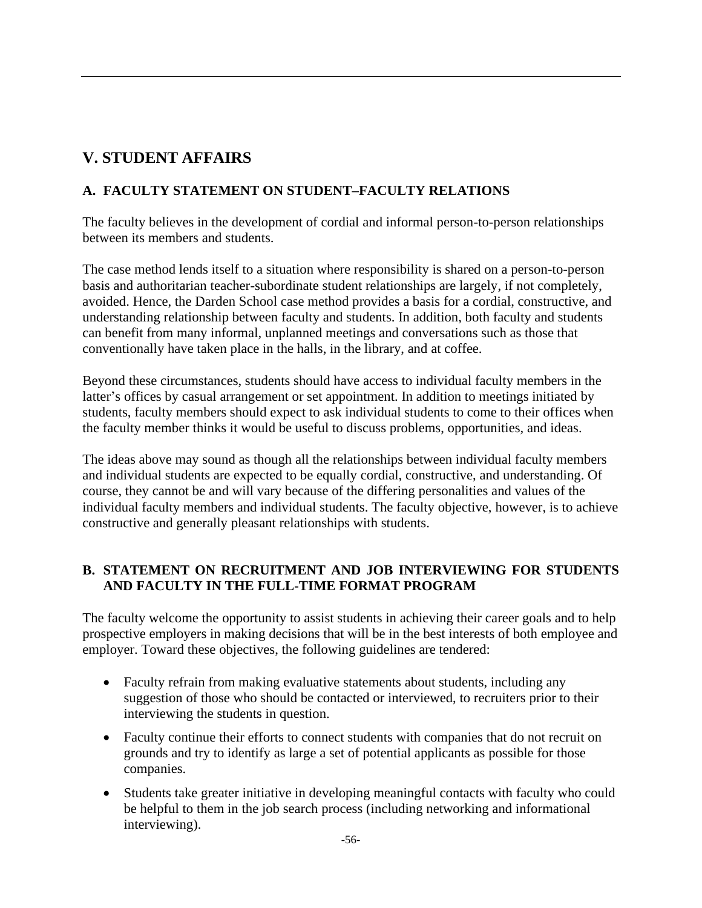# **V. STUDENT AFFAIRS**

# **A. FACULTY STATEMENT ON STUDENT–FACULTY RELATIONS**

The faculty believes in the development of cordial and informal person-to-person relationships between its members and students.

The case method lends itself to a situation where responsibility is shared on a person-to-person basis and authoritarian teacher-subordinate student relationships are largely, if not completely, avoided. Hence, the Darden School case method provides a basis for a cordial, constructive, and understanding relationship between faculty and students. In addition, both faculty and students can benefit from many informal, unplanned meetings and conversations such as those that conventionally have taken place in the halls, in the library, and at coffee.

Beyond these circumstances, students should have access to individual faculty members in the latter's offices by casual arrangement or set appointment. In addition to meetings initiated by students, faculty members should expect to ask individual students to come to their offices when the faculty member thinks it would be useful to discuss problems, opportunities, and ideas.

The ideas above may sound as though all the relationships between individual faculty members and individual students are expected to be equally cordial, constructive, and understanding. Of course, they cannot be and will vary because of the differing personalities and values of the individual faculty members and individual students. The faculty objective, however, is to achieve constructive and generally pleasant relationships with students.

# **B. STATEMENT ON RECRUITMENT AND JOB INTERVIEWING FOR STUDENTS AND FACULTY IN THE FULL-TIME FORMAT PROGRAM**

The faculty welcome the opportunity to assist students in achieving their career goals and to help prospective employers in making decisions that will be in the best interests of both employee and employer. Toward these objectives, the following guidelines are tendered:

- Faculty refrain from making evaluative statements about students, including any suggestion of those who should be contacted or interviewed, to recruiters prior to their interviewing the students in question.
- Faculty continue their efforts to connect students with companies that do not recruit on grounds and try to identify as large a set of potential applicants as possible for those companies.
- Students take greater initiative in developing meaningful contacts with faculty who could be helpful to them in the job search process (including networking and informational interviewing).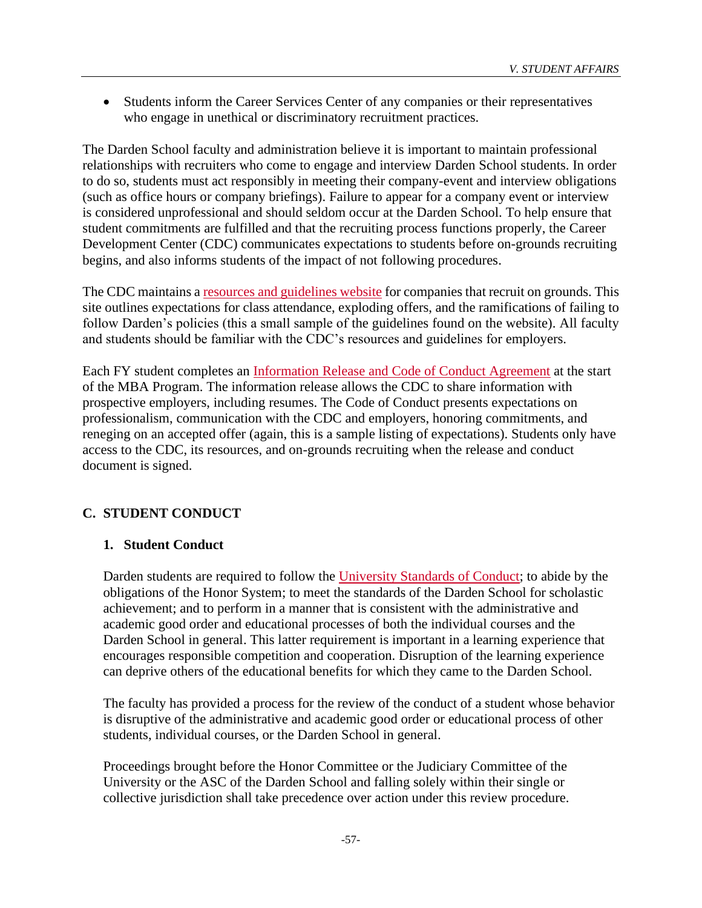• Students inform the Career Services Center of any companies or their representatives who engage in unethical or discriminatory recruitment practices.

The Darden School faculty and administration believe it is important to maintain professional relationships with recruiters who come to engage and interview Darden School students. In order to do so, students must act responsibly in meeting their company-event and interview obligations (such as office hours or company briefings). Failure to appear for a company event or interview is considered unprofessional and should seldom occur at the Darden School. To help ensure that student commitments are fulfilled and that the recruiting process functions properly, the Career Development Center (CDC) communicates expectations to students before on-grounds recruiting begins, and also informs students of the impact of not following procedures.

The CDC maintains a [resources and guidelines website](http://www.darden.virginia.edu/recruiters-companies/hire-an-mba/resources-guidelines/) for companies that recruit on grounds. This site outlines expectations for class attendance, exploding offers, and the ramifications of failing to follow Darden's policies (this a small sample of the guidelines found on the website). All faculty and students should be familiar with the CDC's resources and guidelines for employers.

Each FY student completes an [Information Release and Code of Conduct Agreement](http://mbaportal.darden.virginia.edu/cdc2/Shared%20Documents/Information%20Release%20Form.docx) at the start of the MBA Program. The information release allows the CDC to share information with prospective employers, including resumes. The Code of Conduct presents expectations on professionalism, communication with the CDC and employers, honoring commitments, and reneging on an accepted offer (again, this is a sample listing of expectations). Students only have access to the CDC, its resources, and on-grounds recruiting when the release and conduct document is signed.

# **C. STUDENT CONDUCT**

### **1. Student Conduct**

Darden students are required to follow the [University Standards of Conduct;](http://www.student.virginia.edu/~judic/standards-of-conduct/) to abide by the obligations of the Honor System; to meet the standards of the Darden School for scholastic achievement; and to perform in a manner that is consistent with the administrative and academic good order and educational processes of both the individual courses and the Darden School in general. This latter requirement is important in a learning experience that encourages responsible competition and cooperation. Disruption of the learning experience can deprive others of the educational benefits for which they came to the Darden School.

The faculty has provided a process for the review of the conduct of a student whose behavior is disruptive of the administrative and academic good order or educational process of other students, individual courses, or the Darden School in general.

Proceedings brought before the Honor Committee or the Judiciary Committee of the University or the ASC of the Darden School and falling solely within their single or collective jurisdiction shall take precedence over action under this review procedure.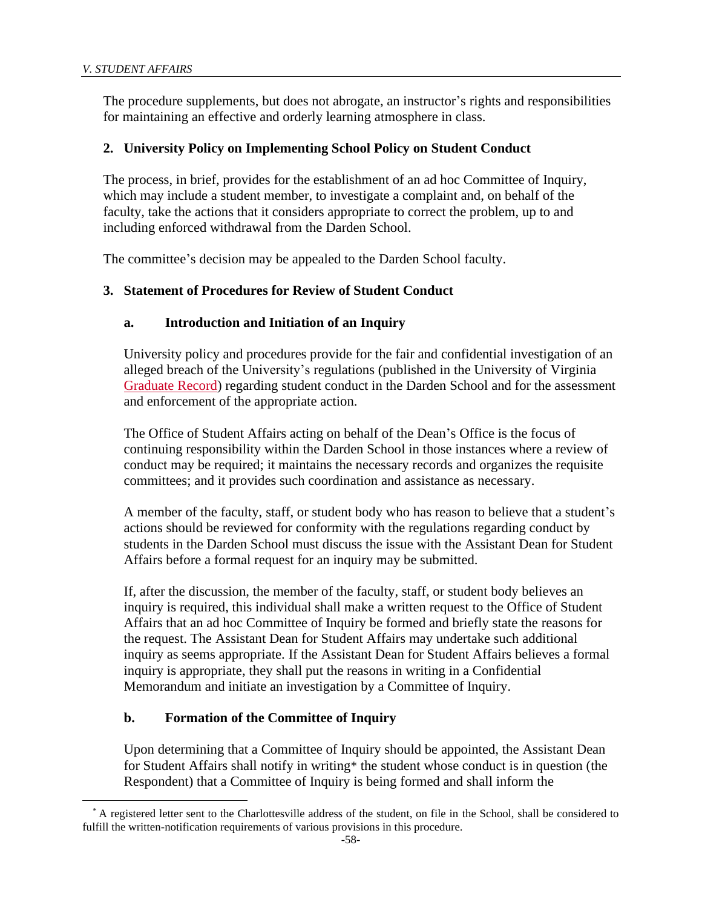The procedure supplements, but does not abrogate, an instructor's rights and responsibilities for maintaining an effective and orderly learning atmosphere in class.

### **2. University Policy on Implementing School Policy on Student Conduct**

The process, in brief, provides for the establishment of an ad hoc Committee of Inquiry, which may include a student member, to investigate a complaint and, on behalf of the faculty, take the actions that it considers appropriate to correct the problem, up to and including enforced withdrawal from the Darden School.

The committee's decision may be appealed to the Darden School faculty.

### **3. Statement of Procedures for Review of Student Conduct**

### **a. Introduction and Initiation of an Inquiry**

University policy and procedures provide for the fair and confidential investigation of an alleged breach of the University's regulations (published in the University of Virginia [Graduate Record\)](http://records.ureg.virginia.edu/index.php?catoid=41) regarding student conduct in the Darden School and for the assessment and enforcement of the appropriate action.

The Office of Student Affairs acting on behalf of the Dean's Office is the focus of continuing responsibility within the Darden School in those instances where a review of conduct may be required; it maintains the necessary records and organizes the requisite committees; and it provides such coordination and assistance as necessary.

A member of the faculty, staff, or student body who has reason to believe that a student's actions should be reviewed for conformity with the regulations regarding conduct by students in the Darden School must discuss the issue with the Assistant Dean for Student Affairs before a formal request for an inquiry may be submitted.

If, after the discussion, the member of the faculty, staff, or student body believes an inquiry is required, this individual shall make a written request to the Office of Student Affairs that an ad hoc Committee of Inquiry be formed and briefly state the reasons for the request. The Assistant Dean for Student Affairs may undertake such additional inquiry as seems appropriate. If the Assistant Dean for Student Affairs believes a formal inquiry is appropriate, they shall put the reasons in writing in a Confidential Memorandum and initiate an investigation by a Committee of Inquiry.

#### **b. Formation of the Committee of Inquiry**

Upon determining that a Committee of Inquiry should be appointed, the Assistant Dean for Student Affairs shall notify in writing\* the student whose conduct is in question (the Respondent) that a Committee of Inquiry is being formed and shall inform the

<sup>\*</sup> A registered letter sent to the Charlottesville address of the student, on file in the School, shall be considered to fulfill the written-notification requirements of various provisions in this procedure.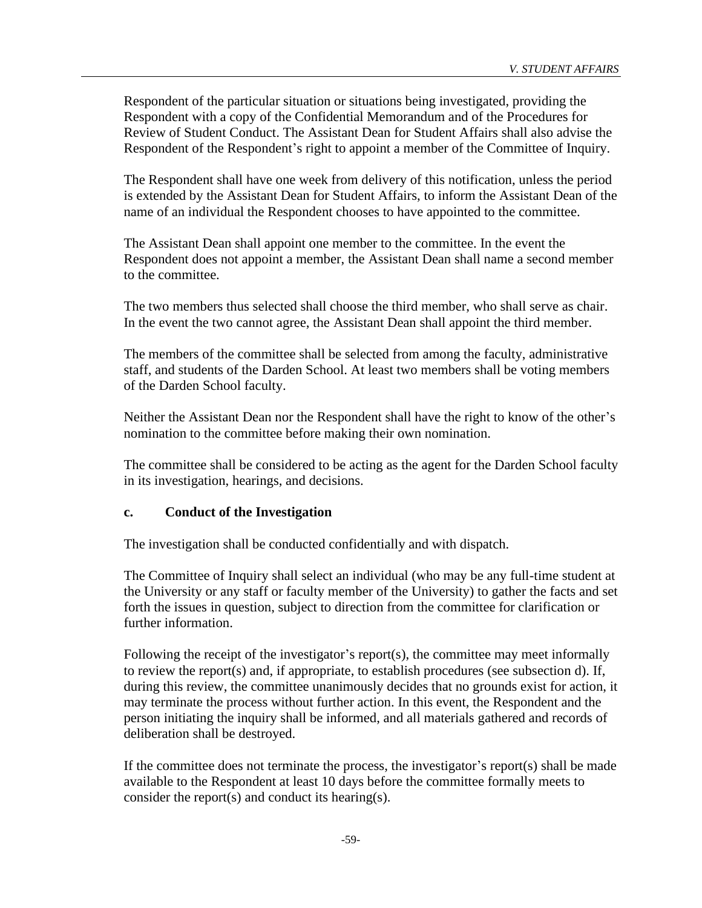Respondent of the particular situation or situations being investigated, providing the Respondent with a copy of the Confidential Memorandum and of the Procedures for Review of Student Conduct. The Assistant Dean for Student Affairs shall also advise the Respondent of the Respondent's right to appoint a member of the Committee of Inquiry.

The Respondent shall have one week from delivery of this notification, unless the period is extended by the Assistant Dean for Student Affairs, to inform the Assistant Dean of the name of an individual the Respondent chooses to have appointed to the committee.

The Assistant Dean shall appoint one member to the committee. In the event the Respondent does not appoint a member, the Assistant Dean shall name a second member to the committee.

The two members thus selected shall choose the third member, who shall serve as chair. In the event the two cannot agree, the Assistant Dean shall appoint the third member.

The members of the committee shall be selected from among the faculty, administrative staff, and students of the Darden School. At least two members shall be voting members of the Darden School faculty.

Neither the Assistant Dean nor the Respondent shall have the right to know of the other's nomination to the committee before making their own nomination.

The committee shall be considered to be acting as the agent for the Darden School faculty in its investigation, hearings, and decisions.

### **c. Conduct of the Investigation**

The investigation shall be conducted confidentially and with dispatch.

The Committee of Inquiry shall select an individual (who may be any full-time student at the University or any staff or faculty member of the University) to gather the facts and set forth the issues in question, subject to direction from the committee for clarification or further information.

Following the receipt of the investigator's report(s), the committee may meet informally to review the report(s) and, if appropriate, to establish procedures (see subsection d). If, during this review, the committee unanimously decides that no grounds exist for action, it may terminate the process without further action. In this event, the Respondent and the person initiating the inquiry shall be informed, and all materials gathered and records of deliberation shall be destroyed.

If the committee does not terminate the process, the investigator's report(s) shall be made available to the Respondent at least 10 days before the committee formally meets to consider the report(s) and conduct its hearing(s).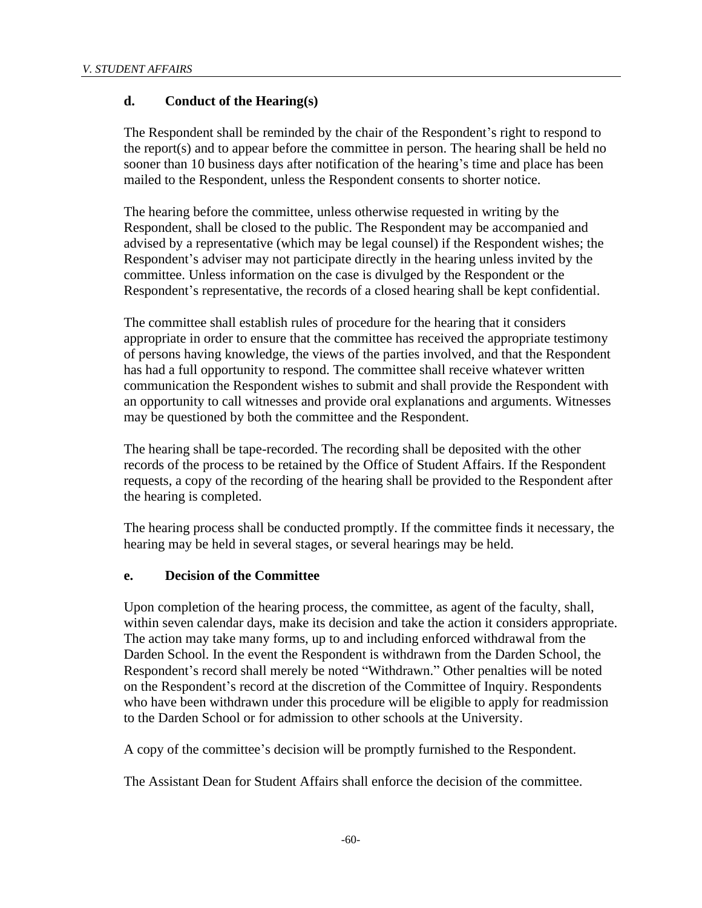### **d. Conduct of the Hearing(s)**

The Respondent shall be reminded by the chair of the Respondent's right to respond to the report(s) and to appear before the committee in person. The hearing shall be held no sooner than 10 business days after notification of the hearing's time and place has been mailed to the Respondent, unless the Respondent consents to shorter notice.

The hearing before the committee, unless otherwise requested in writing by the Respondent, shall be closed to the public. The Respondent may be accompanied and advised by a representative (which may be legal counsel) if the Respondent wishes; the Respondent's adviser may not participate directly in the hearing unless invited by the committee. Unless information on the case is divulged by the Respondent or the Respondent's representative, the records of a closed hearing shall be kept confidential.

The committee shall establish rules of procedure for the hearing that it considers appropriate in order to ensure that the committee has received the appropriate testimony of persons having knowledge, the views of the parties involved, and that the Respondent has had a full opportunity to respond. The committee shall receive whatever written communication the Respondent wishes to submit and shall provide the Respondent with an opportunity to call witnesses and provide oral explanations and arguments. Witnesses may be questioned by both the committee and the Respondent.

The hearing shall be tape-recorded. The recording shall be deposited with the other records of the process to be retained by the Office of Student Affairs. If the Respondent requests, a copy of the recording of the hearing shall be provided to the Respondent after the hearing is completed.

The hearing process shall be conducted promptly. If the committee finds it necessary, the hearing may be held in several stages, or several hearings may be held.

### **e. Decision of the Committee**

Upon completion of the hearing process, the committee, as agent of the faculty, shall, within seven calendar days, make its decision and take the action it considers appropriate. The action may take many forms, up to and including enforced withdrawal from the Darden School. In the event the Respondent is withdrawn from the Darden School, the Respondent's record shall merely be noted "Withdrawn." Other penalties will be noted on the Respondent's record at the discretion of the Committee of Inquiry. Respondents who have been withdrawn under this procedure will be eligible to apply for readmission to the Darden School or for admission to other schools at the University.

A copy of the committee's decision will be promptly furnished to the Respondent.

The Assistant Dean for Student Affairs shall enforce the decision of the committee.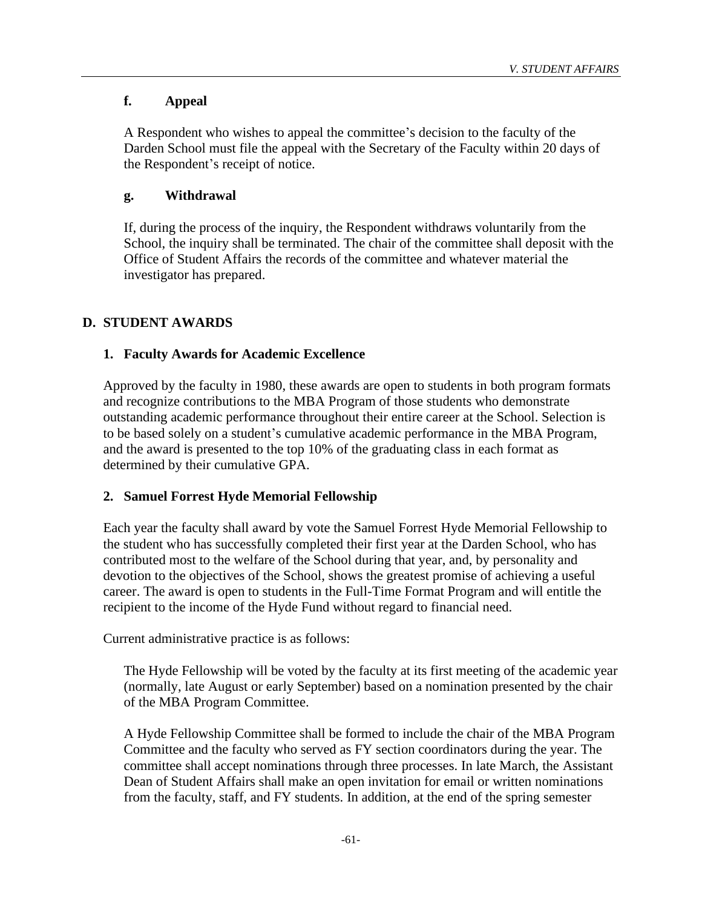# **f. Appeal**

A Respondent who wishes to appeal the committee's decision to the faculty of the Darden School must file the appeal with the Secretary of the Faculty within 20 days of the Respondent's receipt of notice.

### **g. Withdrawal**

If, during the process of the inquiry, the Respondent withdraws voluntarily from the School, the inquiry shall be terminated. The chair of the committee shall deposit with the Office of Student Affairs the records of the committee and whatever material the investigator has prepared.

# **D. STUDENT AWARDS**

### **1. Faculty Awards for Academic Excellence**

Approved by the faculty in 1980, these awards are open to students in both program formats and recognize contributions to the MBA Program of those students who demonstrate outstanding academic performance throughout their entire career at the School. Selection is to be based solely on a student's cumulative academic performance in the MBA Program, and the award is presented to the top 10% of the graduating class in each format as determined by their cumulative GPA.

### **2. Samuel Forrest Hyde Memorial Fellowship**

Each year the faculty shall award by vote the Samuel Forrest Hyde Memorial Fellowship to the student who has successfully completed their first year at the Darden School, who has contributed most to the welfare of the School during that year, and, by personality and devotion to the objectives of the School, shows the greatest promise of achieving a useful career. The award is open to students in the Full-Time Format Program and will entitle the recipient to the income of the Hyde Fund without regard to financial need.

Current administrative practice is as follows:

The Hyde Fellowship will be voted by the faculty at its first meeting of the academic year (normally, late August or early September) based on a nomination presented by the chair of the MBA Program Committee.

A Hyde Fellowship Committee shall be formed to include the chair of the MBA Program Committee and the faculty who served as FY section coordinators during the year. The committee shall accept nominations through three processes. In late March, the Assistant Dean of Student Affairs shall make an open invitation for email or written nominations from the faculty, staff, and FY students. In addition, at the end of the spring semester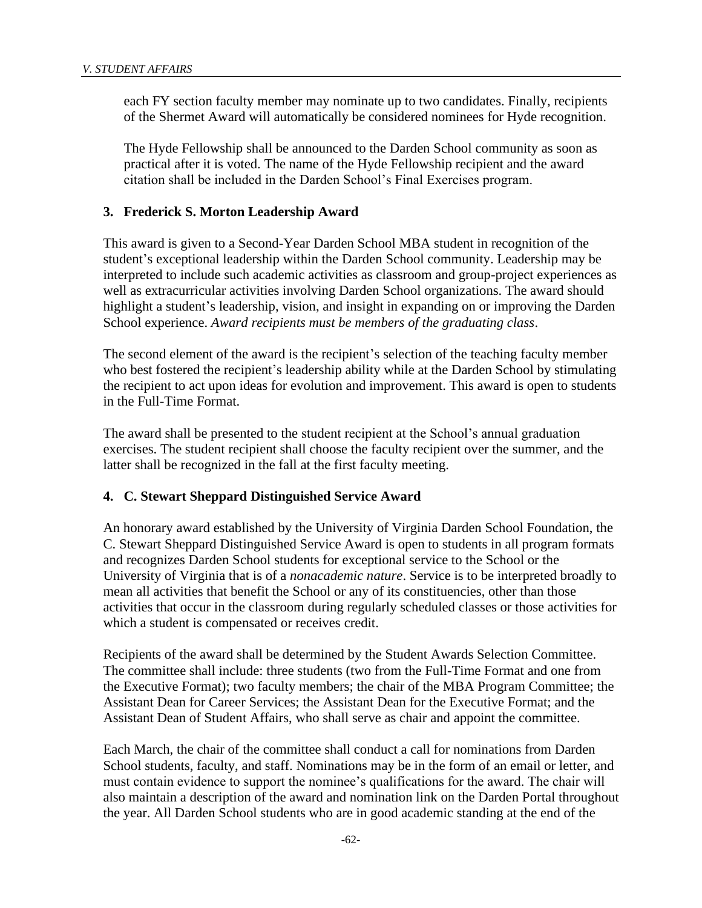each FY section faculty member may nominate up to two candidates. Finally, recipients of the Shermet Award will automatically be considered nominees for Hyde recognition.

The Hyde Fellowship shall be announced to the Darden School community as soon as practical after it is voted. The name of the Hyde Fellowship recipient and the award citation shall be included in the Darden School's Final Exercises program.

### **3. Frederick S. Morton Leadership Award**

This award is given to a Second-Year Darden School MBA student in recognition of the student's exceptional leadership within the Darden School community. Leadership may be interpreted to include such academic activities as classroom and group-project experiences as well as extracurricular activities involving Darden School organizations. The award should highlight a student's leadership, vision, and insight in expanding on or improving the Darden School experience. *Award recipients must be members of the graduating class*.

The second element of the award is the recipient's selection of the teaching faculty member who best fostered the recipient's leadership ability while at the Darden School by stimulating the recipient to act upon ideas for evolution and improvement. This award is open to students in the Full-Time Format.

The award shall be presented to the student recipient at the School's annual graduation exercises. The student recipient shall choose the faculty recipient over the summer, and the latter shall be recognized in the fall at the first faculty meeting.

#### **4. C. Stewart Sheppard Distinguished Service Award**

An honorary award established by the University of Virginia Darden School Foundation, the C. Stewart Sheppard Distinguished Service Award is open to students in all program formats and recognizes Darden School students for exceptional service to the School or the University of Virginia that is of a *nonacademic nature*. Service is to be interpreted broadly to mean all activities that benefit the School or any of its constituencies, other than those activities that occur in the classroom during regularly scheduled classes or those activities for which a student is compensated or receives credit.

Recipients of the award shall be determined by the Student Awards Selection Committee. The committee shall include: three students (two from the Full-Time Format and one from the Executive Format); two faculty members; the chair of the MBA Program Committee; the Assistant Dean for Career Services; the Assistant Dean for the Executive Format; and the Assistant Dean of Student Affairs, who shall serve as chair and appoint the committee.

Each March, the chair of the committee shall conduct a call for nominations from Darden School students, faculty, and staff. Nominations may be in the form of an email or letter, and must contain evidence to support the nominee's qualifications for the award. The chair will also maintain a description of the award and nomination link on the Darden Portal throughout the year. All Darden School students who are in good academic standing at the end of the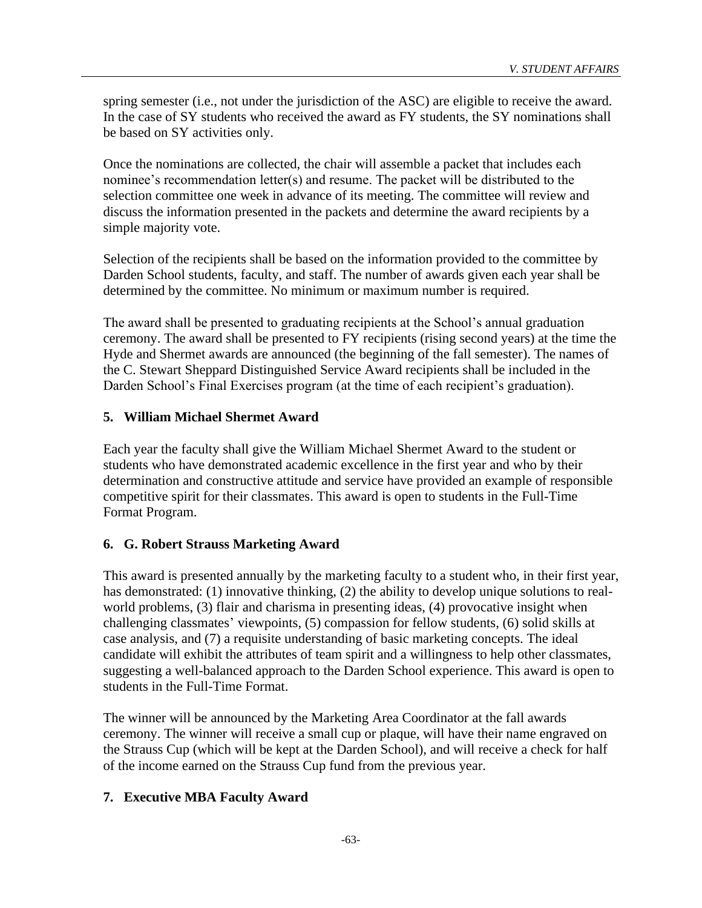spring semester (i.e., not under the jurisdiction of the ASC) are eligible to receive the award. In the case of SY students who received the award as FY students, the SY nominations shall be based on SY activities only.

Once the nominations are collected, the chair will assemble a packet that includes each nominee's recommendation letter(s) and resume. The packet will be distributed to the selection committee one week in advance of its meeting. The committee will review and discuss the information presented in the packets and determine the award recipients by a simple majority vote.

Selection of the recipients shall be based on the information provided to the committee by Darden School students, faculty, and staff. The number of awards given each year shall be determined by the committee. No minimum or maximum number is required.

The award shall be presented to graduating recipients at the School's annual graduation ceremony. The award shall be presented to FY recipients (rising second years) at the time the Hyde and Shermet awards are announced (the beginning of the fall semester). The names of the C. Stewart Sheppard Distinguished Service Award recipients shall be included in the Darden School's Final Exercises program (at the time of each recipient's graduation).

# **5. William Michael Shermet Award**

Each year the faculty shall give the William Michael Shermet Award to the student or students who have demonstrated academic excellence in the first year and who by their determination and constructive attitude and service have provided an example of responsible competitive spirit for their classmates. This award is open to students in the Full-Time Format Program.

# **6. G. Robert Strauss Marketing Award**

This award is presented annually by the marketing faculty to a student who, in their first year, has demonstrated: (1) innovative thinking, (2) the ability to develop unique solutions to realworld problems, (3) flair and charisma in presenting ideas, (4) provocative insight when challenging classmates' viewpoints, (5) compassion for fellow students, (6) solid skills at case analysis, and (7) a requisite understanding of basic marketing concepts. The ideal candidate will exhibit the attributes of team spirit and a willingness to help other classmates, suggesting a well-balanced approach to the Darden School experience. This award is open to students in the Full-Time Format.

The winner will be announced by the Marketing Area Coordinator at the fall awards ceremony. The winner will receive a small cup or plaque, will have their name engraved on the Strauss Cup (which will be kept at the Darden School), and will receive a check for half of the income earned on the Strauss Cup fund from the previous year.

# **7. Executive MBA Faculty Award**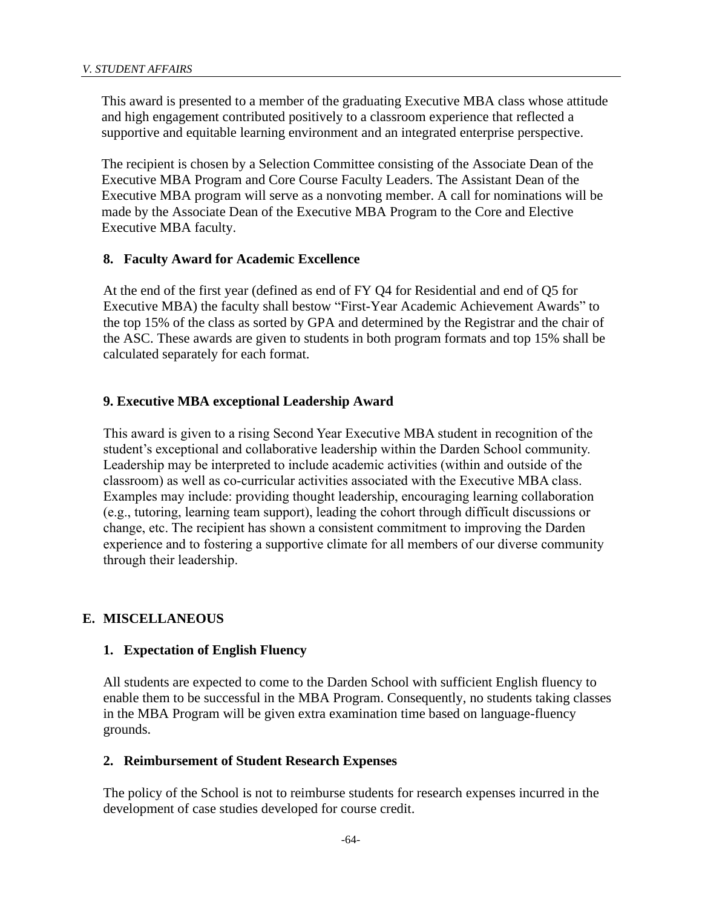This award is presented to a member of the graduating Executive MBA class whose attitude and high engagement contributed positively to a classroom experience that reflected a supportive and equitable learning environment and an integrated enterprise perspective.

The recipient is chosen by a Selection Committee consisting of the Associate Dean of the Executive MBA Program and Core Course Faculty Leaders. The Assistant Dean of the Executive MBA program will serve as a nonvoting member. A call for nominations will be made by the Associate Dean of the Executive MBA Program to the Core and Elective Executive MBA faculty.

### **8. Faculty Award for Academic Excellence**

At the end of the first year (defined as end of FY Q4 for Residential and end of Q5 for Executive MBA) the faculty shall bestow "First-Year Academic Achievement Awards" to the top 15% of the class as sorted by GPA and determined by the Registrar and the chair of the ASC. These awards are given to students in both program formats and top 15% shall be calculated separately for each format.

### **9. Executive MBA exceptional Leadership Award**

This award is given to a rising Second Year Executive MBA student in recognition of the student's exceptional and collaborative leadership within the Darden School community. Leadership may be interpreted to include academic activities (within and outside of the classroom) as well as co-curricular activities associated with the Executive MBA class. Examples may include: providing thought leadership, encouraging learning collaboration (e.g., tutoring, learning team support), leading the cohort through difficult discussions or change, etc. The recipient has shown a consistent commitment to improving the Darden experience and to fostering a supportive climate for all members of our diverse community through their leadership.

### **E. MISCELLANEOUS**

### **1. Expectation of English Fluency**

All students are expected to come to the Darden School with sufficient English fluency to enable them to be successful in the MBA Program. Consequently, no students taking classes in the MBA Program will be given extra examination time based on language-fluency grounds.

### **2. Reimbursement of Student Research Expenses**

The policy of the School is not to reimburse students for research expenses incurred in the development of case studies developed for course credit.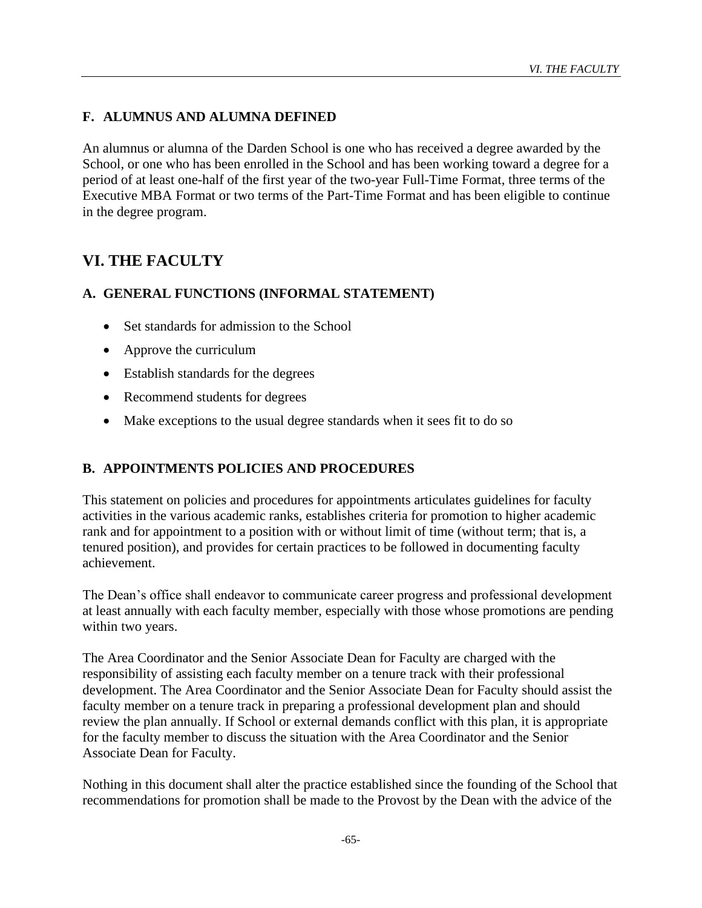# **F. ALUMNUS AND ALUMNA DEFINED**

An alumnus or alumna of the Darden School is one who has received a degree awarded by the School, or one who has been enrolled in the School and has been working toward a degree for a period of at least one-half of the first year of the two-year Full-Time Format, three terms of the Executive MBA Format or two terms of the Part-Time Format and has been eligible to continue in the degree program.

# **VI. THE FACULTY**

# **A. GENERAL FUNCTIONS (INFORMAL STATEMENT)**

- Set standards for admission to the School
- Approve the curriculum
- Establish standards for the degrees
- Recommend students for degrees
- Make exceptions to the usual degree standards when it sees fit to do so

# **B. APPOINTMENTS POLICIES AND PROCEDURES**

This statement on policies and procedures for appointments articulates guidelines for faculty activities in the various academic ranks, establishes criteria for promotion to higher academic rank and for appointment to a position with or without limit of time (without term; that is, a tenured position), and provides for certain practices to be followed in documenting faculty achievement.

The Dean's office shall endeavor to communicate career progress and professional development at least annually with each faculty member, especially with those whose promotions are pending within two years.

The Area Coordinator and the Senior Associate Dean for Faculty are charged with the responsibility of assisting each faculty member on a tenure track with their professional development. The Area Coordinator and the Senior Associate Dean for Faculty should assist the faculty member on a tenure track in preparing a professional development plan and should review the plan annually. If School or external demands conflict with this plan, it is appropriate for the faculty member to discuss the situation with the Area Coordinator and the Senior Associate Dean for Faculty.

Nothing in this document shall alter the practice established since the founding of the School that recommendations for promotion shall be made to the Provost by the Dean with the advice of the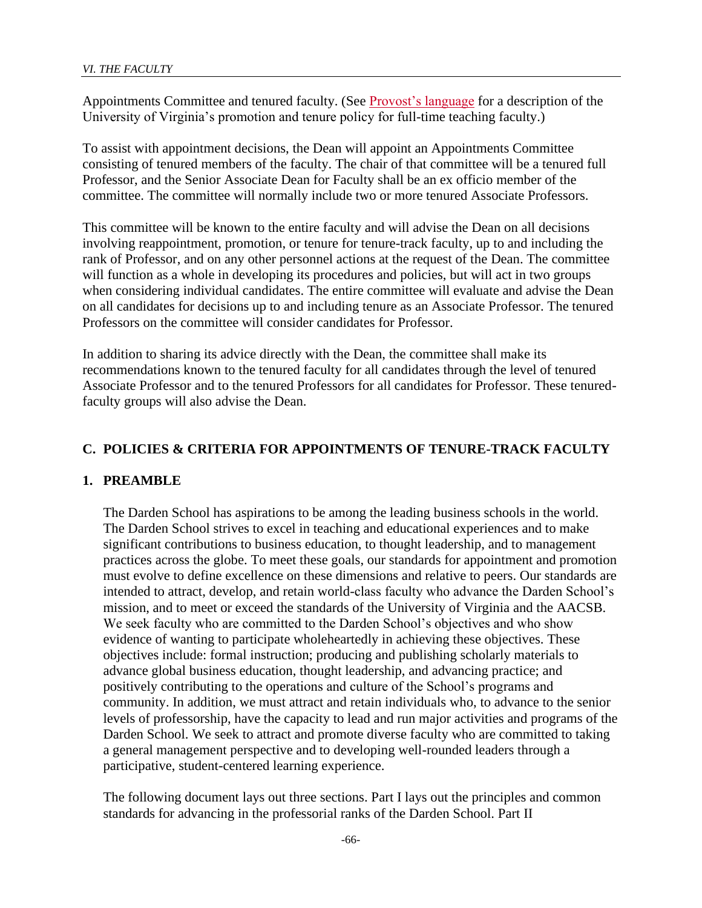Appointments Committee and tenured faculty. (See [Provost's language](http://uvapolicy.virginia.edu/policy/PROV-017) for a description of the University of Virginia's promotion and tenure policy for full-time teaching faculty.)

To assist with appointment decisions, the Dean will appoint an Appointments Committee consisting of tenured members of the faculty. The chair of that committee will be a tenured full Professor, and the Senior Associate Dean for Faculty shall be an ex officio member of the committee. The committee will normally include two or more tenured Associate Professors.

This committee will be known to the entire faculty and will advise the Dean on all decisions involving reappointment, promotion, or tenure for tenure-track faculty, up to and including the rank of Professor, and on any other personnel actions at the request of the Dean. The committee will function as a whole in developing its procedures and policies, but will act in two groups when considering individual candidates. The entire committee will evaluate and advise the Dean on all candidates for decisions up to and including tenure as an Associate Professor. The tenured Professors on the committee will consider candidates for Professor.

In addition to sharing its advice directly with the Dean, the committee shall make its recommendations known to the tenured faculty for all candidates through the level of tenured Associate Professor and to the tenured Professors for all candidates for Professor. These tenuredfaculty groups will also advise the Dean.

### **C. POLICIES & CRITERIA FOR APPOINTMENTS OF TENURE-TRACK FACULTY**

### **1. PREAMBLE**

The Darden School has aspirations to be among the leading business schools in the world. The Darden School strives to excel in teaching and educational experiences and to make significant contributions to business education, to thought leadership, and to management practices across the globe. To meet these goals, our standards for appointment and promotion must evolve to define excellence on these dimensions and relative to peers. Our standards are intended to attract, develop, and retain world-class faculty who advance the Darden School's mission, and to meet or exceed the standards of the University of Virginia and the AACSB. We seek faculty who are committed to the Darden School's objectives and who show evidence of wanting to participate wholeheartedly in achieving these objectives. These objectives include: formal instruction; producing and publishing scholarly materials to advance global business education, thought leadership, and advancing practice; and positively contributing to the operations and culture of the School's programs and community. In addition, we must attract and retain individuals who, to advance to the senior levels of professorship, have the capacity to lead and run major activities and programs of the Darden School. We seek to attract and promote diverse faculty who are committed to taking a general management perspective and to developing well-rounded leaders through a participative, student-centered learning experience.

The following document lays out three sections. Part I lays out the principles and common standards for advancing in the professorial ranks of the Darden School. Part II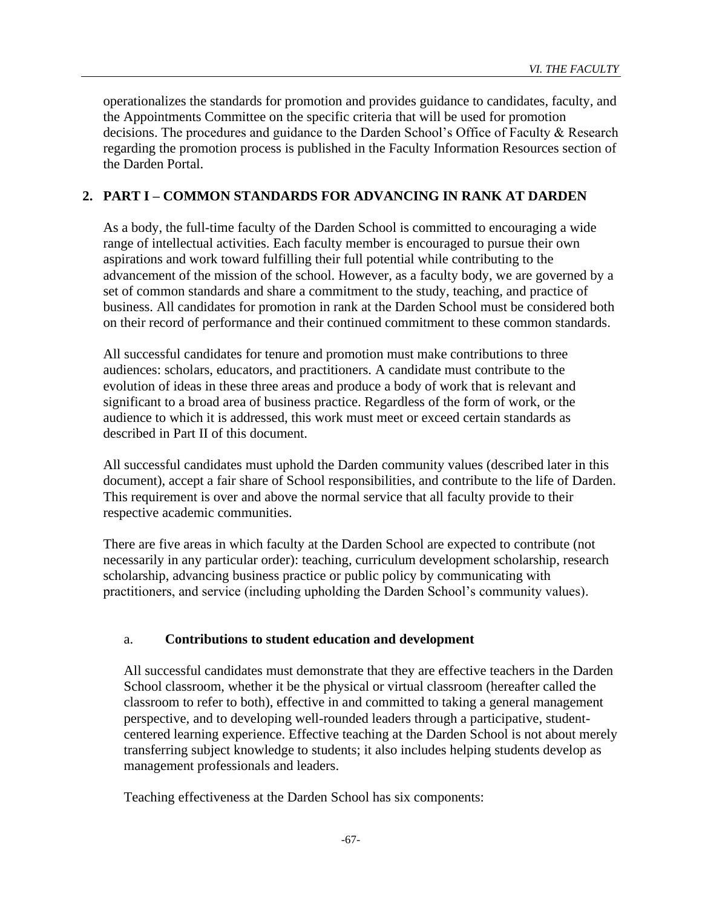operationalizes the standards for promotion and provides guidance to candidates, faculty, and the Appointments Committee on the specific criteria that will be used for promotion decisions. The procedures and guidance to the Darden School's Office of Faculty & Research regarding the promotion process is published in the Faculty Information Resources section of the Darden Portal.

### **2. PART I – COMMON STANDARDS FOR ADVANCING IN RANK AT DARDEN**

As a body, the full-time faculty of the Darden School is committed to encouraging a wide range of intellectual activities. Each faculty member is encouraged to pursue their own aspirations and work toward fulfilling their full potential while contributing to the advancement of the mission of the school. However, as a faculty body, we are governed by a set of common standards and share a commitment to the study, teaching, and practice of business. All candidates for promotion in rank at the Darden School must be considered both on their record of performance and their continued commitment to these common standards.

All successful candidates for tenure and promotion must make contributions to three audiences: scholars, educators, and practitioners. A candidate must contribute to the evolution of ideas in these three areas and produce a body of work that is relevant and significant to a broad area of business practice. Regardless of the form of work, or the audience to which it is addressed, this work must meet or exceed certain standards as described in Part II of this document.

All successful candidates must uphold the Darden community values (described later in this document), accept a fair share of School responsibilities, and contribute to the life of Darden. This requirement is over and above the normal service that all faculty provide to their respective academic communities.

There are five areas in which faculty at the Darden School are expected to contribute (not necessarily in any particular order): teaching, curriculum development scholarship, research scholarship, advancing business practice or public policy by communicating with practitioners, and service (including upholding the Darden School's community values).

# a. **Contributions to student education and development**

All successful candidates must demonstrate that they are effective teachers in the Darden School classroom, whether it be the physical or virtual classroom (hereafter called the classroom to refer to both), effective in and committed to taking a general management perspective, and to developing well-rounded leaders through a participative, studentcentered learning experience. Effective teaching at the Darden School is not about merely transferring subject knowledge to students; it also includes helping students develop as management professionals and leaders.

Teaching effectiveness at the Darden School has six components: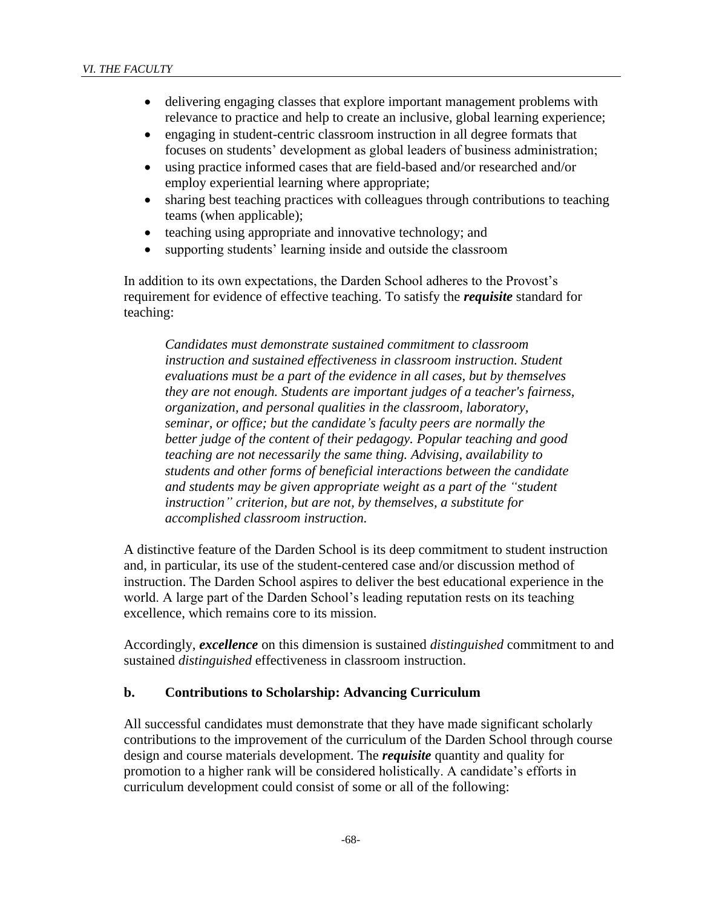- delivering engaging classes that explore important management problems with relevance to practice and help to create an inclusive, global learning experience;
- engaging in student-centric classroom instruction in all degree formats that focuses on students' development as global leaders of business administration;
- using practice informed cases that are field-based and/or researched and/or employ experiential learning where appropriate;
- sharing best teaching practices with colleagues through contributions to teaching teams (when applicable);
- teaching using appropriate and innovative technology; and
- supporting students' learning inside and outside the classroom

In addition to its own expectations, the Darden School adheres to the Provost's requirement for evidence of effective teaching. To satisfy the *requisite* standard for teaching:

*Candidates must demonstrate sustained commitment to classroom instruction and sustained effectiveness in classroom instruction. Student evaluations must be a part of the evidence in all cases, but by themselves they are not enough. Students are important judges of a teacher's fairness, organization, and personal qualities in the classroom, laboratory, seminar, or office; but the candidate's faculty peers are normally the better judge of the content of their pedagogy. Popular teaching and good teaching are not necessarily the same thing. Advising, availability to students and other forms of beneficial interactions between the candidate and students may be given appropriate weight as a part of the "student instruction" criterion, but are not, by themselves, a substitute for accomplished classroom instruction.*

A distinctive feature of the Darden School is its deep commitment to student instruction and, in particular, its use of the student-centered case and/or discussion method of instruction. The Darden School aspires to deliver the best educational experience in the world. A large part of the Darden School's leading reputation rests on its teaching excellence, which remains core to its mission.

Accordingly, *excellence* on this dimension is sustained *distinguished* commitment to and sustained *distinguished* effectiveness in classroom instruction.

#### **b. Contributions to Scholarship: Advancing Curriculum**

All successful candidates must demonstrate that they have made significant scholarly contributions to the improvement of the curriculum of the Darden School through course design and course materials development. The *requisite* quantity and quality for promotion to a higher rank will be considered holistically. A candidate's efforts in curriculum development could consist of some or all of the following: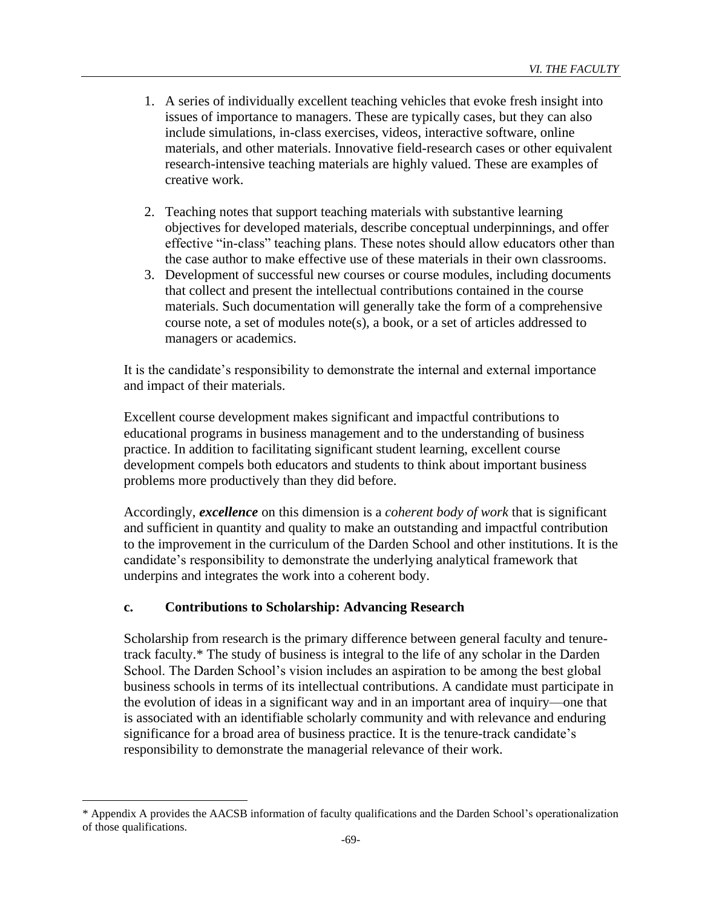- 1. A series of individually excellent teaching vehicles that evoke fresh insight into issues of importance to managers. These are typically cases, but they can also include simulations, in-class exercises, videos, interactive software, online materials, and other materials. Innovative field-research cases or other equivalent research-intensive teaching materials are highly valued. These are examples of creative work.
- 2. Teaching notes that support teaching materials with substantive learning objectives for developed materials, describe conceptual underpinnings, and offer effective "in-class" teaching plans. These notes should allow educators other than the case author to make effective use of these materials in their own classrooms.
- 3. Development of successful new courses or course modules, including documents that collect and present the intellectual contributions contained in the course materials. Such documentation will generally take the form of a comprehensive course note, a set of modules note(s), a book, or a set of articles addressed to managers or academics.

It is the candidate's responsibility to demonstrate the internal and external importance and impact of their materials.

Excellent course development makes significant and impactful contributions to educational programs in business management and to the understanding of business practice. In addition to facilitating significant student learning, excellent course development compels both educators and students to think about important business problems more productively than they did before.

Accordingly, *excellence* on this dimension is a *coherent body of work* that is significant and sufficient in quantity and quality to make an outstanding and impactful contribution to the improvement in the curriculum of the Darden School and other institutions. It is the candidate's responsibility to demonstrate the underlying analytical framework that underpins and integrates the work into a coherent body.

### **c. Contributions to Scholarship: Advancing Research**

Scholarship from research is the primary difference between general faculty and tenuretrack faculty.\* The study of business is integral to the life of any scholar in the Darden School. The Darden School's vision includes an aspiration to be among the best global business schools in terms of its intellectual contributions. A candidate must participate in the evolution of ideas in a significant way and in an important area of inquiry—one that is associated with an identifiable scholarly community and with relevance and enduring significance for a broad area of business practice. It is the tenure-track candidate's responsibility to demonstrate the managerial relevance of their work.

<sup>\*</sup> Appendix A provides the AACSB information of faculty qualifications and the Darden School's operationalization of those qualifications.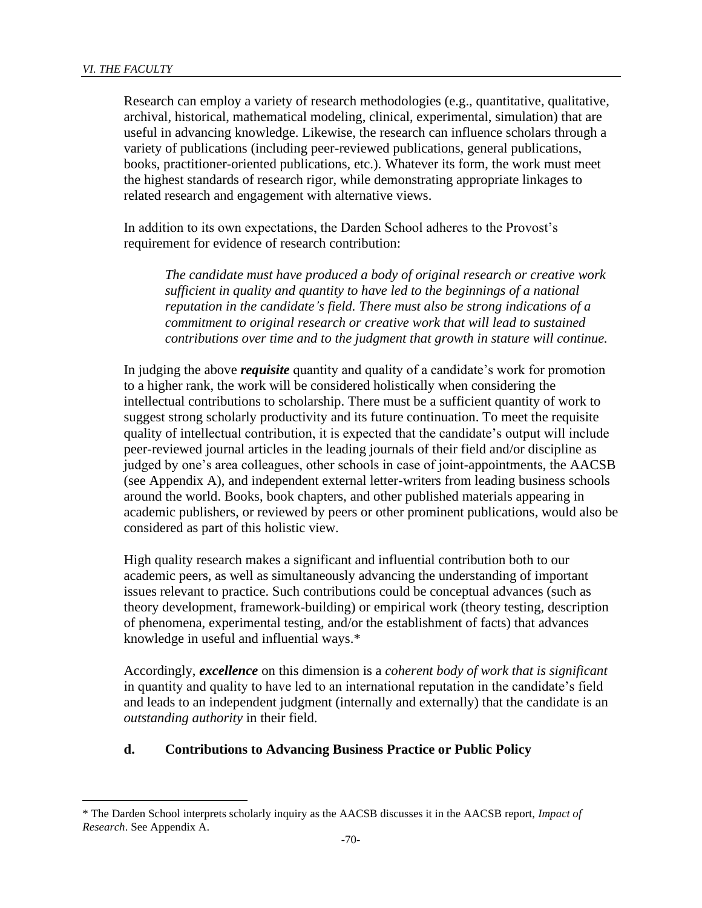Research can employ a variety of research methodologies (e.g., quantitative, qualitative, archival, historical, mathematical modeling, clinical, experimental, simulation) that are useful in advancing knowledge. Likewise, the research can influence scholars through a variety of publications (including peer-reviewed publications, general publications, books, practitioner-oriented publications, etc.). Whatever its form, the work must meet the highest standards of research rigor, while demonstrating appropriate linkages to related research and engagement with alternative views.

In addition to its own expectations, the Darden School adheres to the Provost's requirement for evidence of research contribution:

*The candidate must have produced a body of original research or creative work sufficient in quality and quantity to have led to the beginnings of a national reputation in the candidate's field. There must also be strong indications of a commitment to original research or creative work that will lead to sustained contributions over time and to the judgment that growth in stature will continue.*

In judging the above *requisite* quantity and quality of a candidate's work for promotion to a higher rank, the work will be considered holistically when considering the intellectual contributions to scholarship. There must be a sufficient quantity of work to suggest strong scholarly productivity and its future continuation. To meet the requisite quality of intellectual contribution, it is expected that the candidate's output will include peer-reviewed journal articles in the leading journals of their field and/or discipline as judged by one's area colleagues, other schools in case of joint-appointments, the AACSB (see Appendix A), and independent external letter-writers from leading business schools around the world. Books, book chapters, and other published materials appearing in academic publishers, or reviewed by peers or other prominent publications, would also be considered as part of this holistic view.

High quality research makes a significant and influential contribution both to our academic peers, as well as simultaneously advancing the understanding of important issues relevant to practice. Such contributions could be conceptual advances (such as theory development, framework-building) or empirical work (theory testing, description of phenomena, experimental testing, and/or the establishment of facts) that advances knowledge in useful and influential ways.\*

Accordingly, *excellence* on this dimension is a *coherent body of work that is significant*  in quantity and quality to have led to an international reputation in the candidate's field and leads to an independent judgment (internally and externally) that the candidate is an *outstanding authority* in their field.

### **d. Contributions to Advancing Business Practice or Public Policy**

<sup>\*</sup> The Darden School interprets scholarly inquiry as the AACSB discusses it in the AACSB report, *Impact of Research*. See Appendix A.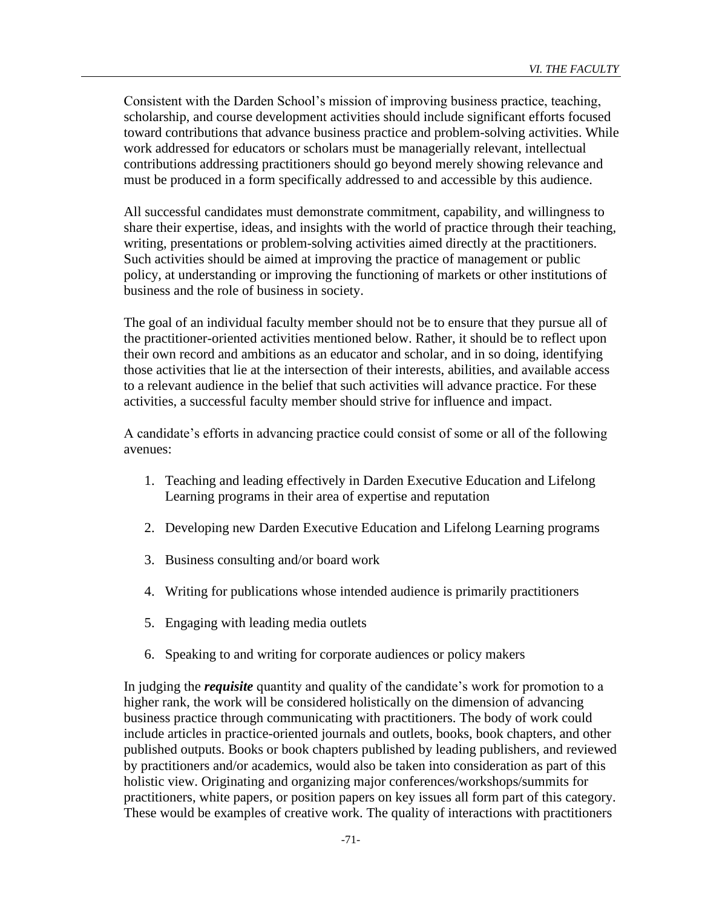Consistent with the Darden School's mission of improving business practice, teaching, scholarship, and course development activities should include significant efforts focused toward contributions that advance business practice and problem-solving activities. While work addressed for educators or scholars must be managerially relevant, intellectual contributions addressing practitioners should go beyond merely showing relevance and must be produced in a form specifically addressed to and accessible by this audience.

All successful candidates must demonstrate commitment, capability, and willingness to share their expertise, ideas, and insights with the world of practice through their teaching, writing, presentations or problem-solving activities aimed directly at the practitioners. Such activities should be aimed at improving the practice of management or public policy, at understanding or improving the functioning of markets or other institutions of business and the role of business in society.

The goal of an individual faculty member should not be to ensure that they pursue all of the practitioner-oriented activities mentioned below. Rather, it should be to reflect upon their own record and ambitions as an educator and scholar, and in so doing, identifying those activities that lie at the intersection of their interests, abilities, and available access to a relevant audience in the belief that such activities will advance practice. For these activities, a successful faculty member should strive for influence and impact.

A candidate's efforts in advancing practice could consist of some or all of the following avenues:

- 1. Teaching and leading effectively in Darden Executive Education and Lifelong Learning programs in their area of expertise and reputation
- 2. Developing new Darden Executive Education and Lifelong Learning programs
- 3. Business consulting and/or board work
- 4. Writing for publications whose intended audience is primarily practitioners
- 5. Engaging with leading media outlets
- 6. Speaking to and writing for corporate audiences or policy makers

In judging the *requisite* quantity and quality of the candidate's work for promotion to a higher rank, the work will be considered holistically on the dimension of advancing business practice through communicating with practitioners. The body of work could include articles in practice-oriented journals and outlets, books, book chapters, and other published outputs. Books or book chapters published by leading publishers, and reviewed by practitioners and/or academics, would also be taken into consideration as part of this holistic view. Originating and organizing major conferences/workshops/summits for practitioners, white papers, or position papers on key issues all form part of this category. These would be examples of creative work. The quality of interactions with practitioners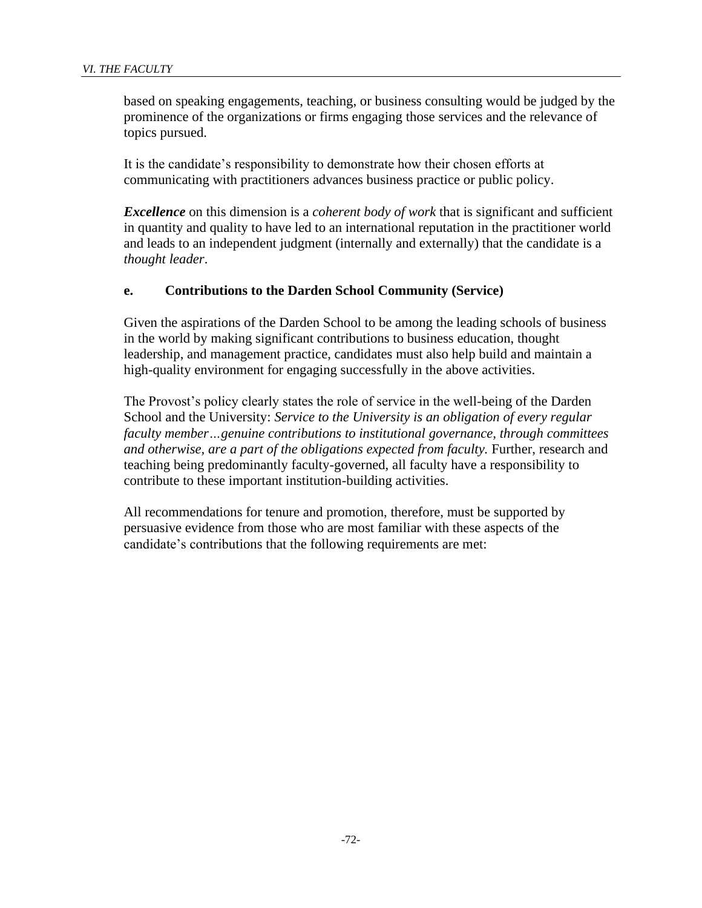based on speaking engagements, teaching, or business consulting would be judged by the prominence of the organizations or firms engaging those services and the relevance of topics pursued.

It is the candidate's responsibility to demonstrate how their chosen efforts at communicating with practitioners advances business practice or public policy.

*Excellence* on this dimension is a *coherent body of work* that is significant and sufficient in quantity and quality to have led to an international reputation in the practitioner world and leads to an independent judgment (internally and externally) that the candidate is a *thought leader*.

### **e. Contributions to the Darden School Community (Service)**

Given the aspirations of the Darden School to be among the leading schools of business in the world by making significant contributions to business education, thought leadership, and management practice, candidates must also help build and maintain a high-quality environment for engaging successfully in the above activities.

The Provost's policy clearly states the role of service in the well-being of the Darden School and the University: *Service to the University is an obligation of every regular faculty member…genuine contributions to institutional governance, through committees and otherwise, are a part of the obligations expected from faculty.* Further, research and teaching being predominantly faculty-governed, all faculty have a responsibility to contribute to these important institution-building activities.

All recommendations for tenure and promotion, therefore, must be supported by persuasive evidence from those who are most familiar with these aspects of the candidate's contributions that the following requirements are met: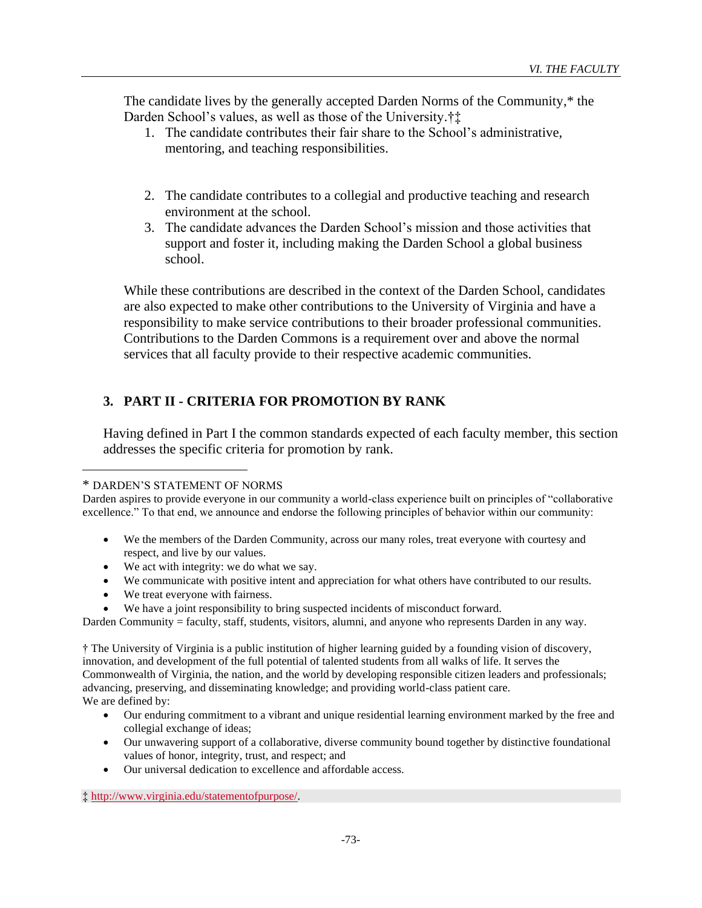The candidate lives by the generally accepted Darden Norms of the Community,\* the Darden School's values, as well as those of the University.†‡

- 1. The candidate contributes their fair share to the School's administrative, mentoring, and teaching responsibilities.
- 2. The candidate contributes to a collegial and productive teaching and research environment at the school.
- 3. The candidate advances the Darden School's mission and those activities that support and foster it, including making the Darden School a global business school.

While these contributions are described in the context of the Darden School, candidates are also expected to make other contributions to the University of Virginia and have a responsibility to make service contributions to their broader professional communities. Contributions to the Darden Commons is a requirement over and above the normal services that all faculty provide to their respective academic communities.

# **3. PART II - CRITERIA FOR PROMOTION BY RANK**

Having defined in Part I the common standards expected of each faculty member, this section addresses the specific criteria for promotion by rank.

Darden aspires to provide everyone in our community a world-class experience built on principles of "collaborative excellence." To that end, we announce and endorse the following principles of behavior within our community:

- We the members of the Darden Community, across our many roles, treat everyone with courtesy and respect, and live by our values.
- We act with integrity: we do what we say.
- We communicate with positive intent and appreciation for what others have contributed to our results.
- We treat everyone with fairness.
- We have a joint responsibility to bring suspected incidents of misconduct forward.

Darden Community = faculty, staff, students, visitors, alumni, and anyone who represents Darden in any way.

† The University of Virginia is a public institution of higher learning guided by a founding vision of discovery, innovation, and development of the full potential of talented students from all walks of life. It serves the Commonwealth of Virginia, the nation, and the world by developing responsible citizen leaders and professionals; advancing, preserving, and disseminating knowledge; and providing world-class patient care. We are defined by:

- Our enduring commitment to a vibrant and unique residential learning environment marked by the free and collegial exchange of ideas;
- Our unwavering support of a collaborative, diverse community bound together by distinctive foundational values of honor, integrity, trust, and respect; and
- Our universal dedication to excellence and affordable access.

‡ [http://www.virginia.edu/statementofpurpose/.](http://www.virginia.edu/statementofpurpose/)

<sup>\*</sup> DARDEN'S STATEMENT OF NORMS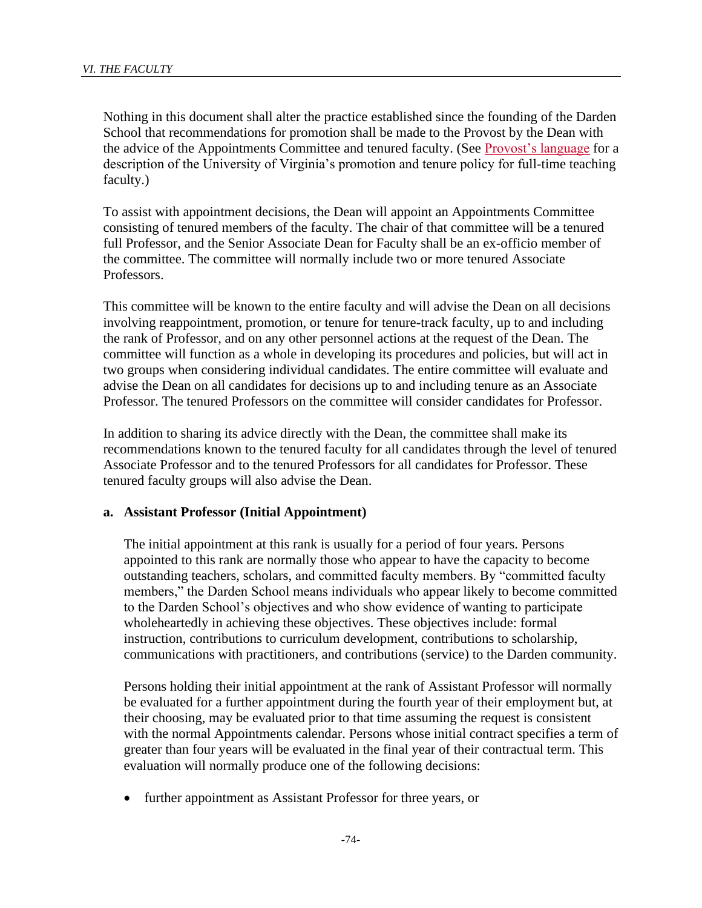Nothing in this document shall alter the practice established since the founding of the Darden School that recommendations for promotion shall be made to the Provost by the Dean with the advice of the Appointments Committee and tenured faculty. (See [Provost's language](https://uvapolicy.virginia.edu/policy/PROV-017) for a description of the University of Virginia's promotion and tenure policy for full-time teaching faculty.)

To assist with appointment decisions, the Dean will appoint an Appointments Committee consisting of tenured members of the faculty. The chair of that committee will be a tenured full Professor, and the Senior Associate Dean for Faculty shall be an ex-officio member of the committee. The committee will normally include two or more tenured Associate Professors.

This committee will be known to the entire faculty and will advise the Dean on all decisions involving reappointment, promotion, or tenure for tenure-track faculty, up to and including the rank of Professor, and on any other personnel actions at the request of the Dean. The committee will function as a whole in developing its procedures and policies, but will act in two groups when considering individual candidates. The entire committee will evaluate and advise the Dean on all candidates for decisions up to and including tenure as an Associate Professor. The tenured Professors on the committee will consider candidates for Professor.

In addition to sharing its advice directly with the Dean, the committee shall make its recommendations known to the tenured faculty for all candidates through the level of tenured Associate Professor and to the tenured Professors for all candidates for Professor. These tenured faculty groups will also advise the Dean.

#### **a. Assistant Professor (Initial Appointment)**

The initial appointment at this rank is usually for a period of four years. Persons appointed to this rank are normally those who appear to have the capacity to become outstanding teachers, scholars, and committed faculty members. By "committed faculty members," the Darden School means individuals who appear likely to become committed to the Darden School's objectives and who show evidence of wanting to participate wholeheartedly in achieving these objectives. These objectives include: formal instruction, contributions to curriculum development, contributions to scholarship, communications with practitioners, and contributions (service) to the Darden community.

Persons holding their initial appointment at the rank of Assistant Professor will normally be evaluated for a further appointment during the fourth year of their employment but, at their choosing, may be evaluated prior to that time assuming the request is consistent with the normal Appointments calendar. Persons whose initial contract specifies a term of greater than four years will be evaluated in the final year of their contractual term. This evaluation will normally produce one of the following decisions:

• further appointment as Assistant Professor for three years, or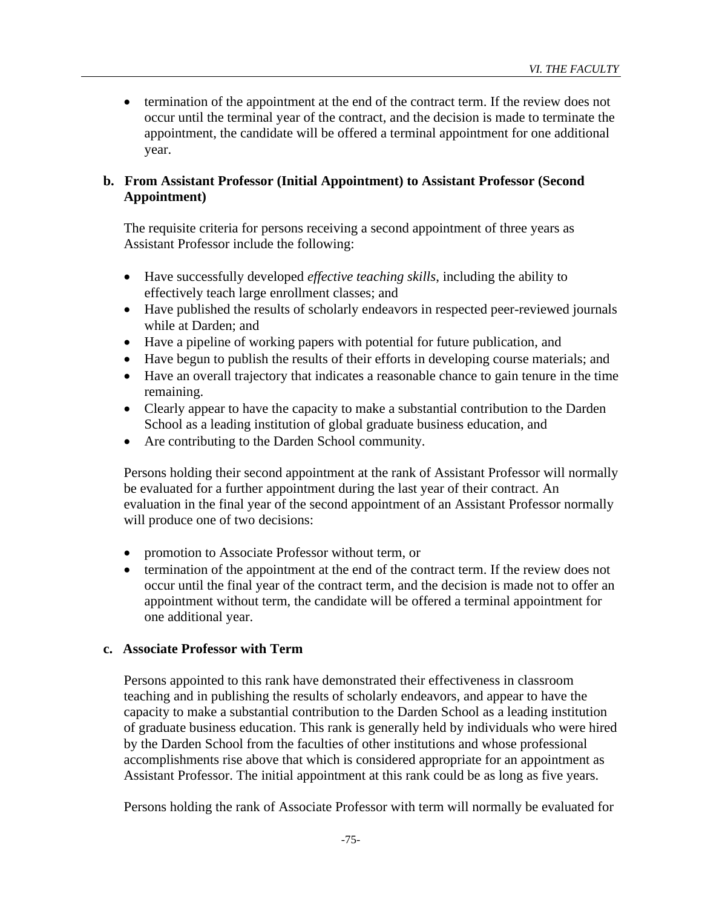• termination of the appointment at the end of the contract term. If the review does not occur until the terminal year of the contract, and the decision is made to terminate the appointment, the candidate will be offered a terminal appointment for one additional year.

## **b. From Assistant Professor (Initial Appointment) to Assistant Professor (Second Appointment)**

The requisite criteria for persons receiving a second appointment of three years as Assistant Professor include the following:

- Have successfully developed *effective teaching skills*, including the ability to effectively teach large enrollment classes; and
- Have published the results of scholarly endeavors in respected peer-reviewed journals while at Darden; and
- Have a pipeline of working papers with potential for future publication, and
- Have begun to publish the results of their efforts in developing course materials; and
- Have an overall trajectory that indicates a reasonable chance to gain tenure in the time remaining.
- Clearly appear to have the capacity to make a substantial contribution to the Darden School as a leading institution of global graduate business education, and
- Are contributing to the Darden School community.

Persons holding their second appointment at the rank of Assistant Professor will normally be evaluated for a further appointment during the last year of their contract. An evaluation in the final year of the second appointment of an Assistant Professor normally will produce one of two decisions:

- promotion to Associate Professor without term, or
- termination of the appointment at the end of the contract term. If the review does not occur until the final year of the contract term, and the decision is made not to offer an appointment without term, the candidate will be offered a terminal appointment for one additional year.

### **c. Associate Professor with Term**

Persons appointed to this rank have demonstrated their effectiveness in classroom teaching and in publishing the results of scholarly endeavors, and appear to have the capacity to make a substantial contribution to the Darden School as a leading institution of graduate business education. This rank is generally held by individuals who were hired by the Darden School from the faculties of other institutions and whose professional accomplishments rise above that which is considered appropriate for an appointment as Assistant Professor. The initial appointment at this rank could be as long as five years.

Persons holding the rank of Associate Professor with term will normally be evaluated for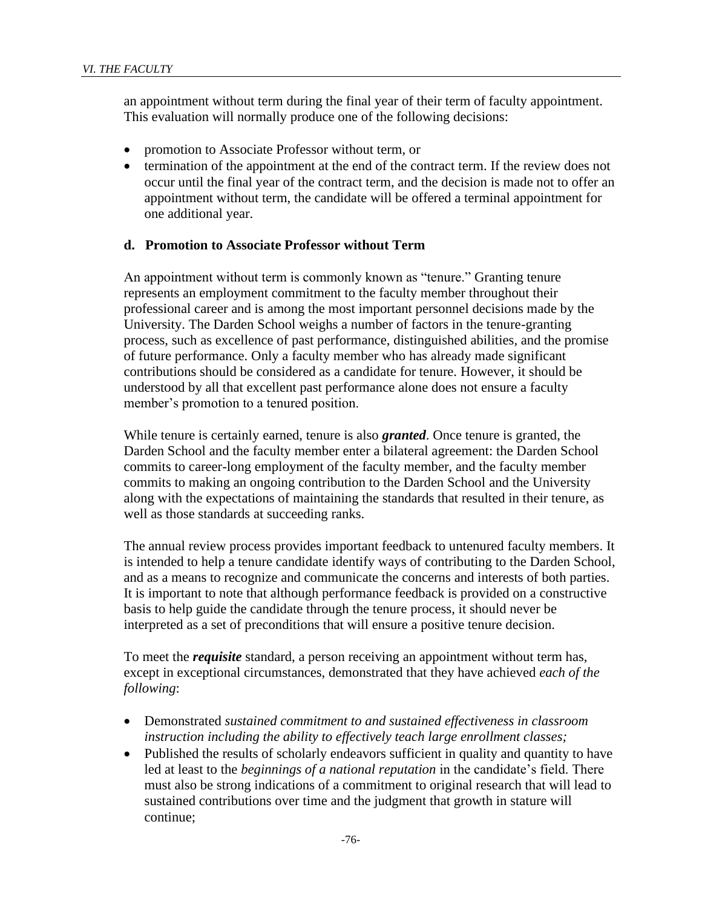an appointment without term during the final year of their term of faculty appointment. This evaluation will normally produce one of the following decisions:

- promotion to Associate Professor without term, or
- termination of the appointment at the end of the contract term. If the review does not occur until the final year of the contract term, and the decision is made not to offer an appointment without term, the candidate will be offered a terminal appointment for one additional year.

#### **d. Promotion to Associate Professor without Term**

An appointment without term is commonly known as "tenure." Granting tenure represents an employment commitment to the faculty member throughout their professional career and is among the most important personnel decisions made by the University. The Darden School weighs a number of factors in the tenure-granting process, such as excellence of past performance, distinguished abilities, and the promise of future performance. Only a faculty member who has already made significant contributions should be considered as a candidate for tenure. However, it should be understood by all that excellent past performance alone does not ensure a faculty member's promotion to a tenured position.

While tenure is certainly earned, tenure is also *granted*. Once tenure is granted, the Darden School and the faculty member enter a bilateral agreement: the Darden School commits to career-long employment of the faculty member, and the faculty member commits to making an ongoing contribution to the Darden School and the University along with the expectations of maintaining the standards that resulted in their tenure, as well as those standards at succeeding ranks.

The annual review process provides important feedback to untenured faculty members. It is intended to help a tenure candidate identify ways of contributing to the Darden School, and as a means to recognize and communicate the concerns and interests of both parties. It is important to note that although performance feedback is provided on a constructive basis to help guide the candidate through the tenure process, it should never be interpreted as a set of preconditions that will ensure a positive tenure decision.

To meet the *requisite* standard, a person receiving an appointment without term has, except in exceptional circumstances, demonstrated that they have achieved *each of the following*:

- Demonstrated *sustained commitment to and sustained effectiveness in classroom instruction including the ability to effectively teach large enrollment classes;*
- Published the results of scholarly endeavors sufficient in quality and quantity to have led at least to the *beginnings of a national reputation* in the candidate's field. There must also be strong indications of a commitment to original research that will lead to sustained contributions over time and the judgment that growth in stature will continue;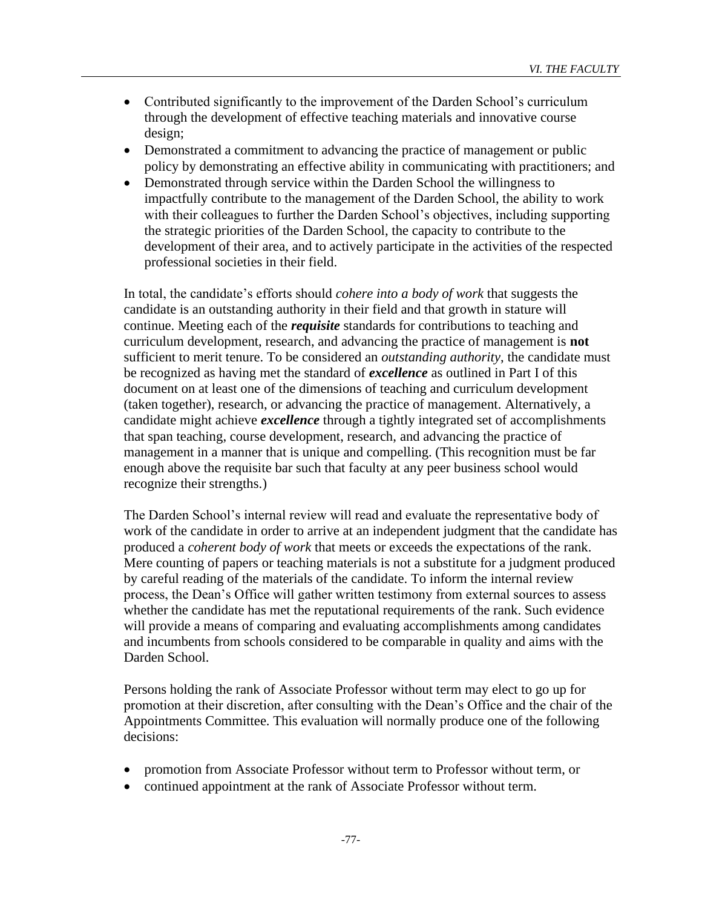- Contributed significantly to the improvement of the Darden School's curriculum through the development of effective teaching materials and innovative course design;
- Demonstrated a commitment to advancing the practice of management or public policy by demonstrating an effective ability in communicating with practitioners; and
- Demonstrated through service within the Darden School the willingness to impactfully contribute to the management of the Darden School, the ability to work with their colleagues to further the Darden School's objectives, including supporting the strategic priorities of the Darden School, the capacity to contribute to the development of their area, and to actively participate in the activities of the respected professional societies in their field.

In total, the candidate's efforts should *cohere into a body of work* that suggests the candidate is an outstanding authority in their field and that growth in stature will continue. Meeting each of the *requisite* standards for contributions to teaching and curriculum development, research, and advancing the practice of management is **not** sufficient to merit tenure. To be considered an *outstanding authority*, the candidate must be recognized as having met the standard of *excellence* as outlined in Part I of this document on at least one of the dimensions of teaching and curriculum development (taken together), research, or advancing the practice of management. Alternatively, a candidate might achieve *excellence* through a tightly integrated set of accomplishments that span teaching, course development, research, and advancing the practice of management in a manner that is unique and compelling. (This recognition must be far enough above the requisite bar such that faculty at any peer business school would recognize their strengths.)

The Darden School's internal review will read and evaluate the representative body of work of the candidate in order to arrive at an independent judgment that the candidate has produced a *coherent body of work* that meets or exceeds the expectations of the rank. Mere counting of papers or teaching materials is not a substitute for a judgment produced by careful reading of the materials of the candidate. To inform the internal review process, the Dean's Office will gather written testimony from external sources to assess whether the candidate has met the reputational requirements of the rank. Such evidence will provide a means of comparing and evaluating accomplishments among candidates and incumbents from schools considered to be comparable in quality and aims with the Darden School.

Persons holding the rank of Associate Professor without term may elect to go up for promotion at their discretion, after consulting with the Dean's Office and the chair of the Appointments Committee. This evaluation will normally produce one of the following decisions:

- promotion from Associate Professor without term to Professor without term, or
- continued appointment at the rank of Associate Professor without term.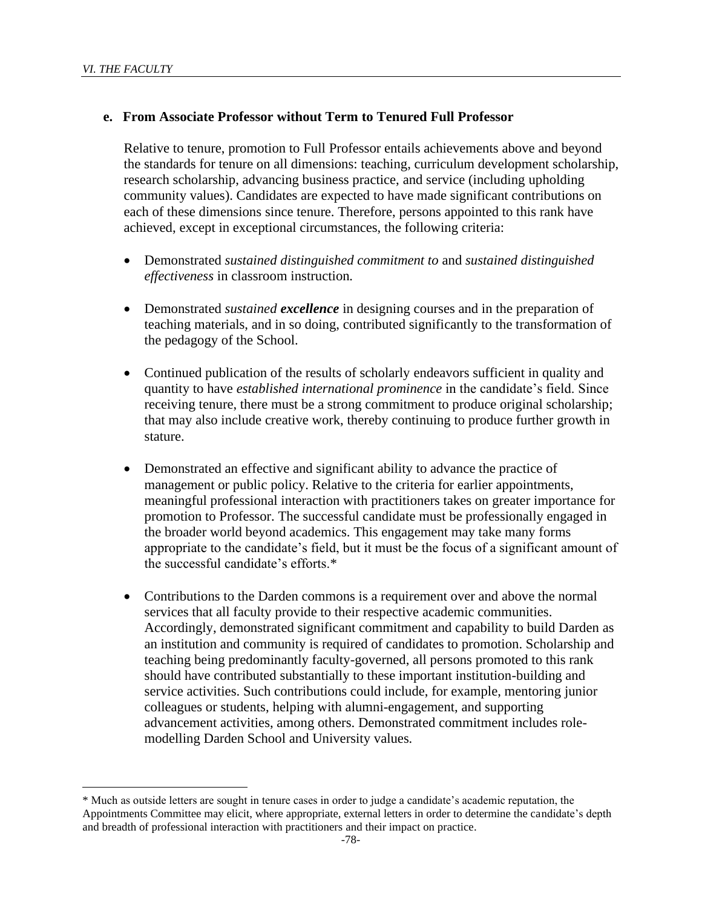#### **e. From Associate Professor without Term to Tenured Full Professor**

Relative to tenure, promotion to Full Professor entails achievements above and beyond the standards for tenure on all dimensions: teaching, curriculum development scholarship, research scholarship, advancing business practice, and service (including upholding community values). Candidates are expected to have made significant contributions on each of these dimensions since tenure. Therefore, persons appointed to this rank have achieved, except in exceptional circumstances, the following criteria:

- Demonstrated *sustained distinguished commitment to* and *sustained distinguished effectiveness* in classroom instruction*.*
- Demonstrated *sustained excellence* in designing courses and in the preparation of teaching materials, and in so doing, contributed significantly to the transformation of the pedagogy of the School.
- Continued publication of the results of scholarly endeavors sufficient in quality and quantity to have *established international prominence* in the candidate's field. Since receiving tenure, there must be a strong commitment to produce original scholarship; that may also include creative work, thereby continuing to produce further growth in stature.
- Demonstrated an effective and significant ability to advance the practice of management or public policy. Relative to the criteria for earlier appointments, meaningful professional interaction with practitioners takes on greater importance for promotion to Professor. The successful candidate must be professionally engaged in the broader world beyond academics. This engagement may take many forms appropriate to the candidate's field, but it must be the focus of a significant amount of the successful candidate's efforts.\*
- Contributions to the Darden commons is a requirement over and above the normal services that all faculty provide to their respective academic communities. Accordingly, demonstrated significant commitment and capability to build Darden as an institution and community is required of candidates to promotion. Scholarship and teaching being predominantly faculty-governed, all persons promoted to this rank should have contributed substantially to these important institution-building and service activities. Such contributions could include, for example, mentoring junior colleagues or students, helping with alumni-engagement, and supporting advancement activities, among others. Demonstrated commitment includes rolemodelling Darden School and University values*.*

<sup>\*</sup> Much as outside letters are sought in tenure cases in order to judge a candidate's academic reputation, the Appointments Committee may elicit, where appropriate, external letters in order to determine the candidate's depth and breadth of professional interaction with practitioners and their impact on practice.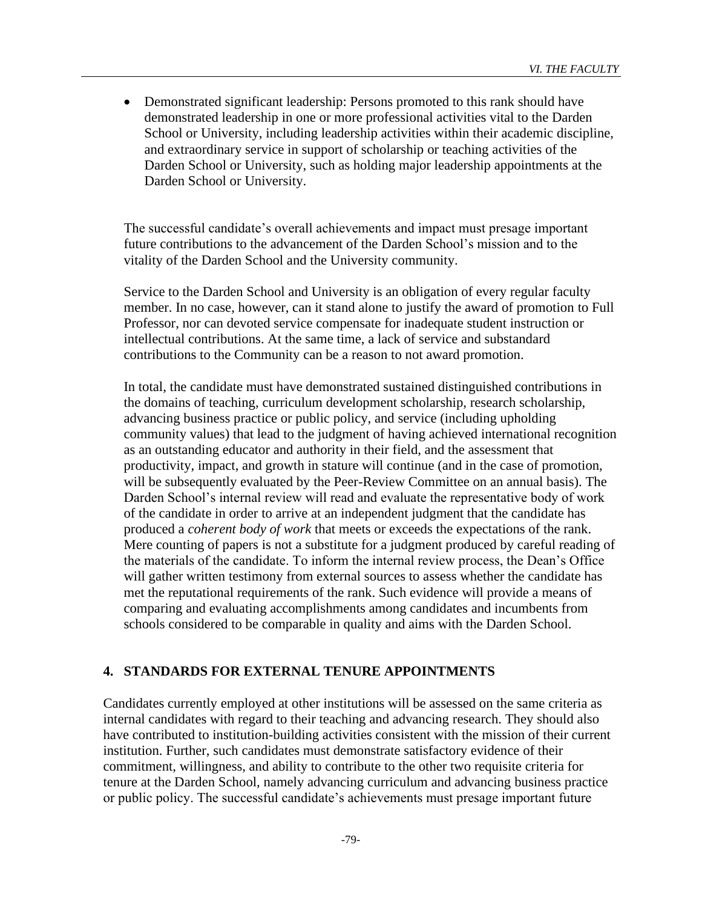• Demonstrated significant leadership: Persons promoted to this rank should have demonstrated leadership in one or more professional activities vital to the Darden School or University, including leadership activities within their academic discipline, and extraordinary service in support of scholarship or teaching activities of the Darden School or University, such as holding major leadership appointments at the Darden School or University.

The successful candidate's overall achievements and impact must presage important future contributions to the advancement of the Darden School's mission and to the vitality of the Darden School and the University community.

Service to the Darden School and University is an obligation of every regular faculty member. In no case, however, can it stand alone to justify the award of promotion to Full Professor, nor can devoted service compensate for inadequate student instruction or intellectual contributions. At the same time, a lack of service and substandard contributions to the Community can be a reason to not award promotion.

In total, the candidate must have demonstrated sustained distinguished contributions in the domains of teaching, curriculum development scholarship, research scholarship, advancing business practice or public policy, and service (including upholding community values) that lead to the judgment of having achieved international recognition as an outstanding educator and authority in their field, and the assessment that productivity, impact, and growth in stature will continue (and in the case of promotion, will be subsequently evaluated by the Peer-Review Committee on an annual basis). The Darden School's internal review will read and evaluate the representative body of work of the candidate in order to arrive at an independent judgment that the candidate has produced a *coherent body of work* that meets or exceeds the expectations of the rank. Mere counting of papers is not a substitute for a judgment produced by careful reading of the materials of the candidate. To inform the internal review process, the Dean's Office will gather written testimony from external sources to assess whether the candidate has met the reputational requirements of the rank. Such evidence will provide a means of comparing and evaluating accomplishments among candidates and incumbents from schools considered to be comparable in quality and aims with the Darden School.

### **4. STANDARDS FOR EXTERNAL TENURE APPOINTMENTS**

Candidates currently employed at other institutions will be assessed on the same criteria as internal candidates with regard to their teaching and advancing research. They should also have contributed to institution-building activities consistent with the mission of their current institution. Further, such candidates must demonstrate satisfactory evidence of their commitment, willingness, and ability to contribute to the other two requisite criteria for tenure at the Darden School, namely advancing curriculum and advancing business practice or public policy. The successful candidate's achievements must presage important future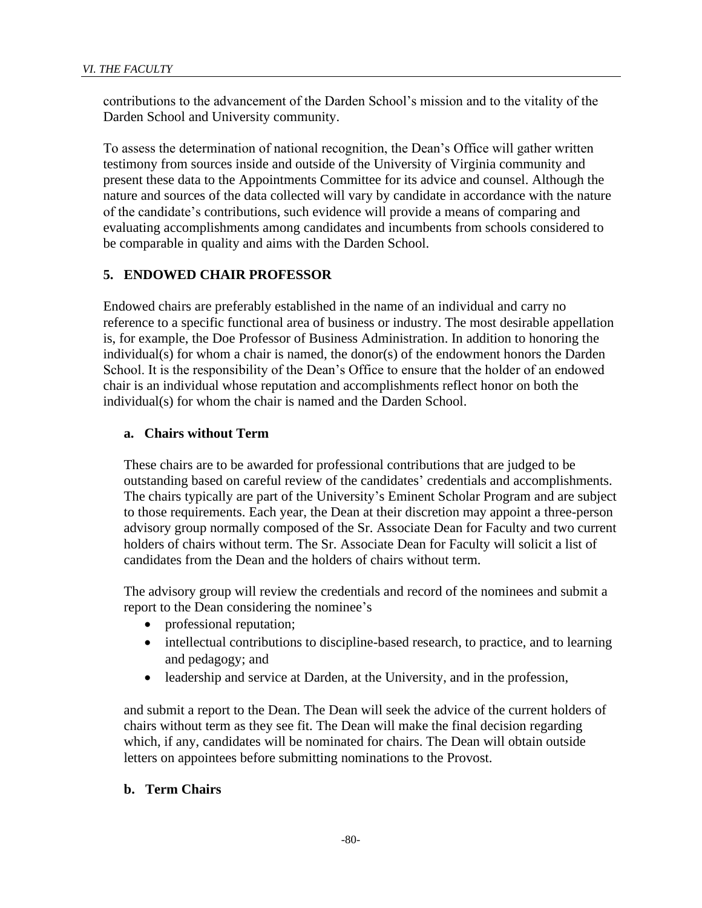contributions to the advancement of the Darden School's mission and to the vitality of the Darden School and University community.

To assess the determination of national recognition, the Dean's Office will gather written testimony from sources inside and outside of the University of Virginia community and present these data to the Appointments Committee for its advice and counsel. Although the nature and sources of the data collected will vary by candidate in accordance with the nature of the candidate's contributions, such evidence will provide a means of comparing and evaluating accomplishments among candidates and incumbents from schools considered to be comparable in quality and aims with the Darden School.

### **5. ENDOWED CHAIR PROFESSOR**

Endowed chairs are preferably established in the name of an individual and carry no reference to a specific functional area of business or industry. The most desirable appellation is, for example, the Doe Professor of Business Administration. In addition to honoring the individual(s) for whom a chair is named, the donor(s) of the endowment honors the Darden School. It is the responsibility of the Dean's Office to ensure that the holder of an endowed chair is an individual whose reputation and accomplishments reflect honor on both the individual(s) for whom the chair is named and the Darden School.

#### **a. Chairs without Term**

These chairs are to be awarded for professional contributions that are judged to be outstanding based on careful review of the candidates' credentials and accomplishments. The chairs typically are part of the University's Eminent Scholar Program and are subject to those requirements. Each year, the Dean at their discretion may appoint a three-person advisory group normally composed of the Sr. Associate Dean for Faculty and two current holders of chairs without term. The Sr. Associate Dean for Faculty will solicit a list of candidates from the Dean and the holders of chairs without term.

The advisory group will review the credentials and record of the nominees and submit a report to the Dean considering the nominee's

- professional reputation;
- intellectual contributions to discipline-based research, to practice, and to learning and pedagogy; and
- leadership and service at Darden, at the University, and in the profession,

and submit a report to the Dean. The Dean will seek the advice of the current holders of chairs without term as they see fit. The Dean will make the final decision regarding which, if any, candidates will be nominated for chairs. The Dean will obtain outside letters on appointees before submitting nominations to the Provost.

#### **b. Term Chairs**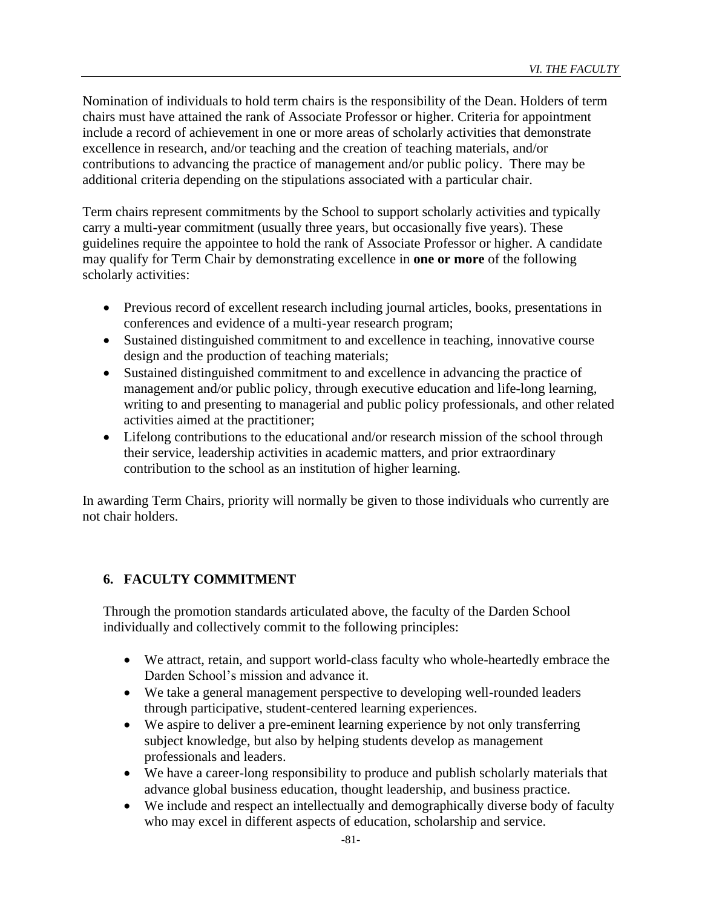Nomination of individuals to hold term chairs is the responsibility of the Dean. Holders of term chairs must have attained the rank of Associate Professor or higher. Criteria for appointment include a record of achievement in one or more areas of scholarly activities that demonstrate excellence in research, and/or teaching and the creation of teaching materials, and/or contributions to advancing the practice of management and/or public policy. There may be additional criteria depending on the stipulations associated with a particular chair.

Term chairs represent commitments by the School to support scholarly activities and typically carry a multi-year commitment (usually three years, but occasionally five years). These guidelines require the appointee to hold the rank of Associate Professor or higher. A candidate may qualify for Term Chair by demonstrating excellence in **one or more** of the following scholarly activities:

- Previous record of excellent research including journal articles, books, presentations in conferences and evidence of a multi-year research program;
- Sustained distinguished commitment to and excellence in teaching, innovative course design and the production of teaching materials;
- Sustained distinguished commitment to and excellence in advancing the practice of management and/or public policy, through executive education and life-long learning, writing to and presenting to managerial and public policy professionals, and other related activities aimed at the practitioner;
- Lifelong contributions to the educational and/or research mission of the school through their service, leadership activities in academic matters, and prior extraordinary contribution to the school as an institution of higher learning.

In awarding Term Chairs, priority will normally be given to those individuals who currently are not chair holders.

# **6. FACULTY COMMITMENT**

Through the promotion standards articulated above, the faculty of the Darden School individually and collectively commit to the following principles:

- We attract, retain, and support world-class faculty who whole-heartedly embrace the Darden School's mission and advance it.
- We take a general management perspective to developing well-rounded leaders through participative, student-centered learning experiences.
- We aspire to deliver a pre-eminent learning experience by not only transferring subject knowledge, but also by helping students develop as management professionals and leaders.
- We have a career-long responsibility to produce and publish scholarly materials that advance global business education, thought leadership, and business practice.
- We include and respect an intellectually and demographically diverse body of faculty who may excel in different aspects of education, scholarship and service.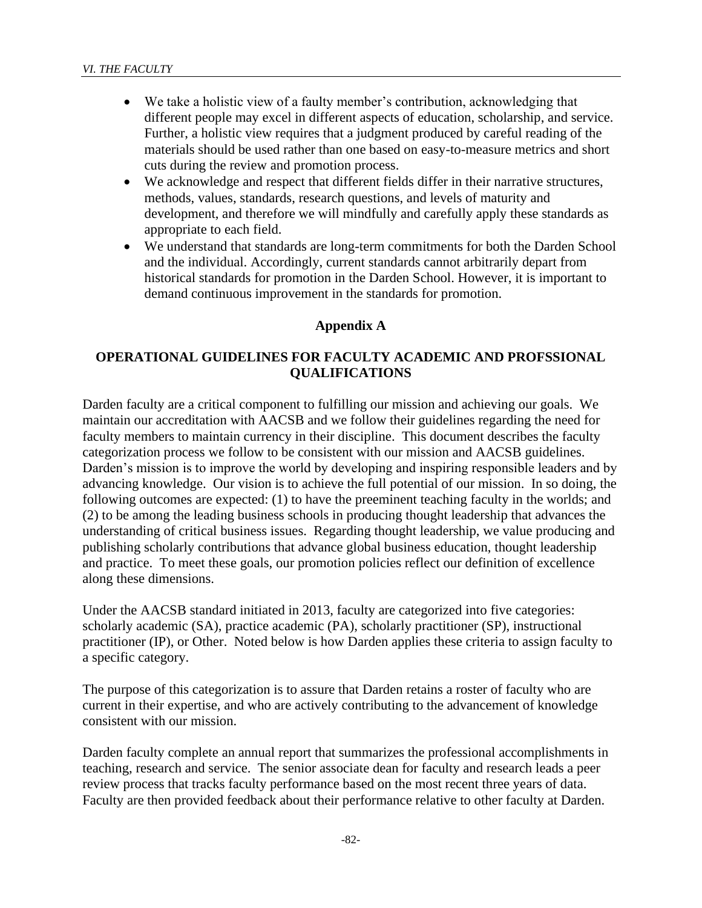- We take a holistic view of a faulty member's contribution, acknowledging that different people may excel in different aspects of education, scholarship, and service. Further, a holistic view requires that a judgment produced by careful reading of the materials should be used rather than one based on easy-to-measure metrics and short cuts during the review and promotion process.
- We acknowledge and respect that different fields differ in their narrative structures, methods, values, standards, research questions, and levels of maturity and development, and therefore we will mindfully and carefully apply these standards as appropriate to each field.
- We understand that standards are long-term commitments for both the Darden School and the individual. Accordingly, current standards cannot arbitrarily depart from historical standards for promotion in the Darden School. However, it is important to demand continuous improvement in the standards for promotion.

### **Appendix A**

## **OPERATIONAL GUIDELINES FOR FACULTY ACADEMIC AND PROFSSIONAL QUALIFICATIONS**

Darden faculty are a critical component to fulfilling our mission and achieving our goals. We maintain our accreditation with AACSB and we follow their guidelines regarding the need for faculty members to maintain currency in their discipline. This document describes the faculty categorization process we follow to be consistent with our mission and AACSB guidelines. Darden's mission is to improve the world by developing and inspiring responsible leaders and by advancing knowledge. Our vision is to achieve the full potential of our mission. In so doing, the following outcomes are expected: (1) to have the preeminent teaching faculty in the worlds; and (2) to be among the leading business schools in producing thought leadership that advances the understanding of critical business issues. Regarding thought leadership, we value producing and publishing scholarly contributions that advance global business education, thought leadership and practice. To meet these goals, our promotion policies reflect our definition of excellence along these dimensions.

Under the AACSB standard initiated in 2013, faculty are categorized into five categories: scholarly academic (SA), practice academic (PA), scholarly practitioner (SP), instructional practitioner (IP), or Other. Noted below is how Darden applies these criteria to assign faculty to a specific category.

The purpose of this categorization is to assure that Darden retains a roster of faculty who are current in their expertise, and who are actively contributing to the advancement of knowledge consistent with our mission.

Darden faculty complete an annual report that summarizes the professional accomplishments in teaching, research and service. The senior associate dean for faculty and research leads a peer review process that tracks faculty performance based on the most recent three years of data. Faculty are then provided feedback about their performance relative to other faculty at Darden.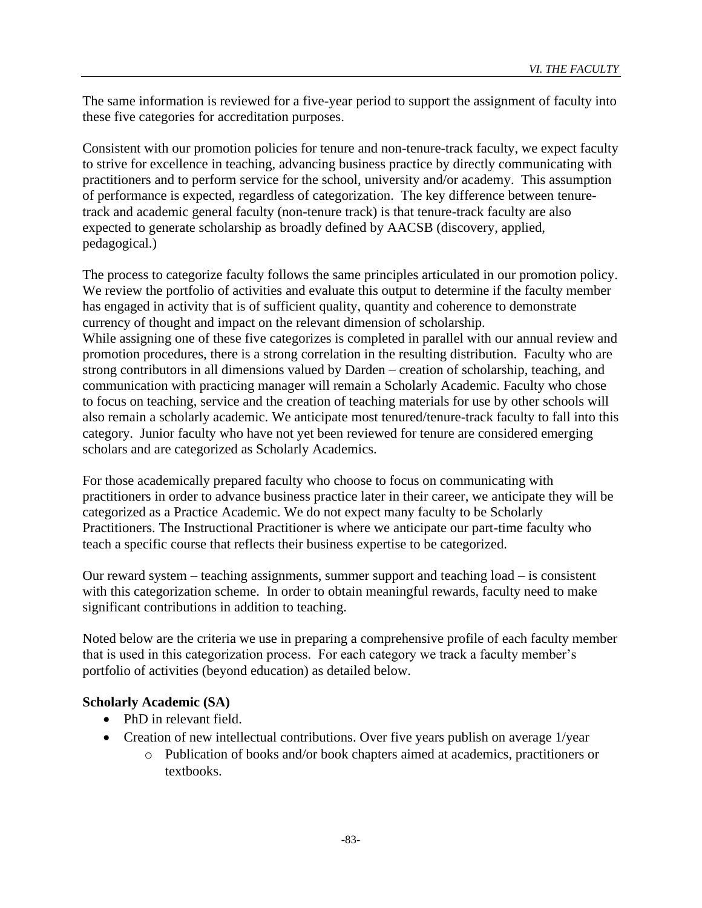The same information is reviewed for a five-year period to support the assignment of faculty into these five categories for accreditation purposes.

Consistent with our promotion policies for tenure and non-tenure-track faculty, we expect faculty to strive for excellence in teaching, advancing business practice by directly communicating with practitioners and to perform service for the school, university and/or academy. This assumption of performance is expected, regardless of categorization. The key difference between tenuretrack and academic general faculty (non-tenure track) is that tenure-track faculty are also expected to generate scholarship as broadly defined by AACSB (discovery, applied, pedagogical.)

The process to categorize faculty follows the same principles articulated in our promotion policy. We review the portfolio of activities and evaluate this output to determine if the faculty member has engaged in activity that is of sufficient quality, quantity and coherence to demonstrate currency of thought and impact on the relevant dimension of scholarship. While assigning one of these five categorizes is completed in parallel with our annual review and promotion procedures, there is a strong correlation in the resulting distribution. Faculty who are strong contributors in all dimensions valued by Darden – creation of scholarship, teaching, and communication with practicing manager will remain a Scholarly Academic. Faculty who chose to focus on teaching, service and the creation of teaching materials for use by other schools will also remain a scholarly academic. We anticipate most tenured/tenure-track faculty to fall into this category. Junior faculty who have not yet been reviewed for tenure are considered emerging scholars and are categorized as Scholarly Academics.

For those academically prepared faculty who choose to focus on communicating with practitioners in order to advance business practice later in their career, we anticipate they will be categorized as a Practice Academic. We do not expect many faculty to be Scholarly Practitioners. The Instructional Practitioner is where we anticipate our part-time faculty who teach a specific course that reflects their business expertise to be categorized.

Our reward system – teaching assignments, summer support and teaching load – is consistent with this categorization scheme. In order to obtain meaningful rewards, faculty need to make significant contributions in addition to teaching.

Noted below are the criteria we use in preparing a comprehensive profile of each faculty member that is used in this categorization process. For each category we track a faculty member's portfolio of activities (beyond education) as detailed below.

## **Scholarly Academic (SA)**

- PhD in relevant field.
- Creation of new intellectual contributions. Over five years publish on average 1/year
	- o Publication of books and/or book chapters aimed at academics, practitioners or textbooks.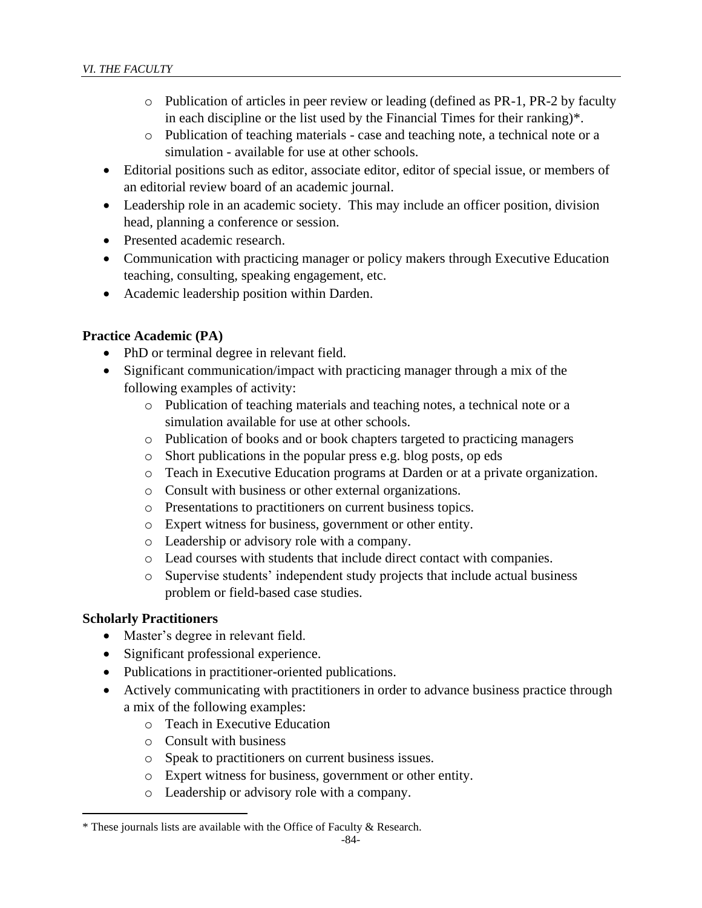- o Publication of articles in peer review or leading (defined as PR-1, PR-2 by faculty in each discipline or the list used by the Financial Times for their ranking)\*.
- o Publication of teaching materials case and teaching note, a technical note or a simulation - available for use at other schools.
- Editorial positions such as editor, associate editor, editor of special issue, or members of an editorial review board of an academic journal.
- Leadership role in an academic society. This may include an officer position, division head, planning a conference or session.
- Presented academic research.
- Communication with practicing manager or policy makers through Executive Education teaching, consulting, speaking engagement, etc.
- Academic leadership position within Darden.

# **Practice Academic (PA)**

- PhD or terminal degree in relevant field.
- Significant communication/impact with practicing manager through a mix of the following examples of activity:
	- o Publication of teaching materials and teaching notes, a technical note or a simulation available for use at other schools.
	- o Publication of books and or book chapters targeted to practicing managers
	- o Short publications in the popular press e.g. blog posts, op eds
	- o Teach in Executive Education programs at Darden or at a private organization.
	- o Consult with business or other external organizations.
	- o Presentations to practitioners on current business topics.
	- o Expert witness for business, government or other entity.
	- o Leadership or advisory role with a company.
	- o Lead courses with students that include direct contact with companies.
	- o Supervise students' independent study projects that include actual business problem or field-based case studies.

## **Scholarly Practitioners**

- Master's degree in relevant field.
- Significant professional experience.
- Publications in practitioner-oriented publications.
- Actively communicating with practitioners in order to advance business practice through a mix of the following examples:
	- o Teach in Executive Education
	- o Consult with business
	- o Speak to practitioners on current business issues.
	- o Expert witness for business, government or other entity.
	- o Leadership or advisory role with a company.

<sup>\*</sup> These journals lists are available with the Office of Faculty & Research.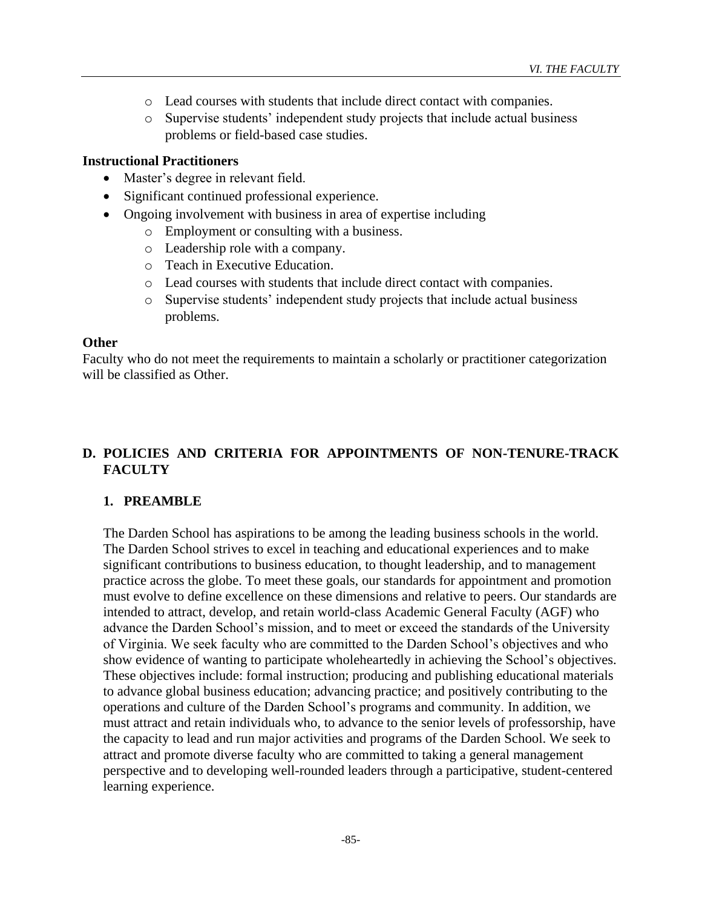- o Lead courses with students that include direct contact with companies.
- o Supervise students' independent study projects that include actual business problems or field-based case studies.

#### **Instructional Practitioners**

- Master's degree in relevant field.
- Significant continued professional experience.
- Ongoing involvement with business in area of expertise including
	- o Employment or consulting with a business.
	- o Leadership role with a company.
	- o Teach in Executive Education.
	- o Lead courses with students that include direct contact with companies.
	- o Supervise students' independent study projects that include actual business problems.

#### **Other**

Faculty who do not meet the requirements to maintain a scholarly or practitioner categorization will be classified as Other.

# **D. POLICIES AND CRITERIA FOR APPOINTMENTS OF NON-TENURE-TRACK FACULTY**

## **1. PREAMBLE**

The Darden School has aspirations to be among the leading business schools in the world. The Darden School strives to excel in teaching and educational experiences and to make significant contributions to business education, to thought leadership, and to management practice across the globe. To meet these goals, our standards for appointment and promotion must evolve to define excellence on these dimensions and relative to peers. Our standards are intended to attract, develop, and retain world-class Academic General Faculty (AGF) who advance the Darden School's mission, and to meet or exceed the standards of the University of Virginia. We seek faculty who are committed to the Darden School's objectives and who show evidence of wanting to participate wholeheartedly in achieving the School's objectives. These objectives include: formal instruction; producing and publishing educational materials to advance global business education; advancing practice; and positively contributing to the operations and culture of the Darden School's programs and community. In addition, we must attract and retain individuals who, to advance to the senior levels of professorship, have the capacity to lead and run major activities and programs of the Darden School. We seek to attract and promote diverse faculty who are committed to taking a general management perspective and to developing well-rounded leaders through a participative, student-centered learning experience.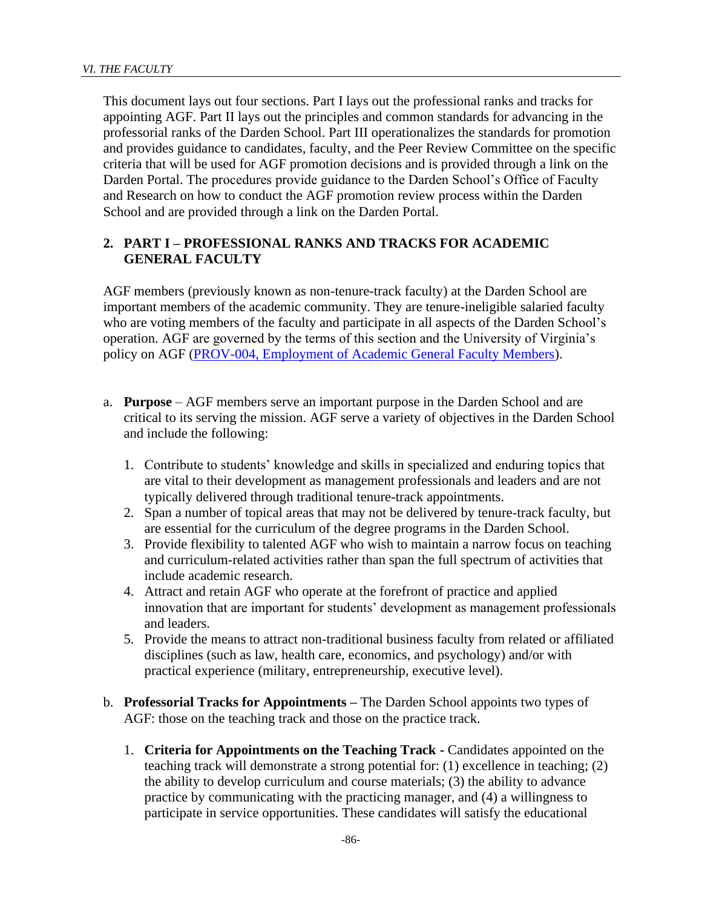This document lays out four sections. Part I lays out the professional ranks and tracks for appointing AGF. Part II lays out the principles and common standards for advancing in the professorial ranks of the Darden School. Part III operationalizes the standards for promotion and provides guidance to candidates, faculty, and the Peer Review Committee on the specific criteria that will be used for AGF promotion decisions and is provided through a link on the Darden Portal. The procedures provide guidance to the Darden School's Office of Faculty and Research on how to conduct the AGF promotion review process within the Darden School and are provided through a link on the Darden Portal.

## **2. PART I – PROFESSIONAL RANKS AND TRACKS FOR ACADEMIC GENERAL FACULTY**

AGF members (previously known as non-tenure-track faculty) at the Darden School are important members of the academic community. They are tenure-ineligible salaried faculty who are voting members of the faculty and participate in all aspects of the Darden School's operation. AGF are governed by the terms of this section and the University of Virginia's policy on AGF [\(PROV-004, Employment of Academic General Faculty Members\)](http://uvapolicy.virginia.edu/policy/PROV-004).

- a. **Purpose**  AGF members serve an important purpose in the Darden School and are critical to its serving the mission. AGF serve a variety of objectives in the Darden School and include the following:
	- 1. Contribute to students' knowledge and skills in specialized and enduring topics that are vital to their development as management professionals and leaders and are not typically delivered through traditional tenure-track appointments.
	- 2. Span a number of topical areas that may not be delivered by tenure-track faculty, but are essential for the curriculum of the degree programs in the Darden School.
	- 3. Provide flexibility to talented AGF who wish to maintain a narrow focus on teaching and curriculum-related activities rather than span the full spectrum of activities that include academic research.
	- 4. Attract and retain AGF who operate at the forefront of practice and applied innovation that are important for students' development as management professionals and leaders.
	- 5. Provide the means to attract non-traditional business faculty from related or affiliated disciplines (such as law, health care, economics, and psychology) and/or with practical experience (military, entrepreneurship, executive level).
- b. **Professorial Tracks for Appointments –** The Darden School appoints two types of AGF: those on the teaching track and those on the practice track.
	- 1. **Criteria for Appointments on the Teaching Track -** Candidates appointed on the teaching track will demonstrate a strong potential for: (1) excellence in teaching; (2) the ability to develop curriculum and course materials; (3) the ability to advance practice by communicating with the practicing manager, and (4) a willingness to participate in service opportunities. These candidates will satisfy the educational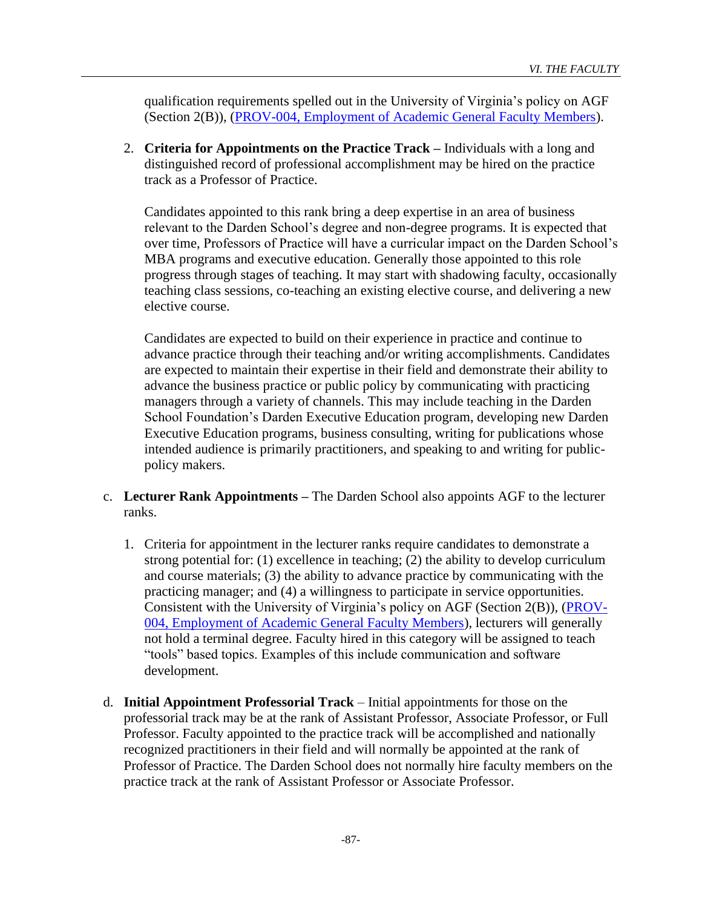qualification requirements spelled out in the University of Virginia's policy on AGF (Section 2(B)), [\(PROV-004, Employment of Academic General Faculty Members\)](http://uvapolicy.virginia.edu/policy/PROV-004).

2. **Criteria for Appointments on the Practice Track –** Individuals with a long and distinguished record of professional accomplishment may be hired on the practice track as a Professor of Practice.

Candidates appointed to this rank bring a deep expertise in an area of business relevant to the Darden School's degree and non-degree programs. It is expected that over time, Professors of Practice will have a curricular impact on the Darden School's MBA programs and executive education. Generally those appointed to this role progress through stages of teaching. It may start with shadowing faculty, occasionally teaching class sessions, co-teaching an existing elective course, and delivering a new elective course.

Candidates are expected to build on their experience in practice and continue to advance practice through their teaching and/or writing accomplishments. Candidates are expected to maintain their expertise in their field and demonstrate their ability to advance the business practice or public policy by communicating with practicing managers through a variety of channels. This may include teaching in the Darden School Foundation's Darden Executive Education program, developing new Darden Executive Education programs, business consulting, writing for publications whose intended audience is primarily practitioners, and speaking to and writing for publicpolicy makers.

- c. **Lecturer Rank Appointments –** The Darden School also appoints AGF to the lecturer ranks.
	- 1. Criteria for appointment in the lecturer ranks require candidates to demonstrate a strong potential for: (1) excellence in teaching; (2) the ability to develop curriculum and course materials; (3) the ability to advance practice by communicating with the practicing manager; and (4) a willingness to participate in service opportunities. Consistent with the University of Virginia's policy on AGF (Section 2(B)), [\(PROV-](http://uvapolicy.virginia.edu/policy/PROV-004)[004, Employment of Academic General Faculty Members\)](http://uvapolicy.virginia.edu/policy/PROV-004), lecturers will generally not hold a terminal degree. Faculty hired in this category will be assigned to teach "tools" based topics. Examples of this include communication and software development.
- d. **Initial Appointment Professorial Track** Initial appointments for those on the professorial track may be at the rank of Assistant Professor, Associate Professor, or Full Professor. Faculty appointed to the practice track will be accomplished and nationally recognized practitioners in their field and will normally be appointed at the rank of Professor of Practice. The Darden School does not normally hire faculty members on the practice track at the rank of Assistant Professor or Associate Professor.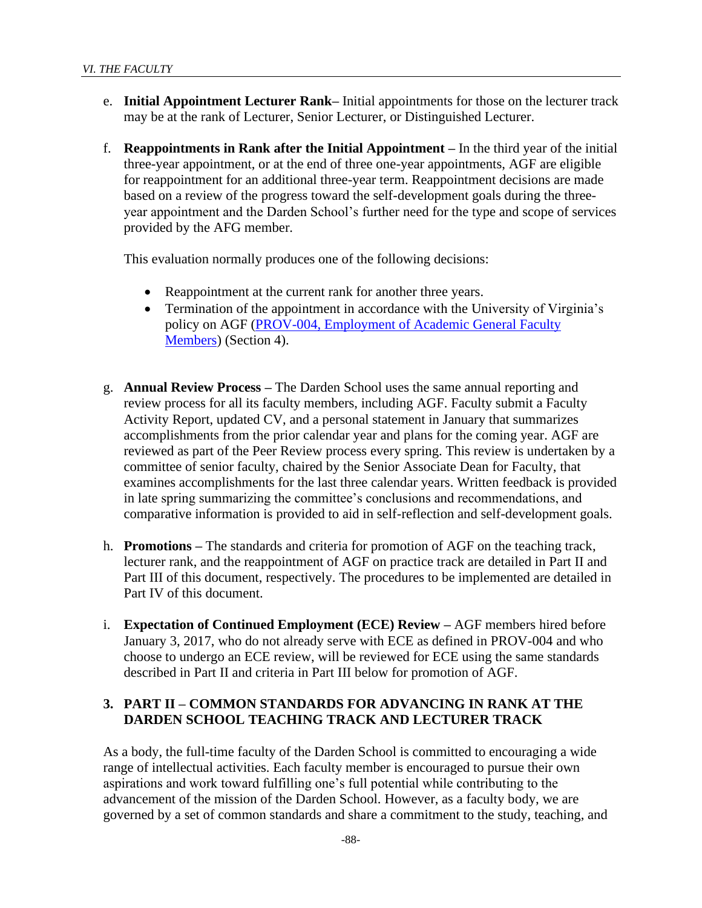- e. **Initial Appointment Lecturer Rank–** Initial appointments for those on the lecturer track may be at the rank of Lecturer, Senior Lecturer, or Distinguished Lecturer.
- f. **Reappointments in Rank after the Initial Appointment –** In the third year of the initial three-year appointment, or at the end of three one-year appointments, AGF are eligible for reappointment for an additional three-year term. Reappointment decisions are made based on a review of the progress toward the self-development goals during the threeyear appointment and the Darden School's further need for the type and scope of services provided by the AFG member.

This evaluation normally produces one of the following decisions:

- Reappointment at the current rank for another three years.
- Termination of the appointment in accordance with the University of Virginia's policy on AGF [\(PROV-004, Employment of Academic General Faculty](http://uvapolicy.virginia.edu/policy/PROV-004)  [Members\)](http://uvapolicy.virginia.edu/policy/PROV-004) (Section 4).
- g. **Annual Review Process –** The Darden School uses the same annual reporting and review process for all its faculty members, including AGF. Faculty submit a Faculty Activity Report, updated CV, and a personal statement in January that summarizes accomplishments from the prior calendar year and plans for the coming year. AGF are reviewed as part of the Peer Review process every spring. This review is undertaken by a committee of senior faculty, chaired by the Senior Associate Dean for Faculty, that examines accomplishments for the last three calendar years. Written feedback is provided in late spring summarizing the committee's conclusions and recommendations, and comparative information is provided to aid in self-reflection and self-development goals.
- h. **Promotions –** The standards and criteria for promotion of AGF on the teaching track, lecturer rank, and the reappointment of AGF on practice track are detailed in Part II and Part III of this document, respectively. The procedures to be implemented are detailed in Part IV of this document.
- i. **Expectation of Continued Employment (ECE) Review –** AGF members hired before January 3, 2017, who do not already serve with ECE as defined in PROV-004 and who choose to undergo an ECE review, will be reviewed for ECE using the same standards described in Part II and criteria in Part III below for promotion of AGF.

## **3. PART II – COMMON STANDARDS FOR ADVANCING IN RANK AT THE DARDEN SCHOOL TEACHING TRACK AND LECTURER TRACK**

As a body, the full-time faculty of the Darden School is committed to encouraging a wide range of intellectual activities. Each faculty member is encouraged to pursue their own aspirations and work toward fulfilling one's full potential while contributing to the advancement of the mission of the Darden School. However, as a faculty body, we are governed by a set of common standards and share a commitment to the study, teaching, and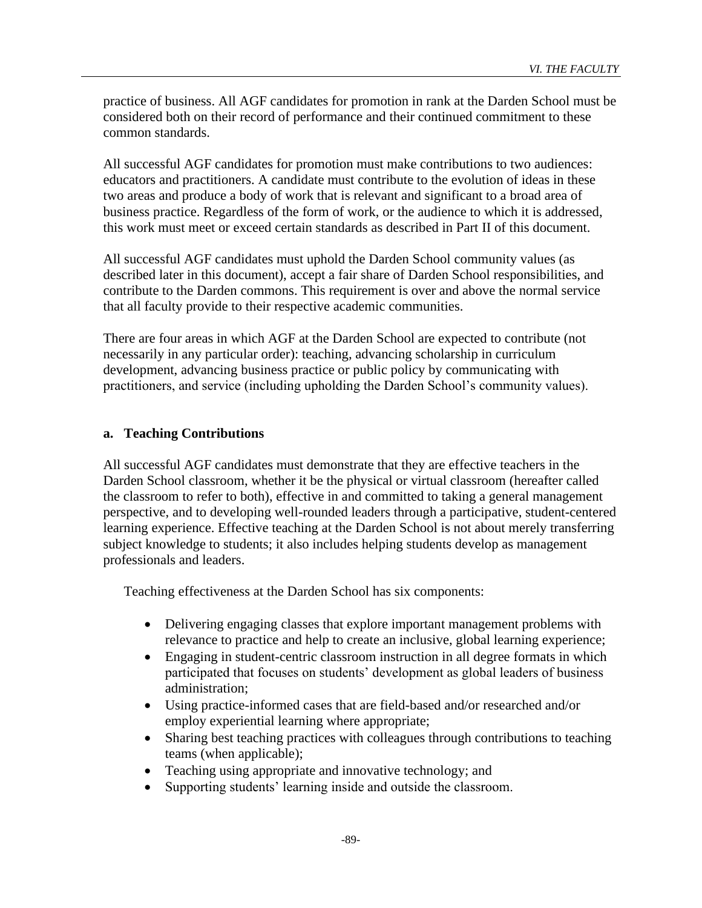practice of business. All AGF candidates for promotion in rank at the Darden School must be considered both on their record of performance and their continued commitment to these common standards.

All successful AGF candidates for promotion must make contributions to two audiences: educators and practitioners. A candidate must contribute to the evolution of ideas in these two areas and produce a body of work that is relevant and significant to a broad area of business practice. Regardless of the form of work, or the audience to which it is addressed, this work must meet or exceed certain standards as described in Part II of this document.

All successful AGF candidates must uphold the Darden School community values (as described later in this document), accept a fair share of Darden School responsibilities, and contribute to the Darden commons. This requirement is over and above the normal service that all faculty provide to their respective academic communities.

There are four areas in which AGF at the Darden School are expected to contribute (not necessarily in any particular order): teaching, advancing scholarship in curriculum development, advancing business practice or public policy by communicating with practitioners, and service (including upholding the Darden School's community values).

### **a. Teaching Contributions**

All successful AGF candidates must demonstrate that they are effective teachers in the Darden School classroom, whether it be the physical or virtual classroom (hereafter called the classroom to refer to both), effective in and committed to taking a general management perspective, and to developing well-rounded leaders through a participative, student-centered learning experience. Effective teaching at the Darden School is not about merely transferring subject knowledge to students; it also includes helping students develop as management professionals and leaders.

Teaching effectiveness at the Darden School has six components:

- Delivering engaging classes that explore important management problems with relevance to practice and help to create an inclusive, global learning experience;
- Engaging in student-centric classroom instruction in all degree formats in which participated that focuses on students' development as global leaders of business administration;
- Using practice-informed cases that are field-based and/or researched and/or employ experiential learning where appropriate;
- Sharing best teaching practices with colleagues through contributions to teaching teams (when applicable);
- Teaching using appropriate and innovative technology; and
- Supporting students' learning inside and outside the classroom.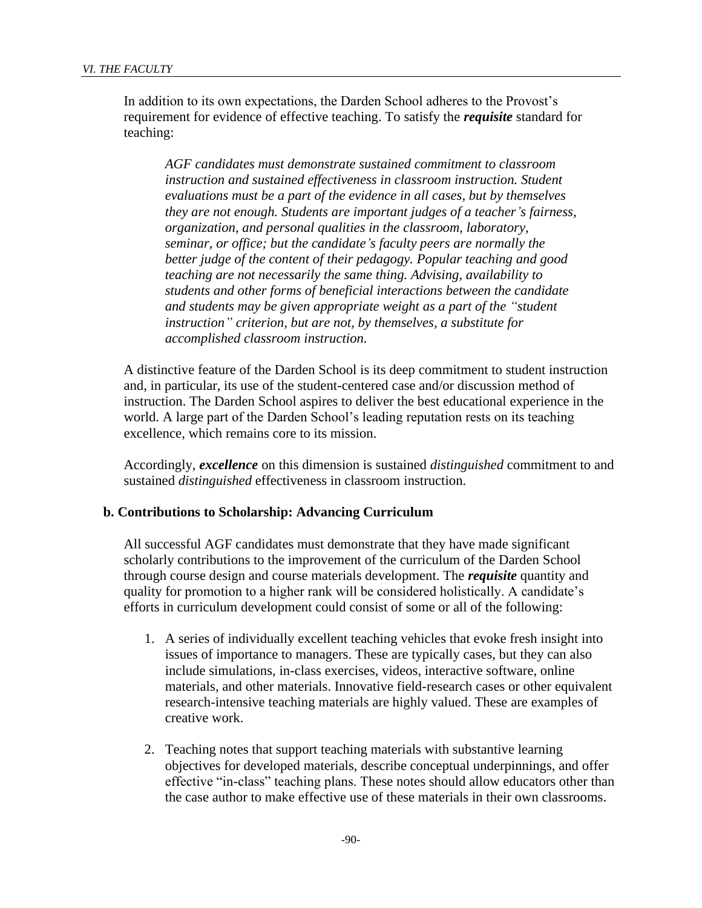In addition to its own expectations, the Darden School adheres to the Provost's requirement for evidence of effective teaching. To satisfy the *requisite* standard for teaching:

*AGF candidates must demonstrate sustained commitment to classroom instruction and sustained effectiveness in classroom instruction. Student evaluations must be a part of the evidence in all cases, but by themselves they are not enough. Students are important judges of a teacher's fairness, organization, and personal qualities in the classroom, laboratory, seminar, or office; but the candidate's faculty peers are normally the better judge of the content of their pedagogy. Popular teaching and good teaching are not necessarily the same thing. Advising, availability to students and other forms of beneficial interactions between the candidate and students may be given appropriate weight as a part of the "student instruction" criterion, but are not, by themselves, a substitute for accomplished classroom instruction.*

A distinctive feature of the Darden School is its deep commitment to student instruction and, in particular, its use of the student-centered case and/or discussion method of instruction. The Darden School aspires to deliver the best educational experience in the world. A large part of the Darden School's leading reputation rests on its teaching excellence, which remains core to its mission.

Accordingly, *excellence* on this dimension is sustained *distinguished* commitment to and sustained *distinguished* effectiveness in classroom instruction.

#### **b. Contributions to Scholarship: Advancing Curriculum**

All successful AGF candidates must demonstrate that they have made significant scholarly contributions to the improvement of the curriculum of the Darden School through course design and course materials development. The *requisite* quantity and quality for promotion to a higher rank will be considered holistically. A candidate's efforts in curriculum development could consist of some or all of the following:

- 1. A series of individually excellent teaching vehicles that evoke fresh insight into issues of importance to managers. These are typically cases, but they can also include simulations, in-class exercises, videos, interactive software, online materials, and other materials. Innovative field-research cases or other equivalent research-intensive teaching materials are highly valued. These are examples of creative work.
- 2. Teaching notes that support teaching materials with substantive learning objectives for developed materials, describe conceptual underpinnings, and offer effective "in-class" teaching plans. These notes should allow educators other than the case author to make effective use of these materials in their own classrooms.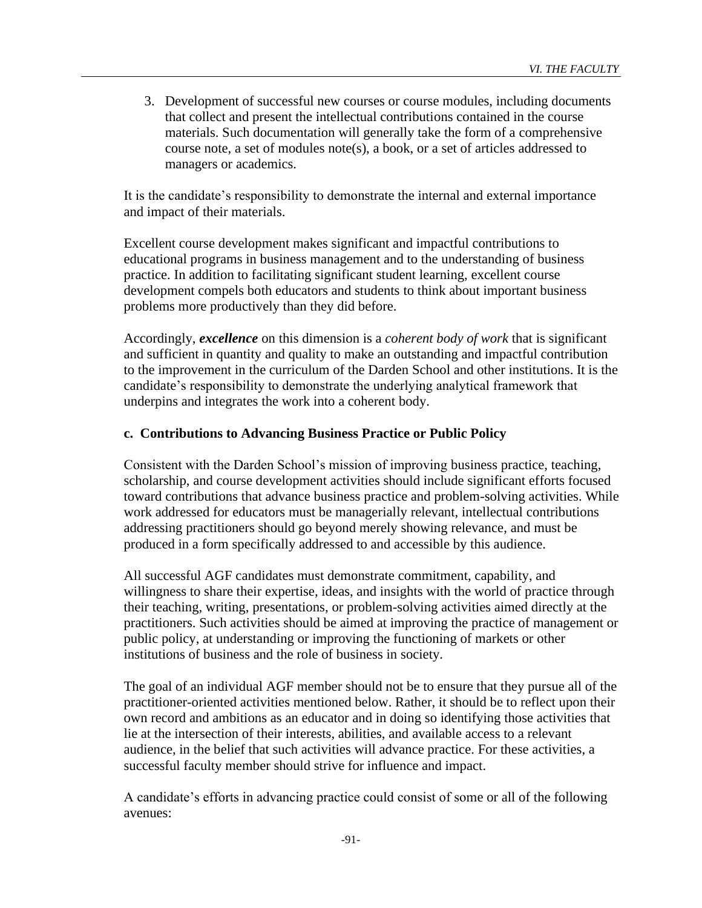3. Development of successful new courses or course modules, including documents that collect and present the intellectual contributions contained in the course materials. Such documentation will generally take the form of a comprehensive course note, a set of modules note(s), a book, or a set of articles addressed to managers or academics.

It is the candidate's responsibility to demonstrate the internal and external importance and impact of their materials.

Excellent course development makes significant and impactful contributions to educational programs in business management and to the understanding of business practice. In addition to facilitating significant student learning, excellent course development compels both educators and students to think about important business problems more productively than they did before.

Accordingly, *excellence* on this dimension is a *coherent body of work* that is significant and sufficient in quantity and quality to make an outstanding and impactful contribution to the improvement in the curriculum of the Darden School and other institutions. It is the candidate's responsibility to demonstrate the underlying analytical framework that underpins and integrates the work into a coherent body.

### **c. Contributions to Advancing Business Practice or Public Policy**

Consistent with the Darden School's mission of improving business practice, teaching, scholarship, and course development activities should include significant efforts focused toward contributions that advance business practice and problem-solving activities. While work addressed for educators must be managerially relevant, intellectual contributions addressing practitioners should go beyond merely showing relevance, and must be produced in a form specifically addressed to and accessible by this audience.

All successful AGF candidates must demonstrate commitment, capability, and willingness to share their expertise, ideas, and insights with the world of practice through their teaching, writing, presentations, or problem-solving activities aimed directly at the practitioners. Such activities should be aimed at improving the practice of management or public policy, at understanding or improving the functioning of markets or other institutions of business and the role of business in society.

The goal of an individual AGF member should not be to ensure that they pursue all of the practitioner-oriented activities mentioned below. Rather, it should be to reflect upon their own record and ambitions as an educator and in doing so identifying those activities that lie at the intersection of their interests, abilities, and available access to a relevant audience, in the belief that such activities will advance practice. For these activities, a successful faculty member should strive for influence and impact.

A candidate's efforts in advancing practice could consist of some or all of the following avenues: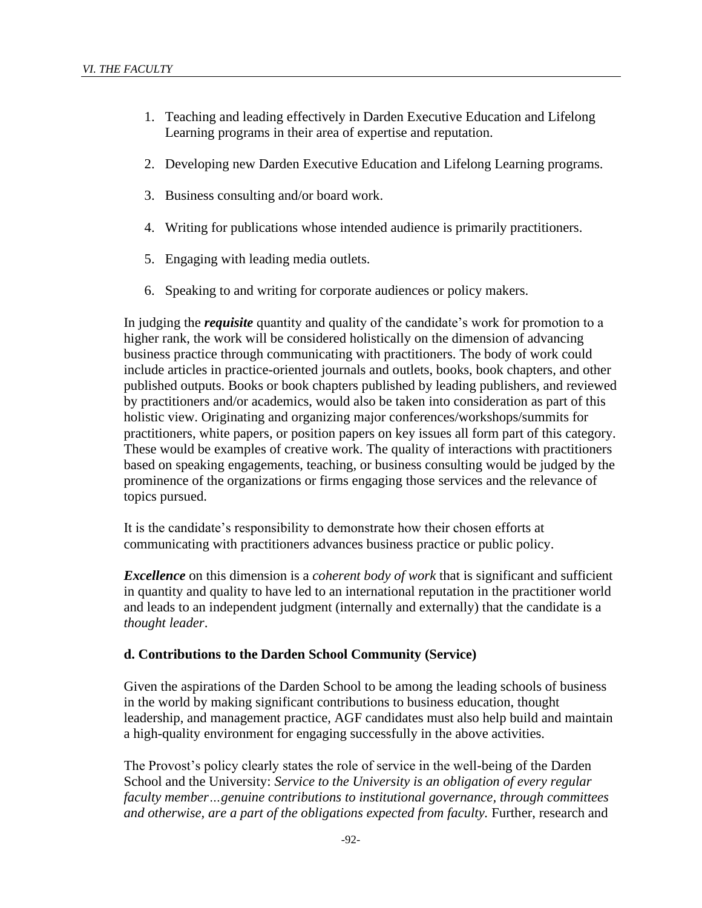- 1. Teaching and leading effectively in Darden Executive Education and Lifelong Learning programs in their area of expertise and reputation.
- 2. Developing new Darden Executive Education and Lifelong Learning programs.
- 3. Business consulting and/or board work.
- 4. Writing for publications whose intended audience is primarily practitioners.
- 5. Engaging with leading media outlets.
- 6. Speaking to and writing for corporate audiences or policy makers.

In judging the *requisite* quantity and quality of the candidate's work for promotion to a higher rank, the work will be considered holistically on the dimension of advancing business practice through communicating with practitioners. The body of work could include articles in practice-oriented journals and outlets, books, book chapters, and other published outputs. Books or book chapters published by leading publishers, and reviewed by practitioners and/or academics, would also be taken into consideration as part of this holistic view. Originating and organizing major conferences/workshops/summits for practitioners, white papers, or position papers on key issues all form part of this category. These would be examples of creative work. The quality of interactions with practitioners based on speaking engagements, teaching, or business consulting would be judged by the prominence of the organizations or firms engaging those services and the relevance of topics pursued.

It is the candidate's responsibility to demonstrate how their chosen efforts at communicating with practitioners advances business practice or public policy.

*Excellence* on this dimension is a *coherent body of work* that is significant and sufficient in quantity and quality to have led to an international reputation in the practitioner world and leads to an independent judgment (internally and externally) that the candidate is a *thought leader*.

#### **d. Contributions to the Darden School Community (Service)**

Given the aspirations of the Darden School to be among the leading schools of business in the world by making significant contributions to business education, thought leadership, and management practice, AGF candidates must also help build and maintain a high-quality environment for engaging successfully in the above activities.

The Provost's policy clearly states the role of service in the well-being of the Darden School and the University: *Service to the University is an obligation of every regular faculty member…genuine contributions to institutional governance, through committees and otherwise, are a part of the obligations expected from faculty.* Further, research and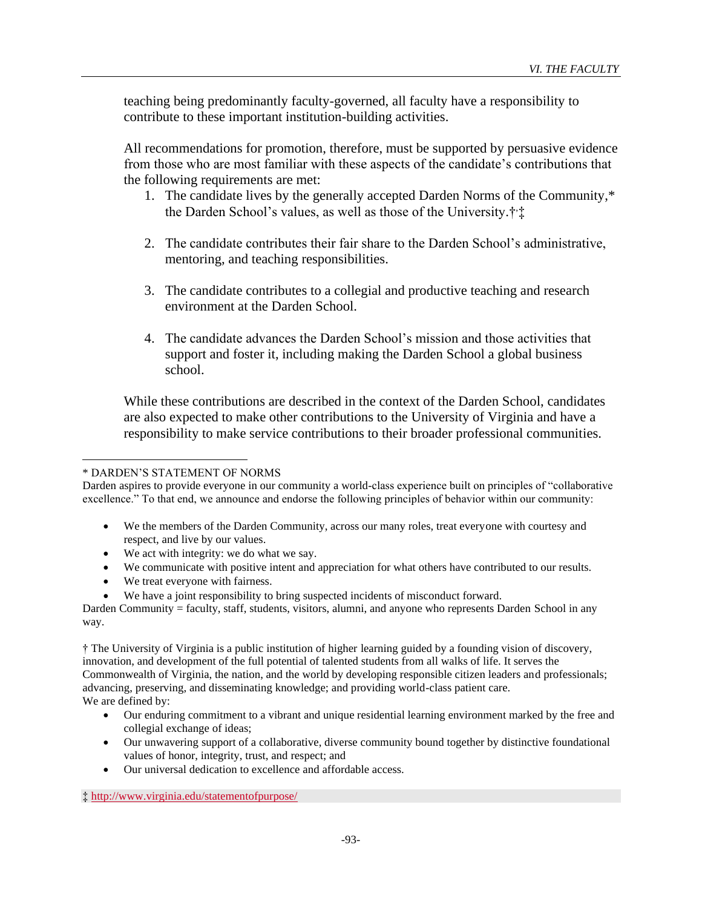teaching being predominantly faculty-governed, all faculty have a responsibility to contribute to these important institution-building activities.

All recommendations for promotion, therefore, must be supported by persuasive evidence from those who are most familiar with these aspects of the candidate's contributions that the following requirements are met:

- 1. The candidate lives by the generally accepted Darden Norms of the Community,\* the Darden School's values, as well as those of the University.<sup>†</sup>;#
- 2. The candidate contributes their fair share to the Darden School's administrative, mentoring, and teaching responsibilities.
- 3. The candidate contributes to a collegial and productive teaching and research environment at the Darden School.
- 4. The candidate advances the Darden School's mission and those activities that support and foster it, including making the Darden School a global business school.

While these contributions are described in the context of the Darden School, candidates are also expected to make other contributions to the University of Virginia and have a responsibility to make service contributions to their broader professional communities.

#### \* DARDEN'S STATEMENT OF NORMS

Darden aspires to provide everyone in our community a world-class experience built on principles of "collaborative excellence." To that end, we announce and endorse the following principles of behavior within our community:

- We the members of the Darden Community, across our many roles, treat everyone with courtesy and respect, and live by our values.
- We act with integrity: we do what we say.
- We communicate with positive intent and appreciation for what others have contributed to our results.
- We treat everyone with fairness.
- We have a joint responsibility to bring suspected incidents of misconduct forward.

Darden Community = faculty, staff, students, visitors, alumni, and anyone who represents Darden School in any way.

† The University of Virginia is a public institution of higher learning guided by a founding vision of discovery, innovation, and development of the full potential of talented students from all walks of life. It serves the Commonwealth of Virginia, the nation, and the world by developing responsible citizen leaders and professionals; advancing, preserving, and disseminating knowledge; and providing world-class patient care. We are defined by:

- Our enduring commitment to a vibrant and unique residential learning environment marked by the free and collegial exchange of ideas;
- Our unwavering support of a collaborative, diverse community bound together by distinctive foundational values of honor, integrity, trust, and respect; and
- Our universal dedication to excellence and affordable access.

‡ <http://www.virginia.edu/statementofpurpose/>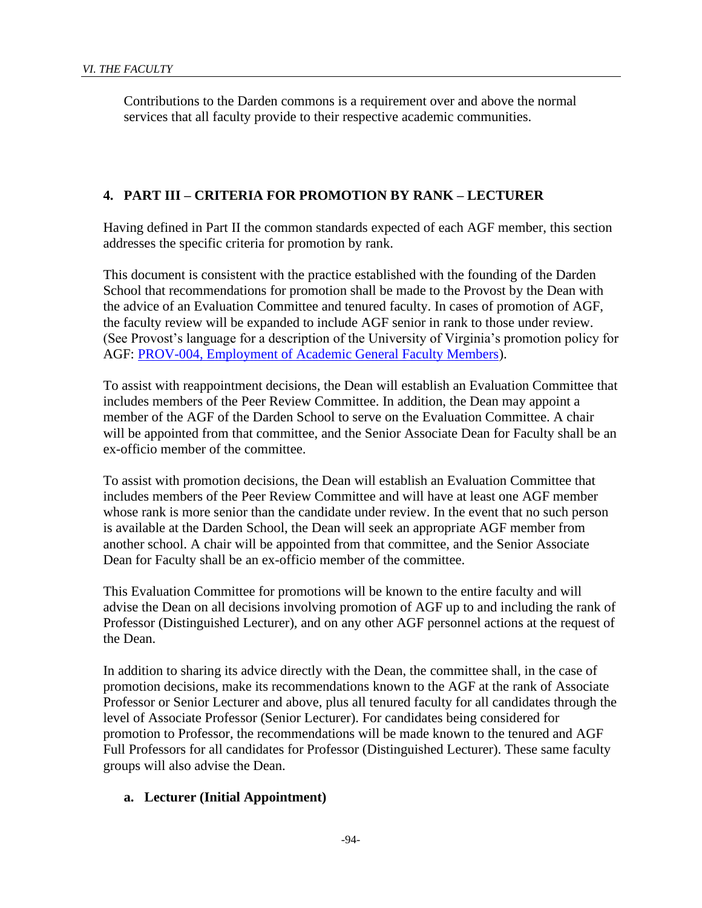Contributions to the Darden commons is a requirement over and above the normal services that all faculty provide to their respective academic communities.

### **4. PART III – CRITERIA FOR PROMOTION BY RANK – LECTURER**

Having defined in Part II the common standards expected of each AGF member, this section addresses the specific criteria for promotion by rank.

This document is consistent with the practice established with the founding of the Darden School that recommendations for promotion shall be made to the Provost by the Dean with the advice of an Evaluation Committee and tenured faculty. In cases of promotion of AGF, the faculty review will be expanded to include AGF senior in rank to those under review. (See Provost's language for a description of the University of Virginia's promotion policy for AGF: [PROV-004, Employment of Academic General Faculty Members\)](http://uvapolicy.virginia.edu/policy/PROV-004).

To assist with reappointment decisions, the Dean will establish an Evaluation Committee that includes members of the Peer Review Committee. In addition, the Dean may appoint a member of the AGF of the Darden School to serve on the Evaluation Committee. A chair will be appointed from that committee, and the Senior Associate Dean for Faculty shall be an ex-officio member of the committee.

To assist with promotion decisions, the Dean will establish an Evaluation Committee that includes members of the Peer Review Committee and will have at least one AGF member whose rank is more senior than the candidate under review. In the event that no such person is available at the Darden School, the Dean will seek an appropriate AGF member from another school. A chair will be appointed from that committee, and the Senior Associate Dean for Faculty shall be an ex-officio member of the committee.

This Evaluation Committee for promotions will be known to the entire faculty and will advise the Dean on all decisions involving promotion of AGF up to and including the rank of Professor (Distinguished Lecturer), and on any other AGF personnel actions at the request of the Dean.

In addition to sharing its advice directly with the Dean, the committee shall, in the case of promotion decisions, make its recommendations known to the AGF at the rank of Associate Professor or Senior Lecturer and above, plus all tenured faculty for all candidates through the level of Associate Professor (Senior Lecturer). For candidates being considered for promotion to Professor, the recommendations will be made known to the tenured and AGF Full Professors for all candidates for Professor (Distinguished Lecturer). These same faculty groups will also advise the Dean.

### **a. Lecturer (Initial Appointment)**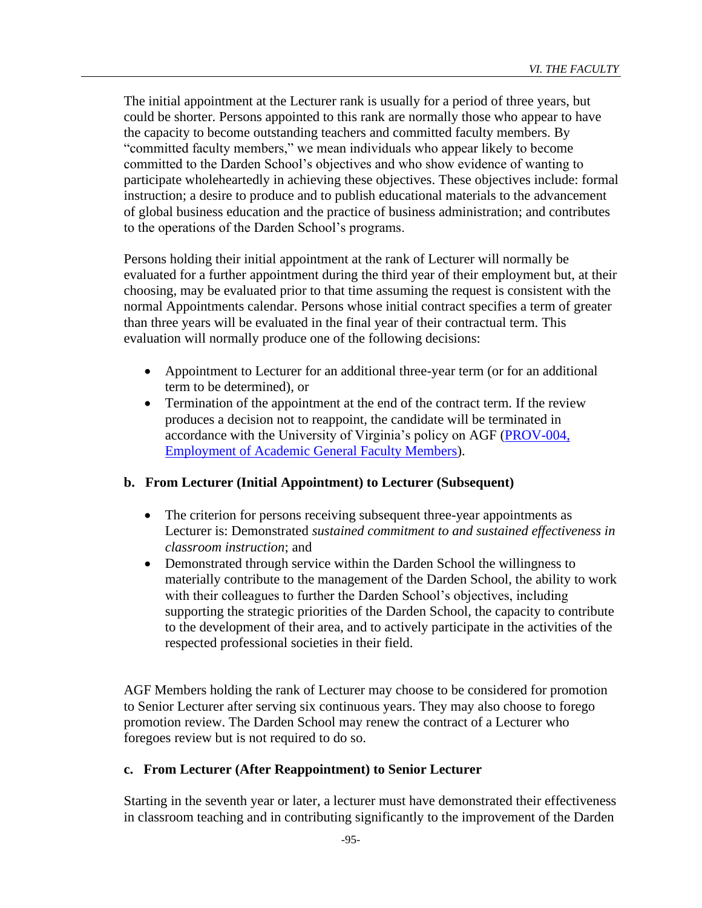The initial appointment at the Lecturer rank is usually for a period of three years, but could be shorter. Persons appointed to this rank are normally those who appear to have the capacity to become outstanding teachers and committed faculty members. By "committed faculty members," we mean individuals who appear likely to become committed to the Darden School's objectives and who show evidence of wanting to participate wholeheartedly in achieving these objectives. These objectives include: formal instruction; a desire to produce and to publish educational materials to the advancement of global business education and the practice of business administration; and contributes to the operations of the Darden School's programs.

Persons holding their initial appointment at the rank of Lecturer will normally be evaluated for a further appointment during the third year of their employment but, at their choosing, may be evaluated prior to that time assuming the request is consistent with the normal Appointments calendar. Persons whose initial contract specifies a term of greater than three years will be evaluated in the final year of their contractual term. This evaluation will normally produce one of the following decisions:

- Appointment to Lecturer for an additional three-year term (or for an additional term to be determined), or
- Termination of the appointment at the end of the contract term. If the review produces a decision not to reappoint, the candidate will be terminated in accordance with the University of Virginia's policy on AGF [\(PROV-004,](http://uvapolicy.virginia.edu/policy/PROV-004)  [Employment of Academic General Faculty Members\)](http://uvapolicy.virginia.edu/policy/PROV-004).

## **b. From Lecturer (Initial Appointment) to Lecturer (Subsequent)**

- The criterion for persons receiving subsequent three-year appointments as Lecturer is: Demonstrated *sustained commitment to and sustained effectiveness in classroom instruction*; and
- Demonstrated through service within the Darden School the willingness to materially contribute to the management of the Darden School, the ability to work with their colleagues to further the Darden School's objectives, including supporting the strategic priorities of the Darden School, the capacity to contribute to the development of their area, and to actively participate in the activities of the respected professional societies in their field.

AGF Members holding the rank of Lecturer may choose to be considered for promotion to Senior Lecturer after serving six continuous years. They may also choose to forego promotion review. The Darden School may renew the contract of a Lecturer who foregoes review but is not required to do so.

### **c. From Lecturer (After Reappointment) to Senior Lecturer**

Starting in the seventh year or later, a lecturer must have demonstrated their effectiveness in classroom teaching and in contributing significantly to the improvement of the Darden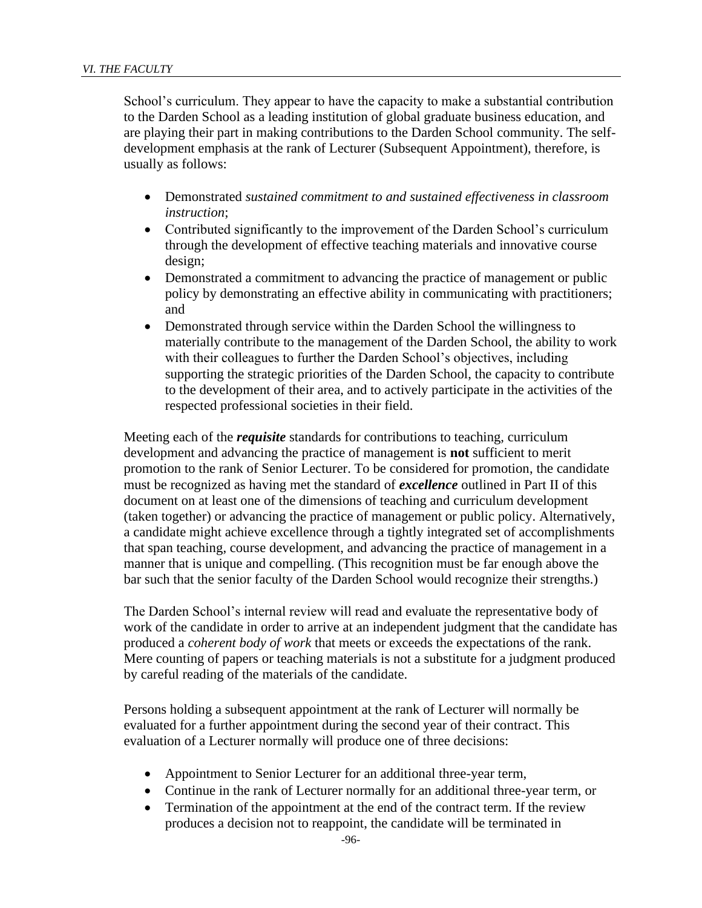School's curriculum. They appear to have the capacity to make a substantial contribution to the Darden School as a leading institution of global graduate business education, and are playing their part in making contributions to the Darden School community. The selfdevelopment emphasis at the rank of Lecturer (Subsequent Appointment), therefore, is usually as follows:

- Demonstrated *sustained commitment to and sustained effectiveness in classroom instruction*;
- Contributed significantly to the improvement of the Darden School's curriculum through the development of effective teaching materials and innovative course design;
- Demonstrated a commitment to advancing the practice of management or public policy by demonstrating an effective ability in communicating with practitioners; and
- Demonstrated through service within the Darden School the willingness to materially contribute to the management of the Darden School, the ability to work with their colleagues to further the Darden School's objectives, including supporting the strategic priorities of the Darden School, the capacity to contribute to the development of their area, and to actively participate in the activities of the respected professional societies in their field.

Meeting each of the *requisite* standards for contributions to teaching, curriculum development and advancing the practice of management is **not** sufficient to merit promotion to the rank of Senior Lecturer. To be considered for promotion, the candidate must be recognized as having met the standard of *excellence* outlined in Part II of this document on at least one of the dimensions of teaching and curriculum development (taken together) or advancing the practice of management or public policy. Alternatively, a candidate might achieve excellence through a tightly integrated set of accomplishments that span teaching, course development, and advancing the practice of management in a manner that is unique and compelling. (This recognition must be far enough above the bar such that the senior faculty of the Darden School would recognize their strengths.)

The Darden School's internal review will read and evaluate the representative body of work of the candidate in order to arrive at an independent judgment that the candidate has produced a *coherent body of work* that meets or exceeds the expectations of the rank. Mere counting of papers or teaching materials is not a substitute for a judgment produced by careful reading of the materials of the candidate.

Persons holding a subsequent appointment at the rank of Lecturer will normally be evaluated for a further appointment during the second year of their contract. This evaluation of a Lecturer normally will produce one of three decisions:

- Appointment to Senior Lecturer for an additional three-year term,
- Continue in the rank of Lecturer normally for an additional three-year term, or
- Termination of the appointment at the end of the contract term. If the review produces a decision not to reappoint, the candidate will be terminated in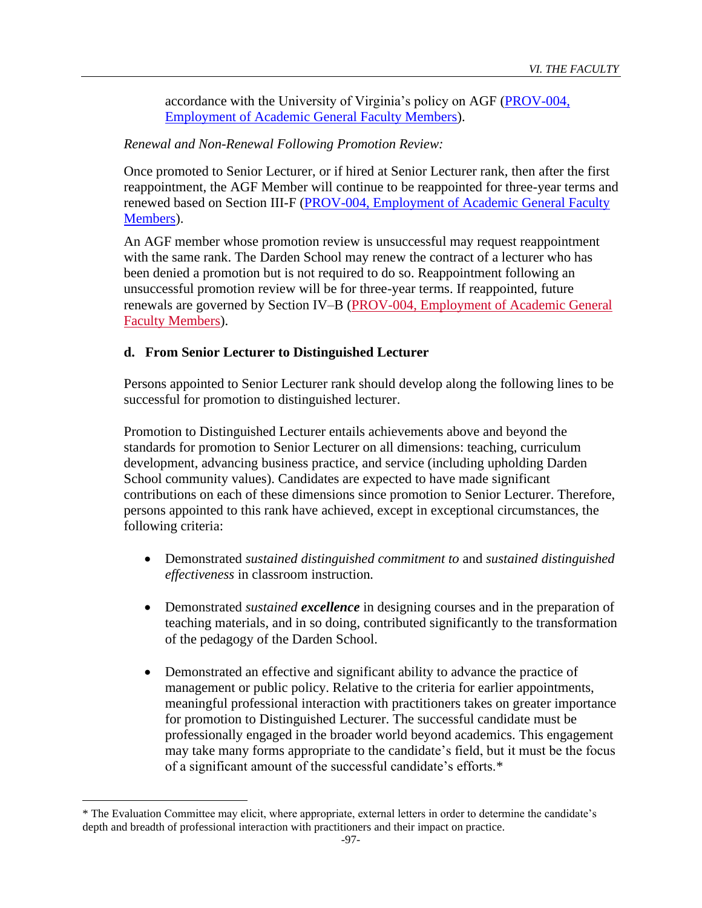accordance with the University of Virginia's policy on AGF [\(PROV-004,](http://uvapolicy.virginia.edu/policy/PROV-004)  [Employment of Academic General Faculty Members\)](http://uvapolicy.virginia.edu/policy/PROV-004).

### *Renewal and Non-Renewal Following Promotion Review:*

Once promoted to Senior Lecturer, or if hired at Senior Lecturer rank, then after the first reappointment, the AGF Member will continue to be reappointed for three-year terms and renewed based on Section III-F [\(PROV-004, Employment of Academic General Faculty](http://uvapolicy.virginia.edu/policy/PROV-004)  [Members\)](http://uvapolicy.virginia.edu/policy/PROV-004).

An AGF member whose promotion review is unsuccessful may request reappointment with the same rank. The Darden School may renew the contract of a lecturer who has been denied a promotion but is not required to do so. Reappointment following an unsuccessful promotion review will be for three-year terms. If reappointed, future renewals are governed by Section IV–B [\(PROV-004, Employment of Academic General](https://uvapolicy.virginia.edu/policy/PROV-004#Standards_of_Notice_for_Non_Renewal)  [Faculty Members\)](https://uvapolicy.virginia.edu/policy/PROV-004#Standards_of_Notice_for_Non_Renewal).

### **d. From Senior Lecturer to Distinguished Lecturer**

Persons appointed to Senior Lecturer rank should develop along the following lines to be successful for promotion to distinguished lecturer.

Promotion to Distinguished Lecturer entails achievements above and beyond the standards for promotion to Senior Lecturer on all dimensions: teaching, curriculum development, advancing business practice, and service (including upholding Darden School community values). Candidates are expected to have made significant contributions on each of these dimensions since promotion to Senior Lecturer. Therefore, persons appointed to this rank have achieved, except in exceptional circumstances, the following criteria:

- Demonstrated *sustained distinguished commitment to* and *sustained distinguished effectiveness* in classroom instruction*.*
- Demonstrated *sustained excellence* in designing courses and in the preparation of teaching materials, and in so doing, contributed significantly to the transformation of the pedagogy of the Darden School.
- Demonstrated an effective and significant ability to advance the practice of management or public policy. Relative to the criteria for earlier appointments, meaningful professional interaction with practitioners takes on greater importance for promotion to Distinguished Lecturer. The successful candidate must be professionally engaged in the broader world beyond academics. This engagement may take many forms appropriate to the candidate's field, but it must be the focus of a significant amount of the successful candidate's efforts.\*

<sup>\*</sup> The Evaluation Committee may elicit, where appropriate, external letters in order to determine the candidate's depth and breadth of professional interaction with practitioners and their impact on practice.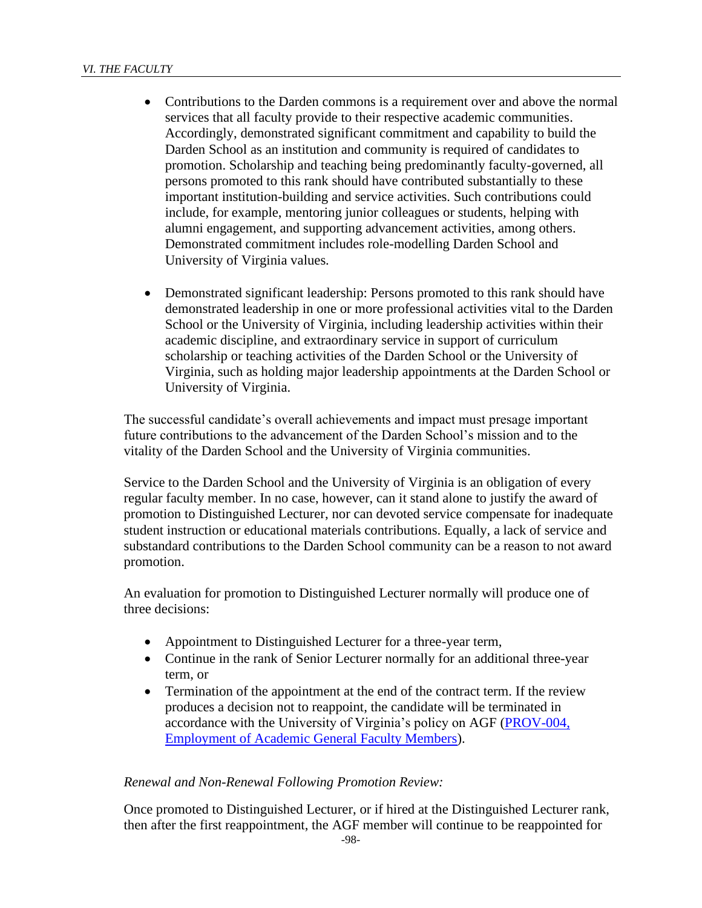- Contributions to the Darden commons is a requirement over and above the normal services that all faculty provide to their respective academic communities. Accordingly, demonstrated significant commitment and capability to build the Darden School as an institution and community is required of candidates to promotion. Scholarship and teaching being predominantly faculty-governed, all persons promoted to this rank should have contributed substantially to these important institution-building and service activities. Such contributions could include, for example, mentoring junior colleagues or students, helping with alumni engagement, and supporting advancement activities, among others. Demonstrated commitment includes role-modelling Darden School and University of Virginia values*.*
- Demonstrated significant leadership: Persons promoted to this rank should have demonstrated leadership in one or more professional activities vital to the Darden School or the University of Virginia, including leadership activities within their academic discipline, and extraordinary service in support of curriculum scholarship or teaching activities of the Darden School or the University of Virginia, such as holding major leadership appointments at the Darden School or University of Virginia.

The successful candidate's overall achievements and impact must presage important future contributions to the advancement of the Darden School's mission and to the vitality of the Darden School and the University of Virginia communities.

Service to the Darden School and the University of Virginia is an obligation of every regular faculty member. In no case, however, can it stand alone to justify the award of promotion to Distinguished Lecturer, nor can devoted service compensate for inadequate student instruction or educational materials contributions. Equally, a lack of service and substandard contributions to the Darden School community can be a reason to not award promotion.

An evaluation for promotion to Distinguished Lecturer normally will produce one of three decisions:

- Appointment to Distinguished Lecturer for a three-year term,
- Continue in the rank of Senior Lecturer normally for an additional three-year term, or
- Termination of the appointment at the end of the contract term. If the review produces a decision not to reappoint, the candidate will be terminated in accordance with the University of Virginia's policy on AGF [\(PROV-004,](http://uvapolicy.virginia.edu/policy/PROV-004)  [Employment of Academic General Faculty Members\)](http://uvapolicy.virginia.edu/policy/PROV-004).

#### *Renewal and Non-Renewal Following Promotion Review:*

Once promoted to Distinguished Lecturer, or if hired at the Distinguished Lecturer rank, then after the first reappointment, the AGF member will continue to be reappointed for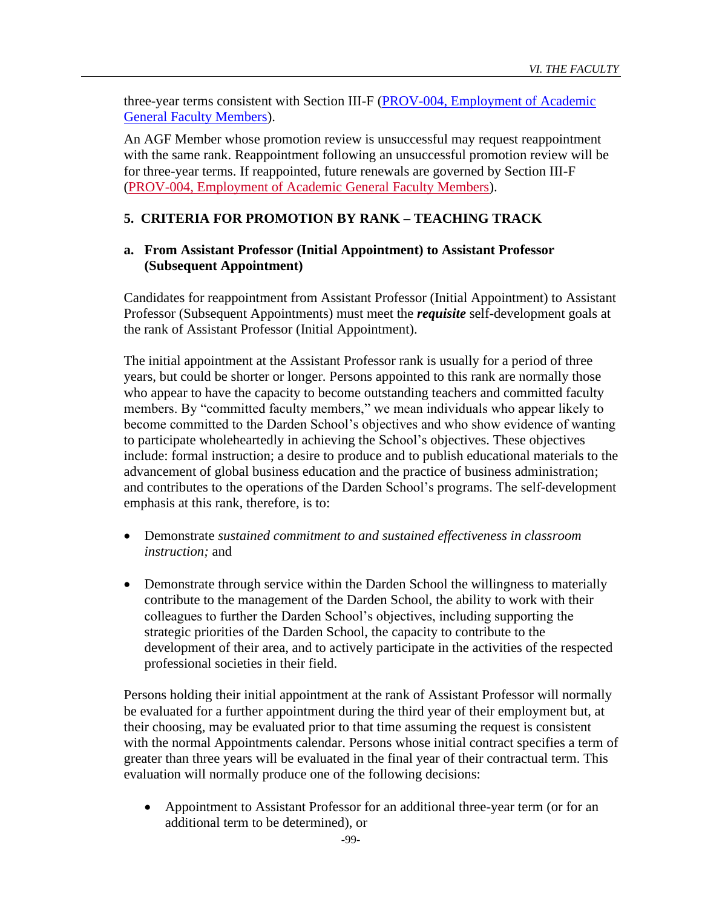three-year terms consistent with Section III-F [\(PROV-004, Employment of Academic](http://uvapolicy.virginia.edu/policy/PROV-004)  [General Faculty Members\)](http://uvapolicy.virginia.edu/policy/PROV-004).

An AGF Member whose promotion review is unsuccessful may request reappointment with the same rank. Reappointment following an unsuccessful promotion review will be for three-year terms. If reappointed, future renewals are governed by Section III-F [\(PROV-004, Employment of Academic General Faculty Members\)](https://uvapolicy.virginia.edu/policy/PROV-004#Standards_of_Notice_for_Non_Renewal).

## **5. CRITERIA FOR PROMOTION BY RANK – TEACHING TRACK**

### **a. From Assistant Professor (Initial Appointment) to Assistant Professor (Subsequent Appointment)**

Candidates for reappointment from Assistant Professor (Initial Appointment) to Assistant Professor (Subsequent Appointments) must meet the *requisite* self-development goals at the rank of Assistant Professor (Initial Appointment).

The initial appointment at the Assistant Professor rank is usually for a period of three years, but could be shorter or longer. Persons appointed to this rank are normally those who appear to have the capacity to become outstanding teachers and committed faculty members. By "committed faculty members," we mean individuals who appear likely to become committed to the Darden School's objectives and who show evidence of wanting to participate wholeheartedly in achieving the School's objectives. These objectives include: formal instruction; a desire to produce and to publish educational materials to the advancement of global business education and the practice of business administration; and contributes to the operations of the Darden School's programs. The self-development emphasis at this rank, therefore, is to:

- Demonstrate *sustained commitment to and sustained effectiveness in classroom instruction;* and
- Demonstrate through service within the Darden School the willingness to materially contribute to the management of the Darden School, the ability to work with their colleagues to further the Darden School's objectives, including supporting the strategic priorities of the Darden School, the capacity to contribute to the development of their area, and to actively participate in the activities of the respected professional societies in their field.

Persons holding their initial appointment at the rank of Assistant Professor will normally be evaluated for a further appointment during the third year of their employment but, at their choosing, may be evaluated prior to that time assuming the request is consistent with the normal Appointments calendar. Persons whose initial contract specifies a term of greater than three years will be evaluated in the final year of their contractual term. This evaluation will normally produce one of the following decisions:

• Appointment to Assistant Professor for an additional three-year term (or for an additional term to be determined), or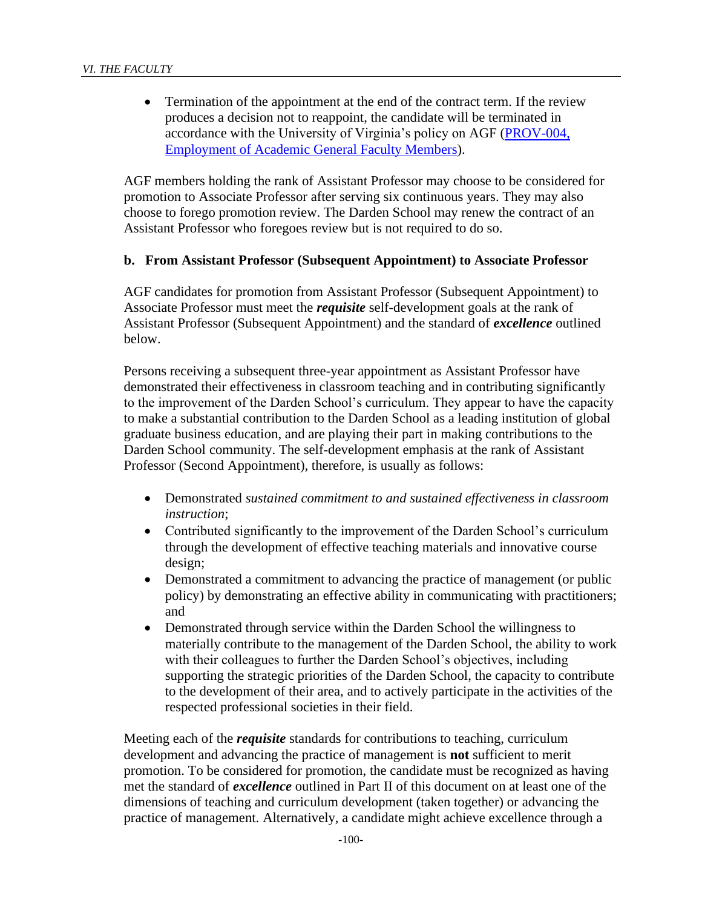• Termination of the appointment at the end of the contract term. If the review produces a decision not to reappoint, the candidate will be terminated in accordance with the University of Virginia's policy on AGF [\(PROV-004,](http://uvapolicy.virginia.edu/policy/PROV-004)  [Employment of Academic General Faculty Members\)](http://uvapolicy.virginia.edu/policy/PROV-004).

AGF members holding the rank of Assistant Professor may choose to be considered for promotion to Associate Professor after serving six continuous years. They may also choose to forego promotion review. The Darden School may renew the contract of an Assistant Professor who foregoes review but is not required to do so.

#### **b. From Assistant Professor (Subsequent Appointment) to Associate Professor**

AGF candidates for promotion from Assistant Professor (Subsequent Appointment) to Associate Professor must meet the *requisite* self-development goals at the rank of Assistant Professor (Subsequent Appointment) and the standard of *excellence* outlined below.

Persons receiving a subsequent three-year appointment as Assistant Professor have demonstrated their effectiveness in classroom teaching and in contributing significantly to the improvement of the Darden School's curriculum. They appear to have the capacity to make a substantial contribution to the Darden School as a leading institution of global graduate business education, and are playing their part in making contributions to the Darden School community. The self-development emphasis at the rank of Assistant Professor (Second Appointment), therefore, is usually as follows:

- Demonstrated *sustained commitment to and sustained effectiveness in classroom instruction*;
- Contributed significantly to the improvement of the Darden School's curriculum through the development of effective teaching materials and innovative course design;
- Demonstrated a commitment to advancing the practice of management (or public policy) by demonstrating an effective ability in communicating with practitioners; and
- Demonstrated through service within the Darden School the willingness to materially contribute to the management of the Darden School, the ability to work with their colleagues to further the Darden School's objectives, including supporting the strategic priorities of the Darden School, the capacity to contribute to the development of their area, and to actively participate in the activities of the respected professional societies in their field.

Meeting each of the *requisite* standards for contributions to teaching, curriculum development and advancing the practice of management is **not** sufficient to merit promotion. To be considered for promotion, the candidate must be recognized as having met the standard of *excellence* outlined in Part II of this document on at least one of the dimensions of teaching and curriculum development (taken together) or advancing the practice of management. Alternatively, a candidate might achieve excellence through a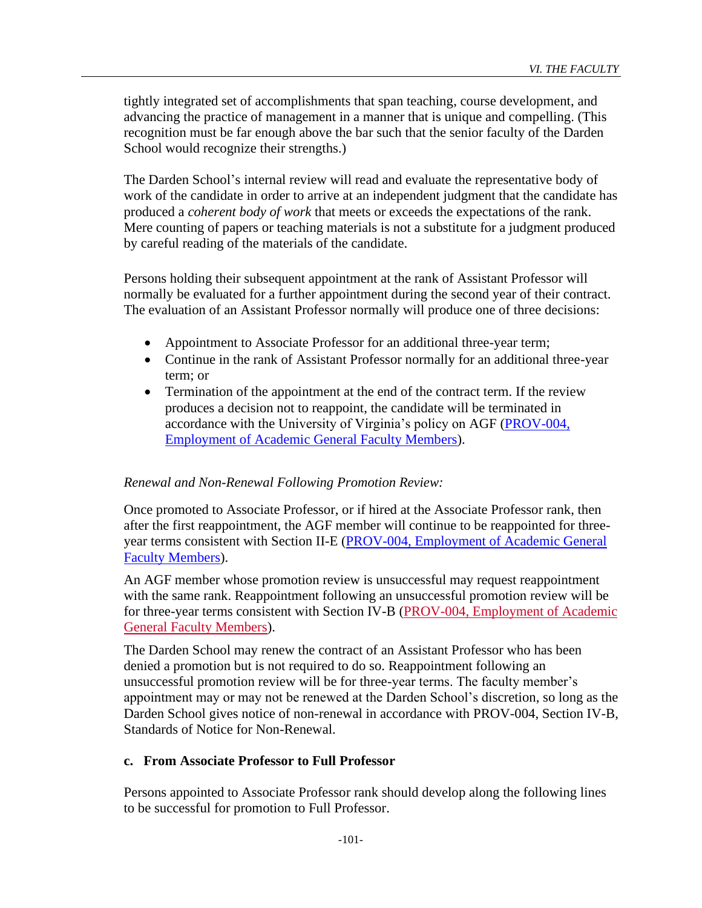tightly integrated set of accomplishments that span teaching, course development, and advancing the practice of management in a manner that is unique and compelling. (This recognition must be far enough above the bar such that the senior faculty of the Darden School would recognize their strengths.)

The Darden School's internal review will read and evaluate the representative body of work of the candidate in order to arrive at an independent judgment that the candidate has produced a *coherent body of work* that meets or exceeds the expectations of the rank. Mere counting of papers or teaching materials is not a substitute for a judgment produced by careful reading of the materials of the candidate.

Persons holding their subsequent appointment at the rank of Assistant Professor will normally be evaluated for a further appointment during the second year of their contract. The evaluation of an Assistant Professor normally will produce one of three decisions:

- Appointment to Associate Professor for an additional three-year term;
- Continue in the rank of Assistant Professor normally for an additional three-year term; or
- Termination of the appointment at the end of the contract term. If the review produces a decision not to reappoint, the candidate will be terminated in accordance with the University of Virginia's policy on AGF [\(PROV-004,](http://uvapolicy.virginia.edu/policy/PROV-004)  [Employment of Academic General Faculty Members\)](http://uvapolicy.virginia.edu/policy/PROV-004).

### *Renewal and Non-Renewal Following Promotion Review:*

Once promoted to Associate Professor, or if hired at the Associate Professor rank, then after the first reappointment, the AGF member will continue to be reappointed for threeyear terms consistent with Section II-E [\(PROV-004, Employment of Academic General](http://uvapolicy.virginia.edu/policy/PROV-004)  [Faculty Members\)](http://uvapolicy.virginia.edu/policy/PROV-004).

An AGF member whose promotion review is unsuccessful may request reappointment with the same rank. Reappointment following an unsuccessful promotion review will be for three-year terms consistent with Section IV-B [\(PROV-004, Employment of Academic](https://uvapolicy.virginia.edu/policy/PROV-004#Standards_of_Notice_for_Non_Renewal)  [General Faculty Members\)](https://uvapolicy.virginia.edu/policy/PROV-004#Standards_of_Notice_for_Non_Renewal).

The Darden School may renew the contract of an Assistant Professor who has been denied a promotion but is not required to do so. Reappointment following an unsuccessful promotion review will be for three-year terms. The faculty member's appointment may or may not be renewed at the Darden School's discretion, so long as the Darden School gives notice of non-renewal in accordance with PROV-004, Section IV-B, Standards of Notice for Non-Renewal.

### **c. From Associate Professor to Full Professor**

Persons appointed to Associate Professor rank should develop along the following lines to be successful for promotion to Full Professor.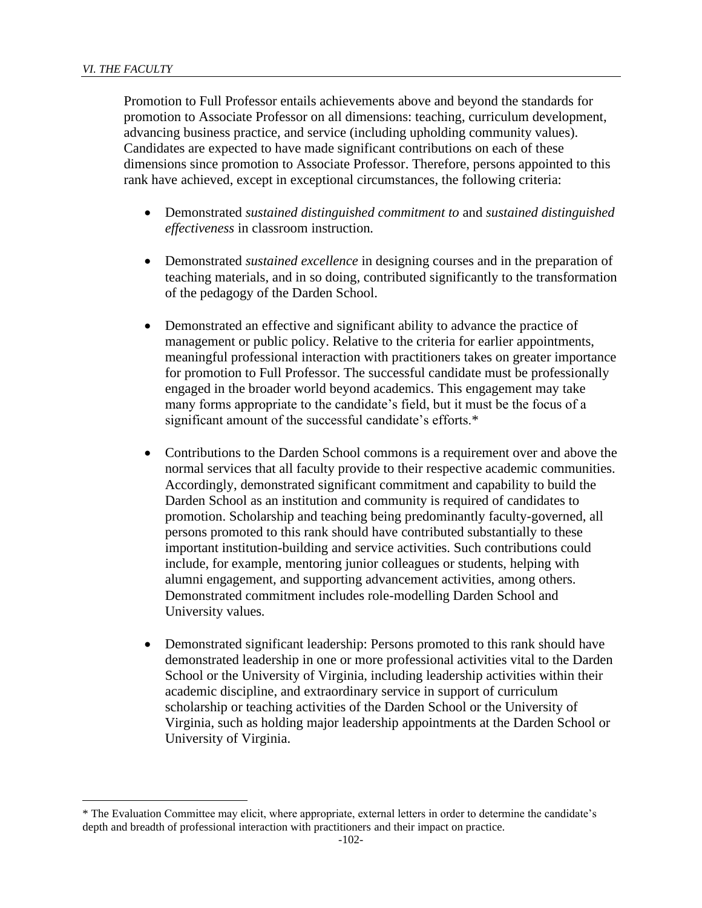Promotion to Full Professor entails achievements above and beyond the standards for promotion to Associate Professor on all dimensions: teaching, curriculum development, advancing business practice, and service (including upholding community values). Candidates are expected to have made significant contributions on each of these dimensions since promotion to Associate Professor. Therefore, persons appointed to this rank have achieved, except in exceptional circumstances, the following criteria:

- Demonstrated *sustained distinguished commitment to* and *sustained distinguished effectiveness* in classroom instruction*.*
- Demonstrated *sustained excellence* in designing courses and in the preparation of teaching materials, and in so doing, contributed significantly to the transformation of the pedagogy of the Darden School.
- Demonstrated an effective and significant ability to advance the practice of management or public policy. Relative to the criteria for earlier appointments, meaningful professional interaction with practitioners takes on greater importance for promotion to Full Professor. The successful candidate must be professionally engaged in the broader world beyond academics. This engagement may take many forms appropriate to the candidate's field, but it must be the focus of a significant amount of the successful candidate's efforts.\*
- Contributions to the Darden School commons is a requirement over and above the normal services that all faculty provide to their respective academic communities. Accordingly, demonstrated significant commitment and capability to build the Darden School as an institution and community is required of candidates to promotion. Scholarship and teaching being predominantly faculty-governed, all persons promoted to this rank should have contributed substantially to these important institution-building and service activities. Such contributions could include, for example, mentoring junior colleagues or students, helping with alumni engagement, and supporting advancement activities, among others. Demonstrated commitment includes role-modelling Darden School and University values*.*
- Demonstrated significant leadership: Persons promoted to this rank should have demonstrated leadership in one or more professional activities vital to the Darden School or the University of Virginia, including leadership activities within their academic discipline, and extraordinary service in support of curriculum scholarship or teaching activities of the Darden School or the University of Virginia, such as holding major leadership appointments at the Darden School or University of Virginia.

<sup>\*</sup> The Evaluation Committee may elicit, where appropriate, external letters in order to determine the candidate's depth and breadth of professional interaction with practitioners and their impact on practice.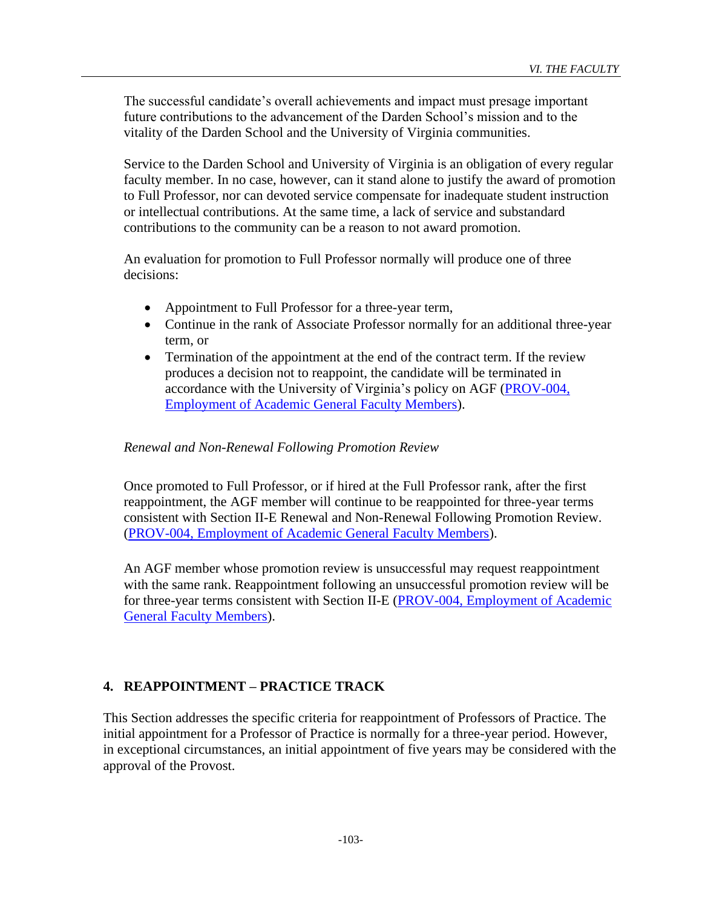The successful candidate's overall achievements and impact must presage important future contributions to the advancement of the Darden School's mission and to the vitality of the Darden School and the University of Virginia communities.

Service to the Darden School and University of Virginia is an obligation of every regular faculty member. In no case, however, can it stand alone to justify the award of promotion to Full Professor, nor can devoted service compensate for inadequate student instruction or intellectual contributions. At the same time, a lack of service and substandard contributions to the community can be a reason to not award promotion.

An evaluation for promotion to Full Professor normally will produce one of three decisions:

- Appointment to Full Professor for a three-year term,
- Continue in the rank of Associate Professor normally for an additional three-year term, or
- Termination of the appointment at the end of the contract term. If the review produces a decision not to reappoint, the candidate will be terminated in accordance with the University of Virginia's policy on AGF [\(PROV-004,](http://uvapolicy.virginia.edu/policy/PROV-004)  [Employment of Academic General Faculty Members\)](http://uvapolicy.virginia.edu/policy/PROV-004).

#### *Renewal and Non-Renewal Following Promotion Review*

Once promoted to Full Professor, or if hired at the Full Professor rank, after the first reappointment, the AGF member will continue to be reappointed for three-year terms consistent with Section II-E Renewal and Non-Renewal Following Promotion Review. (PROV-004, [Employment of Academic General Faculty Members\)](http://uvapolicy.virginia.edu/policy/PROV-004).

An AGF member whose promotion review is unsuccessful may request reappointment with the same rank. Reappointment following an unsuccessful promotion review will be for three-year terms consistent with Section II-E (PROV-004, Employment of Academic [General Faculty Members\)](http://uvapolicy.virginia.edu/policy/PROV-004).

### **4. REAPPOINTMENT – PRACTICE TRACK**

This Section addresses the specific criteria for reappointment of Professors of Practice. The initial appointment for a Professor of Practice is normally for a three-year period. However, in exceptional circumstances, an initial appointment of five years may be considered with the approval of the Provost.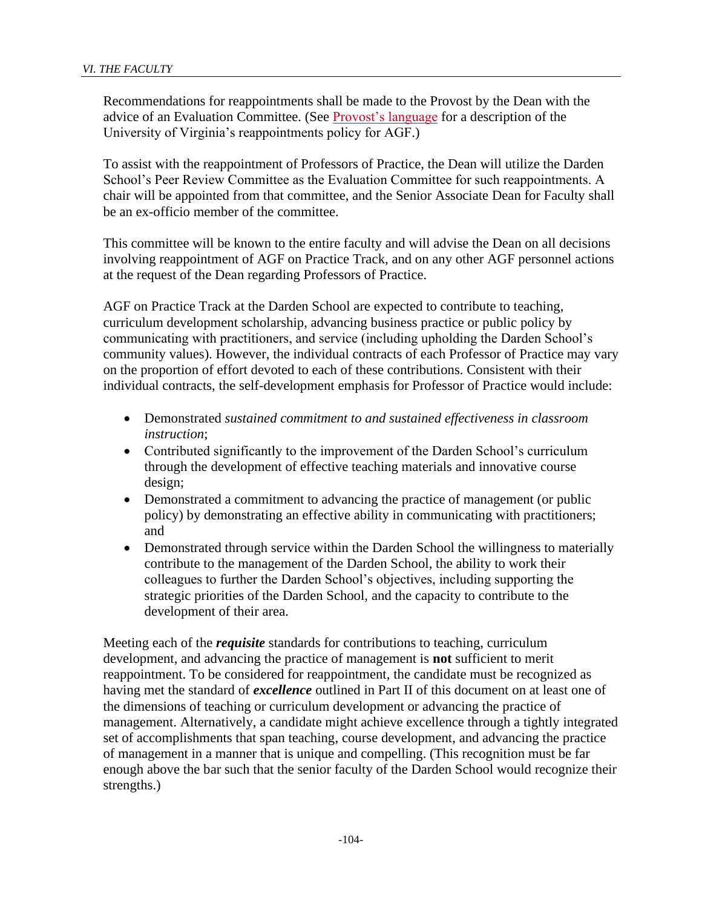Recommendations for reappointments shall be made to the Provost by the Dean with the advice of an Evaluation Committee. (See [Provost's language](http://uvapolicy.virginia.edu/policy/PROV-004) for a description of the University of Virginia's reappointments policy for AGF.)

To assist with the reappointment of Professors of Practice, the Dean will utilize the Darden School's Peer Review Committee as the Evaluation Committee for such reappointments. A chair will be appointed from that committee, and the Senior Associate Dean for Faculty shall be an ex-officio member of the committee.

This committee will be known to the entire faculty and will advise the Dean on all decisions involving reappointment of AGF on Practice Track, and on any other AGF personnel actions at the request of the Dean regarding Professors of Practice.

AGF on Practice Track at the Darden School are expected to contribute to teaching, curriculum development scholarship, advancing business practice or public policy by communicating with practitioners, and service (including upholding the Darden School's community values). However, the individual contracts of each Professor of Practice may vary on the proportion of effort devoted to each of these contributions. Consistent with their individual contracts, the self-development emphasis for Professor of Practice would include:

- Demonstrated *sustained commitment to and sustained effectiveness in classroom instruction*;
- Contributed significantly to the improvement of the Darden School's curriculum through the development of effective teaching materials and innovative course design;
- Demonstrated a commitment to advancing the practice of management (or public policy) by demonstrating an effective ability in communicating with practitioners; and
- Demonstrated through service within the Darden School the willingness to materially contribute to the management of the Darden School, the ability to work their colleagues to further the Darden School's objectives, including supporting the strategic priorities of the Darden School, and the capacity to contribute to the development of their area.

Meeting each of the *requisite* standards for contributions to teaching, curriculum development, and advancing the practice of management is **not** sufficient to merit reappointment. To be considered for reappointment, the candidate must be recognized as having met the standard of *excellence* outlined in Part II of this document on at least one of the dimensions of teaching or curriculum development or advancing the practice of management. Alternatively, a candidate might achieve excellence through a tightly integrated set of accomplishments that span teaching, course development, and advancing the practice of management in a manner that is unique and compelling. (This recognition must be far enough above the bar such that the senior faculty of the Darden School would recognize their strengths.)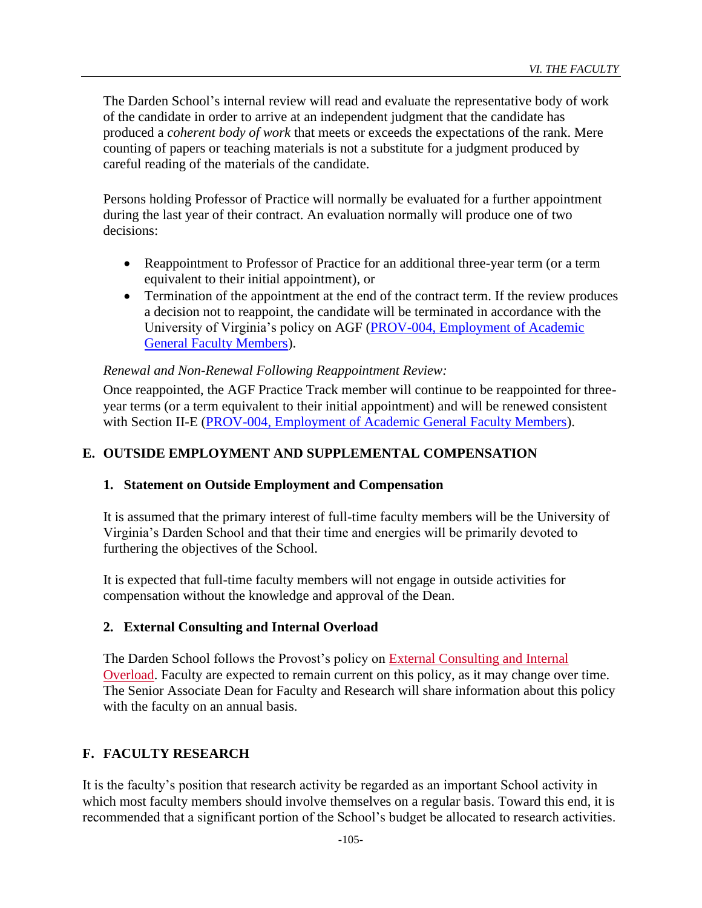The Darden School's internal review will read and evaluate the representative body of work of the candidate in order to arrive at an independent judgment that the candidate has produced a *coherent body of work* that meets or exceeds the expectations of the rank. Mere counting of papers or teaching materials is not a substitute for a judgment produced by careful reading of the materials of the candidate.

Persons holding Professor of Practice will normally be evaluated for a further appointment during the last year of their contract. An evaluation normally will produce one of two decisions:

- Reappointment to Professor of Practice for an additional three-year term (or a term equivalent to their initial appointment), or
- Termination of the appointment at the end of the contract term. If the review produces a decision not to reappoint, the candidate will be terminated in accordance with the University of Virginia's policy on AGF [\(PROV-004, Employment of Academic](http://uvapolicy.virginia.edu/policy/PROV-004)  [General Faculty Members\)](http://uvapolicy.virginia.edu/policy/PROV-004).

## *Renewal and Non-Renewal Following Reappointment Review:*

Once reappointed, the AGF Practice Track member will continue to be reappointed for threeyear terms (or a term equivalent to their initial appointment) and will be renewed consistent with Section II-E [\(PROV-004, Employment of Academic General Faculty Members\)](http://uvapolicy.virginia.edu/policy/PROV-004).

# **E. OUTSIDE EMPLOYMENT AND SUPPLEMENTAL COMPENSATION**

## **1. Statement on Outside Employment and Compensation**

It is assumed that the primary interest of full-time faculty members will be the University of Virginia's Darden School and that their time and energies will be primarily devoted to furthering the objectives of the School.

It is expected that full-time faculty members will not engage in outside activities for compensation without the knowledge and approval of the Dean.

## **2. External Consulting and Internal Overload**

The Darden School follows the Provost's policy on [External Consulting and Internal](http://uvapolicy.virginia.edu/policy/HRM-045)  [Overload.](http://uvapolicy.virginia.edu/policy/HRM-045) Faculty are expected to remain current on this policy, as it may change over time. The Senior Associate Dean for Faculty and Research will share information about this policy with the faculty on an annual basis.

# **F. FACULTY RESEARCH**

It is the faculty's position that research activity be regarded as an important School activity in which most faculty members should involve themselves on a regular basis. Toward this end, it is recommended that a significant portion of the School's budget be allocated to research activities.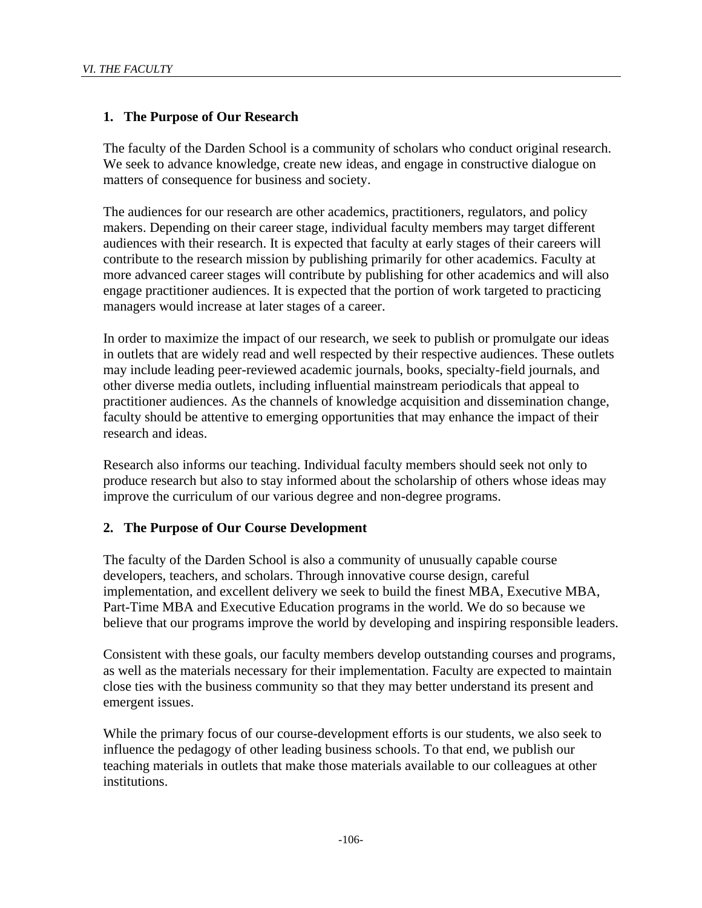## **1. The Purpose of Our Research**

The faculty of the Darden School is a community of scholars who conduct original research. We seek to advance knowledge, create new ideas, and engage in constructive dialogue on matters of consequence for business and society.

The audiences for our research are other academics, practitioners, regulators, and policy makers. Depending on their career stage, individual faculty members may target different audiences with their research. It is expected that faculty at early stages of their careers will contribute to the research mission by publishing primarily for other academics. Faculty at more advanced career stages will contribute by publishing for other academics and will also engage practitioner audiences. It is expected that the portion of work targeted to practicing managers would increase at later stages of a career.

In order to maximize the impact of our research, we seek to publish or promulgate our ideas in outlets that are widely read and well respected by their respective audiences. These outlets may include leading peer-reviewed academic journals, books, specialty-field journals, and other diverse media outlets, including influential mainstream periodicals that appeal to practitioner audiences. As the channels of knowledge acquisition and dissemination change, faculty should be attentive to emerging opportunities that may enhance the impact of their research and ideas.

Research also informs our teaching. Individual faculty members should seek not only to produce research but also to stay informed about the scholarship of others whose ideas may improve the curriculum of our various degree and non-degree programs.

### **2. The Purpose of Our Course Development**

The faculty of the Darden School is also a community of unusually capable course developers, teachers, and scholars. Through innovative course design, careful implementation, and excellent delivery we seek to build the finest MBA, Executive MBA, Part-Time MBA and Executive Education programs in the world. We do so because we believe that our programs improve the world by developing and inspiring responsible leaders.

Consistent with these goals, our faculty members develop outstanding courses and programs, as well as the materials necessary for their implementation. Faculty are expected to maintain close ties with the business community so that they may better understand its present and emergent issues.

While the primary focus of our course-development efforts is our students, we also seek to influence the pedagogy of other leading business schools. To that end, we publish our teaching materials in outlets that make those materials available to our colleagues at other institutions.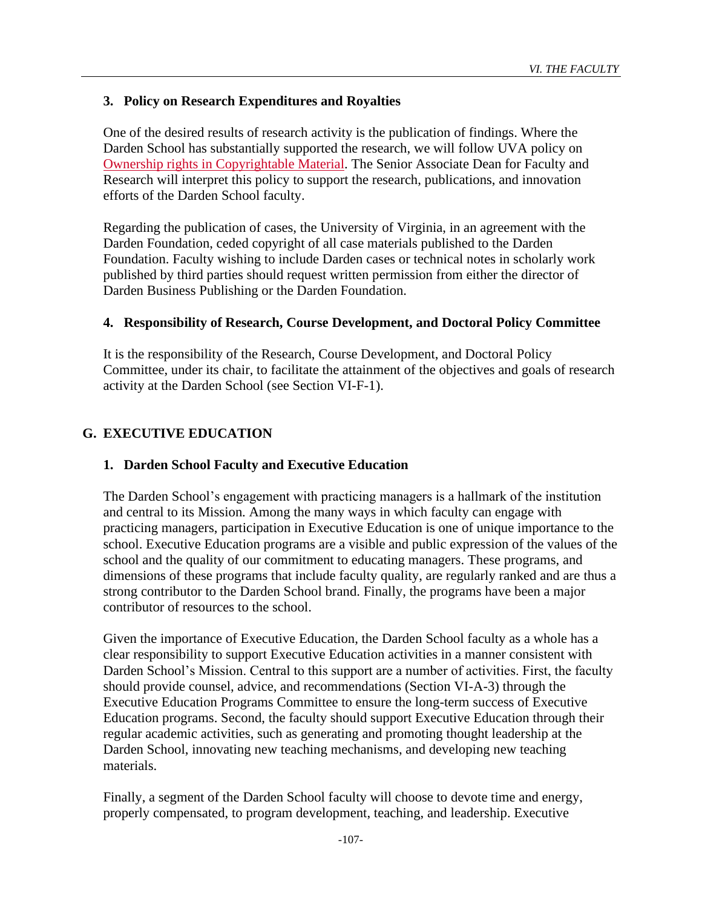## **3. Policy on Research Expenditures and Royalties**

One of the desired results of research activity is the publication of findings. Where the Darden School has substantially supported the research, we will follow UVA policy on [Ownership rights in Copyrightable Material.](http://uvapolicy.virginia.edu/policy/RES-001) The Senior Associate Dean for Faculty and Research will interpret this policy to support the research, publications, and innovation efforts of the Darden School faculty.

Regarding the publication of cases, the University of Virginia, in an agreement with the Darden Foundation, ceded copyright of all case materials published to the Darden Foundation. Faculty wishing to include Darden cases or technical notes in scholarly work published by third parties should request written permission from either the director of Darden Business Publishing or the Darden Foundation.

### **4. Responsibility of Research, Course Development, and Doctoral Policy Committee**

It is the responsibility of the Research, Course Development, and Doctoral Policy Committee, under its chair, to facilitate the attainment of the objectives and goals of research activity at the Darden School (see Section VI-F-1).

## **G. EXECUTIVE EDUCATION**

### **1. Darden School Faculty and Executive Education**

The Darden School's engagement with practicing managers is a hallmark of the institution and central to its Mission. Among the many ways in which faculty can engage with practicing managers, participation in Executive Education is one of unique importance to the school. Executive Education programs are a visible and public expression of the values of the school and the quality of our commitment to educating managers. These programs, and dimensions of these programs that include faculty quality, are regularly ranked and are thus a strong contributor to the Darden School brand. Finally, the programs have been a major contributor of resources to the school.

Given the importance of Executive Education, the Darden School faculty as a whole has a clear responsibility to support Executive Education activities in a manner consistent with Darden School's Mission. Central to this support are a number of activities. First, the faculty should provide counsel, advice, and recommendations (Section VI-A-3) through the Executive Education Programs Committee to ensure the long-term success of Executive Education programs. Second, the faculty should support Executive Education through their regular academic activities, such as generating and promoting thought leadership at the Darden School, innovating new teaching mechanisms, and developing new teaching materials.

Finally, a segment of the Darden School faculty will choose to devote time and energy, properly compensated, to program development, teaching, and leadership. Executive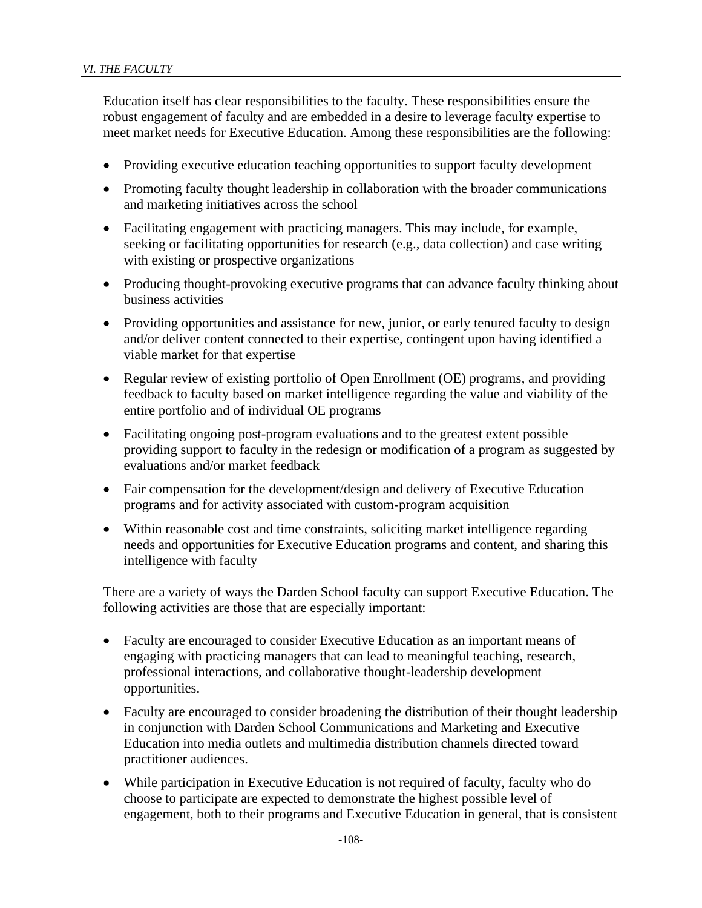Education itself has clear responsibilities to the faculty. These responsibilities ensure the robust engagement of faculty and are embedded in a desire to leverage faculty expertise to meet market needs for Executive Education. Among these responsibilities are the following:

- Providing executive education teaching opportunities to support faculty development
- Promoting faculty thought leadership in collaboration with the broader communications and marketing initiatives across the school
- Facilitating engagement with practicing managers. This may include, for example, seeking or facilitating opportunities for research (e.g., data collection) and case writing with existing or prospective organizations
- Producing thought-provoking executive programs that can advance faculty thinking about business activities
- Providing opportunities and assistance for new, junior, or early tenured faculty to design and/or deliver content connected to their expertise, contingent upon having identified a viable market for that expertise
- Regular review of existing portfolio of Open Enrollment (OE) programs, and providing feedback to faculty based on market intelligence regarding the value and viability of the entire portfolio and of individual OE programs
- Facilitating ongoing post-program evaluations and to the greatest extent possible providing support to faculty in the redesign or modification of a program as suggested by evaluations and/or market feedback
- Fair compensation for the development/design and delivery of Executive Education programs and for activity associated with custom-program acquisition
- Within reasonable cost and time constraints, soliciting market intelligence regarding needs and opportunities for Executive Education programs and content, and sharing this intelligence with faculty

There are a variety of ways the Darden School faculty can support Executive Education. The following activities are those that are especially important:

- Faculty are encouraged to consider Executive Education as an important means of engaging with practicing managers that can lead to meaningful teaching, research, professional interactions, and collaborative thought-leadership development opportunities.
- Faculty are encouraged to consider broadening the distribution of their thought leadership in conjunction with Darden School Communications and Marketing and Executive Education into media outlets and multimedia distribution channels directed toward practitioner audiences.
- While participation in Executive Education is not required of faculty, faculty who do choose to participate are expected to demonstrate the highest possible level of engagement, both to their programs and Executive Education in general, that is consistent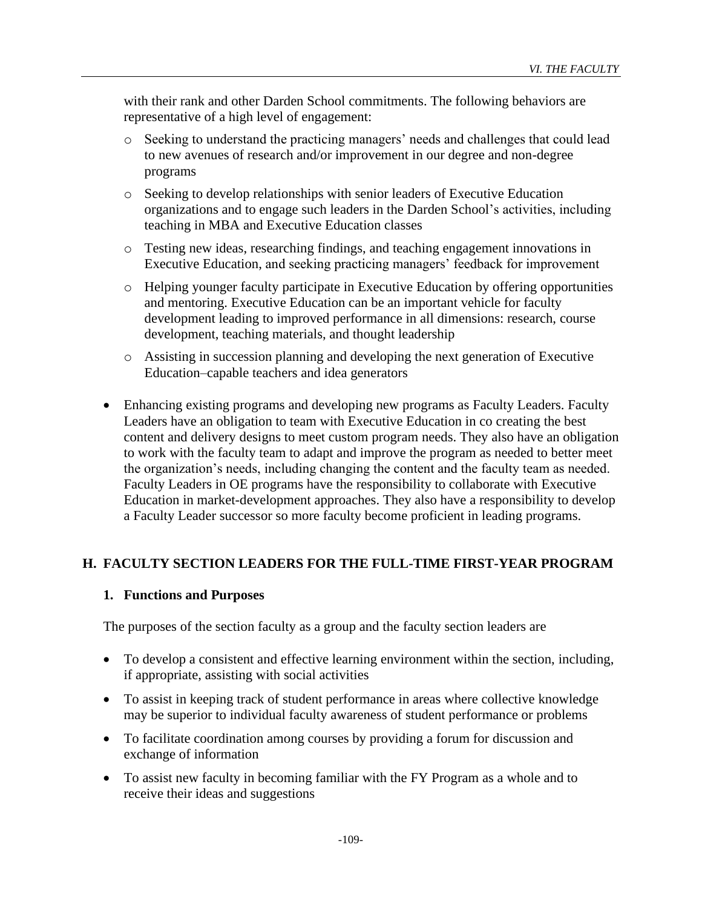with their rank and other Darden School commitments. The following behaviors are representative of a high level of engagement:

- o Seeking to understand the practicing managers' needs and challenges that could lead to new avenues of research and/or improvement in our degree and non-degree programs
- o Seeking to develop relationships with senior leaders of Executive Education organizations and to engage such leaders in the Darden School's activities, including teaching in MBA and Executive Education classes
- o Testing new ideas, researching findings, and teaching engagement innovations in Executive Education, and seeking practicing managers' feedback for improvement
- o Helping younger faculty participate in Executive Education by offering opportunities and mentoring. Executive Education can be an important vehicle for faculty development leading to improved performance in all dimensions: research, course development, teaching materials, and thought leadership
- o Assisting in succession planning and developing the next generation of Executive Education–capable teachers and idea generators
- Enhancing existing programs and developing new programs as Faculty Leaders. Faculty Leaders have an obligation to team with Executive Education in co creating the best content and delivery designs to meet custom program needs. They also have an obligation to work with the faculty team to adapt and improve the program as needed to better meet the organization's needs, including changing the content and the faculty team as needed. Faculty Leaders in OE programs have the responsibility to collaborate with Executive Education in market-development approaches. They also have a responsibility to develop a Faculty Leader successor so more faculty become proficient in leading programs.

## **H. FACULTY SECTION LEADERS FOR THE FULL-TIME FIRST-YEAR PROGRAM**

## **1. Functions and Purposes**

The purposes of the section faculty as a group and the faculty section leaders are

- To develop a consistent and effective learning environment within the section, including, if appropriate, assisting with social activities
- To assist in keeping track of student performance in areas where collective knowledge may be superior to individual faculty awareness of student performance or problems
- To facilitate coordination among courses by providing a forum for discussion and exchange of information
- To assist new faculty in becoming familiar with the FY Program as a whole and to receive their ideas and suggestions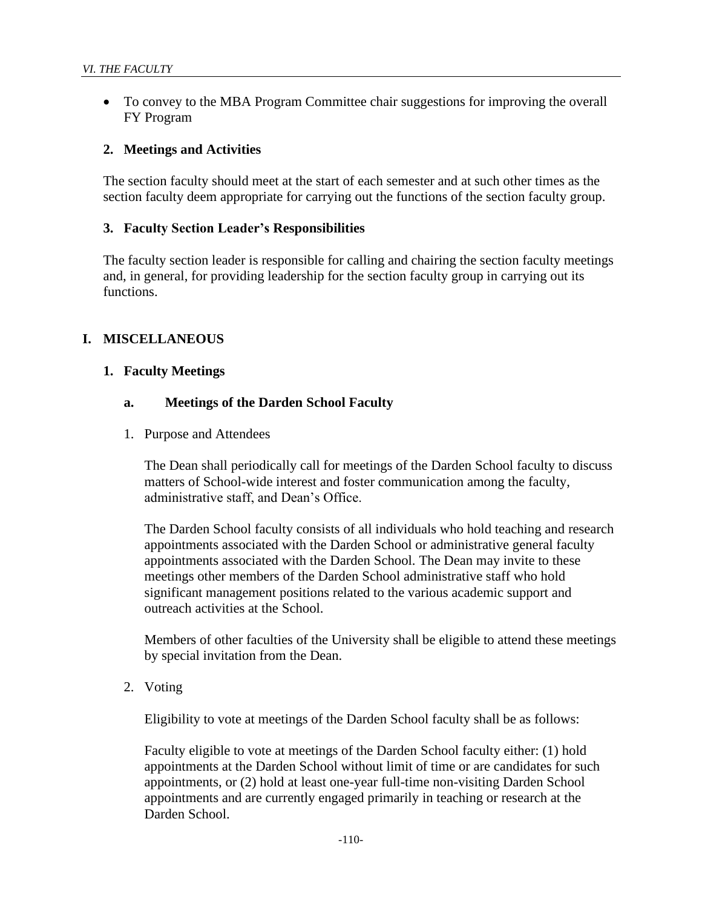• To convey to the MBA Program Committee chair suggestions for improving the overall FY Program

#### **2. Meetings and Activities**

The section faculty should meet at the start of each semester and at such other times as the section faculty deem appropriate for carrying out the functions of the section faculty group.

#### **3. Faculty Section Leader's Responsibilities**

The faculty section leader is responsible for calling and chairing the section faculty meetings and, in general, for providing leadership for the section faculty group in carrying out its functions.

## **I. MISCELLANEOUS**

#### **1. Faculty Meetings**

#### **a. Meetings of the Darden School Faculty**

1. Purpose and Attendees

The Dean shall periodically call for meetings of the Darden School faculty to discuss matters of School-wide interest and foster communication among the faculty, administrative staff, and Dean's Office.

The Darden School faculty consists of all individuals who hold teaching and research appointments associated with the Darden School or administrative general faculty appointments associated with the Darden School. The Dean may invite to these meetings other members of the Darden School administrative staff who hold significant management positions related to the various academic support and outreach activities at the School.

Members of other faculties of the University shall be eligible to attend these meetings by special invitation from the Dean.

2. Voting

Eligibility to vote at meetings of the Darden School faculty shall be as follows:

Faculty eligible to vote at meetings of the Darden School faculty either: (1) hold appointments at the Darden School without limit of time or are candidates for such appointments, or (2) hold at least one-year full-time non-visiting Darden School appointments and are currently engaged primarily in teaching or research at the Darden School.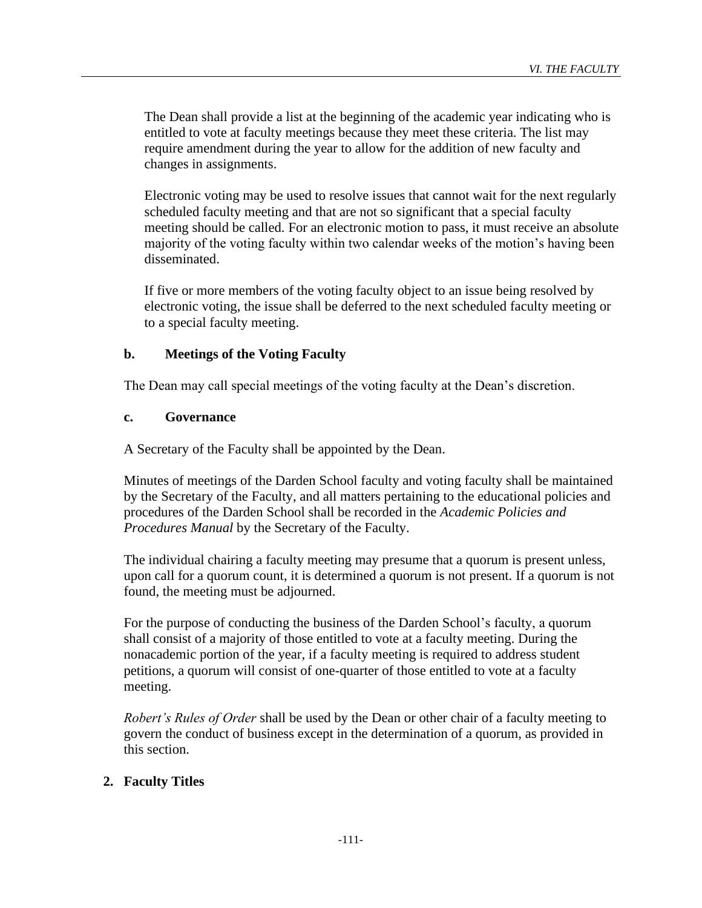The Dean shall provide a list at the beginning of the academic year indicating who is entitled to vote at faculty meetings because they meet these criteria. The list may require amendment during the year to allow for the addition of new faculty and changes in assignments.

Electronic voting may be used to resolve issues that cannot wait for the next regularly scheduled faculty meeting and that are not so significant that a special faculty meeting should be called. For an electronic motion to pass, it must receive an absolute majority of the voting faculty within two calendar weeks of the motion's having been disseminated.

If five or more members of the voting faculty object to an issue being resolved by electronic voting, the issue shall be deferred to the next scheduled faculty meeting or to a special faculty meeting.

# **b. Meetings of the Voting Faculty**

The Dean may call special meetings of the voting faculty at the Dean's discretion.

## **c. Governance**

A Secretary of the Faculty shall be appointed by the Dean.

Minutes of meetings of the Darden School faculty and voting faculty shall be maintained by the Secretary of the Faculty, and all matters pertaining to the educational policies and procedures of the Darden School shall be recorded in the *Academic Policies and Procedures Manual* by the Secretary of the Faculty.

The individual chairing a faculty meeting may presume that a quorum is present unless, upon call for a quorum count, it is determined a quorum is not present. If a quorum is not found, the meeting must be adjourned.

For the purpose of conducting the business of the Darden School's faculty, a quorum shall consist of a majority of those entitled to vote at a faculty meeting. During the nonacademic portion of the year, if a faculty meeting is required to address student petitions, a quorum will consist of one-quarter of those entitled to vote at a faculty meeting.

*Robert's Rules of Order* shall be used by the Dean or other chair of a faculty meeting to govern the conduct of business except in the determination of a quorum, as provided in this section.

# **2. Faculty Titles**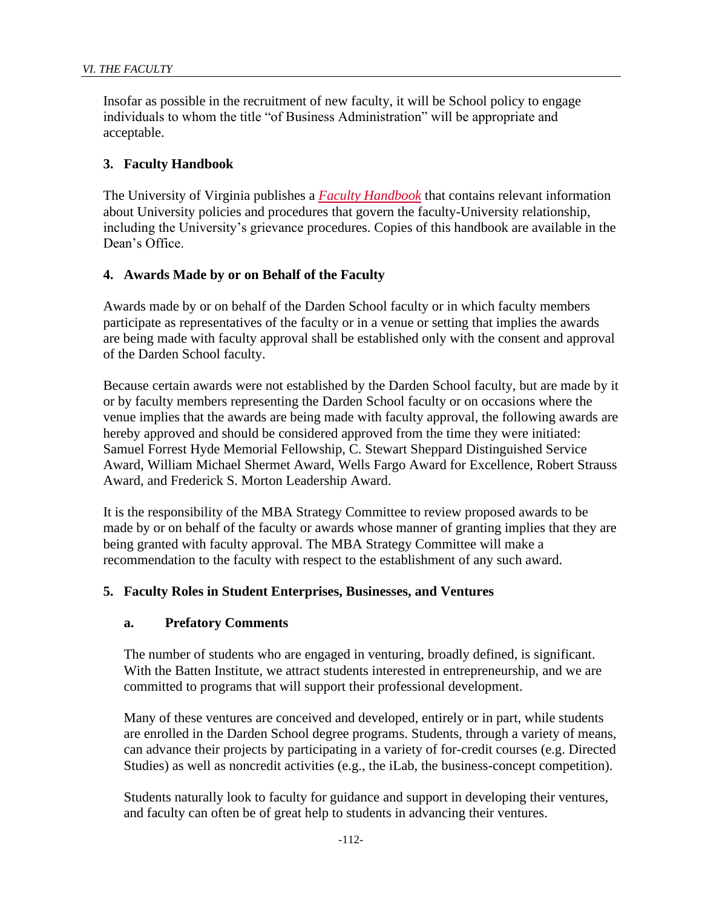Insofar as possible in the recruitment of new faculty, it will be School policy to engage individuals to whom the title "of Business Administration" will be appropriate and acceptable.

# **3. Faculty Handbook**

The University of Virginia publishes a *[Faculty Handbook](http://provost.virginia.edu/faculty-resources/faculty-handbook)* that contains relevant information about University policies and procedures that govern the faculty-University relationship, including the University's grievance procedures. Copies of this handbook are available in the Dean's Office.

# **4. Awards Made by or on Behalf of the Faculty**

Awards made by or on behalf of the Darden School faculty or in which faculty members participate as representatives of the faculty or in a venue or setting that implies the awards are being made with faculty approval shall be established only with the consent and approval of the Darden School faculty.

Because certain awards were not established by the Darden School faculty, but are made by it or by faculty members representing the Darden School faculty or on occasions where the venue implies that the awards are being made with faculty approval, the following awards are hereby approved and should be considered approved from the time they were initiated: Samuel Forrest Hyde Memorial Fellowship, C. Stewart Sheppard Distinguished Service Award, William Michael Shermet Award, Wells Fargo Award for Excellence, Robert Strauss Award, and Frederick S. Morton Leadership Award.

It is the responsibility of the MBA Strategy Committee to review proposed awards to be made by or on behalf of the faculty or awards whose manner of granting implies that they are being granted with faculty approval. The MBA Strategy Committee will make a recommendation to the faculty with respect to the establishment of any such award.

## **5. Faculty Roles in Student Enterprises, Businesses, and Ventures**

## **a. Prefatory Comments**

The number of students who are engaged in venturing, broadly defined, is significant. With the Batten Institute, we attract students interested in entrepreneurship, and we are committed to programs that will support their professional development.

Many of these ventures are conceived and developed, entirely or in part, while students are enrolled in the Darden School degree programs. Students, through a variety of means, can advance their projects by participating in a variety of for-credit courses (e.g. Directed Studies) as well as noncredit activities (e.g., the iLab, the business-concept competition).

Students naturally look to faculty for guidance and support in developing their ventures, and faculty can often be of great help to students in advancing their ventures.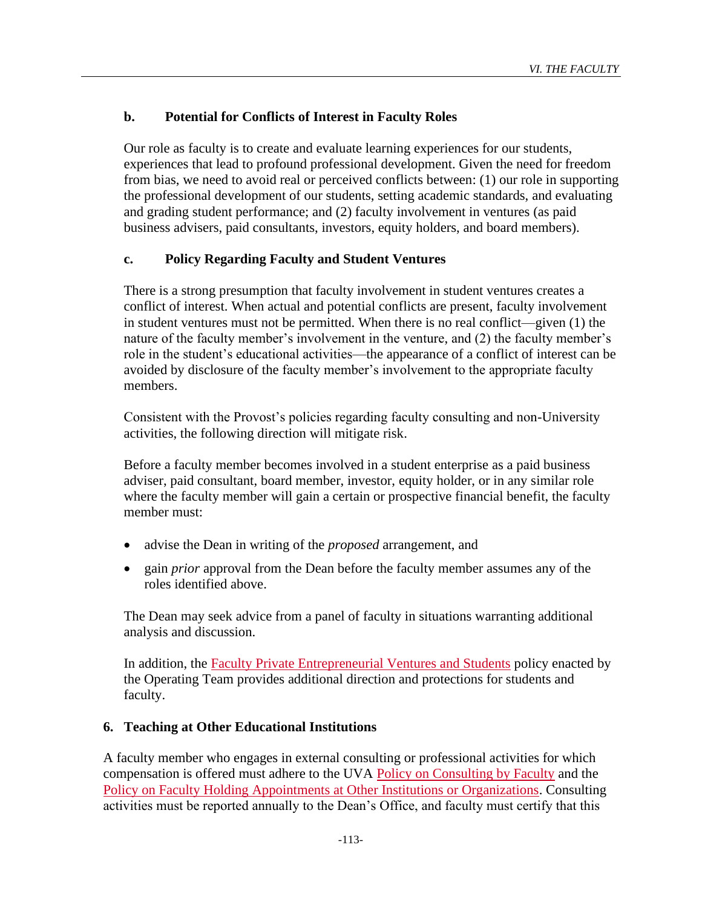# **b. Potential for Conflicts of Interest in Faculty Roles**

Our role as faculty is to create and evaluate learning experiences for our students, experiences that lead to profound professional development. Given the need for freedom from bias, we need to avoid real or perceived conflicts between: (1) our role in supporting the professional development of our students, setting academic standards, and evaluating and grading student performance; and (2) faculty involvement in ventures (as paid business advisers, paid consultants, investors, equity holders, and board members).

# **c. Policy Regarding Faculty and Student Ventures**

There is a strong presumption that faculty involvement in student ventures creates a conflict of interest. When actual and potential conflicts are present, faculty involvement in student ventures must not be permitted. When there is no real conflict—given (1) the nature of the faculty member's involvement in the venture, and (2) the faculty member's role in the student's educational activities—the appearance of a conflict of interest can be avoided by disclosure of the faculty member's involvement to the appropriate faculty members.

Consistent with the Provost's policies regarding faculty consulting and non-University activities, the following direction will mitigate risk.

Before a faculty member becomes involved in a student enterprise as a paid business adviser, paid consultant, board member, investor, equity holder, or in any similar role where the faculty member will gain a certain or prospective financial benefit, the faculty member must:

- advise the Dean in writing of the *proposed* arrangement, and
- gain *prior* approval from the Dean before the faculty member assumes any of the roles identified above.

The Dean may seek advice from a panel of faculty in situations warranting additional analysis and discussion.

In addition, the [Faculty Private Entrepreneurial Ventures and Students](http://mbaportal.darden.virginia.edu/cpp/Documents/Faculty%20Private%20Ventures%20and%20Students%20v4%20Oct%202013.pdf) policy enacted by the Operating Team provides additional direction and protections for students and faculty.

# **6. Teaching at Other Educational Institutions**

A faculty member who engages in external consulting or professional activities for which compensation is offered must adhere to the UVA [Policy on Consulting by Faculty](http://uvapolicy.virginia.edu/policy/HRM-045) and the [Policy on Faculty Holding Appointments at Other Institutions or Organizations.](http://uvapolicy.virginia.edu/policy/PROV-009) Consulting activities must be reported annually to the Dean's Office, and faculty must certify that this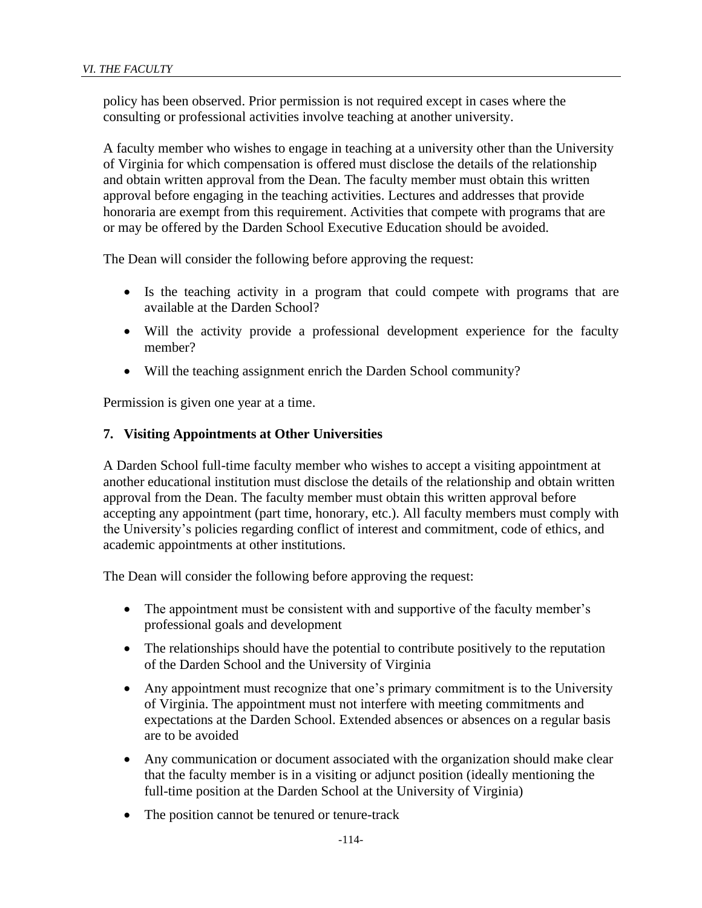policy has been observed. Prior permission is not required except in cases where the consulting or professional activities involve teaching at another university.

A faculty member who wishes to engage in teaching at a university other than the University of Virginia for which compensation is offered must disclose the details of the relationship and obtain written approval from the Dean. The faculty member must obtain this written approval before engaging in the teaching activities. Lectures and addresses that provide honoraria are exempt from this requirement. Activities that compete with programs that are or may be offered by the Darden School Executive Education should be avoided.

The Dean will consider the following before approving the request:

- Is the teaching activity in a program that could compete with programs that are available at the Darden School?
- Will the activity provide a professional development experience for the faculty member?
- Will the teaching assignment enrich the Darden School community?

Permission is given one year at a time.

# **7. Visiting Appointments at Other Universities**

A Darden School full-time faculty member who wishes to accept a visiting appointment at another educational institution must disclose the details of the relationship and obtain written approval from the Dean. The faculty member must obtain this written approval before accepting any appointment (part time, honorary, etc.). All faculty members must comply with the University's policies regarding conflict of interest and commitment, code of ethics, and academic appointments at other institutions.

The Dean will consider the following before approving the request:

- The appointment must be consistent with and supportive of the faculty member's professional goals and development
- The relationships should have the potential to contribute positively to the reputation of the Darden School and the University of Virginia
- Any appointment must recognize that one's primary commitment is to the University of Virginia. The appointment must not interfere with meeting commitments and expectations at the Darden School. Extended absences or absences on a regular basis are to be avoided
- Any communication or document associated with the organization should make clear that the faculty member is in a visiting or adjunct position (ideally mentioning the full-time position at the Darden School at the University of Virginia)
- The position cannot be tenured or tenure-track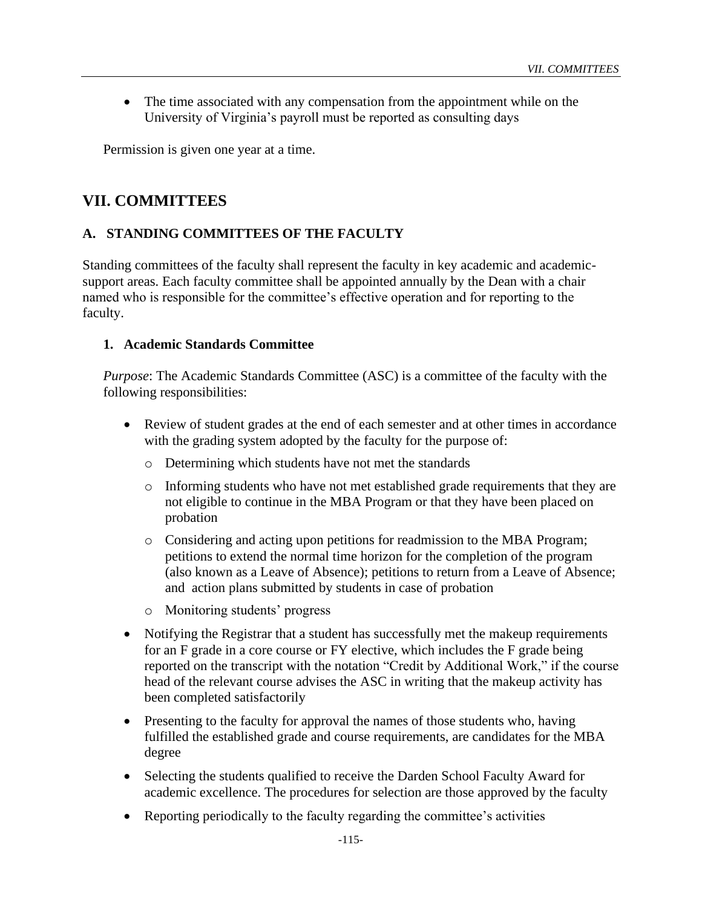• The time associated with any compensation from the appointment while on the University of Virginia's payroll must be reported as consulting days

Permission is given one year at a time.

# **VII. COMMITTEES**

# **A. STANDING COMMITTEES OF THE FACULTY**

Standing committees of the faculty shall represent the faculty in key academic and academicsupport areas. Each faculty committee shall be appointed annually by the Dean with a chair named who is responsible for the committee's effective operation and for reporting to the faculty.

#### **1. Academic Standards Committee**

*Purpose*: The Academic Standards Committee (ASC) is a committee of the faculty with the following responsibilities:

- Review of student grades at the end of each semester and at other times in accordance with the grading system adopted by the faculty for the purpose of:
	- o Determining which students have not met the standards
	- o Informing students who have not met established grade requirements that they are not eligible to continue in the MBA Program or that they have been placed on probation
	- o Considering and acting upon petitions for readmission to the MBA Program; petitions to extend the normal time horizon for the completion of the program (also known as a Leave of Absence); petitions to return from a Leave of Absence; and action plans submitted by students in case of probation
	- o Monitoring students' progress
- Notifying the Registrar that a student has successfully met the makeup requirements for an F grade in a core course or FY elective, which includes the F grade being reported on the transcript with the notation "Credit by Additional Work," if the course head of the relevant course advises the ASC in writing that the makeup activity has been completed satisfactorily
- Presenting to the faculty for approval the names of those students who, having fulfilled the established grade and course requirements, are candidates for the MBA degree
- Selecting the students qualified to receive the Darden School Faculty Award for academic excellence. The procedures for selection are those approved by the faculty
- Reporting periodically to the faculty regarding the committee's activities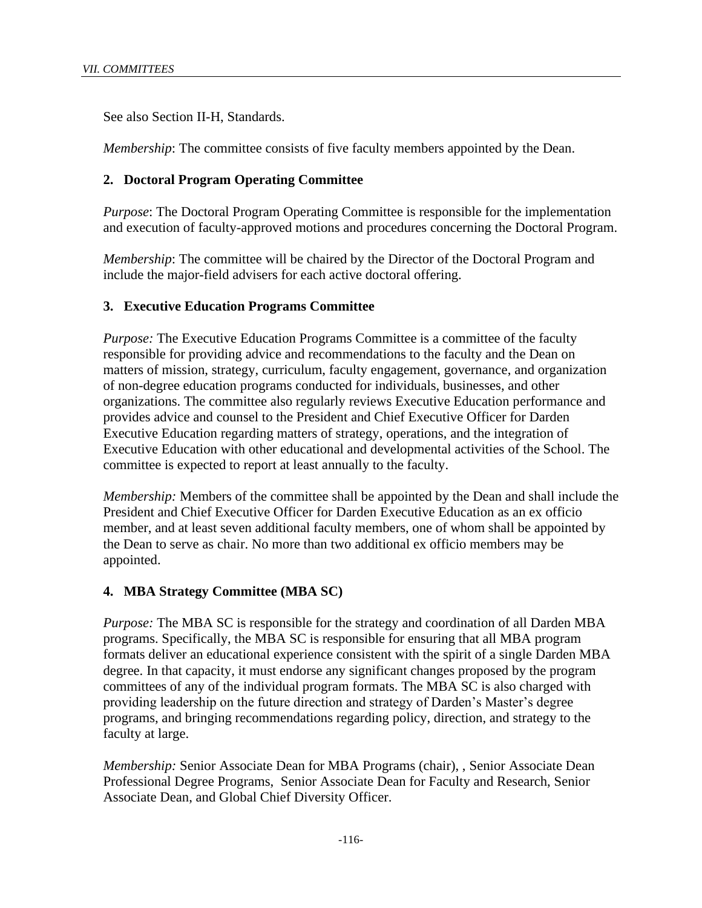See also Section II-H, Standards.

*Membership*: The committee consists of five faculty members appointed by the Dean.

# **2. Doctoral Program Operating Committee**

*Purpose*: The Doctoral Program Operating Committee is responsible for the implementation and execution of faculty-approved motions and procedures concerning the Doctoral Program.

*Membership*: The committee will be chaired by the Director of the Doctoral Program and include the major-field advisers for each active doctoral offering.

# **3. Executive Education Programs Committee**

*Purpose:* The Executive Education Programs Committee is a committee of the faculty responsible for providing advice and recommendations to the faculty and the Dean on matters of mission, strategy, curriculum, faculty engagement, governance, and organization of non-degree education programs conducted for individuals, businesses, and other organizations. The committee also regularly reviews Executive Education performance and provides advice and counsel to the President and Chief Executive Officer for Darden Executive Education regarding matters of strategy, operations, and the integration of Executive Education with other educational and developmental activities of the School. The committee is expected to report at least annually to the faculty.

*Membership:* Members of the committee shall be appointed by the Dean and shall include the President and Chief Executive Officer for Darden Executive Education as an ex officio member, and at least seven additional faculty members, one of whom shall be appointed by the Dean to serve as chair. No more than two additional ex officio members may be appointed.

## **4. MBA Strategy Committee (MBA SC)**

*Purpose:* The MBA SC is responsible for the strategy and coordination of all Darden MBA programs. Specifically, the MBA SC is responsible for ensuring that all MBA program formats deliver an educational experience consistent with the spirit of a single Darden MBA degree. In that capacity, it must endorse any significant changes proposed by the program committees of any of the individual program formats. The MBA SC is also charged with providing leadership on the future direction and strategy of Darden's Master's degree programs, and bringing recommendations regarding policy, direction, and strategy to the faculty at large.

*Membership:* Senior Associate Dean for MBA Programs (chair), , Senior Associate Dean Professional Degree Programs, Senior Associate Dean for Faculty and Research, Senior Associate Dean, and Global Chief Diversity Officer.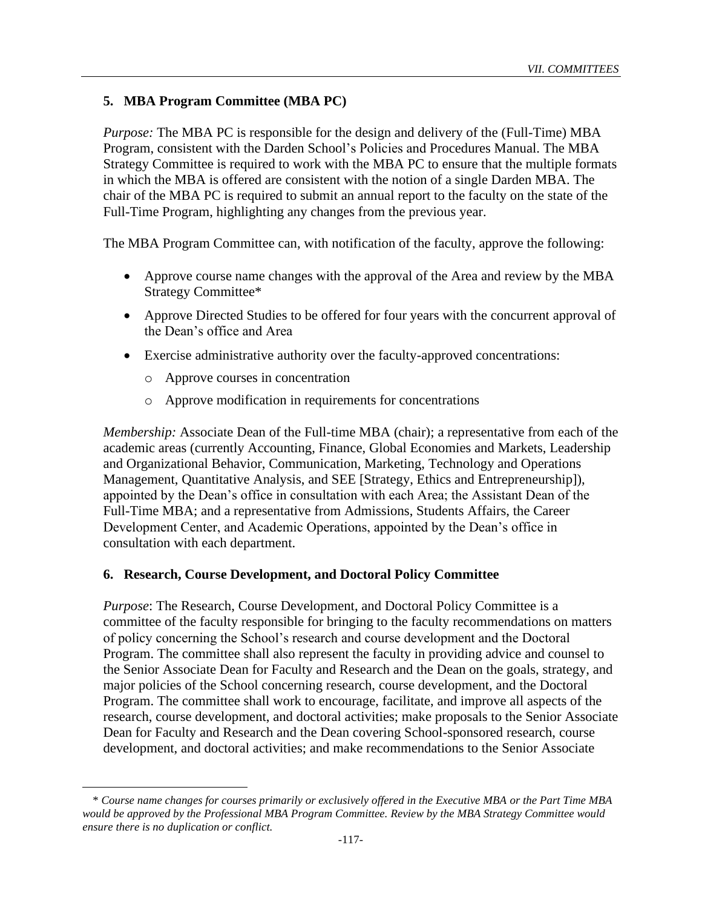# **5. MBA Program Committee (MBA PC)**

*Purpose:* The MBA PC is responsible for the design and delivery of the (Full-Time) MBA Program, consistent with the Darden School's Policies and Procedures Manual. The MBA Strategy Committee is required to work with the MBA PC to ensure that the multiple formats in which the MBA is offered are consistent with the notion of a single Darden MBA. The chair of the MBA PC is required to submit an annual report to the faculty on the state of the Full-Time Program, highlighting any changes from the previous year.

The MBA Program Committee can, with notification of the faculty, approve the following:

- Approve course name changes with the approval of the Area and review by the MBA Strategy Committee\*
- Approve Directed Studies to be offered for four years with the concurrent approval of the Dean's office and Area
- Exercise administrative authority over the faculty-approved concentrations:
	- o Approve courses in concentration
	- o Approve modification in requirements for concentrations

*Membership:* Associate Dean of the Full-time MBA (chair); a representative from each of the academic areas (currently Accounting, Finance, Global Economies and Markets, Leadership and Organizational Behavior, Communication, Marketing, Technology and Operations Management, Quantitative Analysis, and SEE [Strategy, Ethics and Entrepreneurship]), appointed by the Dean's office in consultation with each Area; the Assistant Dean of the Full-Time MBA; and a representative from Admissions, Students Affairs, the Career Development Center, and Academic Operations, appointed by the Dean's office in consultation with each department.

#### **6. Research, Course Development, and Doctoral Policy Committee**

*Purpose*: The Research, Course Development, and Doctoral Policy Committee is a committee of the faculty responsible for bringing to the faculty recommendations on matters of policy concerning the School's research and course development and the Doctoral Program. The committee shall also represent the faculty in providing advice and counsel to the Senior Associate Dean for Faculty and Research and the Dean on the goals, strategy, and major policies of the School concerning research, course development, and the Doctoral Program. The committee shall work to encourage, facilitate, and improve all aspects of the research, course development, and doctoral activities; make proposals to the Senior Associate Dean for Faculty and Research and the Dean covering School-sponsored research, course development, and doctoral activities; and make recommendations to the Senior Associate

<sup>\*</sup> *Course name changes for courses primarily or exclusively offered in the Executive MBA or the Part Time MBA would be approved by the Professional MBA Program Committee. Review by the MBA Strategy Committee would ensure there is no duplication or conflict.*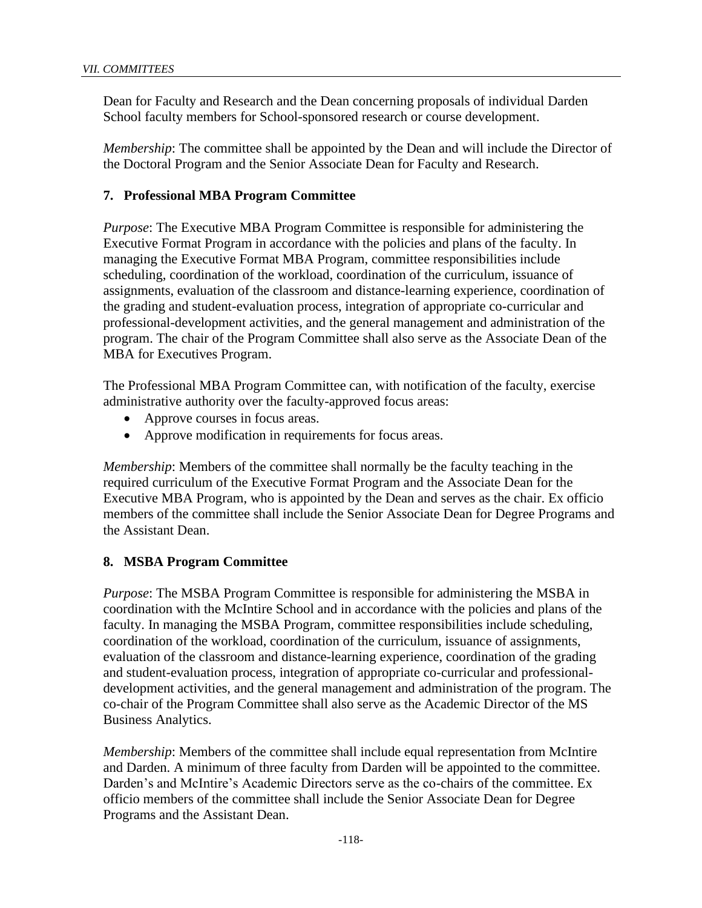Dean for Faculty and Research and the Dean concerning proposals of individual Darden School faculty members for School-sponsored research or course development.

*Membership*: The committee shall be appointed by the Dean and will include the Director of the Doctoral Program and the Senior Associate Dean for Faculty and Research.

# **7. Professional MBA Program Committee**

*Purpose*: The Executive MBA Program Committee is responsible for administering the Executive Format Program in accordance with the policies and plans of the faculty. In managing the Executive Format MBA Program, committee responsibilities include scheduling, coordination of the workload, coordination of the curriculum, issuance of assignments, evaluation of the classroom and distance-learning experience, coordination of the grading and student-evaluation process, integration of appropriate co-curricular and professional-development activities, and the general management and administration of the program. The chair of the Program Committee shall also serve as the Associate Dean of the MBA for Executives Program.

The Professional MBA Program Committee can, with notification of the faculty, exercise administrative authority over the faculty-approved focus areas:

- Approve courses in focus areas.
- Approve modification in requirements for focus areas.

*Membership*: Members of the committee shall normally be the faculty teaching in the required curriculum of the Executive Format Program and the Associate Dean for the Executive MBA Program, who is appointed by the Dean and serves as the chair. Ex officio members of the committee shall include the Senior Associate Dean for Degree Programs and the Assistant Dean.

# **8. MSBA Program Committee**

*Purpose*: The MSBA Program Committee is responsible for administering the MSBA in coordination with the McIntire School and in accordance with the policies and plans of the faculty. In managing the MSBA Program, committee responsibilities include scheduling, coordination of the workload, coordination of the curriculum, issuance of assignments, evaluation of the classroom and distance-learning experience, coordination of the grading and student-evaluation process, integration of appropriate co-curricular and professionaldevelopment activities, and the general management and administration of the program. The co-chair of the Program Committee shall also serve as the Academic Director of the MS Business Analytics.

*Membership*: Members of the committee shall include equal representation from McIntire and Darden. A minimum of three faculty from Darden will be appointed to the committee. Darden's and McIntire's Academic Directors serve as the co-chairs of the committee. Ex officio members of the committee shall include the Senior Associate Dean for Degree Programs and the Assistant Dean.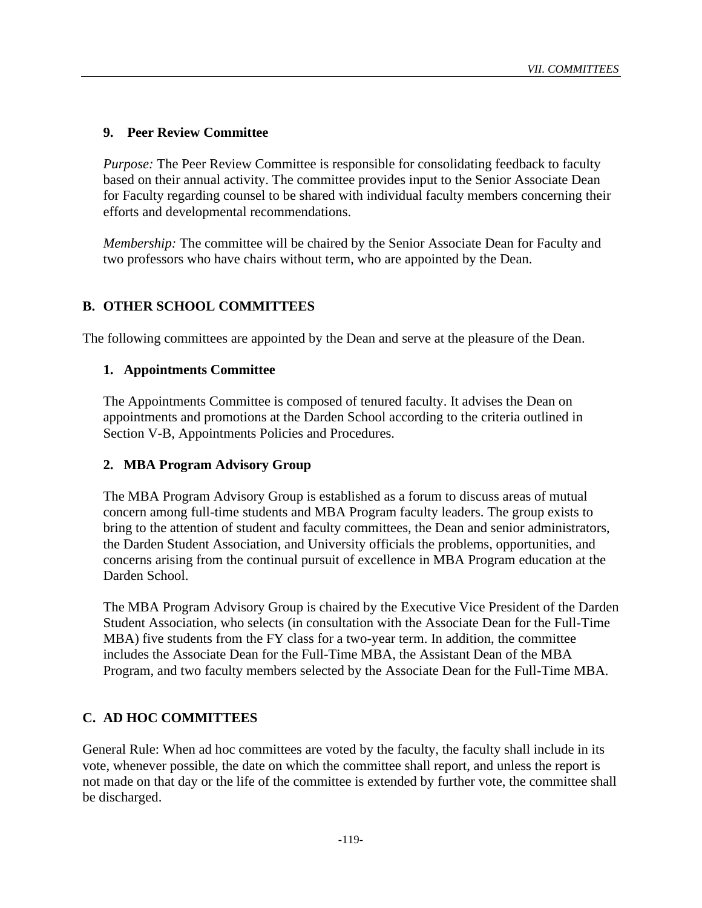# **9. Peer Review Committee**

*Purpose:* The Peer Review Committee is responsible for consolidating feedback to faculty based on their annual activity. The committee provides input to the Senior Associate Dean for Faculty regarding counsel to be shared with individual faculty members concerning their efforts and developmental recommendations.

*Membership:* The committee will be chaired by the Senior Associate Dean for Faculty and two professors who have chairs without term, who are appointed by the Dean.

# **B. OTHER SCHOOL COMMITTEES**

The following committees are appointed by the Dean and serve at the pleasure of the Dean.

## **1. Appointments Committee**

The Appointments Committee is composed of tenured faculty. It advises the Dean on appointments and promotions at the Darden School according to the criteria outlined in Section V-B, Appointments Policies and Procedures.

## **2. MBA Program Advisory Group**

The MBA Program Advisory Group is established as a forum to discuss areas of mutual concern among full-time students and MBA Program faculty leaders. The group exists to bring to the attention of student and faculty committees, the Dean and senior administrators, the Darden Student Association, and University officials the problems, opportunities, and concerns arising from the continual pursuit of excellence in MBA Program education at the Darden School.

The MBA Program Advisory Group is chaired by the Executive Vice President of the Darden Student Association, who selects (in consultation with the Associate Dean for the Full-Time MBA) five students from the FY class for a two-year term. In addition, the committee includes the Associate Dean for the Full-Time MBA, the Assistant Dean of the MBA Program, and two faculty members selected by the Associate Dean for the Full-Time MBA.

## **C. AD HOC COMMITTEES**

General Rule: When ad hoc committees are voted by the faculty, the faculty shall include in its vote, whenever possible, the date on which the committee shall report, and unless the report is not made on that day or the life of the committee is extended by further vote, the committee shall be discharged.